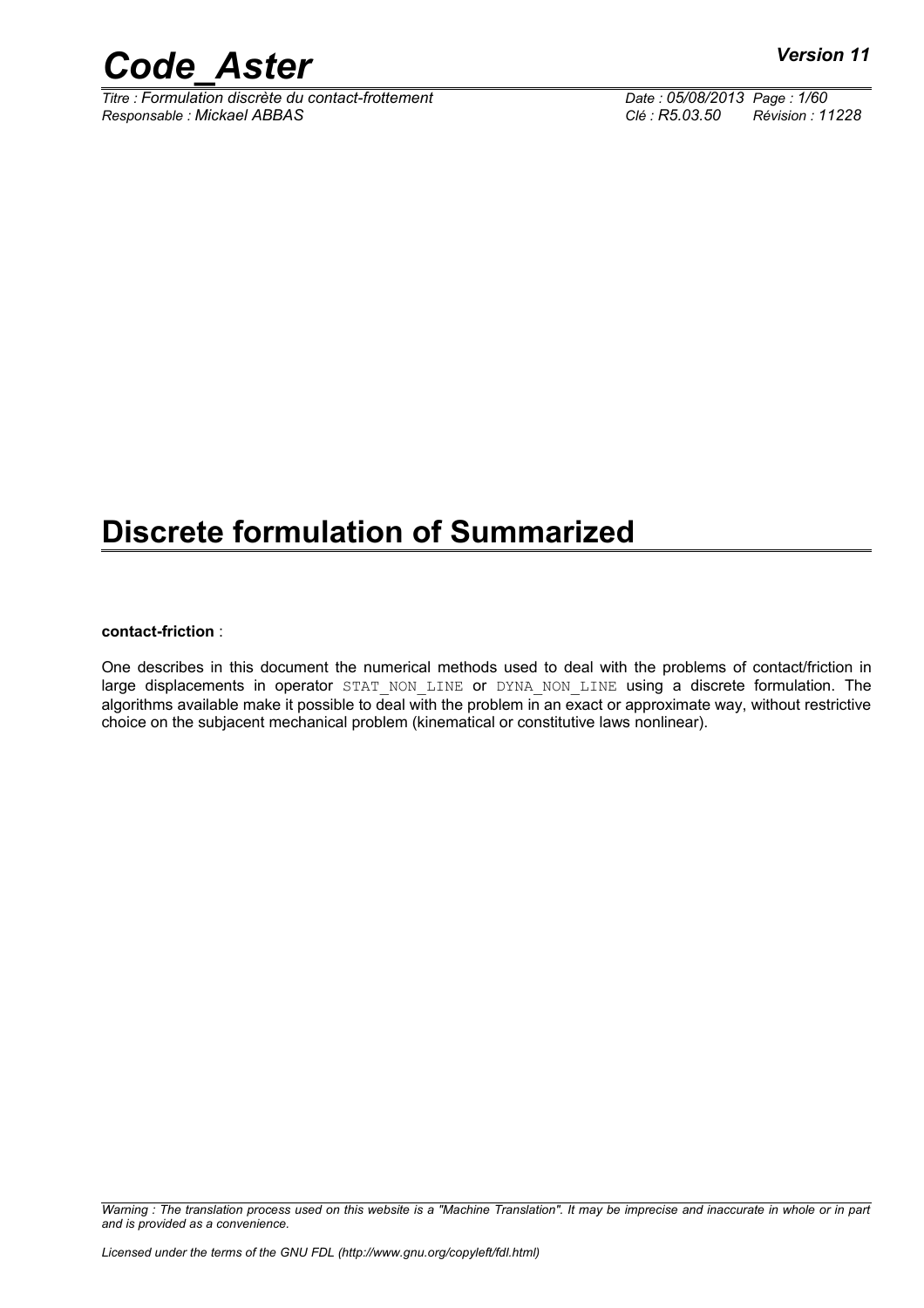*Titre : Formulation discrète du contact-frottement Date : 05/08/2013 Page : 1/60 Responsable : Mickael ABBAS Clé : R5.03.50 Révision : 11228*

### **Discrete formulation of Summarized**

#### **contact-friction** :

One describes in this document the numerical methods used to deal with the problems of contact/friction in large displacements in operator STAT\_NON\_LINE or DYNA\_NON\_LINE using a discrete formulation. The algorithms available make it possible to deal with the problem in an exact or approximate way, without restrictive choice on the subjacent mechanical problem (kinematical or constitutive laws nonlinear).

*Warning : The translation process used on this website is a "Machine Translation". It may be imprecise and inaccurate in whole or in part and is provided as a convenience.*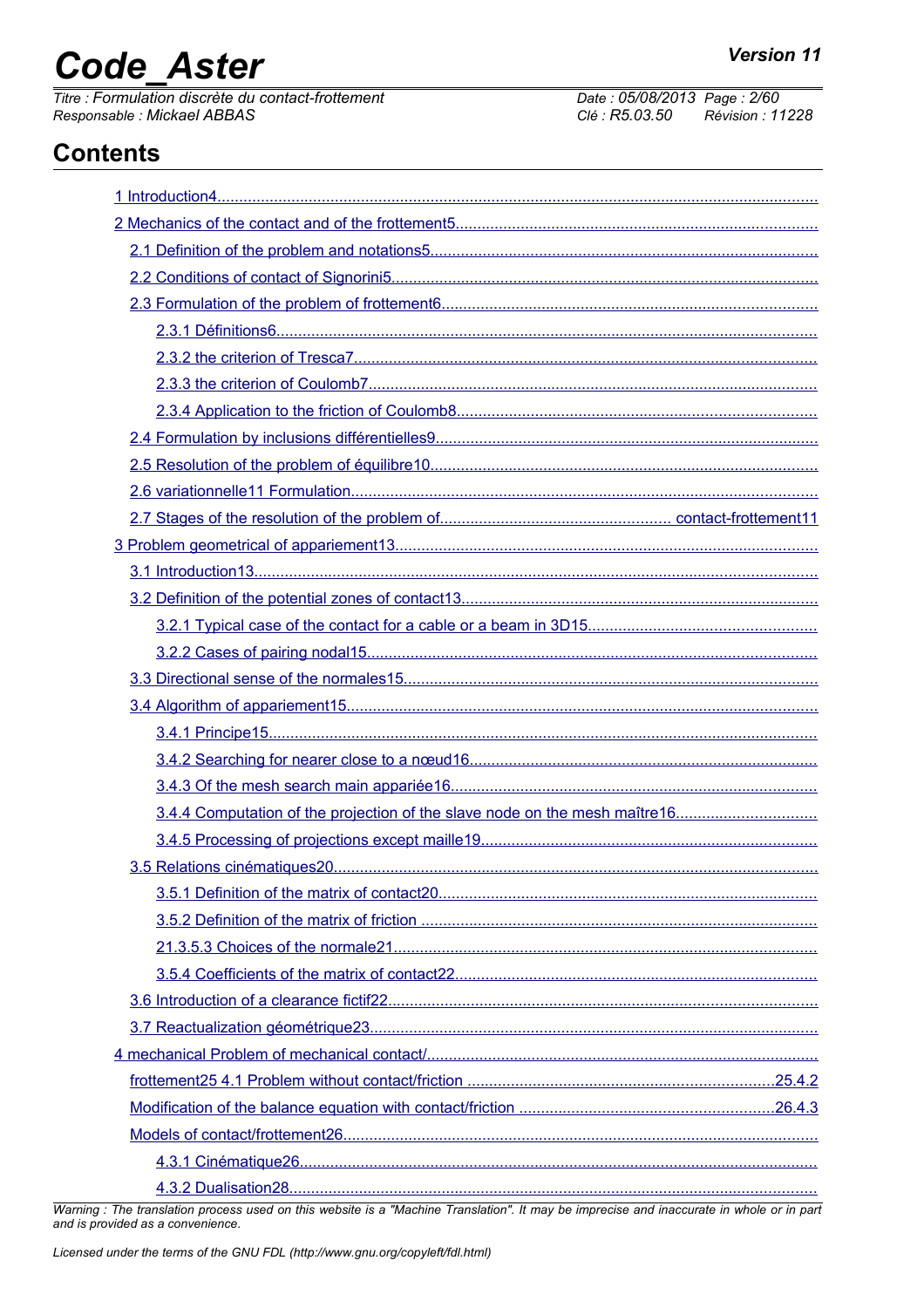*Titre : Formulation discrète du contact-frottement Date : 05/08/2013 Page : 2/60 Responsable : Mickael ABBAS Clé : R5.03.50 Révision : 11228*

### **Contents**

| 3.4.4 Computation of the projection of the slave node on the mesh maître16 |
|----------------------------------------------------------------------------|
|                                                                            |
|                                                                            |
|                                                                            |
|                                                                            |
|                                                                            |
|                                                                            |
|                                                                            |
|                                                                            |
|                                                                            |
|                                                                            |
|                                                                            |
|                                                                            |
|                                                                            |
|                                                                            |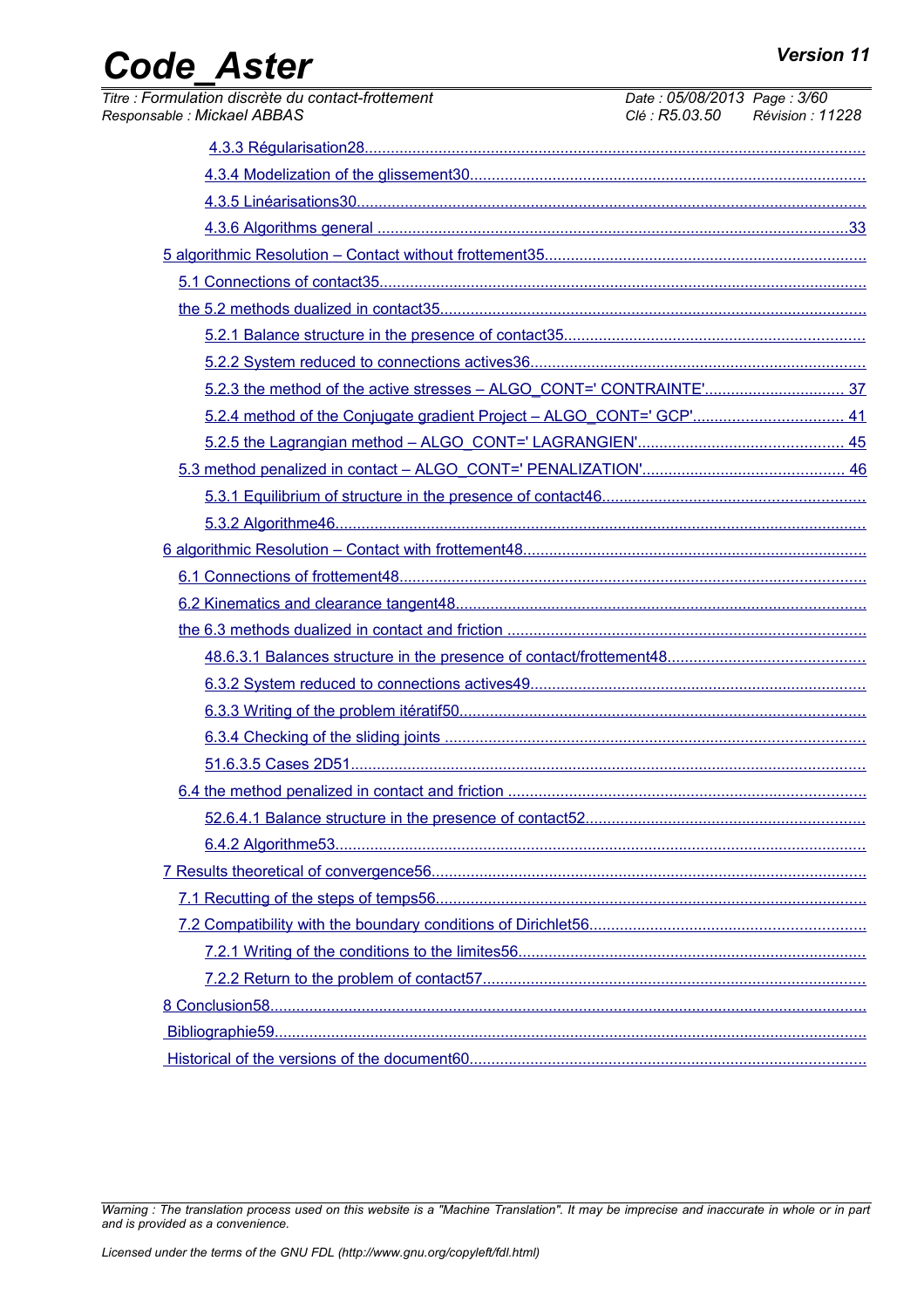| Titre : Formulation discrète du contact-frottement<br>Responsable : Mickael ABBAS | Date: 05/08/2013 Page: 3/60<br>Clé : R5.03.50 Révision : 11228 |  |
|-----------------------------------------------------------------------------------|----------------------------------------------------------------|--|
|                                                                                   |                                                                |  |
|                                                                                   |                                                                |  |
|                                                                                   |                                                                |  |
|                                                                                   |                                                                |  |
|                                                                                   |                                                                |  |
|                                                                                   |                                                                |  |
|                                                                                   |                                                                |  |
|                                                                                   |                                                                |  |
|                                                                                   |                                                                |  |
|                                                                                   |                                                                |  |
| 5.2.4 method of the Conjugate gradient Project – ALGO CONT=' GCP' 41              |                                                                |  |
|                                                                                   |                                                                |  |
|                                                                                   |                                                                |  |
|                                                                                   |                                                                |  |
|                                                                                   |                                                                |  |
|                                                                                   |                                                                |  |
|                                                                                   |                                                                |  |
|                                                                                   |                                                                |  |
|                                                                                   |                                                                |  |
|                                                                                   |                                                                |  |
|                                                                                   |                                                                |  |
|                                                                                   |                                                                |  |
|                                                                                   |                                                                |  |
|                                                                                   |                                                                |  |
|                                                                                   |                                                                |  |
|                                                                                   |                                                                |  |
|                                                                                   |                                                                |  |
|                                                                                   |                                                                |  |
|                                                                                   |                                                                |  |
|                                                                                   |                                                                |  |
|                                                                                   |                                                                |  |
|                                                                                   |                                                                |  |
|                                                                                   |                                                                |  |
|                                                                                   |                                                                |  |
|                                                                                   |                                                                |  |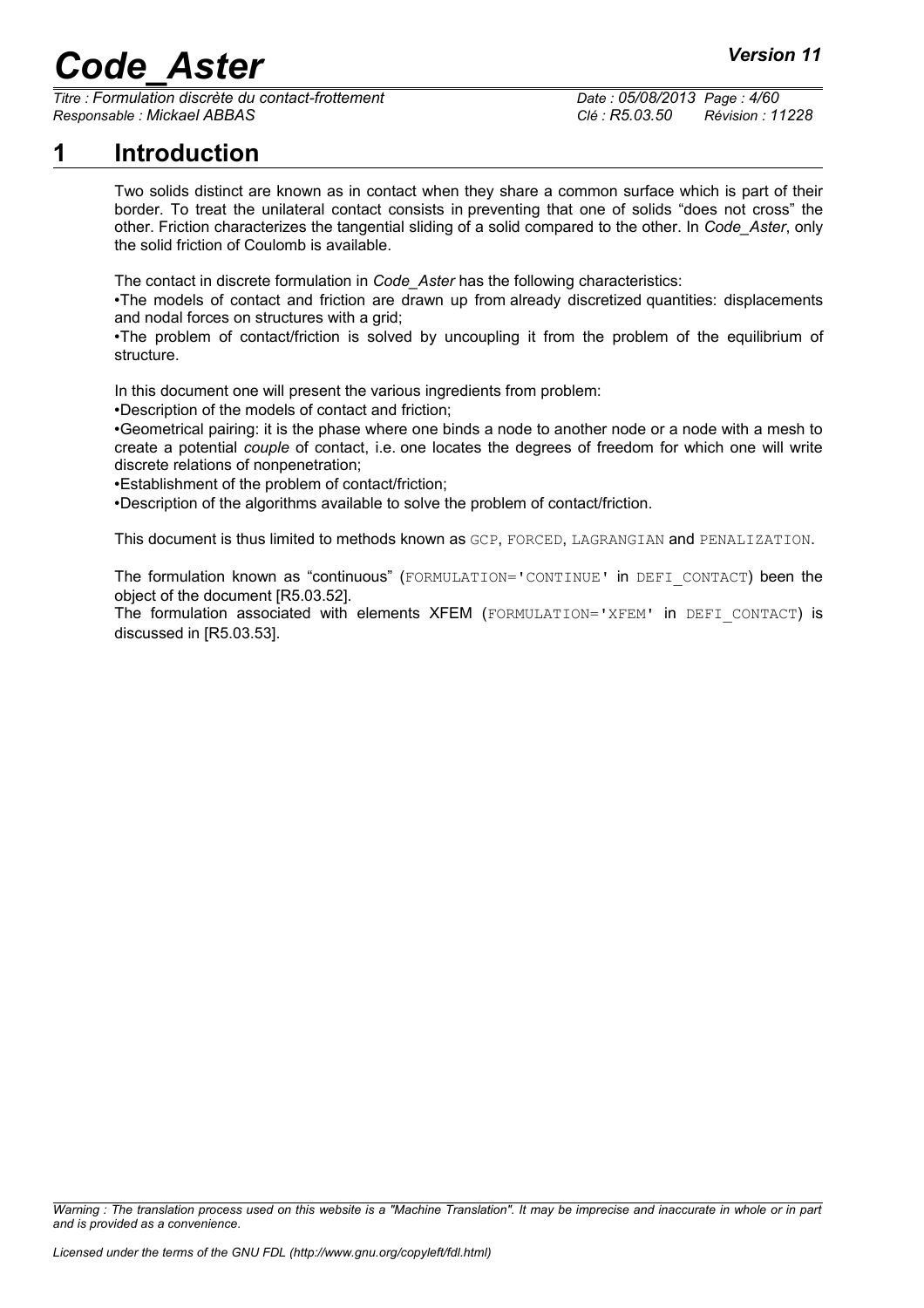*Titre : Formulation discrète du contact-frottement Date : 05/08/2013 Page : 4/60 Responsable : Mickael ABBAS Clé : R5.03.50 Révision : 11228*

### **1 Introduction**

<span id="page-3-0"></span>Two solids distinct are known as in contact when they share a common surface which is part of their border. To treat the unilateral contact consists in preventing that one of solids "does not cross" the other. Friction characterizes the tangential sliding of a solid compared to the other. In *Code\_Aster*, only the solid friction of Coulomb is available.

The contact in discrete formulation in *Code\_Aster* has the following characteristics:

•The models of contact and friction are drawn up from already discretized quantities: displacements and nodal forces on structures with a grid;

•The problem of contact/friction is solved by uncoupling it from the problem of the equilibrium of structure.

In this document one will present the various ingredients from problem:

•Description of the models of contact and friction;

•Geometrical pairing: it is the phase where one binds a node to another node or a node with a mesh to create a potential *couple* of contact, i.e. one locates the degrees of freedom for which one will write discrete relations of nonpenetration;

•Establishment of the problem of contact/friction;

•Description of the algorithms available to solve the problem of contact/friction.

This document is thus limited to methods known as GCP, FORCED, LAGRANGIAN and PENALIZATION.

The formulation known as "continuous" (FORMULATION='CONTINUE' in DEFI\_CONTACT) been the object of the document [R5.03.52].

The formulation associated with elements XFEM (FORMULATION='XFEM' in DEFI\_CONTACT) is discussed in [R5.03.53].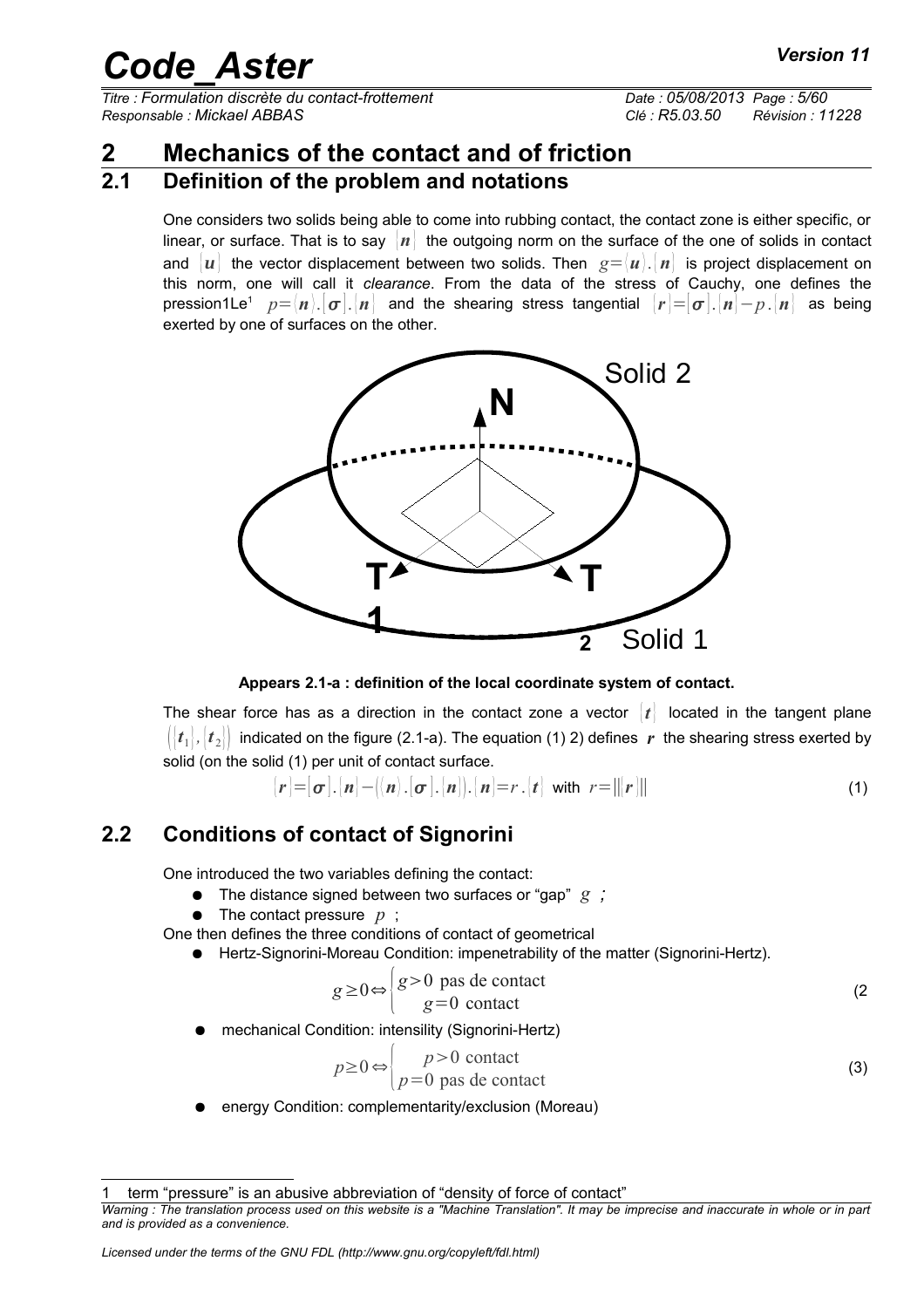*Titre : Formulation discrète du contact-frottement Date : 05/08/2013 Page : 5/60 Responsable : Mickael ABBAS Clé : R5.03.50 Révision : 11228*

### <span id="page-4-2"></span>**2 Mechanics of the contact and of friction**

**2.1 Definition of the problem and notations**

<span id="page-4-1"></span>One considers two solids being able to come into rubbing contact, the contact zone is either specific, or linear, or surface. That is to say  $\left| n \right|$  the outgoing norm on the surface of the one of solids in contact and  $|u|$  the vector displacement between two solids. Then  $g=|u|$   $|n|$  is project displacement on this norm, one will call it *clearance*. From the data of the stress of Cauchy, one defines the pression[1](#page-4-5)Le<sup>1</sup>  $p=(n)$   $|\sigma|$  . $|n|$  and the shearing stress tangential  $|r|=|\sigma|$  .  $|n|-p$  .  $|n|$  as being exerted by one of surfaces on the other.



<span id="page-4-3"></span>**Appears 2.1-a : definition of the local coordinate system of contact.**

The shear force has as a direction in the contact zone a vector  $|t|$  located in the tangent plane  $(|t_1|,|t_2|)$  indicated on the figure [\(2.1-a\)](#page-4-3). The equation [\(1\)](#page-4-4) 2) defines  $\, \bm r \,$  the shearing stress exerted by solid (on the solid (1) per unit of contact surface.

$$
[r] = [\sigma], [n] - \langle n \rangle, [\sigma], [n] \rangle, [n] = r, [t] \text{ with } r = ||[r]|| \tag{1}
$$

### **2.2 Conditions of contact of Signorini**

<span id="page-4-0"></span>One introduced the two variables defining the contact:

- The distance signed between two surfaces or "gap" *g ;*
- The contact pressure *p* :

One then defines the three conditions of contact of geometrical

● Hertz-Signorini-Moreau Condition: impenetrability of the matter (Signorini-Hertz).

<span id="page-4-4"></span>
$$
g \ge 0 \Leftrightarrow \begin{cases} g > 0 \text{ pas de contact} \\ g = 0 \text{ contact} \end{cases}
$$
 (2)

mechanical Condition: intensility (Signorini-Hertz)

$$
p \ge 0 \Leftrightarrow \begin{cases} p > 0 \text{ contact} \\ p = 0 \text{ pas de contact} \end{cases}
$$
 (3)

energy Condition: complementarity/exclusion (Moreau)

<span id="page-4-5"></span>term "pressure" is an abusive abbreviation of "density of force of contact"

*Warning : The translation process used on this website is a "Machine Translation". It may be imprecise and inaccurate in whole or in part and is provided as a convenience.*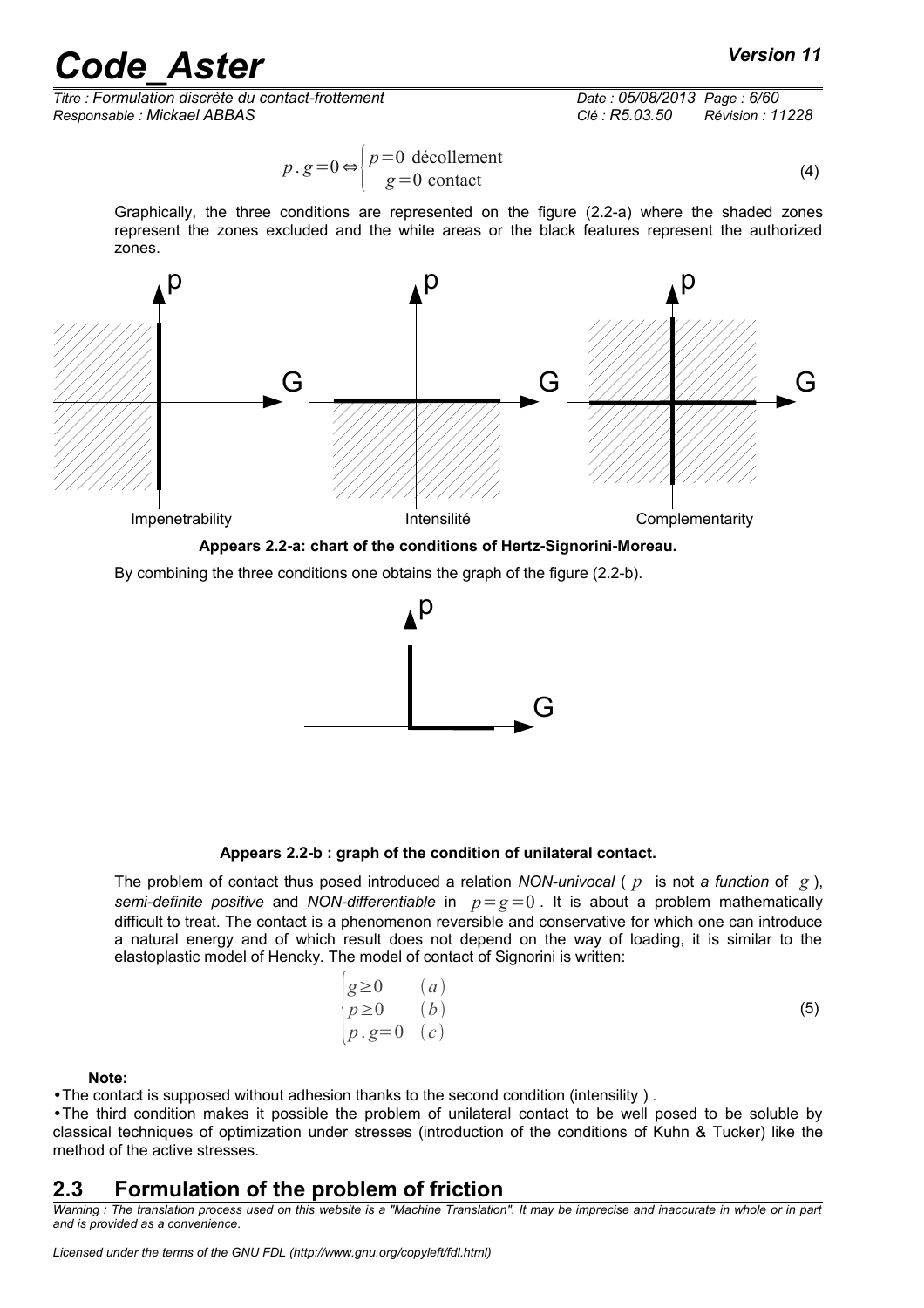*Titre : Formulation discrète du contact-frottement Date : 05/08/2013 Page : 6/60 Responsable : Mickael ABBAS Clé : R5.03.50 Révision : 11228*

$$
p \cdot g = 0 \Leftrightarrow \begin{cases} p = 0 \text{ décollement} \\ g = 0 \text{ contact} \end{cases}
$$
 (4)

Graphically, the three conditions are represented on the figure [\(2.2-a\)](#page-5-2) where the shaded zones represent the zones excluded and the white areas or the black features represent the authorized zones.



By combining the three conditions one obtains the graph of the figure [\(2.2-b\)](#page-5-1).

<span id="page-5-2"></span>

<span id="page-5-1"></span>**Appears 2.2-b : graph of the condition of unilateral contact.**

The problem of contact thus posed introduced a relation *NON-univocal* ( *p* is not *a function* of *g* ), *semi-definite positive* and *NON-differentiable* in  $p = g = 0$ . It is about a problem mathematically difficult to treat. The contact is a phenomenon reversible and conservative for which one can introduce a natural energy and of which result does not depend on the way of loading, it is similar to the elastoplastic model of Hencky. The model of contact of Signorini is written:

$$
\begin{cases}\n g \ge 0 & (a) \\
 p \ge 0 & (b) \\
 p \cdot g = 0 & (c)\n\end{cases}
$$
\n(5)

#### **Note:**

•The contact is supposed without adhesion thanks to the second condition (intensility ) .

•The third condition makes it possible the problem of unilateral contact to be well posed to be soluble by classical techniques of optimization under stresses (introduction of the conditions of Kuhn & Tucker) like the method of the active stresses.

### <span id="page-5-0"></span>**2.3 Formulation of the problem of friction**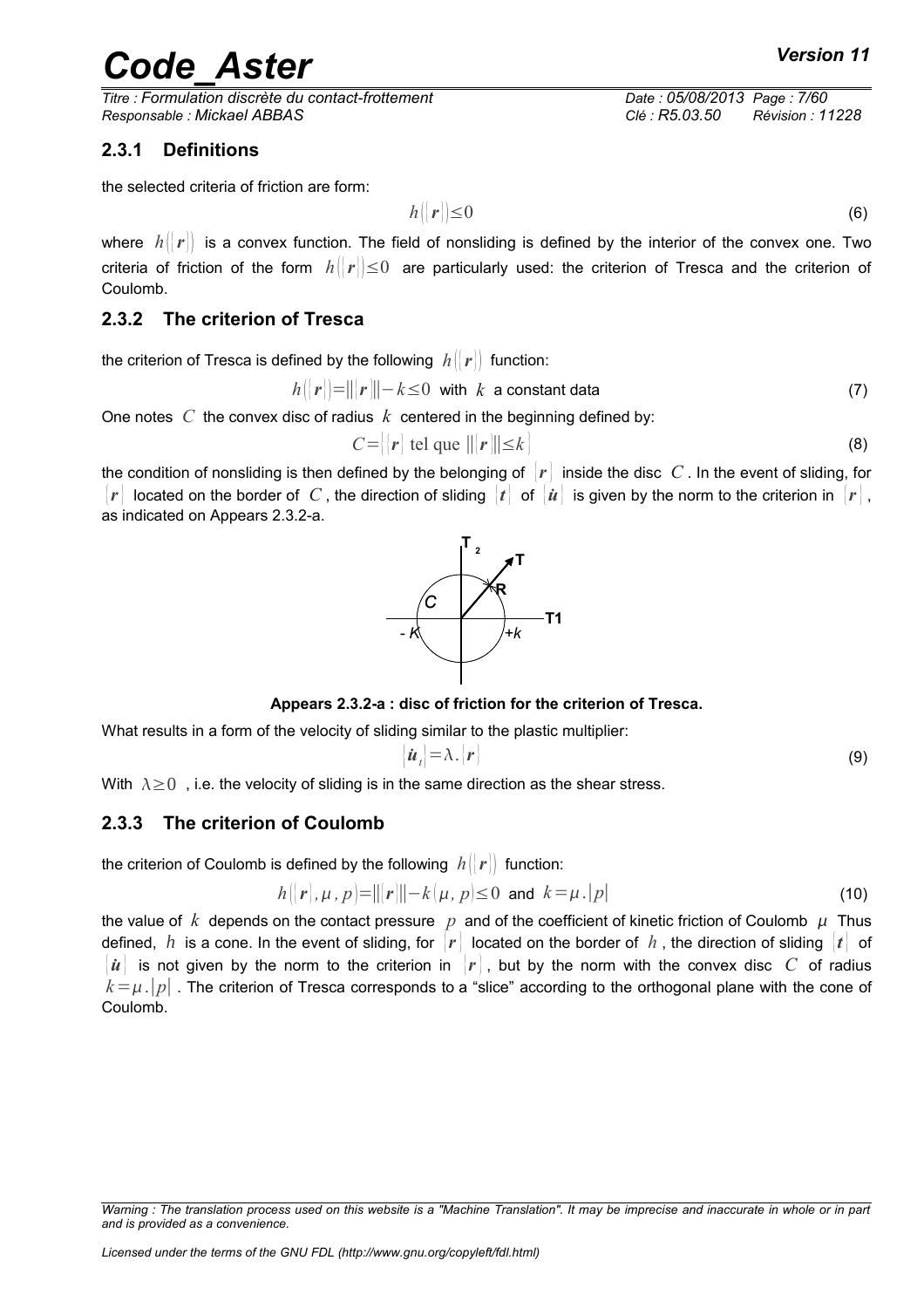*Titre : Formulation discrète du contact-frottement Date : 05/08/2013 Page : 7/60 Responsable : Mickael ABBAS Clé : R5.03.50 Révision : 11228*

#### <span id="page-6-2"></span>**2.3.1 Definitions**

the selected criteria of friction are form:

$$
h\big(\big|\,r\big)\big|\leq 0\tag{6}
$$

where  $h\|r\|$  is a convex function. The field of nonsliding is defined by the interior of the convex one. Two criteria of friction of the form  $h\|r\|\leq 0$  are particularly used: the criterion of Tresca and the criterion of Coulomb.

#### <span id="page-6-1"></span>**2.3.2 The criterion of Tresca**

the criterion of Tresca is defined by the following  $h[[r]]$  function:

$$
h\|r\| = \|r\| - k \le 0 \quad \text{with} \quad k \text{ a constant data} \tag{7}
$$

One notes *C* the convex disc of radius *k* centered in the beginning defined by:

$$
C = \{|r| \text{ tel que } ||[r]|| \le k \tag{8}
$$

the condition of nonsliding is then defined by the belonging of {*r*} inside the disc *C* . In the event of sliding, for  $|r|$  located on the border of C, the direction of sliding  $|t|$  of  $|u|$  is given by the norm to the criterion in  $|r|$ , as indicated on [Appears 2.3.2-a.](#page-6-3)

<span id="page-6-3"></span>**Appears 2.3.2-a : disc of friction for the criterion of Tresca.**

What results in a form of the velocity of sliding similar to the plastic multiplier:

$$
\left\{ \dot{\boldsymbol{u}}_{i}\right\} =\lambda \left\langle \boldsymbol{r}\right\vert \tag{9}
$$

With  $\lambda \geq 0$ , i.e. the velocity of sliding is in the same direction as the shear stress.

#### <span id="page-6-0"></span>**2.3.3 The criterion of Coulomb**

the criterion of Coulomb is defined by the following  $h\|r\|$  function:

$$
h([r], \mu, p) = ||[r]|| - k(\mu, p) \le 0 \text{ and } k = \mu. |p|
$$
\n(10)

the value of  $k$  depends on the contact pressure  $p$  and of the coefficient of kinetic friction of Coulomb  $\mu$  Thus defined, h is a cone. In the event of sliding, for  $|r|$  located on the border of h, the direction of sliding  $|t|$  of  $|{\bm u}|$  is not given by the norm to the criterion in  $|{\bm r}|$ , but by the norm with the convex disc  $C$  of radius  $k = \mu$ . |p| . The criterion of Tresca corresponds to a "slice" according to the orthogonal plane with the cone of Coulomb.



*Warning : The translation process used on this website is a "Machine Translation". It may be imprecise and inaccurate in whole or in part and is provided as a convenience.*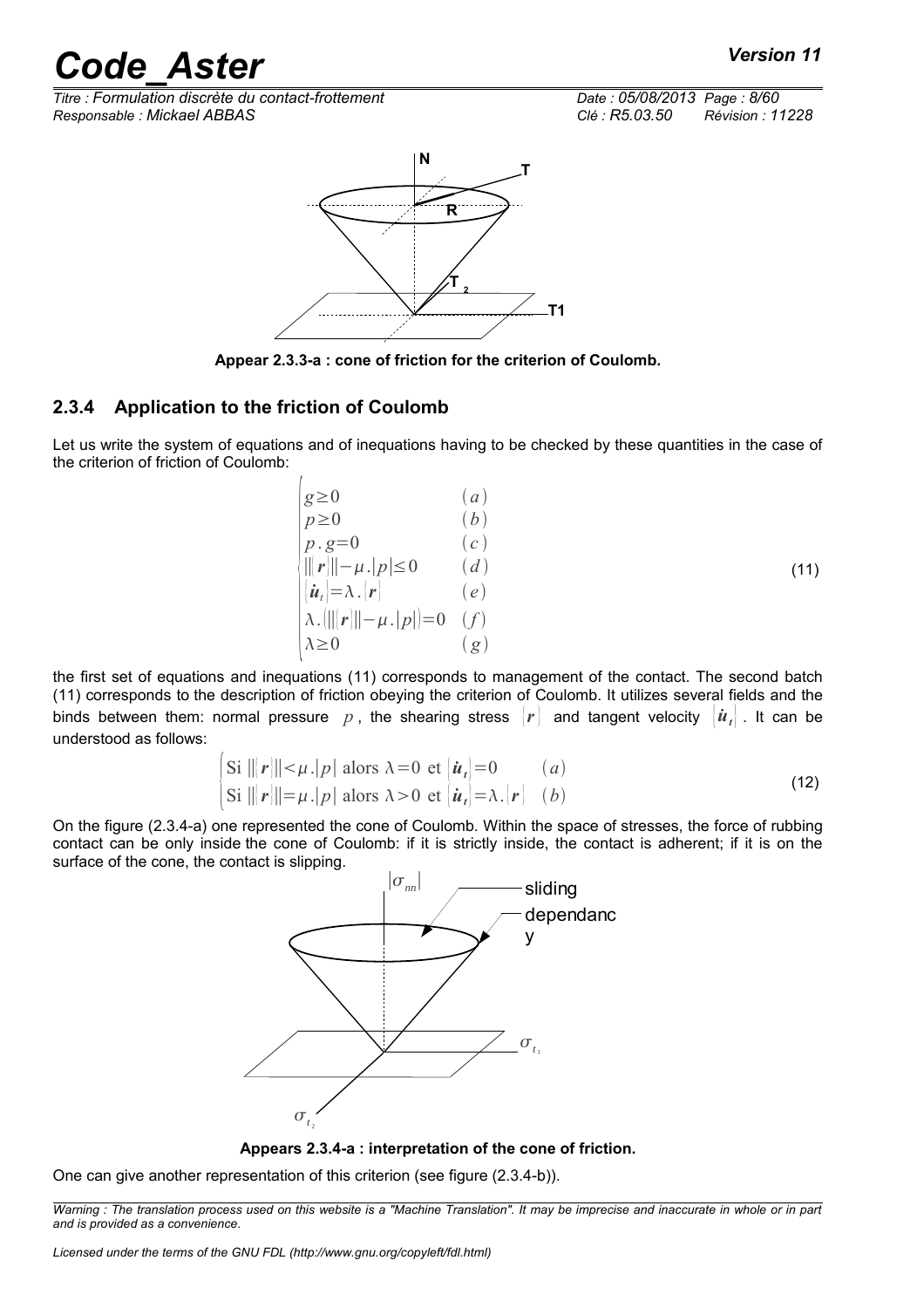*Titre : Formulation discrète du contact-frottement Date : 05/08/2013 Page : 8/60 Responsable : Mickael ABBAS Clé : R5.03.50 Révision : 11228*



**Appear 2.3.3-a : cone of friction for the criterion of Coulomb.**

#### <span id="page-7-0"></span>**2.3.4 Application to the friction of Coulomb**

Let us write the system of equations and of inequations having to be checked by these quantities in the case of the criterion of friction of Coulomb:

<span id="page-7-2"></span>
$$
\begin{array}{|l|l|} g \ge 0 & (a) \\ p \ge 0 & (b) \\ p \cdot g = 0 & (c) \\ ||r|| - \mu |p| \le 0 & (d) \\ |\dot{u}_t| = \lambda |r| & (e) \\ \lambda |w| = \mu |p| = 0 & (f) \\ \lambda \ge 0 & (g) \end{array} \tag{11}
$$

the first set of equations and inequations [\(11\)](#page-7-2) corresponds to management of the contact. The second batch [\(11\)](#page-7-2) corresponds to the description of friction obeying the criterion of Coulomb. It utilizes several fields and the binds between them: normal pressure p, the shearing stress  $|r|$  and tangent velocity  $|\dot{u}_t|$ . It can be understood as follows:

$$
\begin{cases}\n\text{Si } \|\boldsymbol{r}\| < \mu. |\boldsymbol{p}| \text{ alors } \lambda = 0 \text{ et } |\boldsymbol{\dot{u}}_t| = 0 \quad (a) \\
\text{Si } \|\boldsymbol{r}\| = \mu. |\boldsymbol{p}| \text{ alors } \lambda > 0 \text{ et } |\boldsymbol{\dot{u}}_t| = \lambda. |\boldsymbol{r}| \quad (b)\n\end{cases}
$$
\n
$$
(12)
$$

On the figure [\(2.3.4-a\)](#page-7-1) one represented the cone of Coulomb. Within the space of stresses, the force of rubbing contact can be only inside the cone of Coulomb: if it is strictly inside, the contact is adherent; if it is on the surface of the cone, the contact is slipping.



<span id="page-7-1"></span>**Appears 2.3.4-a : interpretation of the cone of friction.**

One can give another representation of this criterion (see figure [\(2.3.4-b\)](#page-8-1)).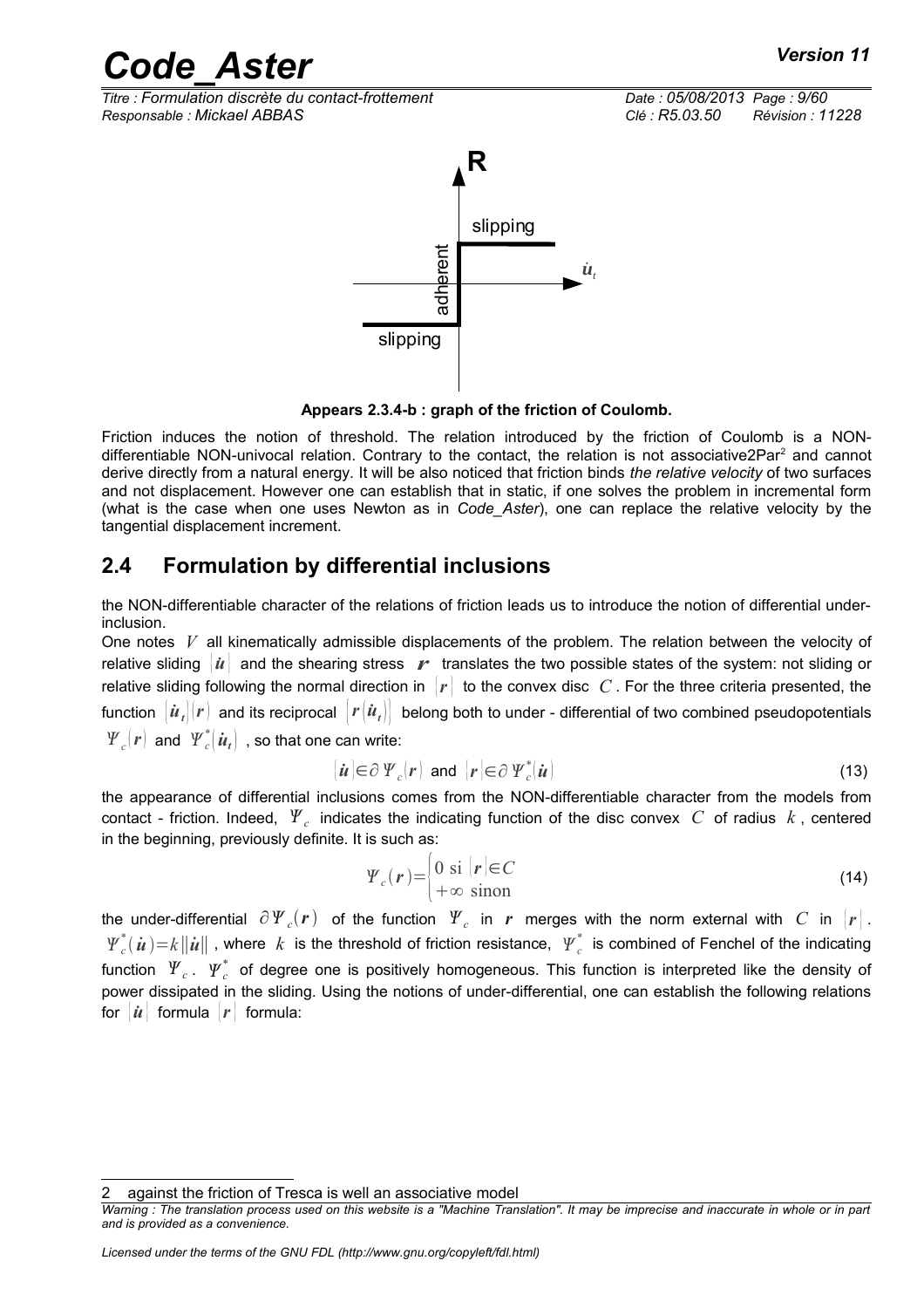*Titre : Formulation discrète du contact-frottement Date : 05/08/2013 Page : 9/60 Responsable : Mickael ABBAS Clé : R5.03.50 Révision : 11228*



<span id="page-8-1"></span>**Appears 2.3.4-b : graph of the friction of Coulomb.**

Friction induces the notion of threshold. The relation introduced by the friction of Coulomb is a NON-differentiable NON-univocal relation. Contrary to the contact, the relation is not associative[2](#page-8-2)Par<sup>2</sup> and cannot derive directly from a natural energy. It will be also noticed that friction binds *the relative velocity* of two surfaces and not displacement. However one can establish that in static, if one solves the problem in incremental form (what is the case when one uses Newton as in *Code\_Aster*), one can replace the relative velocity by the tangential displacement increment.

### <span id="page-8-0"></span>**2.4 Formulation by differential inclusions**

the NON-differentiable character of the relations of friction leads us to introduce the notion of differential underinclusion.

One notes *V* all kinematically admissible displacements of the problem. The relation between the velocity of relative sliding  $|\boldsymbol{u}|$  and the shearing stress  $\boldsymbol{r}$  translates the two possible states of the system: not sliding or relative sliding following the normal direction in  $|r|$  to the convex disc  $C$ . For the three criteria presented, the function  $|\dot{u}_t(r)|$  and its reciprocal  $|r(\dot{u}_t)|$  belong both to under - differential of two combined pseudopotentials  $\overline{\varPsi}_c(\overline{\bm{r}})$  and  $\overline{\varPsi}_c^*({\bm{\dot{u}}}_t)$  , so that one can write:

$$
[\dot{\boldsymbol{u}}] \in \partial \, \boldsymbol{\varPsi}_c(\boldsymbol{r}) \text{ and } [\boldsymbol{r}] \in \partial \, \boldsymbol{\varPsi}_c^* (\dot{\boldsymbol{u}}) \tag{13}
$$

the appearance of differential inclusions comes from the NON-differentiable character from the models from contact - friction. Indeed,  $\mathscr{Y}_c$  indicates the indicating function of the disc convex  $\ C$  of radius  $k$ , centered in the beginning, previously definite. It is such as:

$$
\Psi_c(\mathbf{r}) = \begin{cases} 0 \text{ si } [\mathbf{r}] \in C \\ +\infty \text{ sinon} \end{cases}
$$
 (14)

the under-differential  $\partial\Psi_c(\bm{r})$  of the function  $\Psi_c$  in  $\bm{r}$  merges with the norm external with  $C$  in  $[\bm{r}]$ .  $\varPsi_c^*(\bm{\dot{u}})$   $=$   $k$   $\|\bm{\dot{u}}\|$  , where  $|k|$  is the threshold of friction resistance,  $|\varPsi_c^*|$  is combined of Fenchel of the indicating function  $\varPsi_c$  .  $\varPsi_c^*$  of degree one is positively homogeneous. This function is interpreted like the density of power dissipated in the sliding. Using the notions of under-differential, one can establish the following relations for  $|\boldsymbol{u}|$  formula  $|\boldsymbol{r}|$  formula:

*Licensed under the terms of the GNU FDL (http://www.gnu.org/copyleft/fdl.html)*

<span id="page-8-2"></span>against the friction of Tresca is well an associative model

*Warning : The translation process used on this website is a "Machine Translation". It may be imprecise and inaccurate in whole or in part and is provided as a convenience.*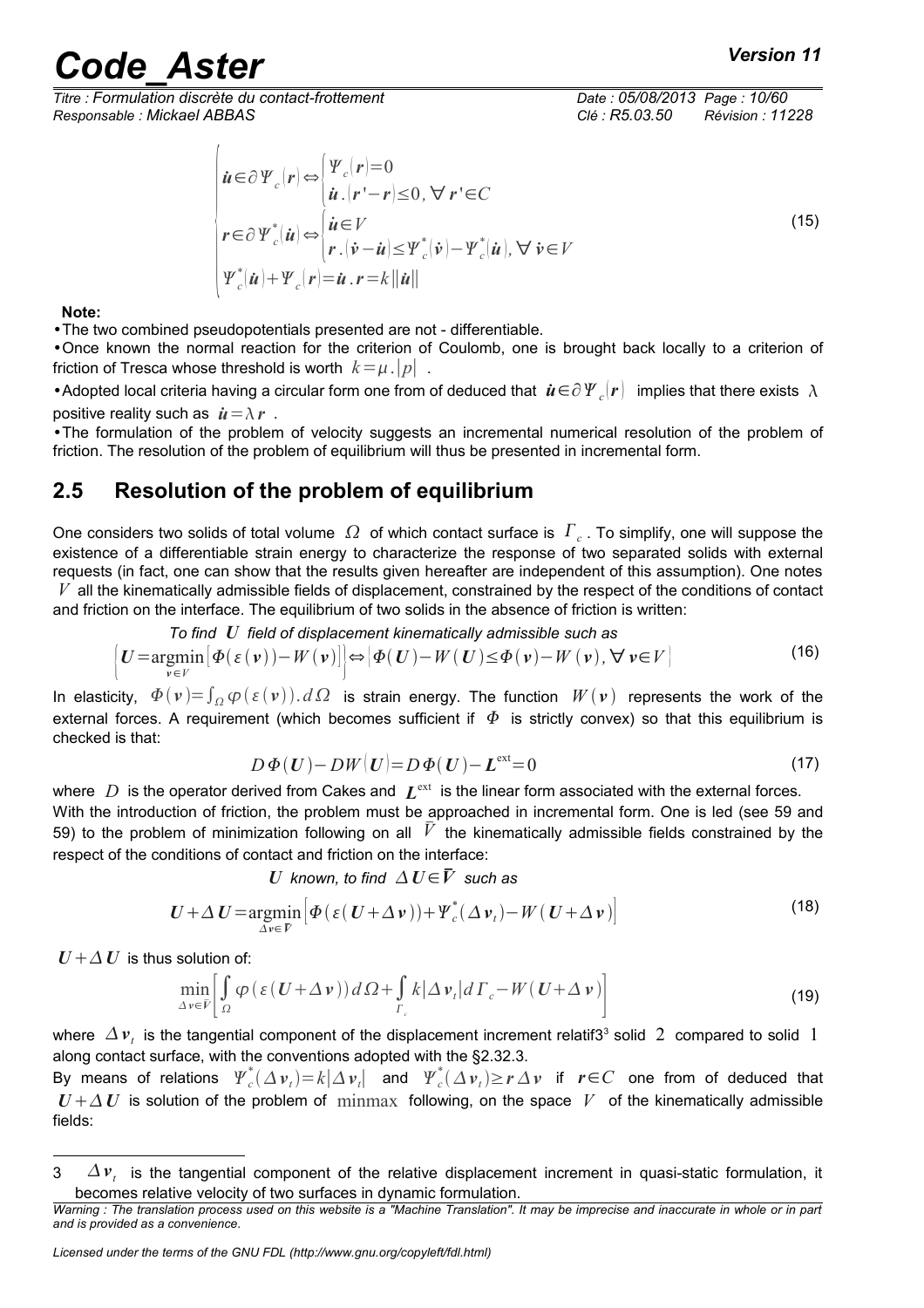*Titre : Formulation discrète du contact-frottement Date : 05/08/2013 Page : 10/60 Responsable : Mickael ABBAS Clé : R5.03.50 Révision : 11228*

$$
\begin{cases}\n\dot{\boldsymbol{u}} \in \partial \boldsymbol{\Psi}_c(\boldsymbol{r}) \Leftrightarrow \begin{cases}\n\boldsymbol{\Psi}_c(\boldsymbol{r}) = 0 \\
\dot{\boldsymbol{u}} \cdot (\boldsymbol{r} - \boldsymbol{r}) \le 0, \ \nabla \boldsymbol{r} \le C\n\end{cases} \\
\boldsymbol{r} \in \partial \boldsymbol{\Psi}_c^* (\dot{\boldsymbol{u}}) \Leftrightarrow \begin{cases}\n\dot{\boldsymbol{u}} \in V \\
\boldsymbol{r} \cdot (\dot{\boldsymbol{v}} - \dot{\boldsymbol{u}}) \le \boldsymbol{\Psi}_c^* (\dot{\boldsymbol{v}}) - \boldsymbol{\Psi}_c^* (\dot{\boldsymbol{u}}), \ \nabla \boldsymbol{v} \in V\n\end{cases}\n\end{cases} (15)
$$
\n
$$
\boldsymbol{\Psi}_c^* (\dot{\boldsymbol{u}}) + \boldsymbol{\Psi}_c (\boldsymbol{r}) = \dot{\boldsymbol{u}} \cdot \boldsymbol{r} = k ||\dot{\boldsymbol{u}}||
$$

**Note:**

•The two combined pseudopotentials presented are not - differentiable.

•Once known the normal reaction for the criterion of Coulomb, one is brought back locally to a criterion of friction of Tresca whose threshold is worth  $k = \mu$ .|*p*|.

•Adopted local criteria having a circular form one from of deduced that  $\vec{u}$ ∈∂ $\vec{Y}_c[r]$  implies that there exists  $\lambda$ positive reality such as  $\dot{\mathbf{u}} = \lambda \mathbf{r}$ .

•The formulation of the problem of velocity suggests an incremental numerical resolution of the problem of friction. The resolution of the problem of equilibrium will thus be presented in incremental form.

### <span id="page-9-0"></span>**2.5 Resolution of the problem of equilibrium**

One considers two solids of total volume  $\Omega$  of which contact surface is  $\Gamma_c$  . To simplify, one will suppose the existence of a differentiable strain energy to characterize the response of two separated solids with external requests (in fact, one can show that the results given hereafter are independent of this assumption). One notes *V* all the kinematically admissible fields of displacement, constrained by the respect of the conditions of contact and friction on the interface. The equilibrium of two solids in the absence of friction is written:

*To find U field of displacement kinematically admissible such as*

$$
\left[U=\underset{\nu\in V}{\text{argmin}}\left[\Phi(\varepsilon(\nu))-W(\nu)\right]\right] \Leftrightarrow \left[\Phi(U)-W(U)\leq \Phi(\nu)-W(\nu), \forall \nu\in V\right]
$$
\n(16)

In elasticity,  $\Phi(\nu) = \int_{\Omega} \varphi(\varepsilon(\nu)) d\Omega$  is strain energy. The function  $W(\nu)$  represents the work of the external forces. A requirement (which becomes sufficient if  $\Phi$  is strictly convex) so that this equilibrium is checked is that:

$$
D\Phi(U) - DW(U) = D\Phi(U) - L^{\text{ext}} = 0 \tag{17}
$$

where  $\,D\,$  is the operator derived from Cakes and  $\,{\bm L}^{\rm ext}\,$  is the linear form associated with the external forces. With the introduction of friction, the problem must be approached in incremental form. One is led (see [59](#page-58-2) and [59\)](#page-58-1) to the problem of minimization following on all  $\bar{V}$  the kinematically admissible fields constrained by the respect of the conditions of contact and friction on the interface:

*U* known, to find  $\Delta U \in \overline{V}$  such as

$$
\boldsymbol{U} + \Delta \boldsymbol{U} = \underset{\Delta \boldsymbol{\nu} \in \overline{\boldsymbol{V}}}{\operatorname{argmin}} \left[ \boldsymbol{\Phi} \left( \boldsymbol{\varepsilon} (\boldsymbol{U} + \Delta \boldsymbol{\nu}) \right) + \boldsymbol{\Psi}_c^* (\Delta \boldsymbol{\nu}_t) - \boldsymbol{W} (\boldsymbol{U} + \Delta \boldsymbol{\nu}) \right] \tag{18}
$$

 $U + \Delta U$  is thus solution of:

$$
\min_{\Delta v \in \overline{V}} \left[ \int_{\Omega} \varphi \left( \varepsilon \left( \boldsymbol{U} + \Delta \boldsymbol{v} \right) \right) d\Omega + \int_{\Gamma_c} k |\Delta \boldsymbol{v}_t| d\Gamma_c - W (\boldsymbol{U} + \Delta \boldsymbol{v}) \right] \tag{19}
$$

where  $\|\varDelta\,\bm{v}_t\|$  is the tangential component of the displacement increment relatif[3](#page-9-1)<sup>3</sup> solid  $\|2\|$  compared to solid  $\|1\|$ along contact surface, with the conventions adopted with the §2.[32.3.](#page-5-0)

By means of relations  $\varPsi_c^*(\Delta\,\nu_t)$  =  $k|\Delta\,\nu_t|$  and  $\varPsi_c^*(\Delta\,\nu_t)$   $\geq$  r  $\Delta\,\nu$  if  $r$   $\in$  C one from of deduced that  $U + \Delta U$  is solution of the problem of minmax following, on the space V of the kinematically admissible fields:

<span id="page-9-1"></span> $3-\Delta v_t$  is the tangential component of the relative displacement increment in quasi-static formulation, it becomes relative velocity of two surfaces in dynamic formulation.

*Warning : The translation process used on this website is a "Machine Translation". It may be imprecise and inaccurate in whole or in part and is provided as a convenience.*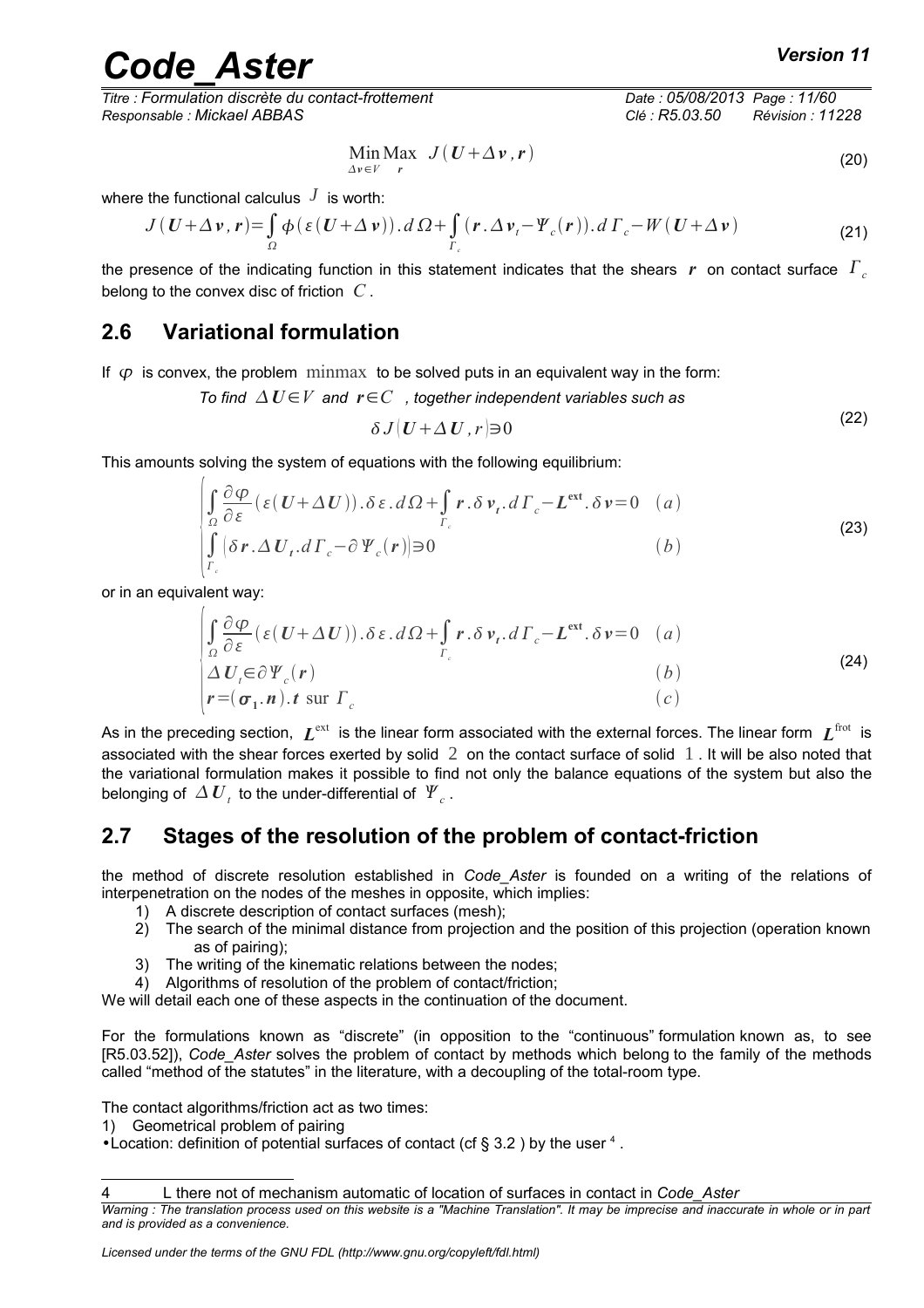*Titre : Formulation discrète du contact-frottement Date : 05/08/2013 Page : 11/60 Responsable : Mickael ABBAS Clé : R5.03.50 Révision : 11228*

$$
\lim_{\Delta v \in V} \text{Max } J(U + \Delta v, r) \tag{20}
$$

where the functional calculus  $J$  is worth:

$$
J(U+\Delta \nu, r) = \int_{\Omega} \phi(\varepsilon(U+\Delta \nu)) \cdot d\Omega + \int_{\Gamma_c} (r \cdot \Delta \nu_t - \Psi_c(r)) \cdot d\Gamma_c - W(U+\Delta \nu)
$$
 (21)

the presence of the indicating function in this statement indicates that the shears  $r$  on contact surface  $\Gamma$ . belong to the convex disc of friction *C* .

### <span id="page-10-1"></span>**2.6 Variational formulation**

If  $\varphi$  is convex, the problem minmax to be solved puts in an equivalent way in the form:

*To find*  $\Delta U \in V$  and  $r \in C$  , together independent variables such as

$$
\delta J \big( U + \Delta U, r \big) \ni 0 \tag{22}
$$

This amounts solving the system of equations with the following equilibrium:

$$
\int_{\Omega} \frac{\partial \varphi}{\partial \varepsilon} (\varepsilon (U + \Delta U)). \delta \varepsilon . d\Omega + \int_{\Gamma_c} \mathbf{r} . \delta \mathbf{v}_t . d\Gamma_c - L^{\text{ext}} . \delta \mathbf{v} = 0 \quad (a)
$$
\n
$$
\int_{\Gamma_c} (\delta \mathbf{r} . \Delta U_t . d\Gamma_c - \partial \Psi_c(\mathbf{r})) \ni 0
$$
\n(23)

or in an equivalent way:

$$
\int_{\Omega} \frac{\partial \varphi}{\partial \varepsilon} (\varepsilon (U + \Delta U)) \cdot \delta \varepsilon \cdot d\Omega + \int_{\Gamma_c} \mathbf{r} \cdot \delta \, \mathbf{v}_t \cdot d\Gamma_c - L^{\text{ext}} \cdot \delta \, \mathbf{v} = 0 \quad (a)
$$
\n
$$
\Delta U_t \in \partial \, \mathbf{Y}_c(\mathbf{r})
$$
\n
$$
\mathbf{r} = (\boldsymbol{\sigma}_1, \mathbf{n}). \mathbf{f} \text{ sur } \Gamma_c
$$
\n(24)

As in the preceding section,  $L^{\rm ext}$  is the linear form associated with the external forces. The linear form  $\ L^{\rm frot}$  is associated with the shear forces exerted by solid 2 on the contact surface of solid 1 . It will be also noted that the variational formulation makes it possible to find not only the balance equations of the system but also the belonging of  $\left.\varDelta\,U_{_I}\right.$  to the under-differential of  $\left.\varPsi_{_c}\right..$ 

### <span id="page-10-0"></span>**2.7 Stages of the resolution of the problem of contact-friction**

the method of discrete resolution established in *Code\_Aster* is founded on a writing of the relations of interpenetration on the nodes of the meshes in opposite, which implies:

- 1) A discrete description of contact surfaces (mesh);
- 2) The search of the minimal distance from projection and the position of this projection (operation known as of pairing);
- 3) The writing of the kinematic relations between the nodes;
- 4) Algorithms of resolution of the problem of contact/friction;

We will detail each one of these aspects in the continuation of the document.

For the formulations known as "discrete" (in opposition to the "continuous" formulation known as, to see [R5.03.52]), *Code\_Aster* solves the problem of contact by methods which belong to the family of the methods called "method of the statutes" in the literature, with a decoupling of the total-room type.

The contact algorithms/friction act as two times:

1) Geometrical problem of pairing

• Location: definition of potential surfaces of contact (cf  $\S$  [3.2](#page-12-0)) by the user  $4$ .

#### *Licensed under the terms of the GNU FDL (http://www.gnu.org/copyleft/fdl.html)*

<span id="page-10-2"></span><sup>4</sup> L there not of mechanism automatic of location of surfaces in contact in *Code\_Aster Warning : The translation process used on this website is a "Machine Translation". It may be imprecise and inaccurate in whole or in part and is provided as a convenience.*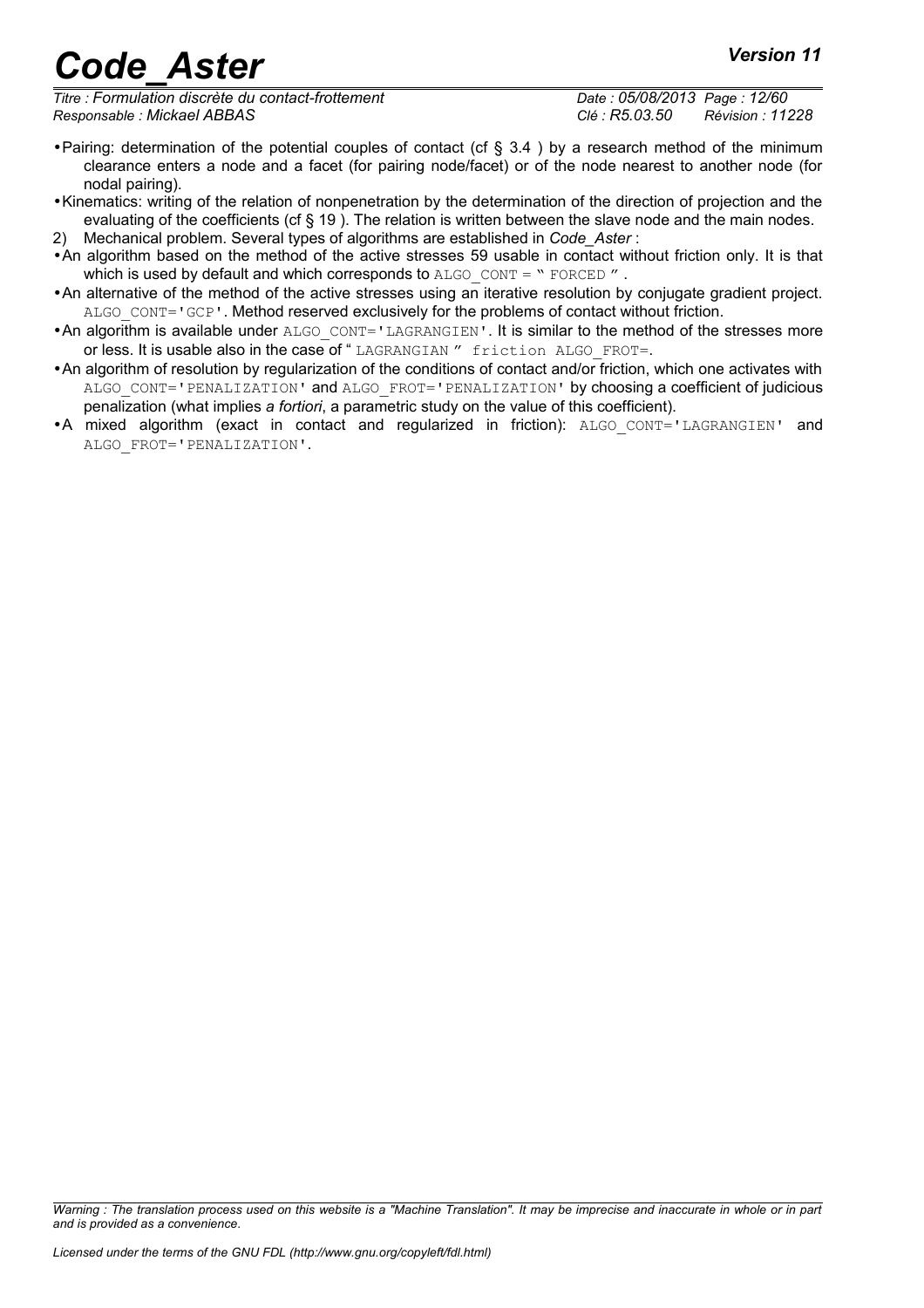*Titre : Formulation discrète du contact-frottement Date : 05/08/2013 Page : 12/60 Responsable : Mickael ABBAS Clé : R5.03.50 Révision : 11228*

- •Pairing: determination of the potential couples of contact (cf § [3.4](#page-14-1) ) by a research method of the minimum clearance enters a node and a facet (for pairing node/facet) or of the node nearest to another node (for nodal pairing).
- •Kinematics: writing of the relation of nonpenetration by the determination of the direction of projection and the evaluating of the coefficients (cf § [19](#page-18-0) ). The relation is written between the slave node and the main nodes.
- 2) Mechanical problem. Several types of algorithms are established in *Code\_Aster* :
- •An algorithm based on the method of the active stresses [59](#page-58-3) usable in contact without friction only. It is that which is used by default and which corresponds to  $ALGO$  CONT = " FORCED ".
- •An alternative of the method of the active stresses using an iterative resolution by conjugate gradient project. ALGO CONT='GCP'. Method reserved exclusively for the problems of contact without friction.
- •An algorithm is available under ALGO CONT='LAGRANGIEN'. It is similar to the method of the stresses more or less. It is usable also in the case of "LAGRANGIAN " friction ALGO FROT=.
- •An algorithm of resolution by regularization of the conditions of contact and/or friction, which one activates with ALGO\_CONT='PENALIZATION' and ALGO\_FROT='PENALIZATION' by choosing a coefficient of judicious penalization (what implies *a fortiori*, a parametric study on the value of this coefficient).
- •A mixed algorithm (exact in contact and regularized in friction): ALGO\_CONT='LAGRANGIEN' and ALGO\_FROT='PENALIZATION'.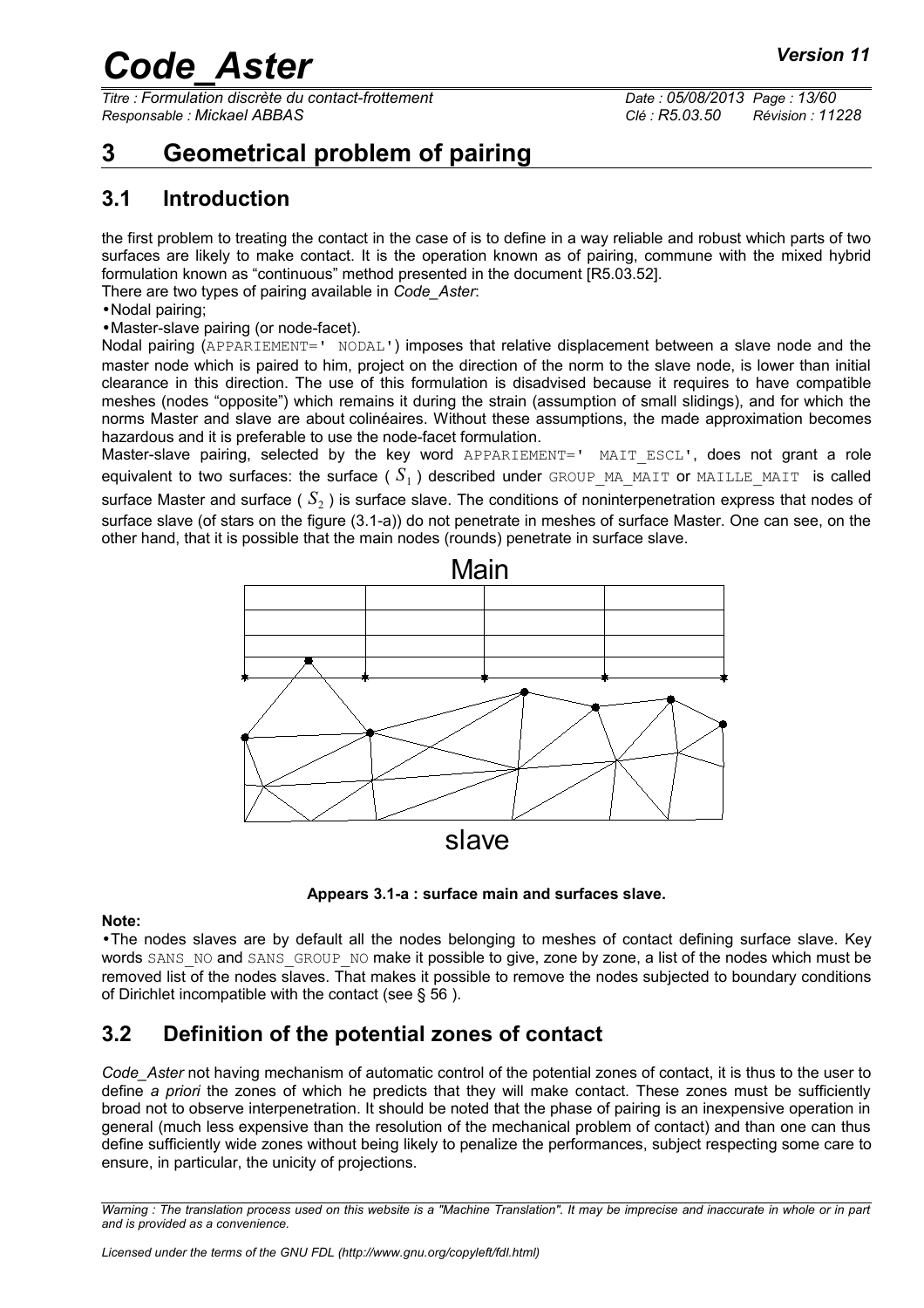*Titre : Formulation discrète du contact-frottement Date : 05/08/2013 Page : 13/60 Responsable : Mickael ABBAS Clé : R5.03.50 Révision : 11228*

### <span id="page-12-2"></span>**3 Geometrical problem of pairing**

### <span id="page-12-1"></span>**3.1 Introduction**

the first problem to treating the contact in the case of is to define in a way reliable and robust which parts of two surfaces are likely to make contact. It is the operation known as of pairing, commune with the mixed hybrid formulation known as "continuous" method presented in the document [R5.03.52].

There are two types of pairing available in *Code\_Aster*:

•Nodal pairing;

#### •Master-slave pairing (or node-facet).

Nodal pairing (APPARIEMENT=' NODAL') imposes that relative displacement between a slave node and the master node which is paired to him, project on the direction of the norm to the slave node, is lower than initial clearance in this direction. The use of this formulation is disadvised because it requires to have compatible meshes (nodes "opposite") which remains it during the strain (assumption of small slidings), and for which the norms Master and slave are about colinéaires. Without these assumptions, the made approximation becomes hazardous and it is preferable to use the node-facet formulation.

Master-slave pairing, selected by the key word APPARIEMENT=' MAIT ESCL', does not grant a role equivalent to two surfaces: the surface (  $S_{1}$  ) described under <code>GROUP\_MA\_MAIT</code> or <code>MAILLE\_MAIT </code> is called surface Master and surface (  $S_{\rm 2}$  ) is surface slave. The conditions of noninterpenetration express that nodes of surface slave (of stars on the figure [\(3.1-a\)](#page-12-3)) do not penetrate in meshes of surface Master. One can see, on the other hand, that it is possible that the main nodes (rounds) penetrate in surface slave.



<span id="page-12-3"></span>**Appears 3.1-a : surface main and surfaces slave.**

#### **Note:**

•The nodes slaves are by default all the nodes belonging to meshes of contact defining surface slave. Key words SANS NO and SANS GROUP NO make it possible to give, zone by zone, a list of the nodes which must be removed list of the nodes slaves. That makes it possible to remove the nodes subjected to boundary conditions of Dirichlet incompatible with the contact (see § [56](#page-55-1) ).

### <span id="page-12-0"></span>**3.2 Definition of the potential zones of contact**

*Code\_Aster* not having mechanism of automatic control of the potential zones of contact, it is thus to the user to define *a priori* the zones of which he predicts that they will make contact. These zones must be sufficiently broad not to observe interpenetration. It should be noted that the phase of pairing is an inexpensive operation in general (much less expensive than the resolution of the mechanical problem of contact) and than one can thus define sufficiently wide zones without being likely to penalize the performances, subject respecting some care to ensure, in particular, the unicity of projections.

*Warning : The translation process used on this website is a "Machine Translation". It may be imprecise and inaccurate in whole or in part and is provided as a convenience.*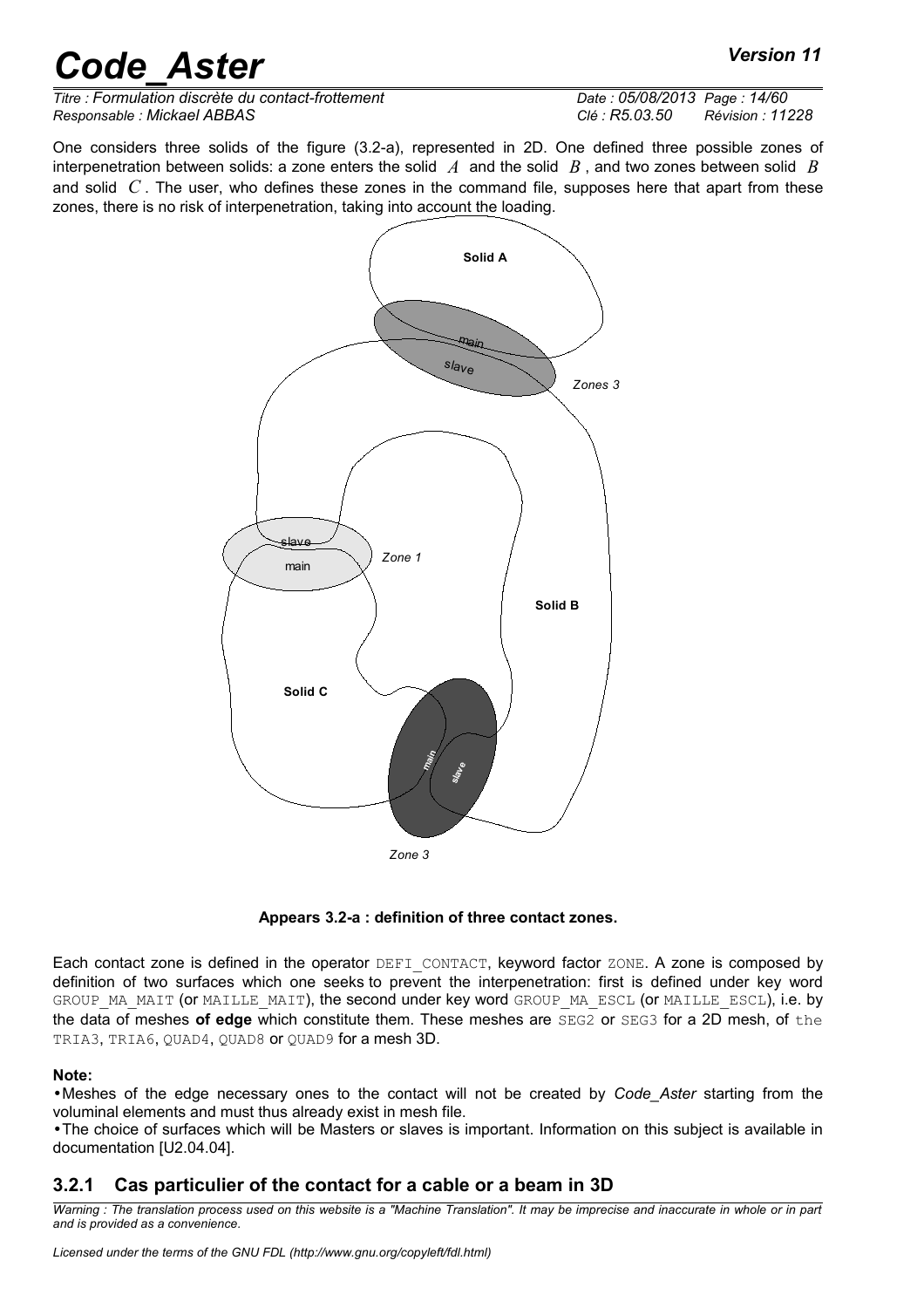*Titre : Formulation discrète du contact-frottement Date : 05/08/2013 Page : 14/60 Responsable : Mickael ABBAS Clé : R5.03.50 Révision : 11228*

One considers three solids of the figure [\(3.2-a\)](#page-13-1), represented in 2D. One defined three possible zones of interpenetration between solids: a zone enters the solid *A* and the solid *B* , and two zones between solid *B* and solid *C* . The user, who defines these zones in the command file, supposes here that apart from these zones, there is no risk of interpenetration, taking into account the loading.



<span id="page-13-1"></span>**Appears 3.2-a : definition of three contact zones.**

Each contact zone is defined in the operator DEFI\_CONTACT, keyword factor ZONE. A zone is composed by definition of two surfaces which one seeks to prevent the interpenetration: first is defined under key word GROUP MA\_MAIT (Or MAILLE\_MAIT), the second under key word GROUP\_MA\_ESCL (Or MAILLE\_ESCL), i.e. by the data of meshes **of edge** which constitute them. These meshes are SEG2 or SEG3 for a 2D mesh, of the TRIA3, TRIA6, QUAD4, QUAD8 or QUAD9 for a mesh 3D.

#### **Note:**

•Meshes of the edge necessary ones to the contact will not be created by *Code\_Aster* starting from the voluminal elements and must thus already exist in mesh file.

•The choice of surfaces which will be Masters or slaves is important. Information on this subject is available in documentation [U2.04.04].

#### <span id="page-13-0"></span>**3.2.1 Cas particulier of the contact for a cable or a beam in 3D**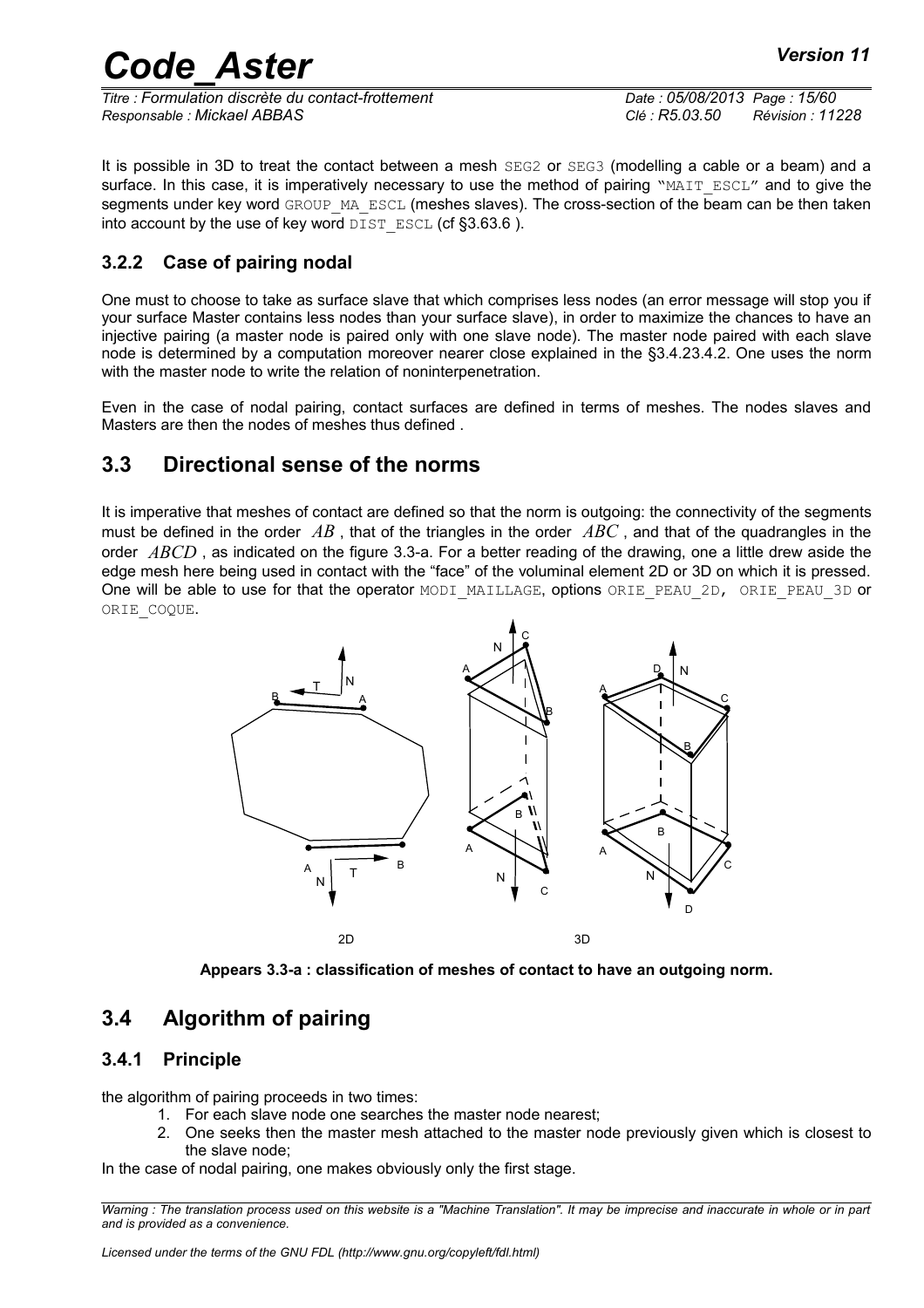*Titre : Formulation discrète du contact-frottement Date : 05/08/2013 Page : 15/60 Responsable : Mickael ABBAS Clé : R5.03.50 Révision : 11228*

It is possible in 3D to treat the contact between a mesh SEG2 or SEG3 (modelling a cable or a beam) and a surface. In this case, it is imperatively necessary to use the method of pairing "MAIT\_ESCL" and to give the segments under key word GROUP\_MA\_ESCL (meshes slaves). The cross-section of the beam can be then taken into account by the use of key word DIST\_ESCL (cf §3.63.6).

### <span id="page-14-3"></span>**3.2.2 Case of pairing nodal**

One must to choose to take as surface slave that which comprises less nodes (an error message will stop you if your surface Master contains less nodes than your surface slave), in order to maximize the chances to have an injective pairing (a master node is paired only with one slave node). The master node paired with each slave node is determined by a computation moreover nearer close explained in the §3.4.[23.4.2.](#page-15-2) One uses the norm with the master node to write the relation of noninterpenetration.

Even in the case of nodal pairing, contact surfaces are defined in terms of meshes. The nodes slaves and Masters are then the nodes of meshes thus defined .

### <span id="page-14-2"></span>**3.3 Directional sense of the norms**

It is imperative that meshes of contact are defined so that the norm is outgoing: the connectivity of the segments must be defined in the order *AB* , that of the triangles in the order *ABC* , and that of the quadrangles in the order *ABCD*, as indicated on the figure [3.3-a.](#page-14-4) For a better reading of the drawing, one a little drew aside the edge mesh here being used in contact with the "face" of the voluminal element 2D or 3D on which it is pressed. One will be able to use for that the operator MODI\_MAILLAGE, options ORIE\_PEAU\_2D, ORIE\_PEAU\_3D or ORIE\_COQUE.



<span id="page-14-4"></span><span id="page-14-1"></span>**Appears 3.3-a : classification of meshes of contact to have an outgoing norm.**

### **3.4 Algorithm of pairing**

#### **3.4.1 Principle**

the algorithm of pairing proceeds in two times:

- <span id="page-14-0"></span>1. For each slave node one searches the master node nearest;
- 2. One seeks then the master mesh attached to the master node previously given which is closest to the slave node;

In the case of nodal pairing, one makes obviously only the first stage.

*Warning : The translation process used on this website is a "Machine Translation". It may be imprecise and inaccurate in whole or in part and is provided as a convenience.*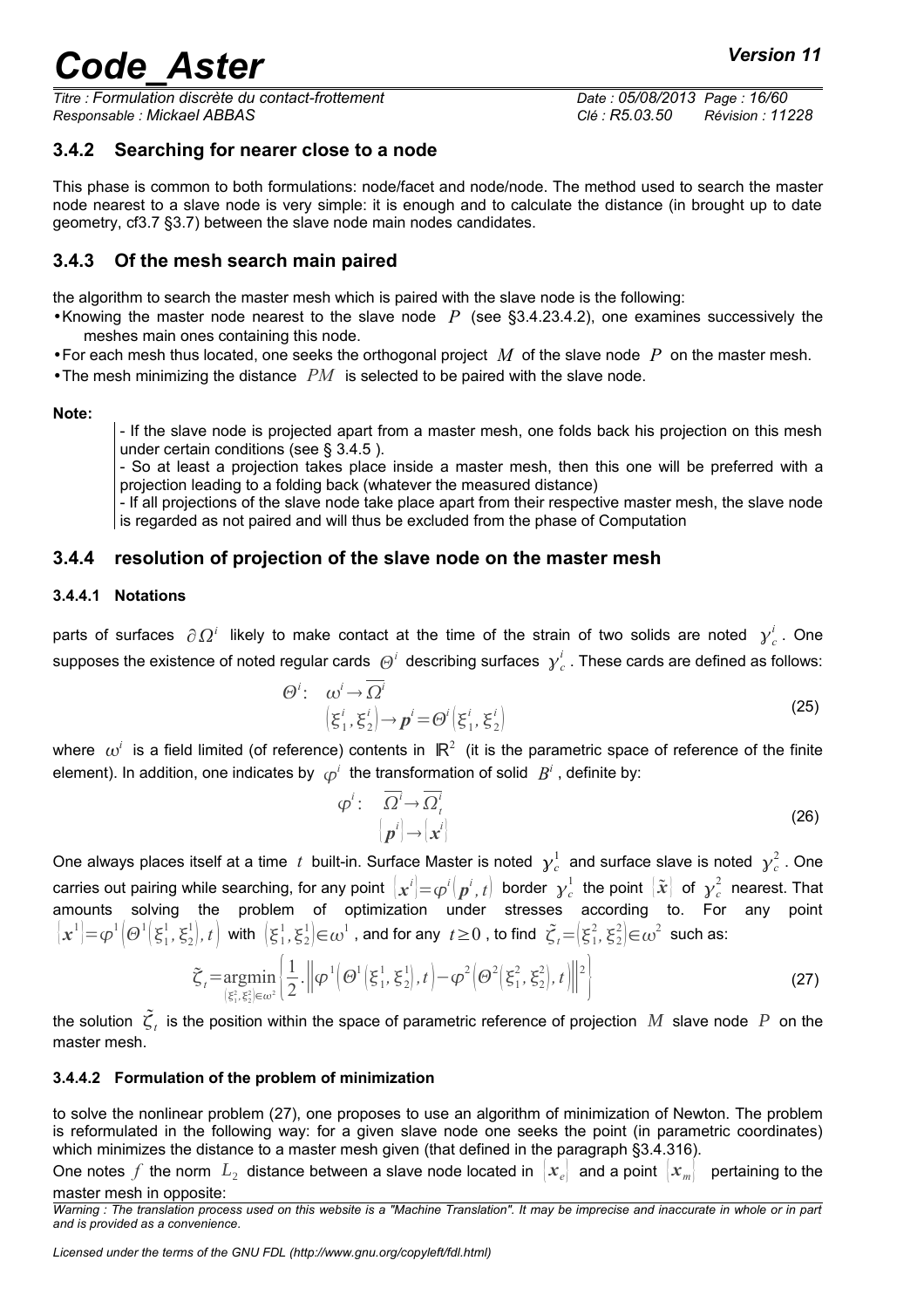*Titre : Formulation discrète du contact-frottement Date : 05/08/2013 Page : 16/60 Responsable : Mickael ABBAS Clé : R5.03.50 Révision : 11228*

#### <span id="page-15-2"></span>**3.4.2 Searching for nearer close to a node**

This phase is common to both formulations: node/facet and node/node. The method used to search the master node nearest to a slave node is very simple: it is enough and to calculate the distance (in brought up to date geometry, c[f3.7](#page-22-0) §3.7) between the slave node main nodes candidates.

#### <span id="page-15-1"></span>**3.4.3 Of the mesh search main paired**

the algorithm to search the master mesh which is paired with the slave node is the following:

•Knowing the master node nearest to the slave node *P* (see §3.4.[23.4.2\)](#page-15-2), one examines successively the meshes main ones containing this node.

•For each mesh thus located, one seeks the orthogonal project *M* of the slave node *P* on the master mesh.

•The mesh minimizing the distance *PM* is selected to be paired with the slave node.

#### **Note:**

- If the slave node is projected apart from a master mesh, one folds back his projection on this mesh under certain conditions (see § [3.4.5](#page-18-1) ).

- So at least a projection takes place inside a master mesh, then this one will be preferred with a projection leading to a folding back (whatever the measured distance)

<span id="page-15-0"></span>- If all projections of the slave node take place apart from their respective master mesh, the slave node is regarded as not paired and will thus be excluded from the phase of Computation

#### **3.4.4 resolution of projection of the slave node on the master mesh**

#### **3.4.4.1 Notations**

parts of surfaces  $\partial\Omega^i$  likely to make contact at the time of the strain of two solids are noted  $\gamma^i_c$ . One supposes the existence of noted regular cards  $\varTheta^i$  describing surfaces  $\ket{\gamma^i_c}$  . These cards are defined as follows:

$$
\Theta^i: \quad \omega^i \to \overline{\Omega^i} (\xi_1^i, \xi_2^i) \to p^i = \Theta^i (\xi_1^i, \xi_2^i)
$$
 (25)

where  $\omega^i$  is a field limited (of reference) contents in  $\mathbb{R}^2$  (it is the parametric space of reference of the finite element). In addition, one indicates by  $\varphi^i$  the transformation of solid  $\ B^i$  , definite by:

<span id="page-15-3"></span>
$$
\varphi^i: \quad \overline{\Omega^i} \to \overline{\Omega^i_t} \\
 [\boldsymbol{p}^i] \to [\boldsymbol{x}^i]
$$
\n(26)

One always places itself at a time  $t$  built-in. Surface Master is noted  $y_c^1$  and surface slave is noted  $y_c^2$ . One carries out pairing while searching, for any point  $\bigl\lbrack x^i\bigr\rbrack = \varphi^i(p^i,t)$  border  $\,\, \gamma^1_c\,$  the point  $\, [\, \tilde{x}]\,$  of  $\,\, \gamma^2_c\,$  nearest. That amounts solving the problem of optimization under stresses according to. For any point  $\big\vert x^1\big\vert =\varphi^1\big(\theta^1\big\vert \xi_1^1,\xi_2^1\big),t\big\vert$  with  $\big\vert \xi_1^1,\xi_2^1\big\vert \in\omega^1$  , and for any  $t\!\ge\! 0$  , to find  $\tilde{\,\zeta}_t\!=\!\!\big\vert \xi_1^2,\xi_2^2\big\vert \in\omega^2\,$  such as:

$$
\tilde{\zeta}_t = \underset{\{\xi_1^2, \xi_2^2\} \in \omega^2}{\operatorname{argmin}} \left\{ \frac{1}{2} \cdot \left\| \varphi^1 \left( \Theta^1 \left( \xi_1^1, \xi_2^1 \right), t \right) - \varphi^2 \left( \Theta^2 \left( \xi_1^2, \xi_2^2 \right), t \right) \right\|^2 \right\} \tag{27}
$$

the solution  $\,\tilde{\zeta}_\iota\,$  is the position within the space of parametric reference of projection  $\,M\,$  slave node  $\,P\,$  on the master mesh.

#### **3.4.4.2 Formulation of the problem of minimization**

to solve the nonlinear problem [\(27\)](#page-15-3), one proposes to use an algorithm of minimization of Newton. The problem is reformulated in the following way: for a given slave node one seeks the point (in parametric coordinates) which minimizes the distance to a master mesh given (that defined in the paragraph §3.4.[316\)](#page-15-1).

One notes  $f$  the norm  $L_2$  distance between a slave node located in  $|x_e|$  and a point  $|x_m|$  pertaining to the master mesh in opposite: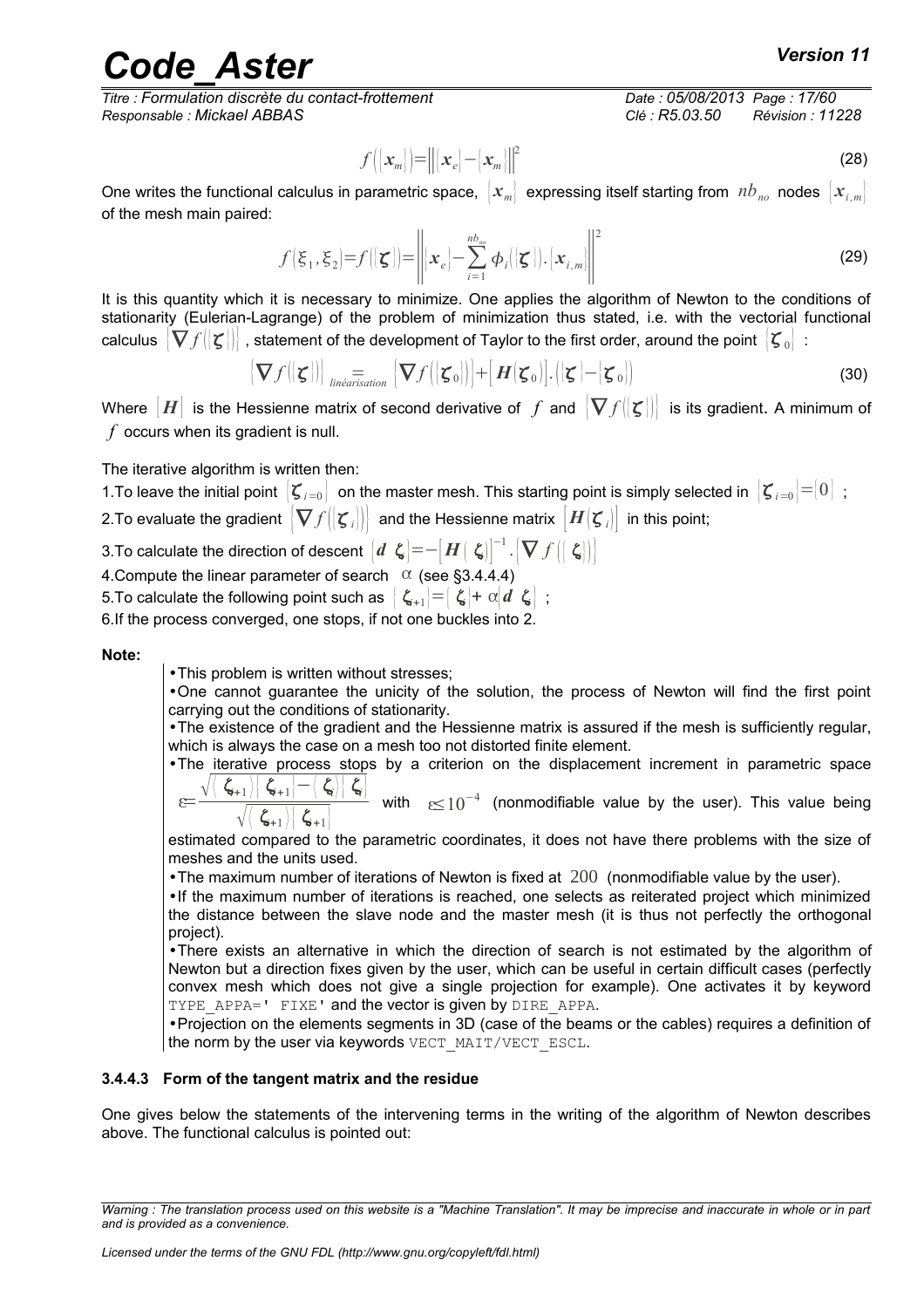*Titre : Formulation discrète du contact-frottement Date : 05/08/2013 Page : 17/60 Responsable : Mickael ABBAS Clé : R5.03.50 Révision : 11228*

$$
f\left(\left|\mathbf{x}_{m}\right|\right) = \left\| \left|\mathbf{x}_{e}\right| - \left|\mathbf{x}_{m}\right| \right\|^{2}
$$
\n(28)

One writes the functional calculus in parametric space,  $|x_m|$  expressing itself starting from  $nb_m$  nodes  $|x_{i,m}|$ of the mesh main paired:

$$
f\left(\boldsymbol{\xi}_{1},\boldsymbol{\xi}_{2}\right)=f\left(\left|\boldsymbol{\zeta}\right|\right)=\left\|\left(\boldsymbol{x}_{e}\right)-\sum_{i=1}^{nb_{ne}}\boldsymbol{\phi}_{i}\left(\left|\boldsymbol{\zeta}\right|\right).\left|\boldsymbol{x}_{i,m}\right|\right\|^{2}
$$
\n(29)

It is this quantity which it is necessary to minimize. One applies the algorithm of Newton to the conditions of stationarity (Eulerian-Lagrange) of the problem of minimization thus stated, i.e. with the vectorial functional calculus  $\|\nabla f(\|\boldsymbol{\zeta}\|)$ , statement of the development of Taylor to the first order, around the point  $\|\boldsymbol{\zeta}_0\|$ :

$$
\left[\nabla f(|\boldsymbol{\zeta})\right]_{\text{lin\'eariisation}} \left[\nabla f(|\boldsymbol{\zeta}_0|\right] + \left[H(\boldsymbol{\zeta}_0)\right] \cdot \left(|\boldsymbol{\zeta}| - \left|\boldsymbol{\zeta}_0\right|\right) \tag{30}
$$

Where  $[H]$  is the Hessienne matrix of second derivative of f and  $\|\nabla f(\zeta)\|$  is its gradient. A minimum of *f* occurs when its gradient is null.

The iterative algorithm is written then:

1.To leave the initial point  $|\zeta_{i=0}|$  on the master mesh. This starting point is simply selected in  $|\zeta_{i=0}|$  =  $|0|$  ; 2.To evaluate the gradient  $\left\{ \bm{\nabla} f\big(\! \left[\bm{\zeta}_i\! \right] \!\big) \!\right\}$  and the Hessienne matrix  $\left[ \bm{H} \! \left(\bm{\zeta}_i\right] \!\right]$  in this point;

3.To calculate the direction of descent  $\left[\bm{d} \;\; \bm{\zeta}\right]=-\big[\bm{H}(|\;\bm{\zeta})\big]^{-1}. \left[\bm{\nabla} \, f\, (|\;\bm{\zeta}|\big)\right]^{-1}$ 

- <span id="page-16-0"></span>4. Compute the linear parameter of search  $\alpha$  (see [§3.4.4.4\)](#page-17-0)
- 5.To calculate the following point such as  $|\zeta_{+1}|=|\zeta|+\alpha |d|\zeta|$ ;

6.If the process converged, one stops, if not one buckles into 2.

#### **Note:**

•This problem is written without stresses;

•One cannot guarantee the unicity of the solution, the process of Newton will find the first point carrying out the conditions of stationarity.

•The existence of the gradient and the Hessienne matrix is assured if the mesh is sufficiently regular, which is always the case on a mesh too not distorted finite element.

•The iterative process stops by a criterion on the displacement increment in parametric space  $\sqrt{\langle \zeta_{+1} \rangle [\zeta_{+1}] - \langle \zeta_{i} \rangle [\zeta_{i}]}$ 

ε=  $\sqrt{\langle \xi_{+1} \rangle |\xi_{+1} \rangle}$ with  $\epsilon \leq 10^{-4}$  (nonmodifiable value by the user). This value being

estimated compared to the parametric coordinates, it does not have there problems with the size of meshes and the units used.

•The maximum number of iterations of Newton is fixed at 200 (nonmodifiable value by the user).

•If the maximum number of iterations is reached, one selects as reiterated project which minimized the distance between the slave node and the master mesh (it is thus not perfectly the orthogonal project).

•There exists an alternative in which the direction of search is not estimated by the algorithm of Newton but a direction fixes given by the user, which can be useful in certain difficult cases (perfectly convex mesh which does not give a single projection for example). One activates it by keyword TYPE APPA=' FIXE' and the vector is given by DIRE APPA.

•Projection on the elements segments in 3D (case of the beams or the cables) requires a definition of the norm by the user via keywords VECT\_MAIT/VECT\_ESCL.

#### **3.4.4.3 Form of the tangent matrix and the residue**

One gives below the statements of the intervening terms in the writing of the algorithm of Newton describes above. The functional calculus is pointed out:

*Warning : The translation process used on this website is a "Machine Translation". It may be imprecise and inaccurate in whole or in part and is provided as a convenience.*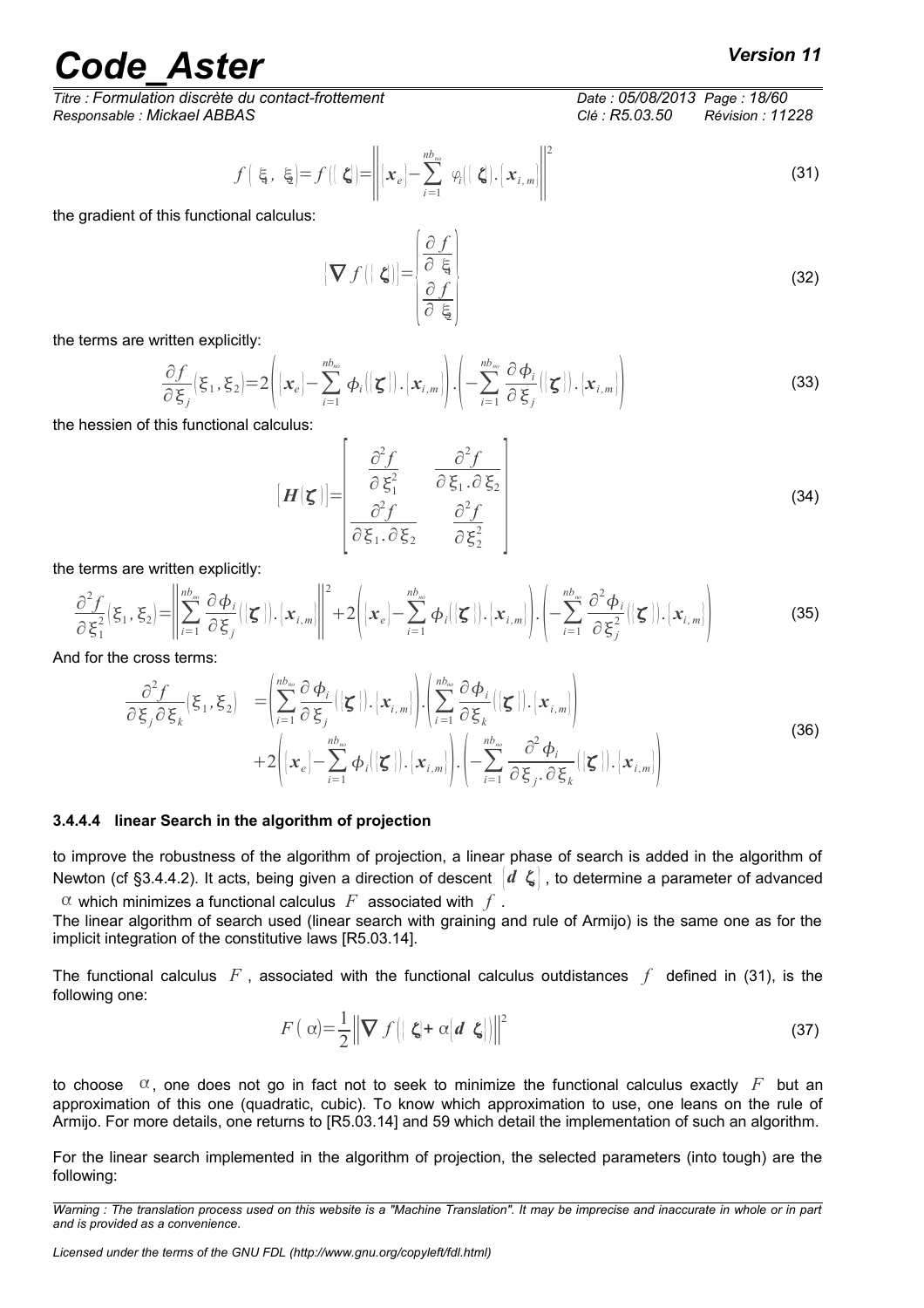*Titre : Formulation discrète du contact-frottement Date : 05/08/2013 Page : 18/60 Responsable : Mickael ABBAS Clé : R5.03.50 Révision : 11228*

<span id="page-17-1"></span>

$$
f\left(\boldsymbol{\xi},\boldsymbol{\xi}\right) = f\left(\boldsymbol{\xi}\right) = \left\| \left(\boldsymbol{x}_e\right) - \sum_{i=1}^{n b_m} \varphi_i\left(\boldsymbol{\xi}\right) \cdot \left(\boldsymbol{x}_{i,m}\right) \right\|^2 \tag{31}
$$

the gradient of this functional calculus:

$$
\left[\nabla f\left(\left|\ \mathbf{Q}\right\right\right)\right] = \begin{pmatrix} \frac{\partial f}{\partial \xi} \\ \frac{\partial f}{\partial \xi} \end{pmatrix}
$$
\n(32)

the terms are written explicitly:

$$
\frac{\partial f}{\partial \xi_j}(\xi_1, \xi_2) = 2\left( \left| \mathbf{x}_e \right| - \sum_{i=1}^{nb_{no}} \phi_i\left( \left| \boldsymbol{\zeta} \right| \right) \cdot \left| \mathbf{x}_{i,m} \right| \right) \cdot \left( - \sum_{i=1}^{nb_{no}} \frac{\partial \phi_i}{\partial \xi_j} \left( \left| \boldsymbol{\zeta} \right| \right) \cdot \left| \mathbf{x}_{i,m} \right| \right) \tag{33}
$$

the hessien of this functional calculus:

$$
\begin{bmatrix} \boldsymbol{H}|\boldsymbol{\zeta} \end{bmatrix} = \begin{bmatrix} \frac{\partial^2 f}{\partial \xi_1^2} & \frac{\partial^2 f}{\partial \xi_1 \cdot \partial \xi_2} \\ \frac{\partial^2 f}{\partial \xi_1 \cdot \partial \xi_2} & \frac{\partial^2 f}{\partial \xi_2^2} \end{bmatrix}
$$
(34)

the terms are written explicitly:

$$
\frac{\partial^2 f}{\partial \xi_1^2}(\xi_1, \xi_2) = \left\| \sum_{i=1}^{nb_{no}} \frac{\partial \phi_i}{\partial \xi_j}(|\boldsymbol{\zeta}|) \cdot [\boldsymbol{x}_{i,m}] \right\|^2 + 2 \left\| (\boldsymbol{x}_e) - \sum_{i=1}^{nb_{no}} \phi_i(|\boldsymbol{\zeta}|) \cdot [\boldsymbol{x}_{i,m}] \right\} \cdot \left( - \sum_{i=1}^{nb_{no}} \frac{\partial^2 \phi_i}{\partial \xi_j^2}(|\boldsymbol{\zeta}|) \cdot [\boldsymbol{x}_{i,m}] \right)
$$
(35)

And for the cross terms:

$$
\frac{\partial^2 f}{\partial \xi_j \partial \xi_k} (\xi_1, \xi_2) = \left( \sum_{i=1}^{nb_m} \frac{\partial \phi_i}{\partial \xi_j} (|\boldsymbol{\zeta}|) \cdot [\boldsymbol{x}_{i,m}] \right) \cdot \left( \sum_{i=1}^{nb_m} \frac{\partial \phi_i}{\partial \xi_k} (|\boldsymbol{\zeta}|) \cdot [\boldsymbol{x}_{i,m}] \right) \n+ 2 \left( |\boldsymbol{x}_e| - \sum_{i=1}^{nb_m} \phi_i (|\boldsymbol{\zeta}|) \cdot [\boldsymbol{x}_{i,m}] \right) \cdot \left( - \sum_{i=1}^{nb_m} \frac{\partial^2 \phi_i}{\partial \xi_j \cdot \partial \xi_k} (|\boldsymbol{\zeta}|) \cdot [\boldsymbol{x}_{i,m}] \right)
$$
\n(36)

#### <span id="page-17-0"></span>**3.4.4.4 linear Search in the algorithm of projection**

to improve the robustness of the algorithm of projection, a linear phase of search is added in the algorithm of Newton (cf [§3.4.4.2\)](#page-16-0). It acts, being given a direction of descent  $|d \zeta|$ , to determine a parameter of advanced  $\alpha$  which minimizes a functional calculus  $F$  associated with  $f$ .

The linear algorithm of search used (linear search with graining and rule of Armijo) is the same one as for the implicit integration of the constitutive laws [R5.03.14].

The functional calculus *F* , associated with the functional calculus outdistances *f* defined in [\(31\),](#page-17-1) is the following one:

$$
F\left(\alpha\right) = \frac{1}{2} \left\| \nabla f\left(\left[\left|\zeta\right| + \alpha \left|\boldsymbol{d} \right|\zeta\right]\right)\right\|^2 \tag{37}
$$

to choose  $\alpha$ , one does not go in fact not to seek to minimize the functional calculus exactly F but an approximation of this one (quadratic, cubic). To know which approximation to use, one leans on the rule of Armijo. For more details, one returns to [R5.03.14] and [59](#page-58-4) which detail the implementation of such an algorithm.

For the linear search implemented in the algorithm of projection, the selected parameters (into tough) are the following:

*Warning : The translation process used on this website is a "Machine Translation". It may be imprecise and inaccurate in whole or in part and is provided as a convenience.*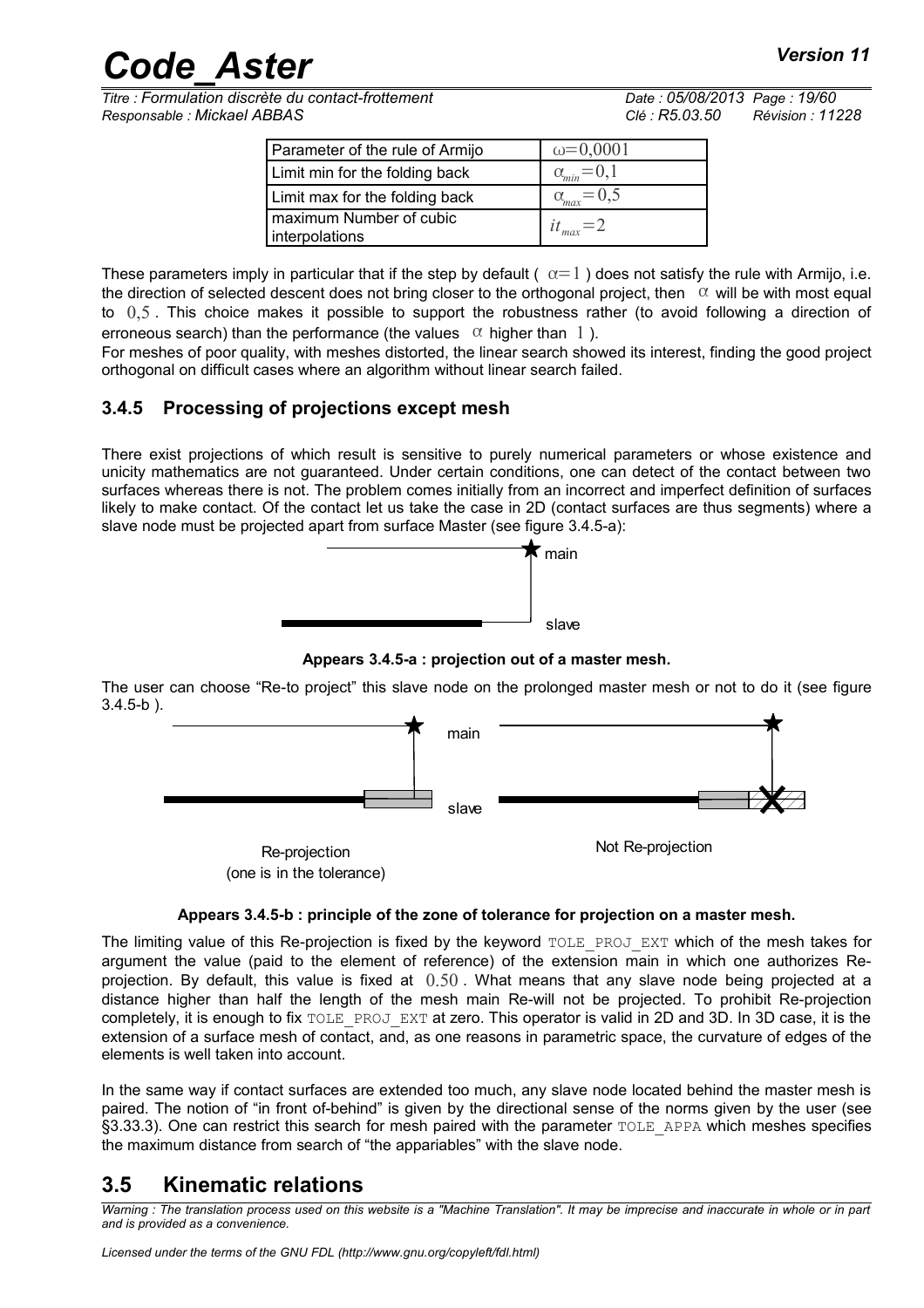*Titre : Formulation discrète du contact-frottement Date : 05/08/2013 Page : 19/60 Responsable : Mickael ABBAS Clé : R5.03.50 Révision : 11228*

| Date : 05/08/2013 Page : 19/60 |                         |
|--------------------------------|-------------------------|
| Clé : R5.03.50                 | <b>Révision : 11228</b> |

| Parameter of the rule of Armijo | $\omega = 0,0001$    |
|---------------------------------|----------------------|
| Limit min for the folding back  | $\alpha_{min} = 0,1$ |
| Limit max for the folding back  | $\alpha_{max} = 0.5$ |
| maximum Number of cubic         | $it_{max} = 2$       |
| interpolations                  |                      |

These parameters imply in particular that if the step by default (  $\alpha=1$  ) does not satisfy the rule with Armijo, i.e. the direction of selected descent does not bring closer to the orthogonal project, then  $\alpha$  will be with most equal to 0,5 . This choice makes it possible to support the robustness rather (to avoid following a direction of erroneous search) than the performance (the values  $\alpha$  higher than 1).

For meshes of poor quality, with meshes distorted, the linear search showed its interest, finding the good project orthogonal on difficult cases where an algorithm without linear search failed.

#### <span id="page-18-1"></span>**3.4.5 Processing of projections except mesh**

There exist projections of which result is sensitive to purely numerical parameters or whose existence and unicity mathematics are not guaranteed. Under certain conditions, one can detect of the contact between two surfaces whereas there is not. The problem comes initially from an incorrect and imperfect definition of surfaces likely to make contact. Of the contact let us take the case in 2D (contact surfaces are thus segments) where a slave node must be projected apart from surface Master (see figure [3.4.5-a\)](#page-18-3):



<span id="page-18-3"></span>**Appears 3.4.5-a : projection out of a master mesh.**

The user can choose "Re-to project" this slave node on the prolonged master mesh or not to do it (see figure [3.4.5-b](#page-18-2) ).



<span id="page-18-2"></span><sup>(</sup>one is in the tolerance)

**Appears 3.4.5-b : principle of the zone of tolerance for projection on a master mesh.**

The limiting value of this Re-projection is fixed by the keyword TOLE\_PROJ\_EXT which of the mesh takes for argument the value (paid to the element of reference) of the extension main in which one authorizes Reprojection. By default, this value is fixed at 0.50 . What means that any slave node being projected at a distance higher than half the length of the mesh main Re-will not be projected. To prohibit Re-projection completely, it is enough to fix TOLE\_PROJ\_EXT at zero. This operator is valid in 2D and 3D. In 3D case, it is the extension of a surface mesh of contact, and, as one reasons in parametric space, the curvature of edges of the elements is well taken into account.

In the same way if contact surfaces are extended too much, any slave node located behind the master mesh is paired. The notion of "in front of-behind" is given by the directional sense of the norms given by the user (see §3.[33.3\)](#page-14-2). One can restrict this search for mesh paired with the parameter TOLE\_APPA which meshes specifies the maximum distance from search of "the appariables" with the slave node.

### <span id="page-18-0"></span>**3.5 Kinematic relations**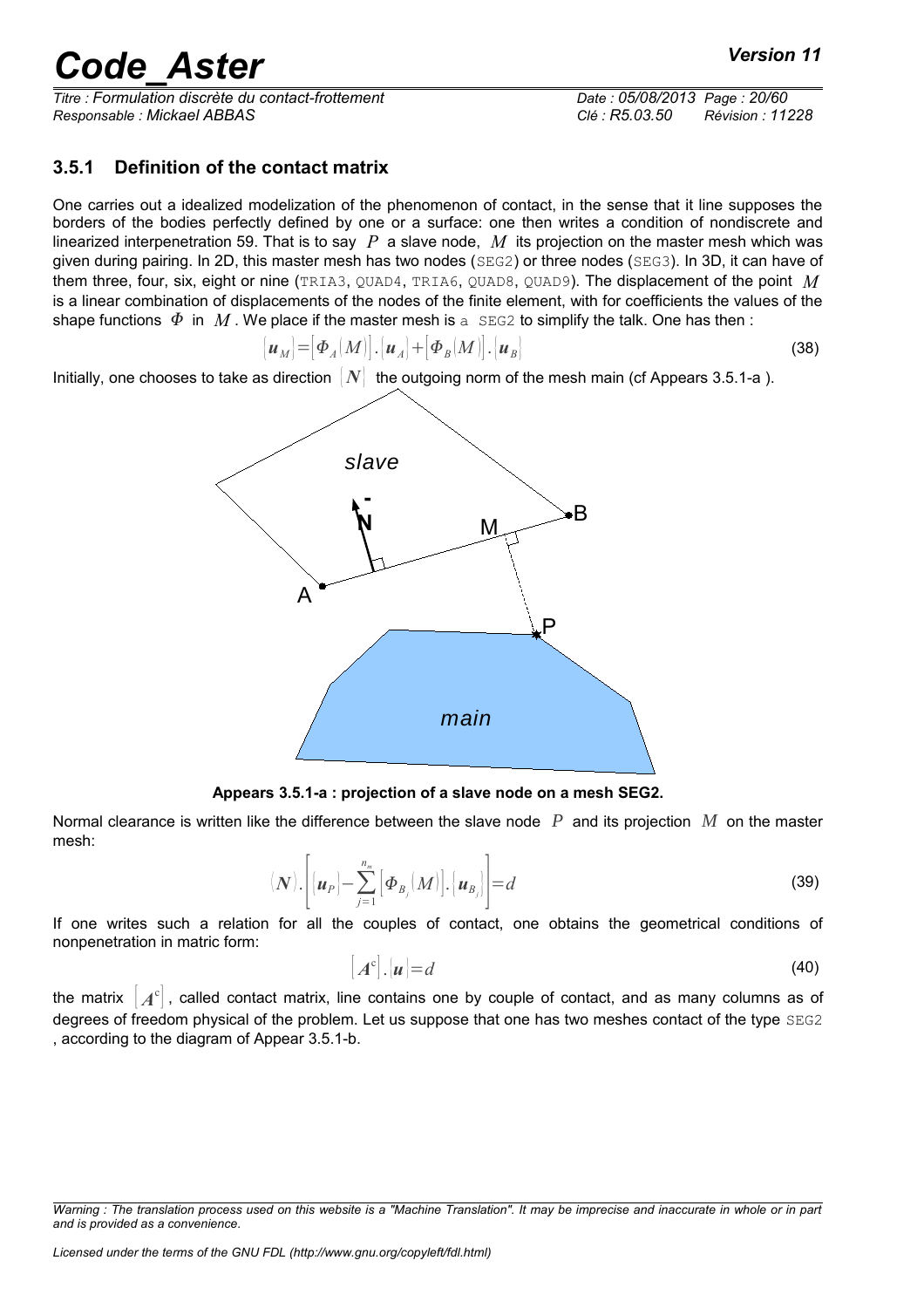*Titre : Formulation discrète du contact-frottement Date : 05/08/2013 Page : 20/60 Responsable : Mickael ABBAS Clé : R5.03.50 Révision : 11228*

#### <span id="page-19-0"></span>**3.5.1 Definition of the contact matrix**

One carries out a idealized modelization of the phenomenon of contact, in the sense that it line supposes the borders of the bodies perfectly defined by one or a surface: one then writes a condition of nondiscrete and linearized interpenetration [59.](#page-58-2) That is to say *P* a slave node, *M* its projection on the master mesh which was given during pairing. In 2D, this master mesh has two nodes (SEG2) or three nodes (SEG3). In 3D, it can have of them three, four, six, eight or nine (TRIA3, QUAD4, TRIA6, QUAD8, QUAD9). The displacement of the point *M* is a linear combination of displacements of the nodes of the finite element, with for coefficients the values of the shape functions  $\Phi$  in M. We place if the master mesh is a  $SEG2$  to simplify the talk. One has then :

$$
[\boldsymbol{u}_M] = [\boldsymbol{\Phi}_A(M)]. [\boldsymbol{u}_A] + [\boldsymbol{\Phi}_B(M)]. [\boldsymbol{u}_B]
$$
\n(38)

Initially, one chooses to take as direction  $|N|$  the outgoing norm of the mesh main (cf [Appears 3.5.1-a](#page-19-1) ).



<span id="page-19-1"></span>**Appears 3.5.1-a : projection of a slave node on a mesh SEG2.**

Normal clearance is written like the difference between the slave node *P* and its projection *M* on the master mesh:

$$
\langle \mathbf{N} \rangle \cdot \left[ \left[ \mathbf{u}_P \right] - \sum_{j=1}^{n_m} \left[ \boldsymbol{\Phi}_{B_j}(\mathbf{M}) \right] \cdot \left[ \mathbf{u}_{B_j} \right] \right] = d \tag{39}
$$

If one writes such a relation for all the couples of contact, one obtains the geometrical conditions of nonpenetration in matric form:

$$
[Ac].[u]=d
$$
 (40)

the matrix  $|A^c|$  , called contact matrix, line contains one by couple of contact, and as many columns as of degrees of freedom physical of the problem. Let us suppose that one has two meshes contact of the type SEG2 , according to the diagram of [Appear 3.5.1-b.](#page-20-1)

*Warning : The translation process used on this website is a "Machine Translation". It may be imprecise and inaccurate in whole or in part and is provided as a convenience.*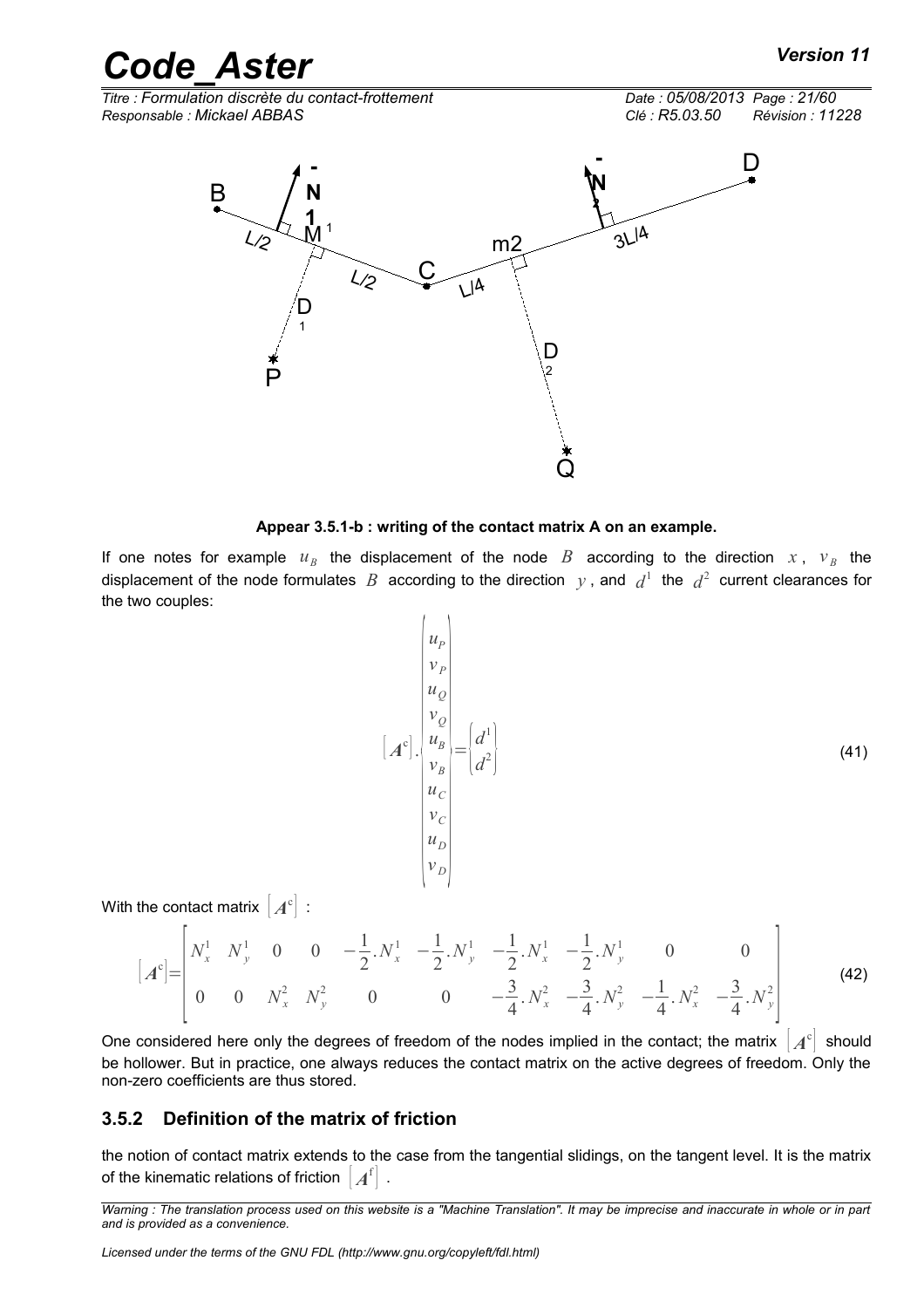

<span id="page-20-1"></span>**Appear 3.5.1-b : writing of the contact matrix A on an example.**

If one notes for example  $u_B$  the displacement of the node  $B$  according to the direction  $x$ ,  $v_B$  the displacement of the node formulates  $|B|$  according to the direction  $|y|$ , and  $|d^1|$  the  $|d^2|$  current clearances for the two couples:  $\mathbf{A}$   $\mathbf{A}$ 

$$
\begin{bmatrix}\n u_p \\
 v_p \\
 u_q \\
 v_q \\
 v_p \\
 v_p \\
 u_c \\
 v_c \\
 v_p \\
 v_p\n\end{bmatrix} = \begin{bmatrix}\n d^1 \\
 d^2\n\end{bmatrix}
$$
\n(41)

With the contact matrix  $\left\lfloor A^\mathrm{c} \right\rfloor$  :

$$
\begin{bmatrix} A^c \end{bmatrix} = \begin{bmatrix} N_x^1 & N_y^1 & 0 & 0 & -\frac{1}{2} N_x^1 & -\frac{1}{2} N_y^1 & -\frac{1}{2} N_x^1 & -\frac{1}{2} N_y^1 & 0 & 0\\ 0 & 0 & N_x^2 & N_y^2 & 0 & 0 & -\frac{3}{4} N_x^2 & -\frac{3}{4} N_y^2 & -\frac{1}{4} N_x^2 & -\frac{3}{4} N_y^2 \end{bmatrix}
$$
(42)

One considered here only the degrees of freedom of the nodes implied in the contact; the matrix  $|A^c|$  should be hollower. But in practice, one always reduces the contact matrix on the active degrees of freedom. Only the non-zero coefficients are thus stored.

#### <span id="page-20-0"></span>**3.5.2 Definition of the matrix of friction**

the notion of contact matrix extends to the case from the tangential slidings, on the tangent level. It is the matrix of the kinematic relations of friction  $\left\lfloor A^{\rm f} \right\rfloor$  .

*Warning : The translation process used on this website is a "Machine Translation". It may be imprecise and inaccurate in whole or in part and is provided as a convenience.*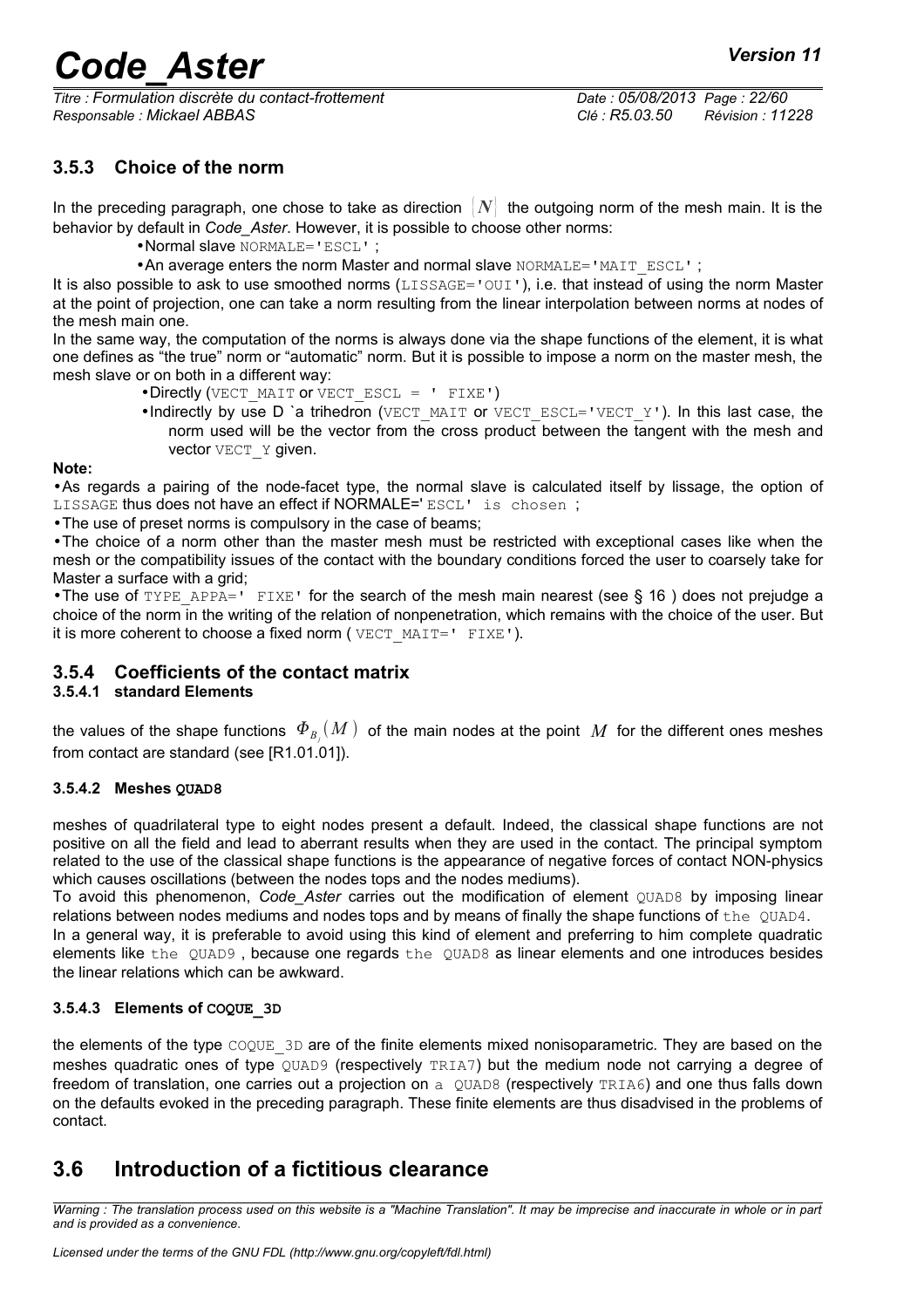*Titre : Formulation discrète du contact-frottement Date : 05/08/2013 Page : 22/60 Responsable : Mickael ABBAS Clé : R5.03.50 Révision : 11228*

### <span id="page-21-2"></span>**3.5.3 Choice of the norm**

In the preceding paragraph, one chose to take as direction  $|N|$  the outgoing norm of the mesh main. It is the behavior by default in *Code\_Aster*. However, it is possible to choose other norms:

 $\bullet$  Normal slave NORMALE='ESCL';

•An average enters the norm Master and normal slave NORMALE='MAIT\_ESCL' ;

It is also possible to ask to use smoothed norms (LISSAGE='OUI'), i.e. that instead of using the norm Master at the point of projection, one can take a norm resulting from the linear interpolation between norms at nodes of the mesh main one.

In the same way, the computation of the norms is always done via the shape functions of the element, it is what one defines as "the true" norm or "automatic" norm. But it is possible to impose a norm on the master mesh, the mesh slave or on both in a different way:

• Directly (VECT MAIT or VECT ESCL = ' FIXE')

•Indirectly by use D `a trihedron (VECT\_MAIT or VECT\_ESCL='VECT\_Y'). In this last case, the norm used will be the vector from the cross product between the tangent with the mesh and vector VECT\_Y given.

#### **Note:**

•As regards a pairing of the node-facet type, the normal slave is calculated itself by lissage, the option of LISSAGE thus does not have an effect if NORMALE='ESCL' is chosen;

•The use of preset norms is compulsory in the case of beams;

•The choice of a norm other than the master mesh must be restricted with exceptional cases like when the mesh or the compatibility issues of the contact with the boundary conditions forced the user to coarsely take for Master a surface with a grid;

•The use of TYPE\_APPA=' FIXE' for the search of the mesh main nearest (see § 16) does not prejudge a choice of the norm in the writing of the relation of nonpenetration, which remains with the choice of the user. But it is more coherent to choose a fixed norm ( $VECT MAIT=' FIXE')$ .

#### <span id="page-21-1"></span>**3.5.4 Coefficients of the contact matrix**

#### **3.5.4.1 standard Elements**

the values of the shape functions  $\,\varPhi_{_{B_j}}(M\,) \,$  of the main nodes at the point  $\,M\,$  for the different ones meshes from contact are standard (see [R1.01.01]).

#### **3.5.4.2 Meshes QUAD8**

meshes of quadrilateral type to eight nodes present a default. Indeed, the classical shape functions are not positive on all the field and lead to aberrant results when they are used in the contact. The principal symptom related to the use of the classical shape functions is the appearance of negative forces of contact NON-physics which causes oscillations (between the nodes tops and the nodes mediums).

To avoid this phenomenon, *Code\_Aster* carries out the modification of element QUAD8 by imposing linear relations between nodes mediums and nodes tops and by means of finally the shape functions of the  $OUBD4$ . In a general way, it is preferable to avoid using this kind of element and preferring to him complete quadratic elements like the QUAD9 , because one regards the QUAD8 as linear elements and one introduces besides the linear relations which can be awkward.

#### **3.5.4.3 Elements of COQUE\_3D**

the elements of the type COQUE 3D are of the finite elements mixed nonisoparametric. They are based on the meshes quadratic ones of type QUAD9 (respectively TRIA7) but the medium node not carrying a degree of freedom of translation, one carries out a projection on a QUAD8 (respectively TRIA6) and one thus falls down on the defaults evoked in the preceding paragraph. These finite elements are thus disadvised in the problems of contact.

### <span id="page-21-0"></span>**3.6 Introduction of a fictitious clearance**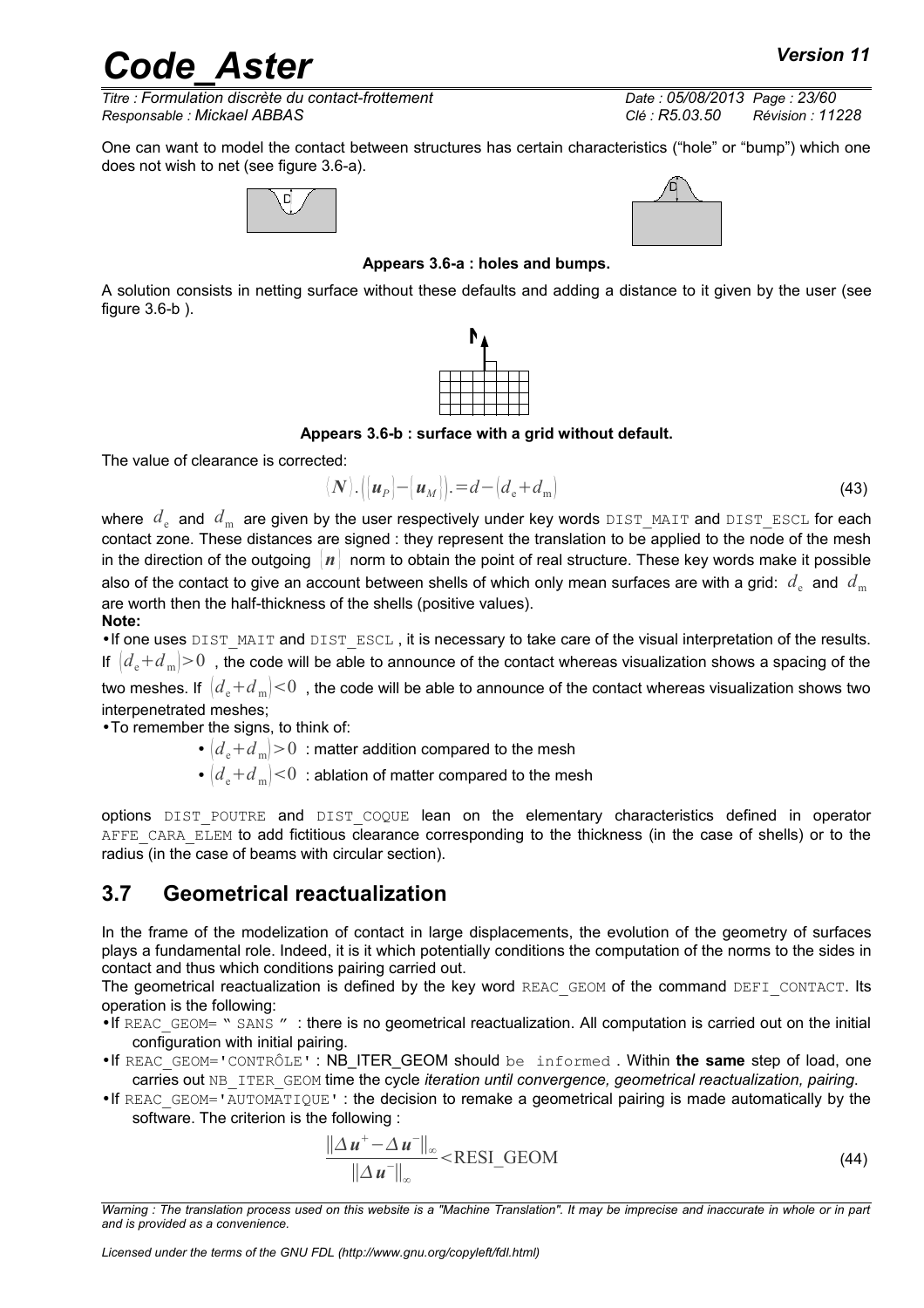*Titre : Formulation discrète du contact-frottement Date : 05/08/2013 Page : 23/60 Responsable : Mickael ABBAS Clé : R5.03.50 Révision : 11228*

One can want to model the contact between structures has certain characteristics ("hole" or "bump") which one does not wish to net (see figure [3.6-a\)](#page-22-2).





**Appears 3.6-a : holes and bumps.**

A solution consists in netting surface without these defaults and adding a distance to it given by the user (see figure [3.6-b](#page-22-1) ).

<span id="page-22-2"></span>

**Appears 3.6-b : surface with a grid without default.**

The value of clearance is corrected:

<span id="page-22-1"></span>
$$
\langle \mathbf{N} \rangle . \left( \left| \mathbf{u}_P \right| - \left| \mathbf{u}_M \right| \right) = d - \left( d_e + d_m \right) \tag{43}
$$

where  $\,d_{\,\rm e}\,$  and  $\,d_{\,\rm m}\,$  are given by the user respectively under key words <code>DIST\_MAIT</code> and <code>DIST\_ESCL</code> for each contact zone. These distances are signed : they represent the translation to be applied to the node of the mesh in the direction of the outgoing  $\left| n \right|$  norm to obtain the point of real structure. These key words make it possible also of the contact to give an account between shells of which only mean surfaces are with a grid:  $\,d_{\,\rm e}\,$  and  $\,d_{\,\rm m}\,$ are worth then the half-thickness of the shells (positive values).

#### **Note:**

•If one uses DIST\_MAIT and DIST\_ESCL , it is necessary to take care of the visual interpretation of the results. If  $\left|d_e+d_m\right|>0$ , the code will be able to announce of the contact whereas visualization shows a spacing of the two meshes. If  $\left|d_e+d_m\right|\leq 0$ , the code will be able to announce of the contact whereas visualization shows two interpenetrated meshes;

•To remember the signs, to think of:

- $\left| d_e+d_m \right|>0$ : matter addition compared to the mesh
- $\left| d_{e}+d_{m}\right| < 0$ : ablation of matter compared to the mesh

options DIST POUTRE and DIST COQUE lean on the elementary characteristics defined in operator AFFE\_CARA\_ELEM to add fictitious clearance corresponding to the thickness (in the case of shells) or to the radius (in the case of beams with circular section).

### <span id="page-22-0"></span>**3.7 Geometrical reactualization**

In the frame of the modelization of contact in large displacements, the evolution of the geometry of surfaces plays a fundamental role. Indeed, it is it which potentially conditions the computation of the norms to the sides in contact and thus which conditions pairing carried out.

The geometrical reactualization is defined by the key word REAC\_GEOM of the command DEFI\_CONTACT. Its operation is the following:

- •If REAC GEOM= " SANS " : there is no geometrical reactualization. All computation is carried out on the initial configuration with initial pairing.
- •If REAC\_GEOM='CONTRÔLE' : NB\_ITER\_GEOM should be informed . Within **the same** step of load, one carries out NB\_ITER\_GEOM time the cycle *iteration until convergence, geometrical reactualization, pairing*.
- •If REAC\_GEOM='AUTOMATIQUE' : the decision to remake a geometrical pairing is made automatically by the software. The criterion is the following :

$$
\frac{\|\Delta u^+ - \Delta u^-\|_{\infty}}{\|\Delta u^-\|_{\infty}} < \text{RESI\_GEOM} \tag{44}
$$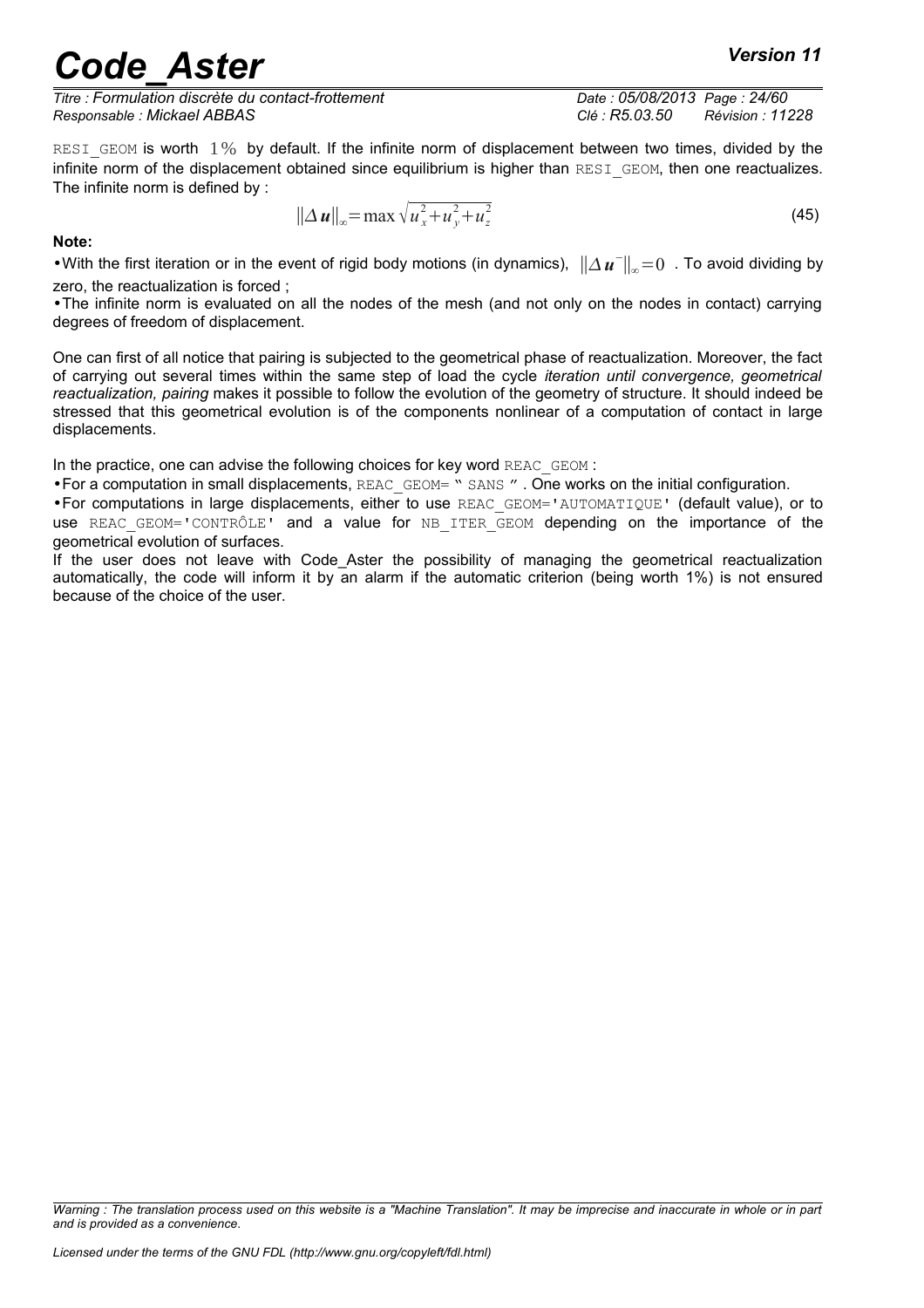*Titre : Formulation discrète du contact-frottement Date : 05/08/2013 Page : 24/60 Responsable : Mickael ABBAS Clé : R5.03.50 Révision : 11228*

RESI GEOM is worth  $1\%$  by default. If the infinite norm of displacement between two times, divided by the infinite norm of the displacement obtained since equilibrium is higher than RESI GEOM, then one reactualizes. The infinite norm is defined by :

$$
\|\Delta u\|_{\infty} = \max \sqrt{u_x^2 + u_y^2 + u_z^2}
$$
 (45)

**Note:**

• With the first iteration or in the event of rigid body motions (in dynamics),  $\|\Delta\bm{u}^-\|_\infty=0$  . To avoid dividing by zero, the reactualization is forced ;

•The infinite norm is evaluated on all the nodes of the mesh (and not only on the nodes in contact) carrying degrees of freedom of displacement.

One can first of all notice that pairing is subjected to the geometrical phase of reactualization. Moreover, the fact of carrying out several times within the same step of load the cycle *iteration until convergence, geometrical reactualization, pairing* makes it possible to follow the evolution of the geometry of structure. It should indeed be stressed that this geometrical evolution is of the components nonlinear of a computation of contact in large displacements.

In the practice, one can advise the following choices for key word REAC\_GEOM :

•For a computation in small displacements, REAC GEOM= " SANS " . One works on the initial configuration.

•For computations in large displacements, either to use REAC\_GEOM='AUTOMATIQUE' (default value), or to use REAC GEOM='CONTRÔLE' and a value for NB ITER GEOM depending on the importance of the geometrical evolution of surfaces.

If the user does not leave with Code Aster the possibility of managing the geometrical reactualization automatically, the code will inform it by an alarm if the automatic criterion (being worth 1%) is not ensured because of the choice of the user.

*Warning : The translation process used on this website is a "Machine Translation". It may be imprecise and inaccurate in whole or in part and is provided as a convenience.*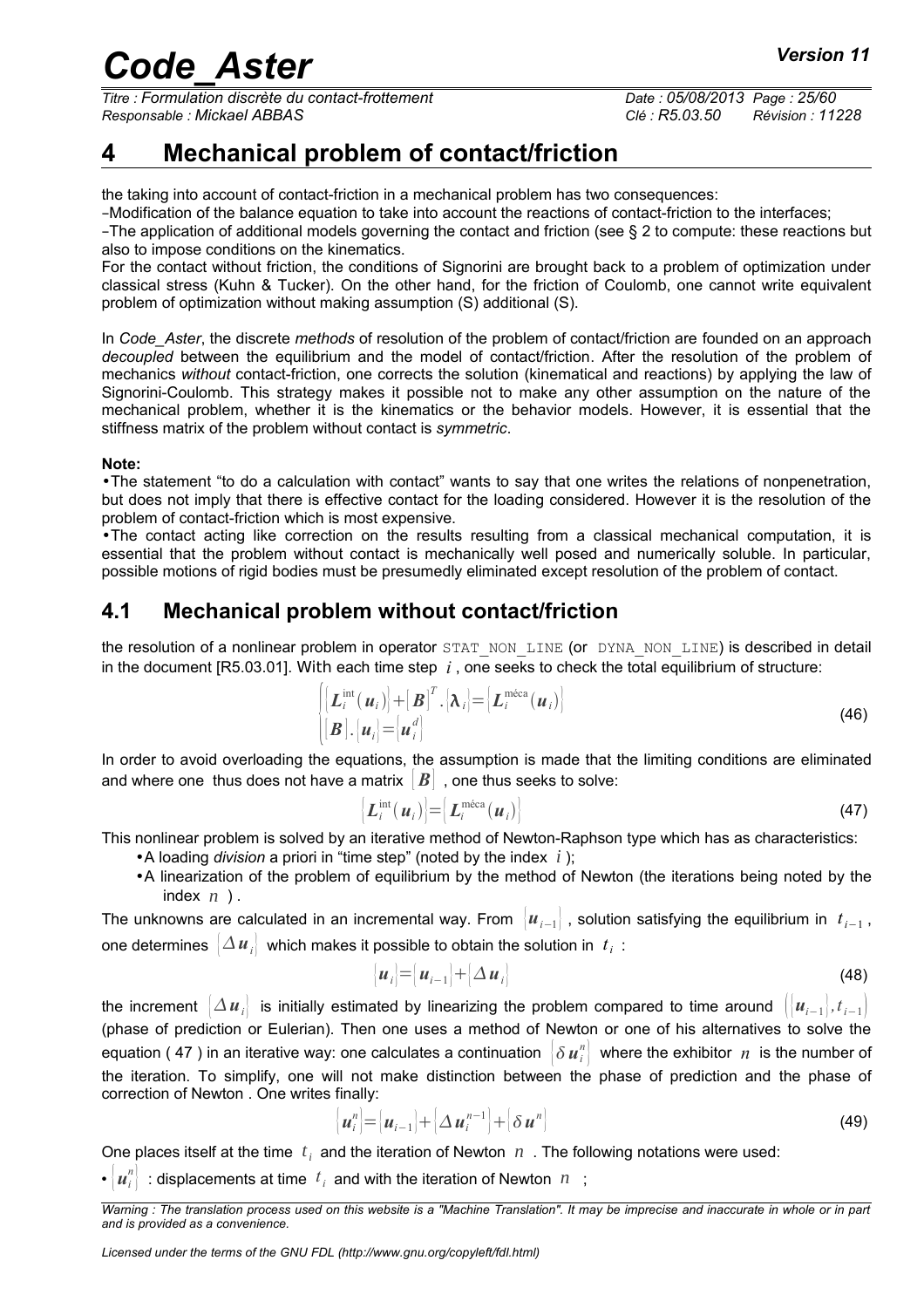*Titre : Formulation discrète du contact-frottement Date : 05/08/2013 Page : 25/60 Responsable : Mickael ABBAS Clé : R5.03.50 Révision : 11228*

### <span id="page-24-1"></span>**4 Mechanical problem of contact/friction**

the taking into account of contact-friction in a mechanical problem has two consequences:

–Modification of the balance equation to take into account the reactions of contact-friction to the interfaces;

–The application of additional models governing the contact and friction (see § [2](#page-4-2) to compute: these reactions but also to impose conditions on the kinematics.

For the contact without friction, the conditions of Signorini are brought back to a problem of optimization under classical stress (Kuhn & Tucker). On the other hand, for the friction of Coulomb, one cannot write equivalent problem of optimization without making assumption (S) additional (S).

In *Code\_Aster*, the discrete *methods* of resolution of the problem of contact/friction are founded on an approach *decoupled* between the equilibrium and the model of contact/friction. After the resolution of the problem of mechanics *without* contact-friction, one corrects the solution (kinematical and reactions) by applying the law of Signorini-Coulomb. This strategy makes it possible not to make any other assumption on the nature of the mechanical problem, whether it is the kinematics or the behavior models. However, it is essential that the stiffness matrix of the problem without contact is *symmetric*.

#### **Note:**

•The statement "to do a calculation with contact" wants to say that one writes the relations of nonpenetration, but does not imply that there is effective contact for the loading considered. However it is the resolution of the problem of contact-friction which is most expensive.

•The contact acting like correction on the results resulting from a classical mechanical computation, it is essential that the problem without contact is mechanically well posed and numerically soluble. In particular, possible motions of rigid bodies must be presumedly eliminated except resolution of the problem of contact.

### <span id="page-24-0"></span>**4.1 Mechanical problem without contact/friction**

the resolution of a nonlinear problem in operator STAT\_NON\_LINE (or DYNA\_NON\_LINE) is described in detail in the document [R5.03.01]. With each time step *i* , one seeks to check the total equilibrium of structure:

$$
\begin{cases}\n\left[\mathbf{L}_i^{\text{int}}(\mathbf{u}_i)\right] + \left[\mathbf{B}\right]^T \cdot \left[\boldsymbol{\lambda}_i\right] = \left[\mathbf{L}_i^{\text{méca}}(\mathbf{u}_i)\right] \\
\left[\mathbf{B}\right] \cdot \left[\mathbf{u}_i\right] = \left[\mathbf{u}_i^d\right]\n\end{cases}
$$
\n(46)

In order to avoid overloading the equations, the assumption is made that the limiting conditions are eliminated and where one thus does not have a matrix  $|B|$ , one thus seeks to solve:

<span id="page-24-2"></span>
$$
\left[\mathbf{L}_i^{\text{int}}(\mathbf{u}_i)\right] = \left[\mathbf{L}_i^{\text{méca}}(\mathbf{u}_i)\right]
$$
\n(47)

This nonlinear problem is solved by an iterative method of Newton-Raphson type which has as characteristics:

- •A loading *division* a priori in "time step" (noted by the index *i* );
- •A linearization of the problem of equilibrium by the method of Newton (the iterations being noted by the index *n* ) .

The unknowns are calculated in an incremental way. From  $\|u_{i-1}\|$  , solution satisfying the equilibrium in  $|t_{i-1}|$ , one determines  $\left| \varDelta\bm{\mathit{u}}_i \right|$  which makes it possible to obtain the solution in  $\,t_i\,$  :

$$
|\boldsymbol{u}_i| = |\boldsymbol{u}_{i-1}| + |\Delta \boldsymbol{u}_i| \tag{48}
$$

the increment  $\big|\Delta u_i\big|$  is initially estimated by linearizing the problem compared to time around  $\big\|u_{i-1}\big|,t_{i-1}\big\|$ (phase of prediction or Eulerian). Then one uses a method of Newton or one of his alternatives to solve the equation ( [47](#page-24-2) ) in an iterative way: one calculates a continuation  $\, \delta \, \pmb{u}^n_i \, \big| \,$  where the exhibitor  $\,n\,$  is the number of the iteration. To simplify, one will not make distinction between the phase of prediction and the phase of correction of Newton . One writes finally:

$$
\left\{ \boldsymbol{u}_{i}^{n}\right\} = \left\{ \boldsymbol{u}_{i-1}\right\} + \left\{ \Delta \boldsymbol{u}_{i}^{n-1}\right\} + \left\{ \delta \boldsymbol{u}^{n}\right\} \tag{49}
$$

One places itself at the time  $t_i$  and the iteration of Newton  $n$  . The following notations were used:

•  $u_i^n$  $\vert$  : displacements at time  $t_i$  and with the iteration of Newton  $n$ ;

*Warning : The translation process used on this website is a "Machine Translation". It may be imprecise and inaccurate in whole or in part and is provided as a convenience.*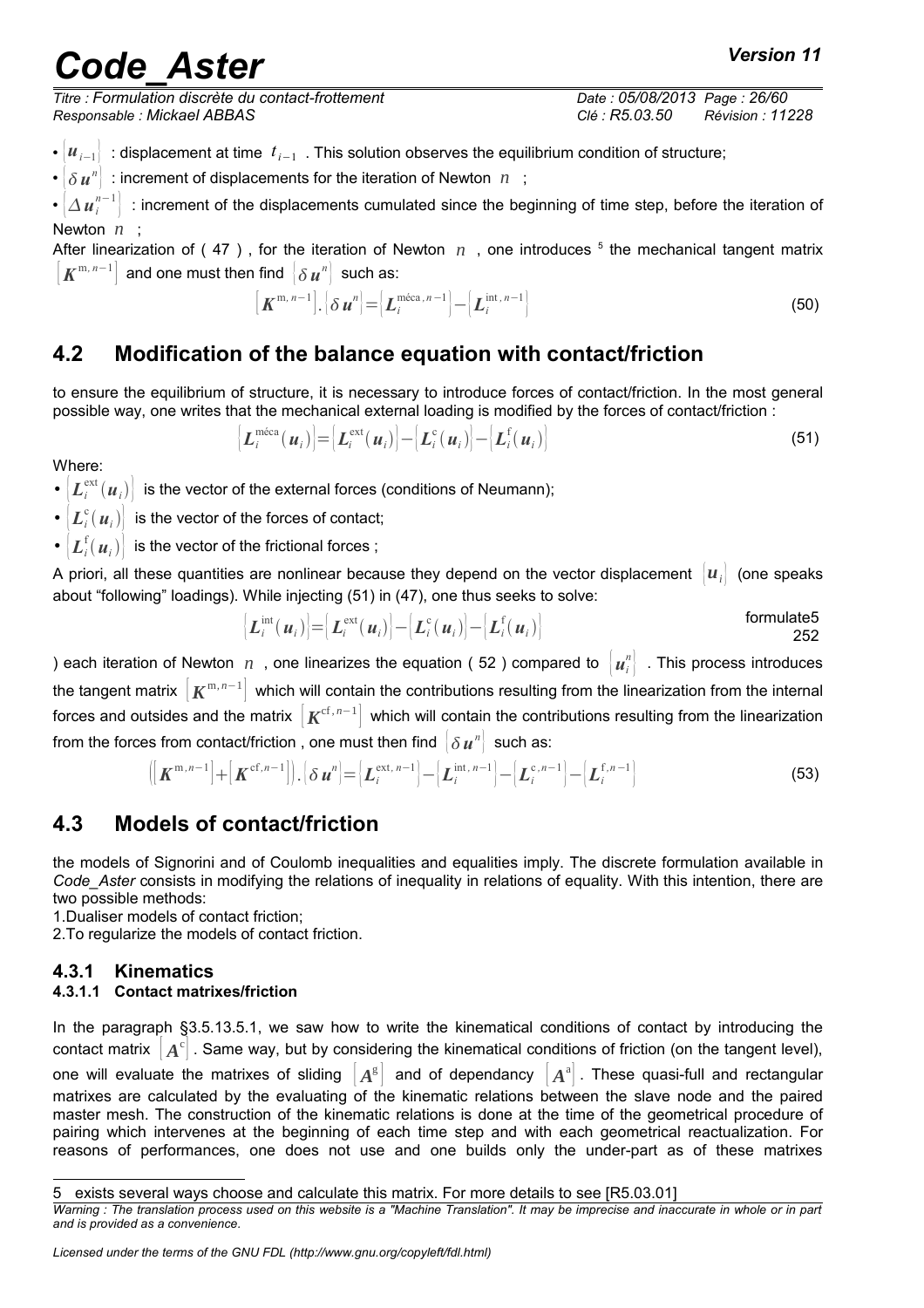*Titre : Formulation discrète du contact-frottement Date : 05/08/2013 Page : 26/60 Responsable : Mickael ABBAS Clé : R5.03.50 Révision : 11228*

<span id="page-25-4"></span>

• {*u<sup>i</sup>*−<sup>1</sup> } : displacement at time *t <sup>i</sup>*−1 . This solution observes the equilibrium condition of structure;

•  $|\delta u^n|$  : increment of displacements for the iteration of Newton  $|n|$ ;

 $\cdot$   $\bigl|\Delta \bm{\mathit{u}}_i^{n-1}\bigr|$ : increment of the displacements cumulated since the beginning of time step, before the iteration of Newton *n* ;

After linearization of (47), for the iteration of Newton  $n$ , one introduces  $5$  the mechanical tangent matrix  $\left\lfloor K^{{\mathfrak m},\,n-1} \right\rfloor$  and one must then find  $\left\lvert \delta\,\pmb{u}^{\,n} \right\rvert$  such as:

$$
\left[\boldsymbol{K}^{\mathrm{m},n-1}\right].\left\{\delta\boldsymbol{u}^{n}\right\}=\left[\boldsymbol{L}_{i}^{\mathrm{m\acute{e}ca},n-1}\right]-\left[\boldsymbol{L}_{i}^{\mathrm{int},n-1}\right]
$$
\n(50)

### <span id="page-25-2"></span>**4.2 Modification of the balance equation with contact/friction**

to ensure the equilibrium of structure, it is necessary to introduce forces of contact/friction. In the most general possible way, one writes that the mechanical external loading is modified by the forces of contact/friction :

$$
\left[\boldsymbol{L}_{i}^{\text{méca}}(\boldsymbol{u}_{i})\right] = \left[\boldsymbol{L}_{i}^{\text{ext}}(\boldsymbol{u}_{i})\right] - \left[\boldsymbol{L}_{i}^{\text{c}}(\boldsymbol{u}_{i})\right] - \left[\boldsymbol{L}_{i}^{\text{f}}(\boldsymbol{u}_{i})\right]
$$
\n(51)

Where:

 $\cdot |L_i^{\text{ext}}(u_i)|$  is the vector of the external forces (conditions of Neumann);

 $\cdot$   $\left| L_i^{\text{c}}(u_i) \right|$  is the vector of the forces of contact;

 $\cdot$   $\left| L_i^{\text{f}}(u_i) \right|$  is the vector of the frictional forces ;

A priori, all these quantities are nonlinear because they depend on the vector displacement  $\{u_i\}$  (one speaks about "following" loadings). While injecting [\(51\)](#page-25-4) in [\(47\)](#page-24-2), one thus seeks to solve:

<span id="page-25-6"></span><span id="page-25-3"></span>
$$
\left[\boldsymbol{L}_i^{\text{int}}(\boldsymbol{u}_i)\right] = \left[\boldsymbol{L}_i^{\text{ext}}(\boldsymbol{u}_i)\right] - \left[\boldsymbol{L}_i^{\text{c}}(\boldsymbol{u}_i)\right] - \left[\boldsymbol{L}_i^{\text{f}}(\boldsymbol{u}_i)\right] \hspace{1cm} \text{formulate5} \\ 252
$$

) each iteration of Newton  $n$  , one linearizes the equation ( [52](#page-25-3) ) compared to  $\left| \bm{u}_i^n \right|$  . This process introduces the tangent matrix  $\, \big| \, K^{\text{m},\,n-1} \big| \,$  which will contain the contributions resulting from the linearization from the internal forces and outsides and the matrix  $\,left\vert\bm{K}^{\text{cf},\,n-1}\right\vert$  which will contain the contributions resulting from the linearization from the forces from contact/friction , one must then find  $\left|\delta\textit{\textbf{u}}^{\textit{n}}\right|$  such as:

$$
\left( \left[ \boldsymbol{K}^{\mathrm{m},n-1} \right] + \left[ \boldsymbol{K}^{\mathrm{cf},n-1} \right] \right) . \left[ \delta \boldsymbol{u}^n \right] = \left[ \boldsymbol{L}_i^{\mathrm{ext},n-1} \right] - \left[ \boldsymbol{L}_i^{\mathrm{int},n-1} \right] - \left[ \boldsymbol{L}_i^{\mathrm{c},n-1} \right] \tag{53}
$$

### <span id="page-25-1"></span>**4.3 Models of contact/friction**

the models of Signorini and of Coulomb inequalities and equalities imply. The discrete formulation available in *Code\_Aster* consists in modifying the relations of inequality in relations of equality. With this intention, there are two possible methods:

1.Dualiser models of contact friction;

2.To regularize the models of contact friction.

#### <span id="page-25-0"></span>**4.3.1 Kinematics**

#### **4.3.1.1 Contact matrixes/friction**

In the paragraph §3.5.[13.5.1,](#page-19-0) we saw how to write the kinematical conditions of contact by introducing the contact matrix  $|A^c|$  . Same way, but by considering the kinematical conditions of friction (on the tangent level),

one will evaluate the matrixes of sliding  $\big\lfloor A^\mathrm{g}\big\rfloor$  and of dependancy  $\big\lfloor A^\mathrm{a}\big\rfloor$ . These quasi-full and rectangular matrixes are calculated by the evaluating of the kinematic relations between the slave node and the paired master mesh. The construction of the kinematic relations is done at the time of the geometrical procedure of pairing which intervenes at the beginning of each time step and with each geometrical reactualization. For reasons of performances, one does not use and one builds only the under-part as of these matrixes

<span id="page-25-5"></span><sup>5</sup> exists several ways choose and calculate this matrix. For more details to see [R5.03.01]

*Warning : The translation process used on this website is a "Machine Translation". It may be imprecise and inaccurate in whole or in part and is provided as a convenience.*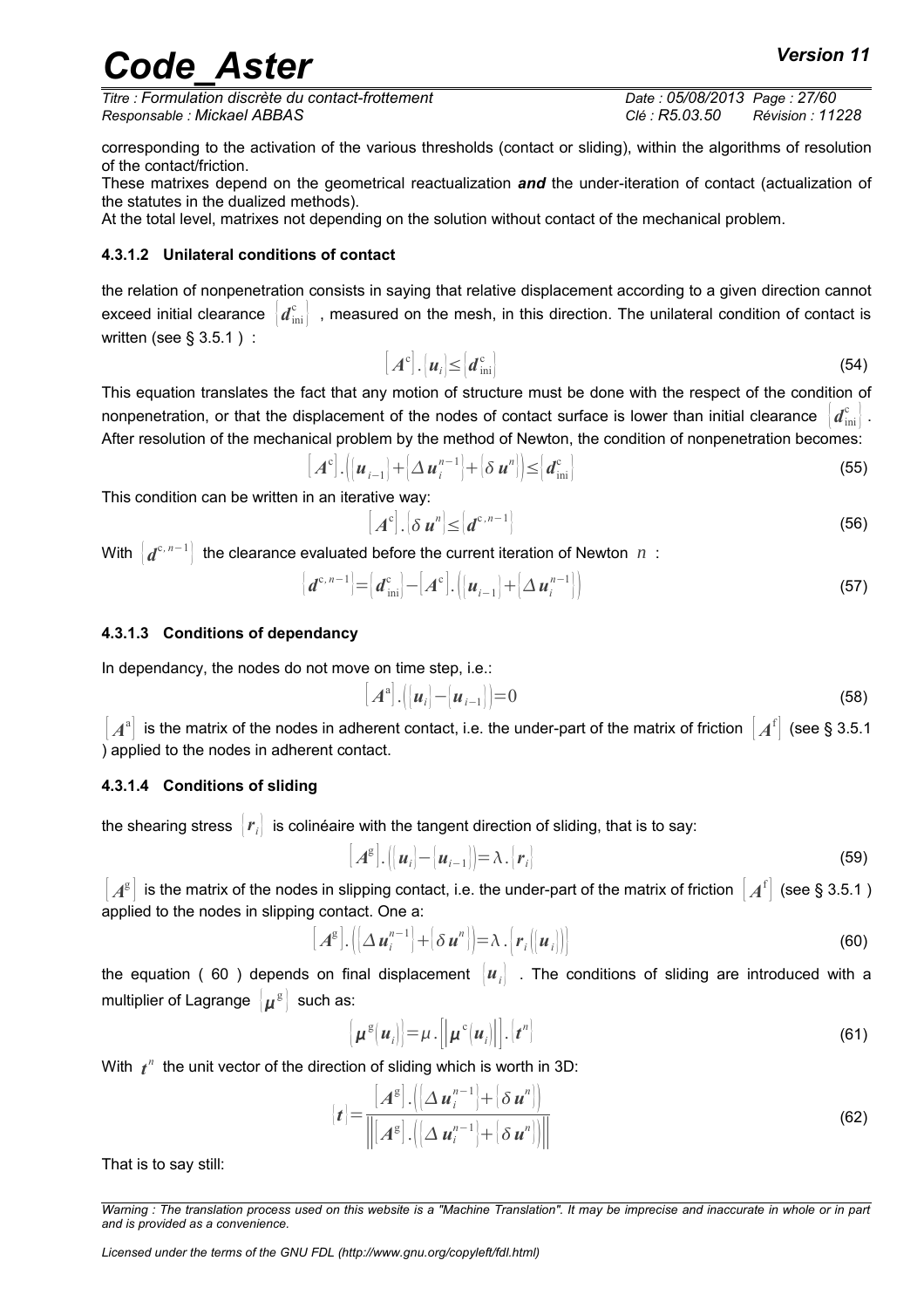*Titre : Formulation discrète du contact-frottement Date : 05/08/2013 Page : 27/60 Responsable : Mickael ABBAS Clé : R5.03.50 Révision : 11228*

corresponding to the activation of the various thresholds (contact or sliding), within the algorithms of resolution of the contact/friction.

These matrixes depend on the geometrical reactualization *and* the under-iteration of contact (actualization of the statutes in the dualized methods).

At the total level, matrixes not depending on the solution without contact of the mechanical problem.

#### **4.3.1.2 Unilateral conditions of contact**

the relation of nonpenetration consists in saying that relative displacement according to a given direction cannot exceed initial clearance  $\left|d_{\rm ini}^{\rm c}\right|$  , measured on the mesh, in this direction. The unilateral condition of contact is written (see § [3.5.1](#page-19-0)) :

$$
[Ac].[ui] \leq [dcini] \tag{54}
$$

This equation translates the fact that any motion of structure must be done with the respect of the condition of nonpenetration, or that the displacement of the nodes of contact surface is lower than initial clearance  $\left|d_{\rm ini}^{\rm c}\right|$  . After resolution of the mechanical problem by the method of Newton, the condition of nonpenetration becomes:

$$
\left[\boldsymbol{A}^{\mathrm{c}}\right].\left(\left[\boldsymbol{u}_{i-1}\right]+\left[\Delta\boldsymbol{u}_{i}^{n-1}\right]+\left[\delta\boldsymbol{u}^{n}\right]\right)\leq\left[\boldsymbol{d}_{\mathrm{ini}}^{\mathrm{c}}\right]
$$
\n(55)

This condition can be written in an iterative way:

<span id="page-26-1"></span>
$$
[Ac].[\delta un] \leq [dc,n-1]
$$
\n(56)

With  $\left| d^{c, n-1} \right|$  the clearance evaluated before the current iteration of Newton *n* ∶

$$
\left[\boldsymbol{d}^{c,n-1}\right] = \left[\boldsymbol{d}_{\text{ini}}^{c}\right] - \left[\boldsymbol{A}^{c}\right] \cdot \left(\left[\boldsymbol{u}_{i-1}\right] + \left[\boldsymbol{\Delta} \boldsymbol{u}_{i}^{n-1}\right]\right) \tag{57}
$$

#### **4.3.1.3 Conditions of dependancy**

In dependancy, the nodes do not move on time step, i.e.:

$$
\left[\boldsymbol{A}^{\mathrm{a}}\right].\left(\left[\boldsymbol{u}_{i}\right]-\left[\boldsymbol{u}_{i-1}\right]\right)=0\tag{58}
$$

 $\left|A^{\rm a}\right|$  is the matrix of the nodes in adherent contact, i.e. the under-part of the matrix of friction  $\left|A^{\rm f}\right|$  (see § [3.5.1](#page-19-0) ) applied to the nodes in adherent contact.

#### **4.3.1.4 Conditions of sliding**

the shearing stress  $\{r_i\}$  is colinéaire with the tangent direction of sliding, that is to say:

<span id="page-26-0"></span>
$$
|\mathcal{A}^{\mathbf{g}}| \cdot (|\mathbf{u}_i| - |\mathbf{u}_{i-1}|) = \lambda \cdot [r_i]
$$
 (59)

 $\left|A^\text{g}\right|$  is the matrix of the nodes in slipping contact, i.e. the under-part of the matrix of friction  $\left|A^\text{f}\right|$  (see § [3.5.1](#page-19-0) ) applied to the nodes in slipping contact. One a:

$$
\left[ A^{\mathbf{g}} \right] \cdot \left( \left[ \Delta \boldsymbol{u}_{i}^{n-1} \right] + \left[ \delta \boldsymbol{u}^{n} \right] \right) = \lambda \cdot \left[ \boldsymbol{r}_{i} \left( \left[ \boldsymbol{u}_{i} \right] \right) \right]
$$
 (60)

the equation ( [60](#page-26-0) ) depends on final displacement  $|u_i|$ . The conditions of sliding are introduced with a multiplier of Lagrange  $\, \big\lvert \mu^{\mathrm{g}} \big\rvert \,$  such as:

$$
\left\{\boldsymbol{\mu}^{\mathcal{B}}(\boldsymbol{u}_{i})\right\} = \mu \cdot \left[\left|\boldsymbol{\mu}^{\mathcal{C}}(\boldsymbol{u}_{i})\right|\right] \cdot \left\{\boldsymbol{t}^{n}\right\} \tag{61}
$$

With  $t^n$  the unit vector of the direction of sliding which is worth in 3D:

$$
[\boldsymbol{t}] = \frac{[A^{\mathbf{g}}] \cdot ([\Delta \boldsymbol{u}_i^{n-1}] + [\delta \boldsymbol{u}^n])}{\left\| [\boldsymbol{A}^{\mathbf{g}}] \cdot ([\Delta \boldsymbol{u}_i^{n-1}] + [\delta \boldsymbol{u}^n]) \right\|}
$$
(62)

That is to say still:

*Warning : The translation process used on this website is a "Machine Translation". It may be imprecise and inaccurate in whole or in part and is provided as a convenience.*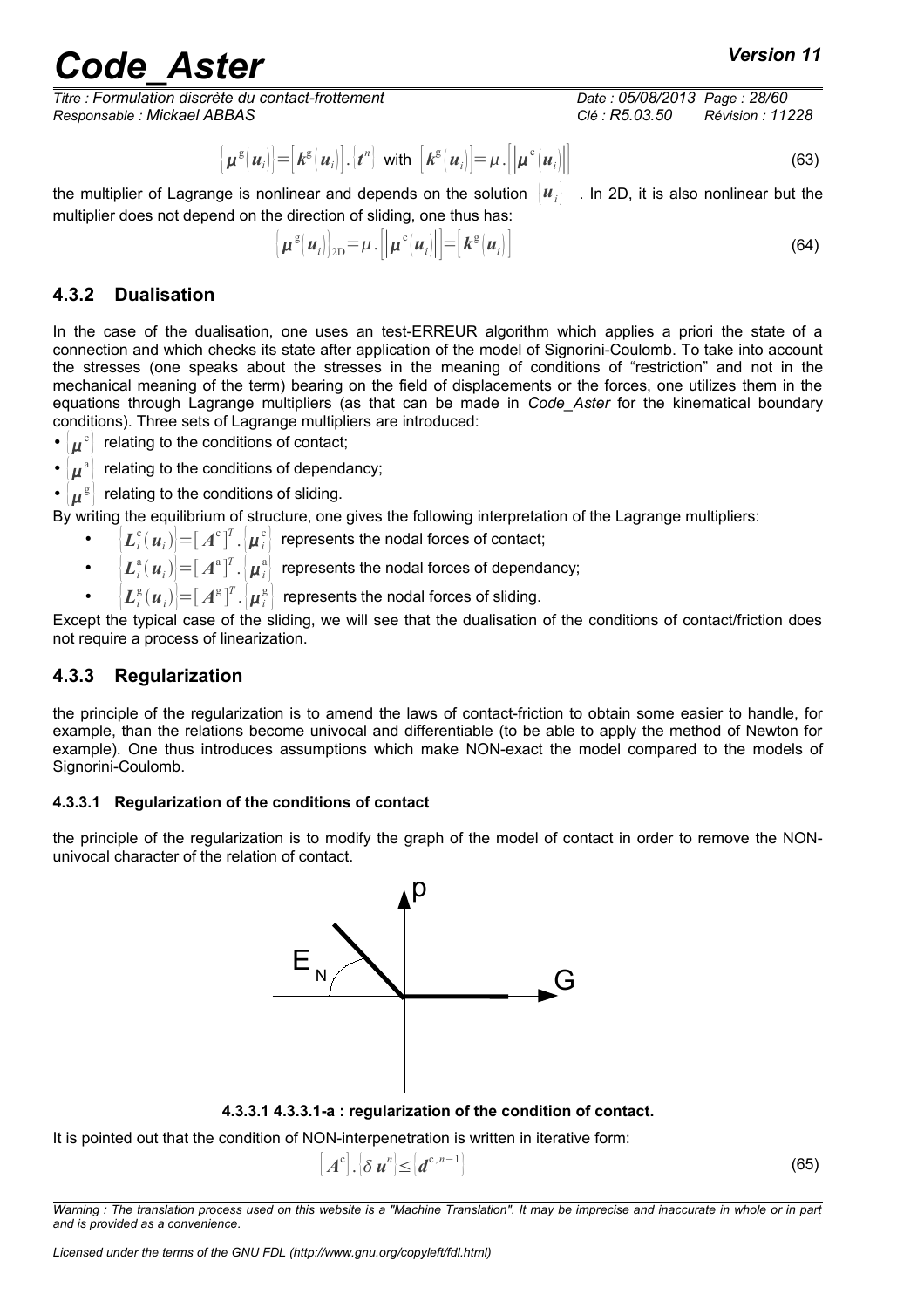*Titre : Formulation discrète du contact-frottement Date : 05/08/2013 Page : 28/60 Responsable : Mickael ABBAS Clé : R5.03.50 Révision : 11228*

<span id="page-27-2"></span>

$$
\left[\mu^{\rm g}(\boldsymbol{u}_i)\right] = \left[\boldsymbol{k}^{\rm g}(\boldsymbol{u}_i)\right].\left[\boldsymbol{t}^n\right] \text{ with } \left[\boldsymbol{k}^{\rm g}(\boldsymbol{u}_i)\right] = \mu \cdot \left[\left|\boldsymbol{\mu}^{\rm c}(\boldsymbol{u}_i)\right|\right] \tag{63}
$$

the multiplier of Lagrange is nonlinear and depends on the solution  $|u_i|$ . In 2D, it is also nonlinear but the multiplier does not depend on the direction of sliding, one thus has:

$$
\left[\boldsymbol{\mu}^{\text{g}}(\boldsymbol{u}_{i})\right]_{\text{2D}} = \boldsymbol{\mu} \cdot \left[\left|\boldsymbol{\mu}^{\text{c}}(\boldsymbol{u}_{i})\right|\right] = \left[\boldsymbol{k}^{\text{g}}(\boldsymbol{u}_{i})\right]
$$
(64)

#### <span id="page-27-0"></span>**4.3.2 Dualisation**

In the case of the dualisation, one uses an test-ERREUR algorithm which applies a priori the state of a connection and which checks its state after application of the model of Signorini-Coulomb. To take into account the stresses (one speaks about the stresses in the meaning of conditions of "restriction" and not in the mechanical meaning of the term) bearing on the field of displacements or the forces, one utilizes them in the equations through Lagrange multipliers (as that can be made in *Code\_Aster* for the kinematical boundary conditions). Three sets of Lagrange multipliers are introduced:

- $\cdot \vert \mu^{\circ}$ relating to the conditions of contact;
- $\mu^a$ relating to the conditions of dependancy;
- $\cdot$   $\left| \mu^{\text{g}} \right|$  relating to the conditions of sliding.

By writing the equilibrium of structure, one gives the following interpretation of the Lagrange multipliers:

- $\bm{u}_i^{\text{c}} = \left[ \bm{Z}^{\text{c}} \right]^T.\left| \bm{\mu}_i^{\text{c}} \right|$  represents the nodal forces of contact;
- $\left| L_i^{\mathfrak{a}}(u_i) \right| = [ A^{\mathfrak{a}}]^T. \left| \mu_i^{\mathfrak{a}} \right|$  represents the nodal forces of dependancy;
- $\left| L_i^{\rm g}(u_i) \right| = \left[ \left. A^{\rm g} \right]^T . \right| \mu_i^{\rm g} \right|$  represents the nodal forces of sliding.

Except the typical case of the sliding, we will see that the dualisation of the conditions of contact/friction does not require a process of linearization.

#### <span id="page-27-1"></span>**4.3.3 Regularization**

the principle of the regularization is to amend the laws of contact-friction to obtain some easier to handle, for example, than the relations become univocal and differentiable (to be able to apply the method of Newton for example). One thus introduces assumptions which make NON-exact the model compared to the models of Signorini-Coulomb.

#### **4.3.3.1 Regularization of the conditions of contact**

the principle of the regularization is to modify the graph of the model of contact in order to remove the NONunivocal character of the relation of contact.



**4.3.3.1 4.3.3.1-a : regularization of the condition of contact.**

It is pointed out that the condition of NON-interpenetration is written in iterative form:

$$
[A^c] . [\delta \, u^n] \leq [d^{c, n-1}]
$$

 $(65)$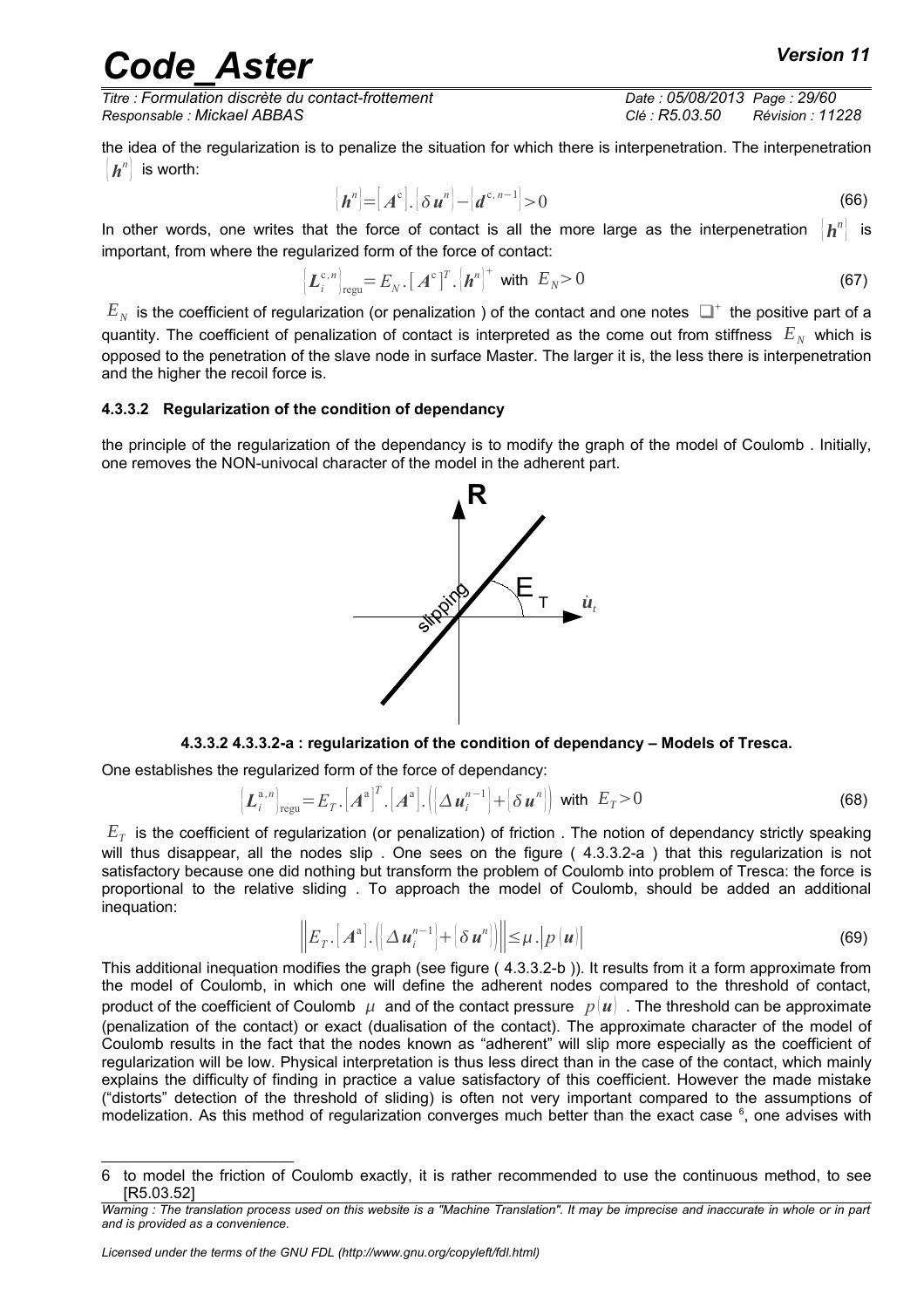*Titre : Formulation discrète du contact-frottement Date : 05/08/2013 Page : 29/60 Responsable : Mickael ABBAS Clé : R5.03.50 Révision : 11228*

<span id="page-28-5"></span>

the idea of the regularization is to penalize the situation for which there is interpenetration. The interpenetration  $\begin{bmatrix} \boldsymbol{h}^n \end{bmatrix}$  is worth:

$$
[\boldsymbol{h}^n] = [\boldsymbol{A}^\mathrm{c}].[\delta \boldsymbol{u}^n] - [\boldsymbol{d}^{\mathrm{c},n-1}] > 0 \tag{66}
$$

In other words, one writes that the force of contact is all the more large as the interpenetration *n* } is important, from where the regularized form of the force of contact:

$$
\left[\boldsymbol{L}_{i}^{\mathrm{c},n}\right]_{\mathrm{regu}} = E_N \cdot \left[\boldsymbol{A}^{\mathrm{c}}\right]^T \cdot \left[\boldsymbol{h}^n\right]^+ \text{ with } E_N > 0 \tag{67}
$$

 $E_{\scriptscriptstyle N}$  is the coefficient of regularization (or penalization ) of the contact and one notes  $\Box^+$  the positive part of a quantity. The coefficient of penalization of contact is interpreted as the come out from stiffness  $E<sub>N</sub>$  which is opposed to the penetration of the slave node in surface Master. The larger it is, the less there is interpenetration and the higher the recoil force is.

#### <span id="page-28-3"></span>**4.3.3.2 Regularization of the condition of dependancy**

the principle of the regularization of the dependancy is to modify the graph of the model of Coulomb . Initially, one removes the NON-univocal character of the model in the adherent part.



One establishes the regularized form of the force of dependancy:

<span id="page-28-0"></span>
$$
\left[\boldsymbol{L}_{i}^{\mathrm{a},n}\right]_{\mathrm{regu}} = E_{T}.\left[\boldsymbol{A}^{\mathrm{a}}\right]^{T}.\left[\boldsymbol{A}^{\mathrm{a}}\right].\left(\left[\Delta\boldsymbol{u}_{i}^{n-1}\right] + \left[\delta\boldsymbol{u}^{n}\right]\right) \text{ with } E_{T} > 0 \tag{68}
$$

 $E_{T}$  is the coefficient of regularization (or penalization) of friction . The notion of dependancy strictly speaking will thus disappear, all the nodes slip. One sees on the figure (4.3.3.2-a) that this regularization is not satisfactory because one did nothing but transform the problem of Coulomb into problem of Tresca: the force is proportional to the relative sliding . To approach the model of Coulomb, should be added an additional inequation:

<span id="page-28-4"></span><span id="page-28-2"></span>
$$
\left\| E_{T} \left[ A^{a} \right] \left[ \left( \Delta u_{i}^{n-1} \right) + \left[ \delta u^{n} \right] \right] \right\| \leq \mu \left[ p \left( u \right) \right] \tag{69}
$$

This additional inequation modifies the graph (see figure ( [4.3.3.2-b](#page-29-2) )). It results from it a form approximate from the model of Coulomb, in which one will define the adherent nodes compared to the threshold of contact, product of the coefficient of Coulomb  $\mu$  and of the contact pressure  $p |u|$ . The threshold can be approximate (penalization of the contact) or exact (dualisation of the contact). The approximate character of the model of Coulomb results in the fact that the nodes known as "adherent" will slip more especially as the coefficient of regularization will be low. Physical interpretation is thus less direct than in the case of the contact, which mainly explains the difficulty of finding in practice a value satisfactory of this coefficient. However the made mistake ("distorts" detection of the threshold of sliding) is often not very important compared to the assumptions of modelization. As this method of regularization converges much better than the exact case  $6$ , one advises with



<span id="page-28-1"></span><sup>6</sup> to model the friction of Coulomb exactly, it is rather recommended to use the continuous method, to see [R5.03.52]

*Warning : The translation process used on this website is a "Machine Translation". It may be imprecise and inaccurate in whole or in part and is provided as a convenience.*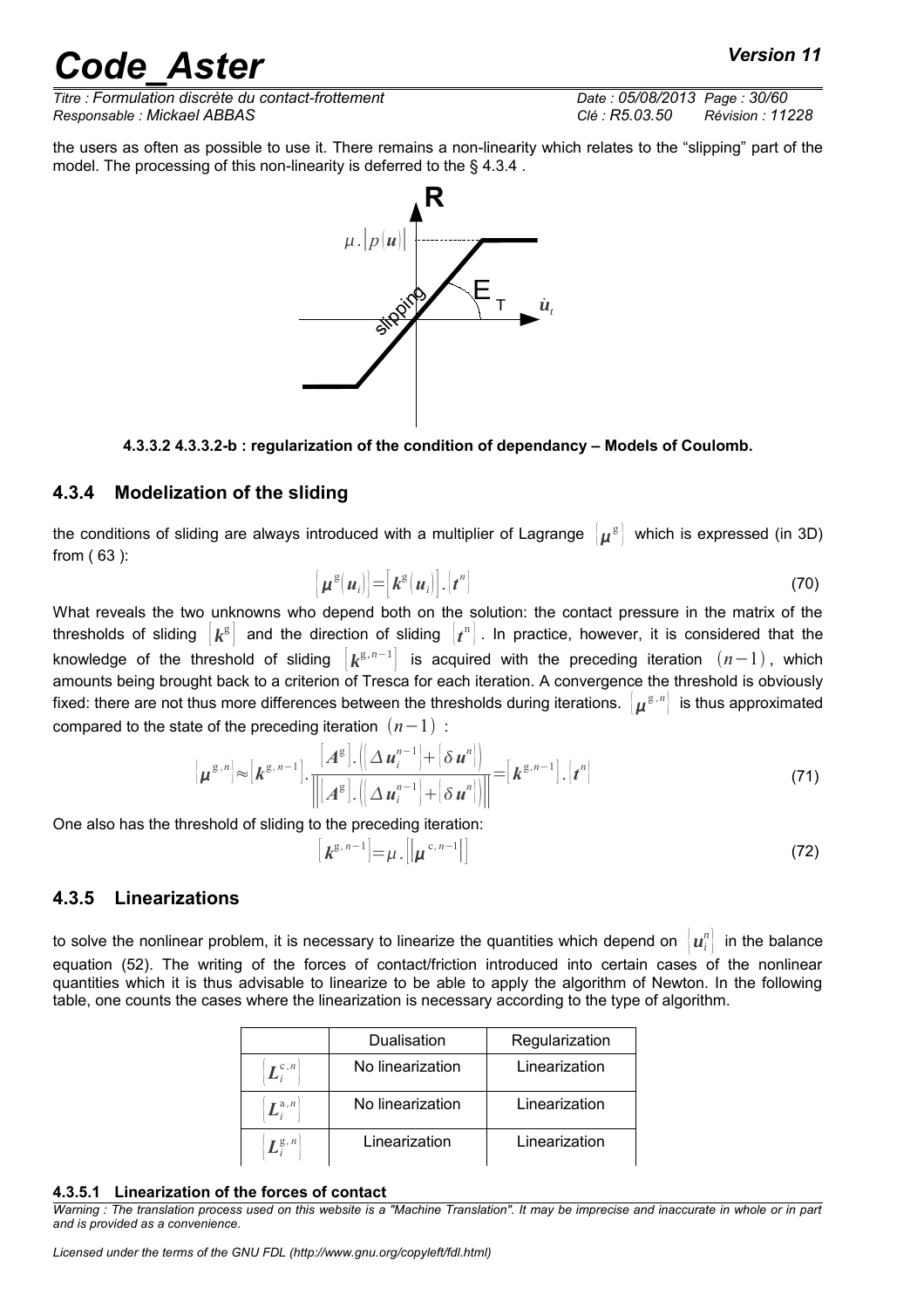*Titre : Formulation discrète du contact-frottement Date : 05/08/2013 Page : 30/60 Responsable : Mickael ABBAS Clé : R5.03.50 Révision : 11228*

the users as often as possible to use it. There remains a non-linearity which relates to the "slipping" part of the model. The processing of this non-linearity is deferred to the § [4.3.4](#page-29-1) .



<span id="page-29-2"></span><span id="page-29-1"></span>**4.3.3.2 4.3.3.2-b : regularization of the condition of dependancy – Models of Coulomb.**

#### **4.3.4 Modelization of the sliding**

the conditions of sliding are always introduced with a multiplier of Lagrange  $\, \big| \mu^{\rm g} \big| \,$  which is expressed (in 3D) from ( [63](#page-27-2) ):

$$
\left\{ \boldsymbol{\mu}^{\mathbf{g}}(\boldsymbol{u}_{i}) \right\} = \left[ \boldsymbol{k}^{\mathbf{g}}(\boldsymbol{u}_{i}) \right].\left\{ \boldsymbol{\ell}^{n} \right\} \tag{70}
$$

What reveals the two unknowns who depend both on the solution: the contact pressure in the matrix of the thresholds of sliding  $|k^{\mathfrak{g}}|$  and the direction of sliding  $|t^n|$  . In practice, however, it is considered that the knowledge of the threshold of sliding  $|k^{g,n-1}|$  is acquired with the preceding iteration  $(n-1)$ , which amounts being brought back to a criterion of Tresca for each iteration. A convergence the threshold is obviously fixed: there are not thus more differences between the thresholds during iterations.  $\big\lvert \mu^{g,n} \big\rvert$  is thus approximated compared to the state of the preceding iteration  $(n-1)$ :

$$
\left[\boldsymbol{\mu}^{\mathbf{g},n}\right] \approx \left[\boldsymbol{k}^{\mathbf{g},n-1}\right].\frac{\left[\boldsymbol{A}^{\mathbf{g}}\right].\left\{\left[\Delta\boldsymbol{u}_{i}^{n-1}\right]+\left[\delta\boldsymbol{u}^{n}\right]\right\}}{\left\|\left[\boldsymbol{A}^{\mathbf{g}}\right].\left\{\left[\Delta\boldsymbol{u}_{i}^{n-1}\right]+\left[\delta\boldsymbol{u}^{n}\right]\right\}\right\|}=\left[\boldsymbol{k}^{\mathbf{g},n-1}\right].\left[\boldsymbol{t}^{n}\right]
$$
\n(71)

One also has the threshold of sliding to the preceding iteration:

$$
\left[k^{g,n-1}\right]=\mu\left[\left|\mu^{c,n-1}\right|\right]
$$
\n(72)

#### <span id="page-29-0"></span>**4.3.5 Linearizations**

to solve the nonlinear problem, it is necessary to linearize the quantities which depend on  $\, \big| \bm{u}^n_i \big| \,$  in the balance equation [\(52\)](#page-25-3). The writing of the forces of contact/friction introduced into certain cases of the nonlinear quantities which it is thus advisable to linearize to be able to apply the algorithm of Newton. In the following table, one counts the cases where the linearization is necessary according to the type of algorithm.

|                                   | Dualisation      | Regularization |
|-----------------------------------|------------------|----------------|
| $\boldsymbol{L}^{\mathrm{c},n}_i$ | No linearization | Linearization  |
| $\boldsymbol{L}_i^{\text{a},n}$   | No linearization | Linearization  |
| $L_i^{\mathsf{g},n}$              | Linearization    | Linearization  |

#### <span id="page-29-3"></span>**4.3.5.1 Linearization of the forces of contact**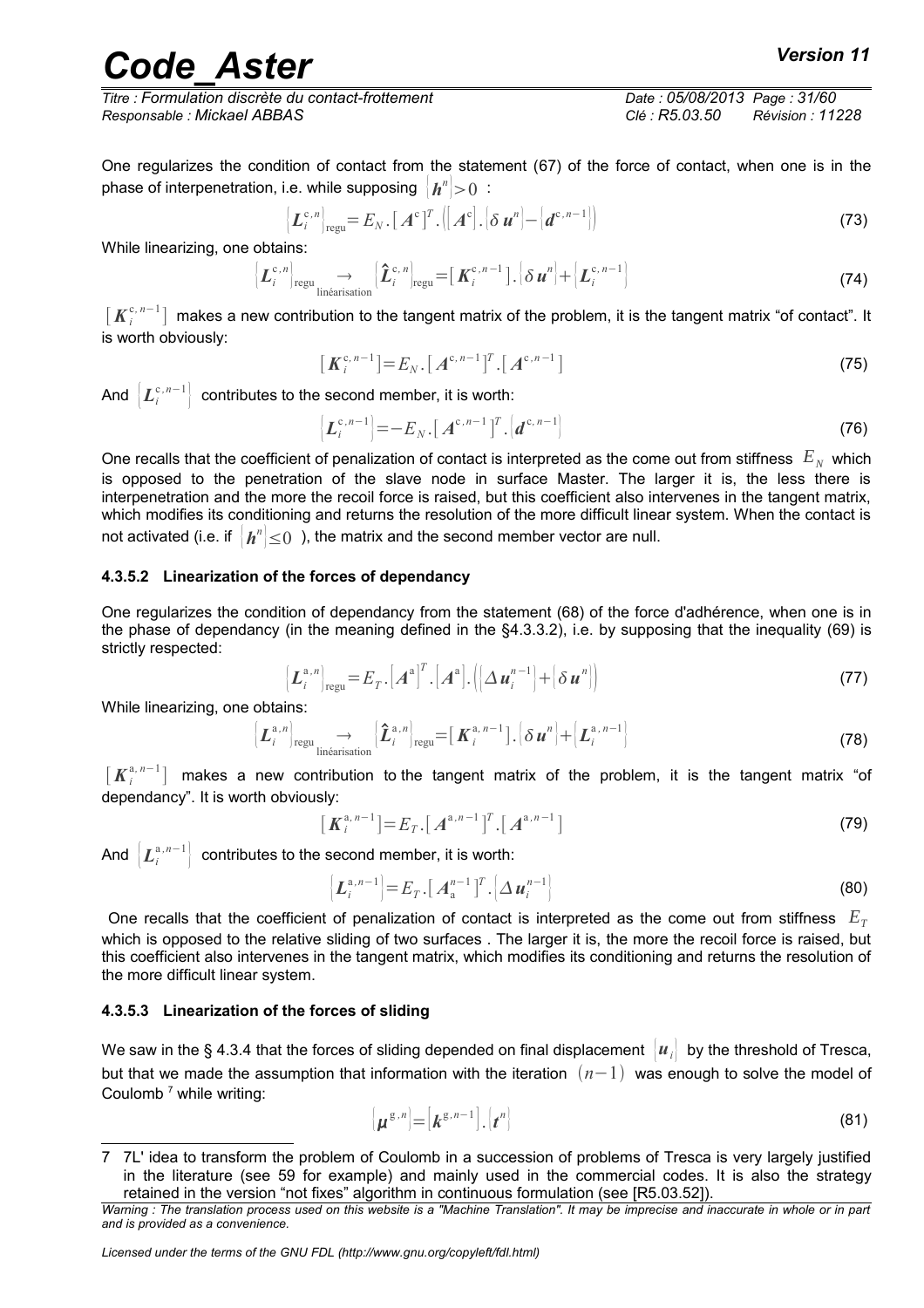*Titre : Formulation discrète du contact-frottement Date : 05/08/2013 Page : 31/60 Responsable : Mickael ABBAS Clé : R5.03.50 Révision : 11228*

One regularizes the condition of contact from the statement [\(67\)](#page-28-5) of the force of contact, when one is in the phase of interpenetration, i.e. while supposing  $\left| {\left. {{{\bf{h}}^n}} \right| \! > \! 0} \right.$  :

$$
\left[\boldsymbol{L}_{i}^{\mathrm{c},n}\right]_{\mathrm{regu}}=E_{N}.\left[\boldsymbol{A}^{\mathrm{c}}\right]^{T}.\left(\left[\boldsymbol{A}^{\mathrm{c}}\right].\left\{\delta\boldsymbol{u}^{n}\right]-\left[\boldsymbol{d}^{\mathrm{c},n-1}\right]\right)
$$
\n(73)

While linearizing, one obtains:

$$
\left[\boldsymbol{L}_{i}^{c,n}\right]_{\text{regu}} \underset{\text{lin\'eariisation}}{\rightarrow} \left[\boldsymbol{\hat{L}}_{i}^{c,n}\right]_{\text{regu}} = \left[\boldsymbol{K}_{i}^{c,n-1}\right].\left\{\delta \boldsymbol{u}^{n}\right] + \left[\boldsymbol{L}_{i}^{c,n-1}\right]
$$
\n(74)

 $[|K_i^{\mathsf{c},n-1}]$  makes a new contribution to the tangent matrix of the problem, it is the tangent matrix "of contact". It is worth obviously:

$$
[\boldsymbol{K}_{i}^{\mathrm{c},n-1}]\!=\!E_{N}.\big[\boldsymbol{A}^{\mathrm{c},n-1}\big]^{T}.\big[\boldsymbol{A}^{\mathrm{c},n-1}\big]
$$
\n(75)

And  $\left|\boldsymbol{L}^\text{c}_i\right|$ c *,n*−1 contributes to the second member, it is worth:

$$
\left[\boldsymbol{L}_{i}^{\mathrm{c},n-1}\right] = -\boldsymbol{E}_{N}.\left[\boldsymbol{A}^{\mathrm{c},n-1}\right]^{T}.\left(\boldsymbol{d}^{\mathrm{c},n-1}\right]
$$
\n(76)

One recalls that the coefficient of penalization of contact is interpreted as the come out from stiffness  $E_N$  which is opposed to the penetration of the slave node in surface Master. The larger it is, the less there is interpenetration and the more the recoil force is raised, but this coefficient also intervenes in the tangent matrix, which modifies its conditioning and returns the resolution of the more difficult linear system. When the contact is not activated (i.e. if  $\left\vert \textbf{\textit{h}}^{n}\right\vert \leq0$  ), the matrix and the second member vector are null.

#### <span id="page-30-3"></span>**4.3.5.2 Linearization of the forces of dependancy**

One regularizes the condition of dependancy from the statement [\(68\)](#page-28-4) of the force d'adhérence, when one is in the phase of dependancy (in the meaning defined in the [§4.3.3.2\)](#page-28-3), i.e. by supposing that the inequality [\(69\)](#page-28-2) is strictly respected:

$$
\left[\boldsymbol{L}_{i}^{\mathrm{a},n}\right]_{\mathrm{regu}}=E_{T}.\left[\boldsymbol{A}^{\mathrm{a}}\right]^{T}.\left[\boldsymbol{A}^{\mathrm{a}}\right].\left(\left[\Delta\boldsymbol{u}_{i}^{n-1}\right]+\left[\delta\boldsymbol{u}^{n}\right]\right) \tag{77}
$$

While linearizing, one obtains:

$$
\left[\boldsymbol{L}_{i}^{a,n}\right]_{\text{regu}} \longrightarrow \left[\boldsymbol{\hat{L}}_{i}^{a,n}\right]_{\text{regu}} = \left[\boldsymbol{K}_{i}^{a,n-1}\right] \cdot \left\{\delta \boldsymbol{u}^{n}\right\} + \left[\boldsymbol{L}_{i}^{a,n-1}\right] \tag{78}
$$

[ $K_i^{a,n-1}$ ] makes a new contribution to the tangent matrix of the problem, it is the tangent matrix "of dependancy". It is worth obviously:

$$
[\boldsymbol{K}_i^{\mathsf{a},n-1}]\!=\!E_T.\big[\boldsymbol{A}^{\mathsf{a},n-1}\big]^T.\big[\boldsymbol{A}^{\mathsf{a},n-1}\big]
$$
\n(79)

And  $\left| \boldsymbol{L}_{i}^{\text{a},n-1} \right|$ contributes to the second member, it is worth:

<span id="page-30-4"></span>
$$
\left[\boldsymbol{L}_i^{\mathrm{a},n-1}\right] = E_T \cdot \left[\boldsymbol{A}_\mathrm{a}^{n-1}\right]^T \cdot \left[\boldsymbol{\Delta} \boldsymbol{u}_i^{n-1}\right] \tag{80}
$$

One recalls that the coefficient of penalization of contact is interpreted as the come out from stiffness *E<sup>T</sup>* which is opposed to the relative sliding of two surfaces . The larger it is, the more the recoil force is raised, but this coefficient also intervenes in the tangent matrix, which modifies its conditioning and returns the resolution of the more difficult linear system.

#### <span id="page-30-2"></span>**4.3.5.3 Linearization of the forces of sliding**

We saw in the § [4.3.4](#page-29-1) that the forces of sliding depended on final displacement  $|u_i|$  by the threshold of Tresca, but that we made the assumption that information with the iteration  $(n-1)$  was enough to solve the model of Coulomb  $<sup>7</sup>$  $<sup>7</sup>$  $<sup>7</sup>$  while writing:</sup>

<span id="page-30-1"></span>
$$
\left[\boldsymbol{\mu}^{\mathbf{g},n}\right] = \left[\boldsymbol{k}^{\mathbf{g},n-1}\right].\left[\boldsymbol{t}^n\right]
$$
\n(81)

#### *Licensed under the terms of the GNU FDL (http://www.gnu.org/copyleft/fdl.html)*

<span id="page-30-0"></span><sup>7</sup> 7L' idea to transform the problem of Coulomb in a succession of problems of Tresca is very largely justified in the literature (see [59](#page-58-5) for example) and mainly used in the commercial codes. It is also the strategy retained in the version "not fixes" algorithm in continuous formulation (see [R5.03.52]).

*Warning : The translation process used on this website is a "Machine Translation". It may be imprecise and inaccurate in whole or in part and is provided as a convenience.*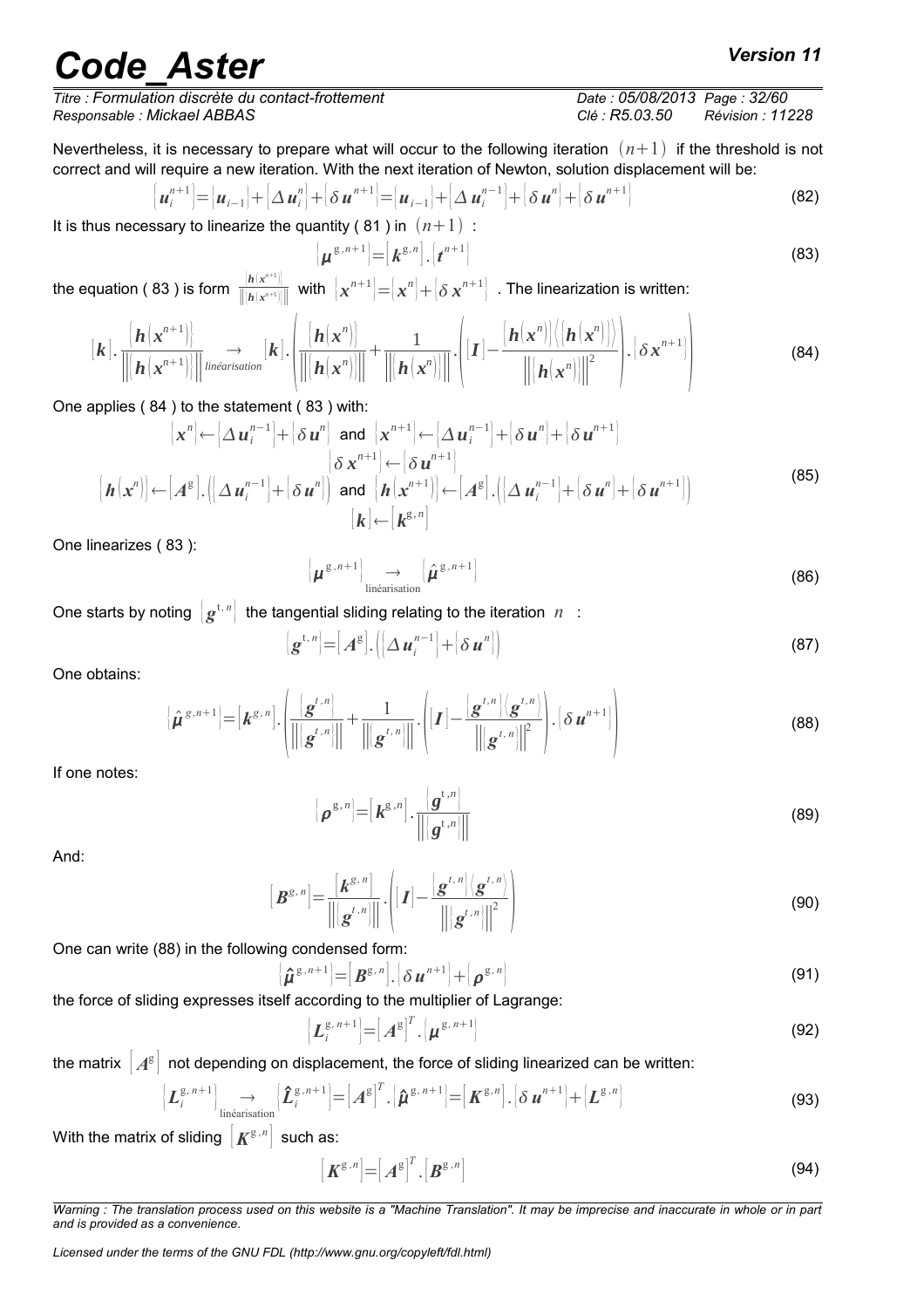*Titre : Formulation discrète du contact-frottement Date : 05/08/2013 Page : 32/60 Responsable : Mickael ABBAS Clé : R5.03.50 Révision : 11228*

<span id="page-31-2"></span><span id="page-31-1"></span>

Nevertheless, it is necessary to prepare what will occur to the following iteration  $(n+1)$  if the threshold is not correct and will require a new iteration. With the next iteration of Newton, solution displacement will be:

$$
\left[\boldsymbol{u}_{i}^{n+1}\right] = \left[\boldsymbol{u}_{i-1}\right] + \left[\Delta \boldsymbol{u}_{i}^{n}\right] + \left[\delta \boldsymbol{u}^{n+1}\right] = \left[\boldsymbol{u}_{i-1}\right] + \left[\Delta \boldsymbol{u}_{i}^{n-1}\right] + \left[\delta \boldsymbol{u}^{n}\right] + \left[\delta \boldsymbol{u}^{n+1}\right] \tag{82}
$$

It is thus necessary to linearize the quantity (81) in  $(n+1)$ :

$$
\left[\boldsymbol{\mu}^{\mathrm{g},n+1}\right] = \left[\boldsymbol{k}^{\mathrm{g},n}\right].\left[\boldsymbol{t}^{n+1}\right]
$$
\n(83)

the equation ( [83](#page-31-1) ) is form  $\frac{|h(x^{n+1})|}{\| |_{[h(x^{n+1})]}}$  $\frac{|n(x-1)|}{||n(x-1)||}$  with  $\left\{\frac{x^{n+1}}{2}\right\}=\left\{\frac{x^n}{2}\right\}+\left\{\delta \frac{x^{n+1}}{2}\right\}$ . The linearization is written:

$$
\begin{aligned}\n\left[\mathbf{k}\right].\frac{\left[\mathbf{h}\left(\mathbf{x}^{n+1}\right)\right]}{\left\|\left[\mathbf{h}\left(\mathbf{x}^{n+1}\right)\right\|\right]^{n\text{in\'{e}arisation}}}\n\left[\mathbf{k}\right].\n\left(\frac{\left[\mathbf{h}\left(\mathbf{x}^{n}\right)\right]}{\left\|\left[\mathbf{h}\left(\mathbf{x}^{n}\right)\right\|\right]} + \frac{1}{\left\|\left[\mathbf{h}\left(\mathbf{x}^{n}\right)\right\|\right]}\n\right]\n\left(\left[\mathbf{I}\right] - \frac{\left[\mathbf{h}\left(\mathbf{x}^{n}\right)\right]\left\langle\left[\mathbf{h}\left(\mathbf{x}^{n}\right)\right]\right\|}{\left\|\left[\mathbf{h}\left(\mathbf{x}^{n}\right)\right\|\right\|^{2}}\n\right).\n\left\{ \delta \mathbf{x}^{n+1}\right\}\n\end{aligned}\n\tag{84}
$$

One applies ( [84](#page-31-2) ) to the statement ( [83](#page-31-1) ) with:

$$
\begin{aligned}\n\left\{\mathbf{x}^{n}\right\} &\left\{\mathbf{A} \mathbf{u}_{i}^{n-1}\right\} + \left\{\delta \mathbf{u}^{n}\right\} \text{ and } \left\{\mathbf{x}^{n+1}\right\} \left\{\mathbf{A} \mathbf{u}_{i}^{n-1}\right\} + \left\{\delta \mathbf{u}^{n}\right\} + \left\{\delta \mathbf{u}^{n+1}\right\} \\
\left\{\delta \mathbf{x}^{n+1}\right\} &\left\{\delta \mathbf{x}^{n+1}\right\} \\
\left\{\mathbf{A} \mathbf{u}_{i}^{n}\right\} &\left\{\mathbf{A} \mathbf{u}_{i}^{n-1}\right\} + \left\{\delta \mathbf{u}^{n+1}\right\} \\
\left\{\mathbf{A} \mathbf{u}_{i}^{n-1}\right\} + \left\{\delta \mathbf{u}^{n+1}\right\} \\
\left\{\mathbf{A} \mathbf{u}_{i}^{n-1}\right\} &\left\{\mathbf{A} \mathbf{u}_{i}^{n-1}\right\} + \left\{\delta \mathbf{u}^{n+1}\right\} \\
\left\{\mathbf{A} \mathbf{u}_{i}^{n-1}\right\} + \left\{\delta \mathbf{u}^{n+1}\right\}\n\end{aligned}
$$
\n(85)

One linearizes ( [83](#page-31-1) ):

<span id="page-31-3"></span>
$$
\left\{ \boldsymbol{\mu}^{\mathsf{g},n+1} \right\} \underset{\text{lin\'eariisation}}{\rightarrow} \left\{ \hat{\boldsymbol{\mu}}^{\mathsf{g},n+1} \right\}
$$
 (86)

One starts by noting  $\left| g^{t,\,n} \right|$  the tangential sliding relating to the iteration  $\,n\,$  :

$$
\left[\mathbf{g}^{\mathrm{t},n}\right] = \left[\mathbf{A}^{\mathrm{g}}\right] \cdot \left(\left[\Delta \mathbf{u}_{i}^{n-1}\right] + \left[\delta \mathbf{u}^{n}\right]\right) \tag{87}
$$

One obtains:

$$
[\hat{\mu}^{g,n+1}]=[k^{g,n}].\left(\frac{|g^{t,n}|}{\| [g^{t,n}]\|}+\frac{1}{\| [g^{t,n}]\|}.\left([I]-\frac{|g^{t,n}|\langle g^{t,n}\rangle}{\| [g^{t,n}]\|^2}\right).\left\{\delta u^{n+1}\right\}\right)
$$
(88)

If one notes:

<span id="page-31-0"></span>
$$
\left\{\boldsymbol{\rho}^{\mathrm{g},n}\right\} = \left[\boldsymbol{k}^{\mathrm{g},n}\right].\frac{\left|\boldsymbol{g}^{\mathrm{t},n}\right|}{\left\|\left|\boldsymbol{g}^{\mathrm{t},n}\right|\right\|}
$$
(89)

And:

$$
\left[\boldsymbol{B}^{g,n}\right] = \frac{\left[\boldsymbol{k}^{g,n}\right]}{\left\|\left[\boldsymbol{g}^{t,n}\right]\right\|} \cdot \left(\left[\boldsymbol{I}\right] - \frac{\left[\boldsymbol{g}^{t,n}\right] \left\langle \boldsymbol{g}^{t,n}\right\rangle}{\left\|\left[\boldsymbol{g}^{t,n}\right]\right\|^2}\right) \tag{90}
$$

One can write [\(88\)](#page-31-0) in the following condensed form:

$$
\hat{\boldsymbol{\mu}}^{g,n+1} = [\boldsymbol{B}^{g,n}]. [\delta \boldsymbol{u}^{n+1}] + [\boldsymbol{\rho}^{g,n}]
$$
\n(91)

the force of sliding expresses itself according to the multiplier of Lagrange:

$$
\left[\boldsymbol{L}_{i}^{\mathrm{g},n+1}\right]=\left[\boldsymbol{A}^{\mathrm{g}}\right]^{T}.\left[\boldsymbol{\mu}^{\mathrm{g},n+1}\right]
$$
\n(92)

the matrix  $\left\vert A^{\text{g}}\right\vert$  not depending on displacement, the force of sliding linearized can be written:

$$
\left[\boldsymbol{L}_{i}^{\mathrm{g},n+1}\right]_{\text{lin\'eariisation}}\left[\boldsymbol{\hat{L}}_{i}^{\mathrm{g},n+1}\right]=\left[\boldsymbol{A}^{\mathrm{g}}\right]^{T}\cdot\left[\boldsymbol{\hat{\mu}}^{\mathrm{g},n+1}\right]=\left[\boldsymbol{K}^{\mathrm{g},n}\right]\cdot\left\{\delta\boldsymbol{u}^{n+1}\right]+\left[\boldsymbol{L}^{\mathrm{g},n}\right]
$$
\n(93)

With the matrix of sliding  $\left\lfloor K^{\mathrm{g},n}\right\rfloor$  such as:

$$
\left[\boldsymbol{K}^{\mathrm{g},n}\right]=\left[\boldsymbol{A}^{\mathrm{g}}\right]^{T}.\left[\boldsymbol{B}^{\mathrm{g},n}\right]
$$
\n(94)

*Warning : The translation process used on this website is a "Machine Translation". It may be imprecise and inaccurate in whole or in part and is provided as a convenience.*

*Licensed under the terms of the GNU FDL (http://www.gnu.org/copyleft/fdl.html)*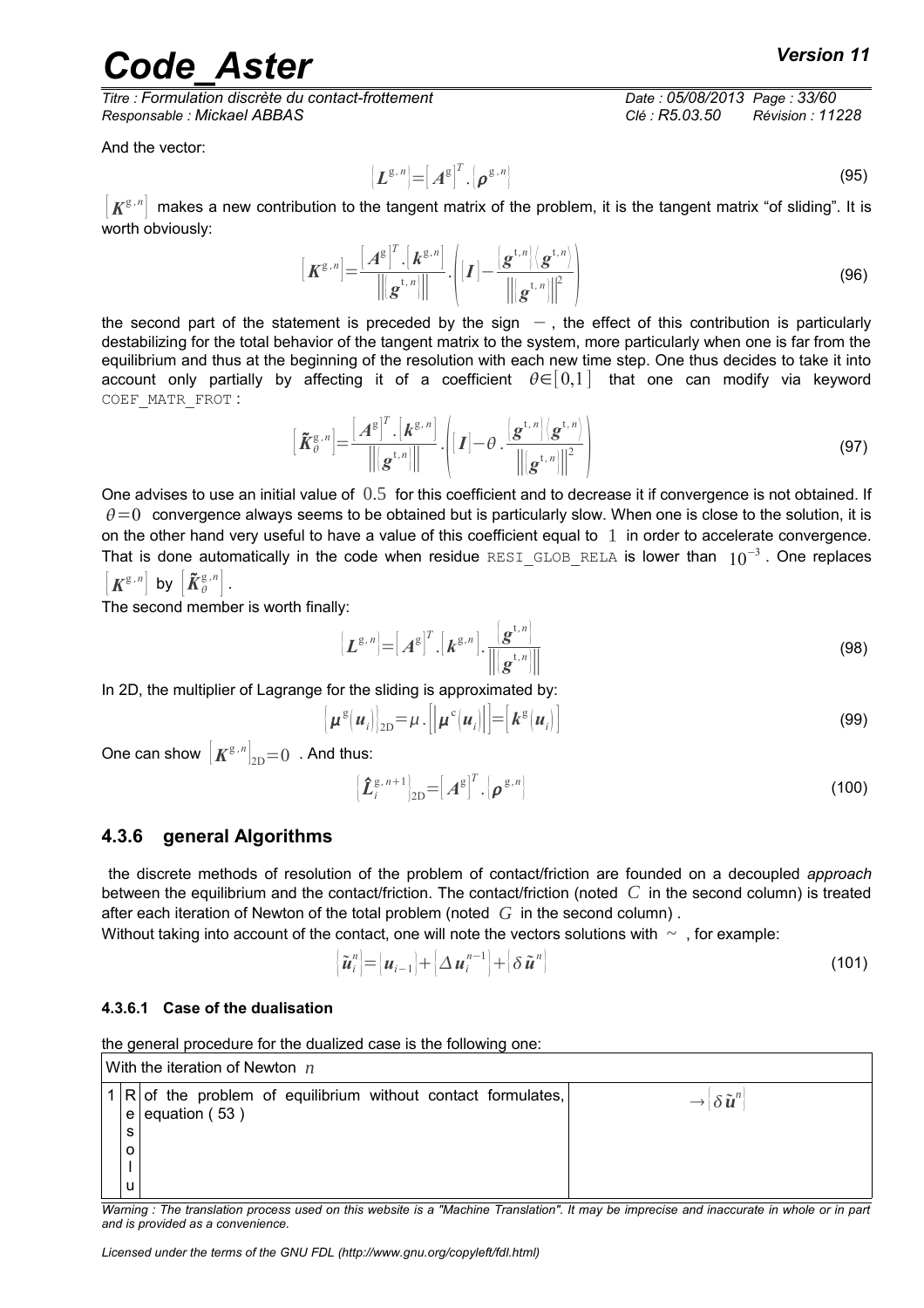*Titre : Formulation discrète du contact-frottement Date : 05/08/2013 Page : 33/60 Responsable : Mickael ABBAS Clé : R5.03.50 Révision : 11228*

And the vector:

$$
\left[\boldsymbol{L}^{\mathbf{g},n}\right]=\left[\boldsymbol{A}^{\mathbf{g}}\right]^T.\left[\boldsymbol{\rho}^{\mathbf{g},n}\right]
$$
\n(95)

 $\left[K^{\text{g},n}\right]$  makes a new contribution to the tangent matrix of the problem, it is the tangent matrix "of sliding". It is worth obviously:

$$
\left[\boldsymbol{K}^{\mathrm{g},n}\right] = \frac{\left[\boldsymbol{A}^{\mathrm{g}}\right]^T \cdot \left[\boldsymbol{k}^{\mathrm{g},n}\right]}{\left\|\left[\boldsymbol{g}^{\mathrm{t},n}\right]\right\|} \cdot \left(\left[\boldsymbol{I}\right] - \frac{\left[\boldsymbol{g}^{\mathrm{t},n}\right]\left\langle \boldsymbol{g}^{\mathrm{t},n}\right\rangle}{\left\|\left[\boldsymbol{g}^{\mathrm{t},n}\right]\right\|^2}\right) \tag{96}
$$

the second part of the statement is preceded by the sign  $-$ , the effect of this contribution is particularly destabilizing for the total behavior of the tangent matrix to the system, more particularly when one is far from the equilibrium and thus at the beginning of the resolution with each new time step. One thus decides to take it into account only partially by affecting it of a coefficient  $\theta \in [0,1]$  that one can modify via keyword COEF\_MATR\_FROT :

$$
\left[\widetilde{\boldsymbol{K}}_{\theta}^{\mathrm{g},n}\right] = \frac{\left[\boldsymbol{A}^{\mathrm{g}}\right]^{T}.\left[\boldsymbol{k}^{\mathrm{g},n}\right]}{\left\|\left[\boldsymbol{g}^{\mathrm{t},n}\right]\right\|}.\left(\left[\boldsymbol{I}\right]-\theta.\frac{\left[\boldsymbol{g}^{\mathrm{t},n}\right]\left\langle\boldsymbol{g}^{\mathrm{t},n}\right\rangle}{\left\|\left[\boldsymbol{g}^{\mathrm{t},n}\right]\right\|^{2}}\right)
$$
\n(97)

One advises to use an initial value of 0.5 for this coefficient and to decrease it if convergence is not obtained. If  $\theta$  = 0 convergence always seems to be obtained but is particularly slow. When one is close to the solution, it is on the other hand very useful to have a value of this coefficient equal to  $1$  in order to accelerate convergence. That is done automatically in the code when residue  $\texttt{RESI\_GLOB\_RELA}$  is lower than  $~10^{-3}$  . One replaces  $\left[ \boldsymbol{K}^{\mathrm{g}\, ,n} \right]$  by  $\left| \boldsymbol{\tilde{K}}_{\theta}^{\mathrm{g}} \right.$  $\left[\begin{array}{c} \frac{g}{\theta}, n \\ \theta \end{array}\right]$ .

The second member is worth finally:

$$
\left\{\boldsymbol{L}^{\mathbf{g},n}\right\} = \left[\boldsymbol{A}^{\mathbf{g}}\right]^T \cdot \left[\boldsymbol{k}^{\mathbf{g},n}\right] \cdot \frac{\left|\boldsymbol{g}^{\mathbf{t},n}\right|}{\left\|\left[\boldsymbol{g}^{\mathbf{t},n}\right]\right\|}
$$
\n(98)

In 2D, the multiplier of Lagrange for the sliding is approximated by:

$$
\left[\boldsymbol{\mu}^{\text{g}}(\boldsymbol{u}_{i})\right]_{\text{2D}} = \boldsymbol{\mu} \cdot \left[\left|\boldsymbol{\mu}^{\text{c}}(\boldsymbol{u}_{i})\right|\right] = \left[\boldsymbol{k}^{\text{g}}(\boldsymbol{u}_{i})\right]
$$
(99)

One can show  $\left[\textit{\textbf{K}}^{\mathrm{g},n}\right]_{\text{2D}}=0\;$  . And thus:

$$
\left[\hat{\boldsymbol{L}}_{i}^{\mathrm{g},n+1}\right]_{\mathrm{2D}}=\left[\boldsymbol{A}^{\mathrm{g}}\right]^{T}.\left[\boldsymbol{\rho}^{\mathrm{g},n}\right]
$$
\n(100)

#### <span id="page-32-0"></span>**4.3.6 general Algorithms**

the discrete methods of resolution of the problem of contact/friction are founded on a decoupled *approach* between the equilibrium and the contact/friction. The contact/friction (noted *C* in the second column) is treated after each iteration of Newton of the total problem (noted *G* in the second column) .

Without taking into account of the contact, one will note the vectors solutions with  $\sim$ , for example:

$$
\left\{\tilde{\boldsymbol{u}}_{i}^{n}\right\} = \left\{\boldsymbol{u}_{i-1}\right\} + \left\{\Delta \boldsymbol{u}_{i}^{n-1}\right\} + \left\{\delta \tilde{\boldsymbol{u}}^{n}\right\} \tag{101}
$$

#### **4.3.6.1 Case of the dualisation**

the general procedure for the dualized case is the following one:

|   | With the iteration of Newton $n$                                                        |                                    |
|---|-----------------------------------------------------------------------------------------|------------------------------------|
|   | $1 R $ of the problem of equilibrium without contact formulates,<br>$ e $ equation (53) | $\rightarrow  \delta \tilde{u}^n $ |
| s |                                                                                         |                                    |
|   |                                                                                         |                                    |
|   |                                                                                         |                                    |
| u |                                                                                         |                                    |

*Warning : The translation process used on this website is a "Machine Translation". It may be imprecise and inaccurate in whole or in part and is provided as a convenience.*

<span id="page-32-1"></span>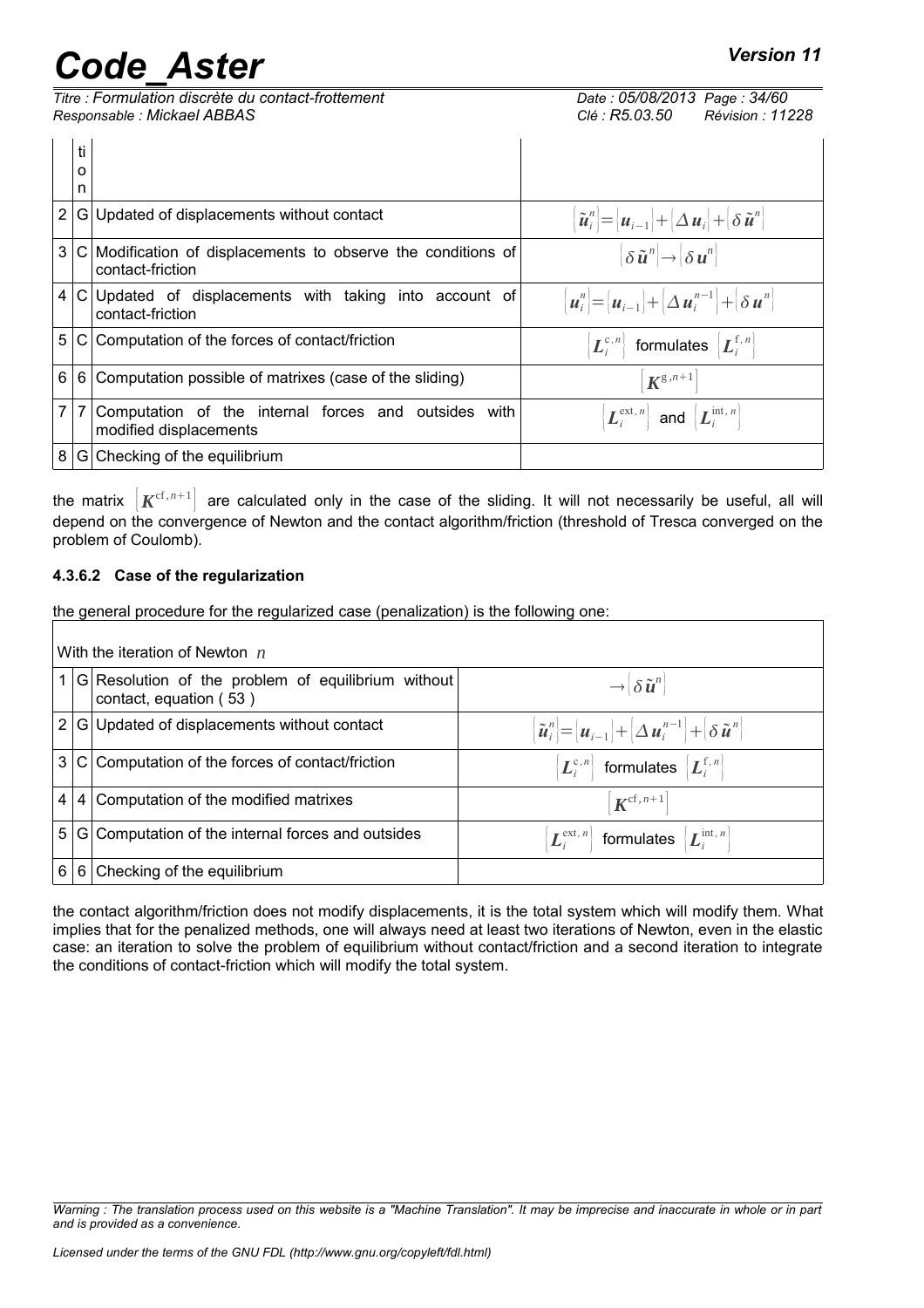*Titre : Formulation discrète du contact-frottement Date : 05/08/2013 Page : 34/60 Responsable : Mickael ABBAS Clé : R5.03.50 Révision : 11228* ti o n <sup>2</sup> <sup>G</sup> Updated of displacements without contact {*u <sup>i</sup>*  $\left| \mu \right| = |u_{i-1}| + |\Delta u_i| + |\delta \tilde{u}^n|$ } 3 C Modification of displacements to observe the conditions of contact-friction  $\delta \tilde{u}$ *n*  $\delta$ **u** *n* }  $4|C|$  Updated of displacements with taking into account of  $u_i$ <br>contact-friction  $\boldsymbol{u}^n$  $\left|=\left|{\bm{u}}_{i-1}\right|+\left|\Delta\,{\bm{u}}_{i}^{n-1}\right|\right|$  $|+|\delta u^n$ } 5 C Computation of the forces of contact/friction  $\boldsymbol{L}^{\mathrm{c},n}$ } formulates {*L<sup>i</sup>*  $\boldsymbol{L}^{\text{f}, n}$  $\mathbf{I}$ <sup>6</sup> <sup>6</sup> Computation possible of matrixes (case of the sliding) [ *K*  $K^{\mathsf{g},n+1}$  $\overline{ }$  $7 \mid 7 \mid$  Computation of the internal forces and outsides with  $\mid L_i$ <br>modified displacements  $L_i^{\text{ext}, n}$ } and {*L<sup>i</sup>*  $\left\{\n \begin{array}{c}\n \text{int}, n \\
 \text{i}\n \end{array}\n \right\}$  $8|G|$  Checking of the equilibrium

the matrix  $\left[ K^{cf.\,n+1} \right]$  are calculated only in the case of the sliding. It will not necessarily be useful, all will depend on the convergence of Newton and the contact algorithm/friction (threshold of Tresca converged on the problem of Coulomb).

#### <span id="page-33-0"></span>**4.3.6.2 Case of the regularization**

the general procedure for the regularized case (penalization) is the following one:

|                | With the iteration of Newton n |                                                                              |                                                                                                                                                                |  |  |
|----------------|--------------------------------|------------------------------------------------------------------------------|----------------------------------------------------------------------------------------------------------------------------------------------------------------|--|--|
|                |                                | G Resolution of the problem of equilibrium without<br>contact, equation (53) | $\rightarrow  \delta \tilde{u}^n $                                                                                                                             |  |  |
| $\overline{2}$ |                                | G Updated of displacements without contact                                   | $\left \left[\bm{\widetilde{u}}_{i}^{n}\right]\right =\left \bm{u}_{i-1}\right +\left \Delta\bm{u}_{i}^{n-1}\right +\left \delta\bm{\widetilde{u}}^{n}\right $ |  |  |
| 3              |                                | C Computation of the forces of contact/friction                              | $\left  \mathcal{L}^{\mathsf{c},n}_i \right $ formulates $\left  \mathcal{L}^{\mathsf{f},n}_i \right $                                                         |  |  |
| $\overline{4}$ |                                | 4 Computation of the modified matrixes                                       | $K^{\mathrm{cf},n+1}$                                                                                                                                          |  |  |
| 5              |                                | G Computation of the internal forces and outsides                            | formulates $ \mathbf{L}^{\text{int},n}_i $<br>$\left  \boldsymbol{L}^{\text{ext}, n}_{i} \right $                                                              |  |  |
| 6              |                                | 6 Checking of the equilibrium                                                |                                                                                                                                                                |  |  |

the contact algorithm/friction does not modify displacements, it is the total system which will modify them. What implies that for the penalized methods, one will always need at least two iterations of Newton, even in the elastic case: an iteration to solve the problem of equilibrium without contact/friction and a second iteration to integrate the conditions of contact-friction which will modify the total system.

*Warning : The translation process used on this website is a "Machine Translation". It may be imprecise and inaccurate in whole or in part and is provided as a convenience.*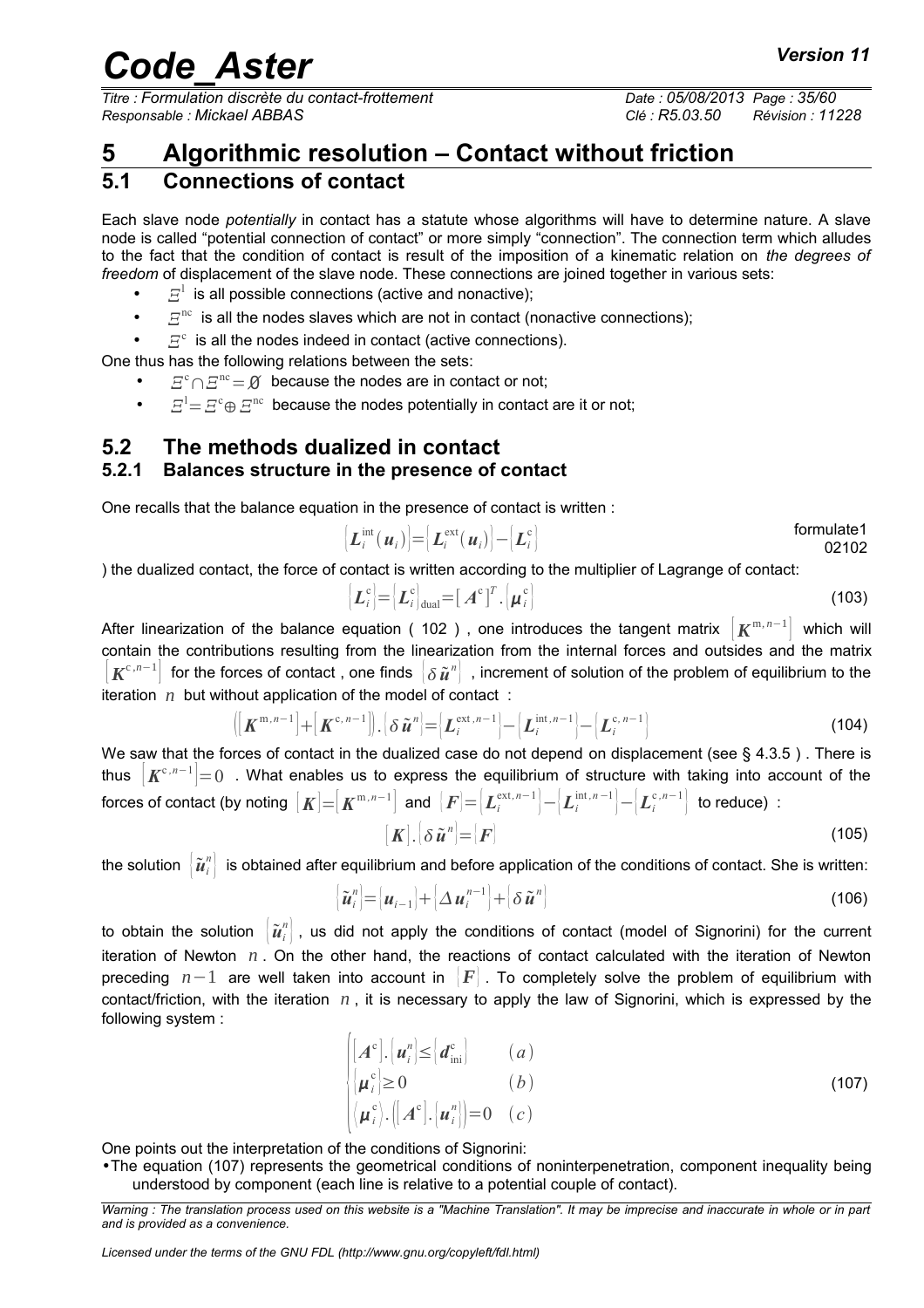*Titre : Formulation discrète du contact-frottement Date : 05/08/2013 Page : 35/60 Responsable : Mickael ABBAS Clé : R5.03.50 Révision : 11228*

<span id="page-34-5"></span>

### <span id="page-34-3"></span>**5 Algorithmic resolution – Contact without friction**

### <span id="page-34-2"></span>**5.1 Connections of contact**

Each slave node *potentially* in contact has a statute whose algorithms will have to determine nature. A slave node is called "potential connection of contact" or more simply "connection". The connection term which alludes to the fact that the condition of contact is result of the imposition of a kinematic relation on *the degrees of freedom* of displacement of the slave node. These connections are joined together in various sets:

- $E^1$  is all possible connections (active and nonactive);
- $E^{nc}$  is all the nodes slaves which are not in contact (nonactive connections);
- $E^c$  is all the nodes indeed in contact (active connections).

One thus has the following relations between the sets:

- $E^c \cap E^{nc} = \emptyset$  because the nodes are in contact or not;
- <span id="page-34-1"></span>•  $E^1 = E^c \oplus E^{nc}$  because the nodes potentially in contact are it or not;

#### <span id="page-34-0"></span>**5.2 The methods dualized in contact 5.2.1 Balances structure in the presence of contact**

One recalls that the balance equation in the presence of contact is written :

$$
\left[\mathbf{L}_i^{\text{int}}(\mathbf{u}_i)\right] = \left[\mathbf{L}_i^{\text{ext}}(\mathbf{u}_i)\right] - \left[\mathbf{L}_i^{\text{c}}\right] \tag{02102}
$$

) the dualized contact, the force of contact is written according to the multiplier of Lagrange of contact:

$$
\left[\boldsymbol{L}_{i}^{\mathrm{c}}\right]=\left[\boldsymbol{L}_{i}^{\mathrm{c}}\right]_{\mathrm{dual}}=\left[\boldsymbol{A}^{\mathrm{c}}\right]^{T}.\left|\boldsymbol{\mu}_{i}^{\mathrm{c}}\right| \tag{103}
$$

After linearization of the balance equation ( [102](#page-34-5) ), one introduces the tangent matrix  $|K^{\text{m},n-1}|$  which will contain the contributions resulting from the linearization from the internal forces and outsides and the matrix  $\left[K^{c,n-1}\right]$  for the forces of contact , one finds  $\left|\delta\,\tilde u^n\right|$  , increment of solution of the problem of equilibrium to the iteration *n* but without application of the model of contact :

$$
\left( \left[ \boldsymbol{K}^{\mathrm{m},n-1} \right] + \left[ \boldsymbol{K}^{\mathrm{c},n-1} \right] \right) . \left\{ \delta \ \tilde{\boldsymbol{u}}^n \right\} = \left[ \boldsymbol{L}_i^{\mathrm{ext},n-1} \right] - \left[ \boldsymbol{L}_i^{\mathrm{int},n-1} \right] - \left[ \boldsymbol{L}_i^{\mathrm{c},n-1} \right] \tag{104}
$$

We saw that the forces of contact in the dualized case do not depend on displacement (see  $\S$  4.3.5). There is thus  $\left| \bm{K}^{c,n-1} \right| {=} 0$  . What enables us to express the equilibrium of structure with taking into account of the forces of contact (by noting  $\left[$   $\bm{K}$   $\right] =$   $\left[$   $\bm{K}^{\text{m},n-1}\right]$  and  $\left[$   $\bm{F}$   $\right] =$   $\left[$   $\bm{L}^{\text{ext},n-1}_i\right]$   $\left[$   $\bm{L}^{\text{c},n-1}_i\right]$   $\left[$   $\bm{L}^{\text{c},n-1}_i\right]$  to reduce)  $:$ 

$$
[\boldsymbol{K}].[\delta\tilde{\boldsymbol{u}}^n] = [\boldsymbol{F}] \tag{105}
$$

the solution  $\|\tilde{\pmb{u}}_i^n\|$  is obtained after equilibrium and before application of the conditions of contact. She is written:

$$
\left[\tilde{\boldsymbol{u}}_{i}^{n}\right] = \left[\boldsymbol{u}_{i-1}\right] + \left[\Delta \boldsymbol{u}_{i}^{n-1}\right] + \left[\delta \tilde{\boldsymbol{u}}^{n}\right]
$$
\n(106)

to obtain the solution  $\big|\,\bm{\tilde{u}}_i^n\big|$  , us did not apply the conditions of contact (model of Signorini) for the current iteration of Newton *n* . On the other hand, the reactions of contact calculated with the iteration of Newton preceding *n*−1 are well taken into account in { *F*} . To completely solve the problem of equilibrium with contact/friction, with the iteration *n* , it is necessary to apply the law of Signorini, which is expressed by the following system :

<span id="page-34-4"></span>
$$
\begin{cases}\n[A^c], [u_i^n] \leq [d_{\text{ini}}^c] & (a) \\
\mu_i^c \geq 0 & (b) \\
\langle \mu_i^c \rangle \cdot [[A^c], [u_i^n]] = 0 & (c)\n\end{cases}
$$
\n(107)

One points out the interpretation of the conditions of Signorini:

•The equation [\(107\)](#page-34-4) represents the geometrical conditions of noninterpenetration, component inequality being understood by component (each line is relative to a potential couple of contact).

*Licensed under the terms of the GNU FDL (http://www.gnu.org/copyleft/fdl.html)*

*Warning : The translation process used on this website is a "Machine Translation". It may be imprecise and inaccurate in whole or in part and is provided as a convenience.*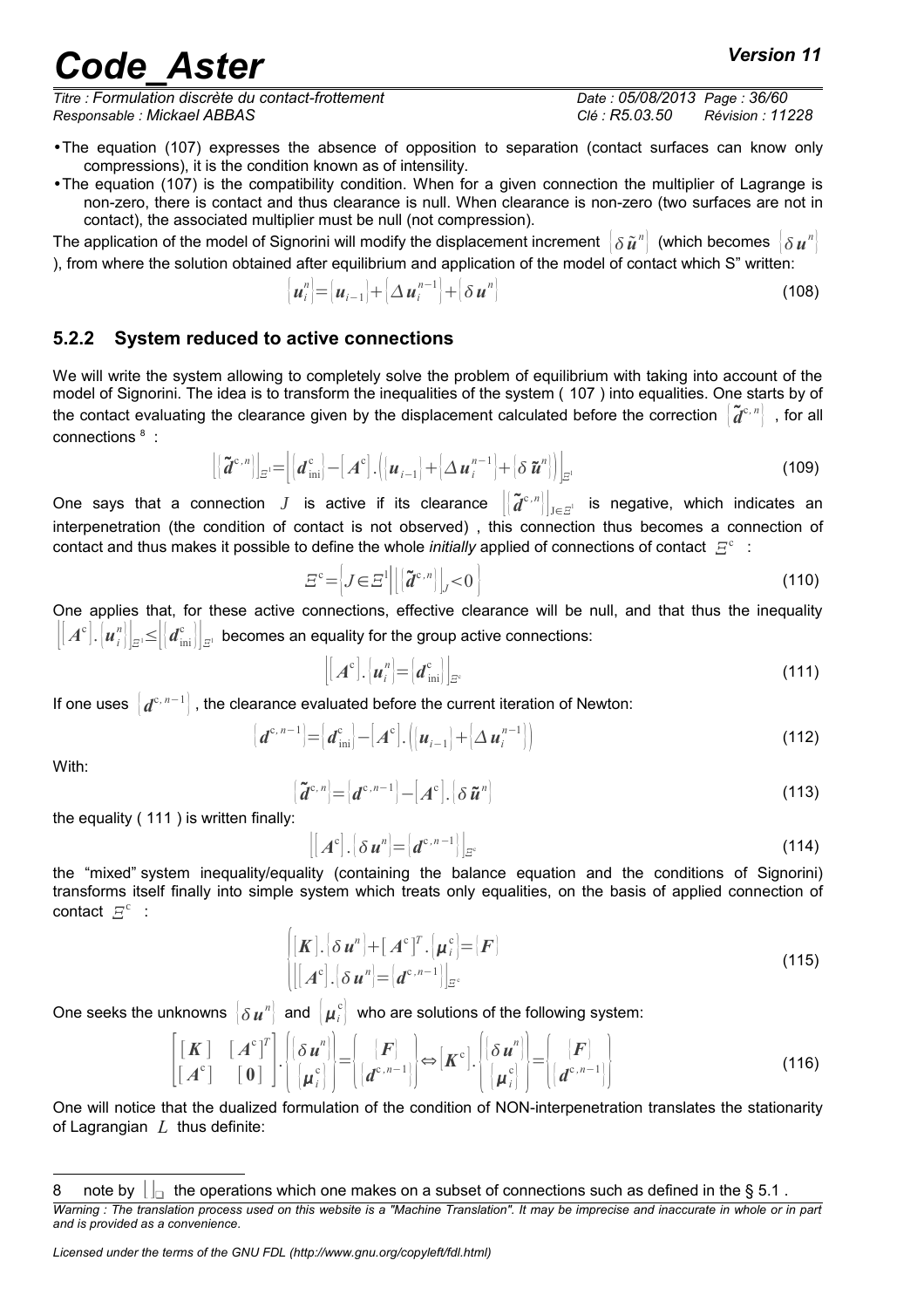*Titre : Formulation discrète du contact-frottement Date : 05/08/2013 Page : 36/60 Responsable : Mickael ABBAS Clé : R5.03.50 Révision : 11228*

- •The equation [\(107\)](#page-34-4) expresses the absence of opposition to separation (contact surfaces can know only compressions), it is the condition known as of intensility.
- •The equation [\(107\)](#page-34-4) is the compatibility condition. When for a given connection the multiplier of Lagrange is non-zero, there is contact and thus clearance is null. When clearance is non-zero (two surfaces are not in contact), the associated multiplier must be null (not compression).

The application of the model of Signorini will modify the displacement increment  $\ket{\delta \tilde{\pmb u}^n}$  (which becomes  $\ket{\delta \pmb u^n}$ ), from where the solution obtained after equilibrium and application of the model of contact which S" written:

$$
\left[\boldsymbol{u}_{i}^{n}\right] = \left[\boldsymbol{u}_{i-1}\right] + \left[\Delta\boldsymbol{u}_{i}^{n-1}\right] + \left[\delta\boldsymbol{u}^{n}\right]
$$
\n(108)

#### <span id="page-35-0"></span>**5.2.2 System reduced to active connections**

We will write the system allowing to completely solve the problem of equilibrium with taking into account of the model of Signorini. The idea is to transform the inequalities of the system ( [107](#page-34-4) ) into equalities. One starts by of the contact evaluating the clearance given by the displacement calculated before the correction  $\,\left[\,\bm{\widetilde d}^{c,\,n}\right]\,$  , for all connections<sup>[8](#page-35-2)</sup>:

$$
\left\| \left[ \tilde{\boldsymbol{d}}^{c,n} \right]_{\mathcal{Z}} \right\| = \left\| \left[ \boldsymbol{d}_{\text{ini}}^{c} \right] - \left[ \boldsymbol{A}^{c} \right] \left[ \left\| \boldsymbol{u}_{i-1} \right\| + \left[ \Delta \boldsymbol{u}_{i}^{n-1} \right] + \left[ \delta \boldsymbol{\tilde{u}}^{n} \right] \right] \right\|_{\mathcal{Z}^{1}}
$$
\n(109)

One says that a connection  $J$  is active if its clearance  $\big| \big| \tilde d^{c_-,n} \big| \big]_{J\in E^1}$  is negative, which indicates an interpenetration (the condition of contact is not observed) , this connection thus becomes a connection of contact and thus makes it possible to define the whole *initially* applied of connections of contact  $|E^c|$ :

$$
\mathbf{E}^{\mathbf{c}} = \left\{ J \in \mathbf{E}^{\mathbf{l}} \middle| \left\| \left[ \tilde{\boldsymbol{d}}^{\mathbf{c},n} \right] \right|_{J} < 0 \right\} \tag{110}
$$

One applies that, for these active connections, effective clearance will be null, and that thus the inequality  $\big\|A^\mathsf{c}\big], [u_i^n]\big\|_{\Xi^1} \leq \big\|d_\text{ini}^\mathsf{c}\big\|_{\Xi^1}$  becomes an equality for the group active connections:

<span id="page-35-1"></span>
$$
\left[ \left[ A^c \right], \left[ \boldsymbol{u}_i^n \right] = \left[ \boldsymbol{d}_{\text{ini}}^c \right] \right]_{\boldsymbol{\Xi}^c} \tag{111}
$$

If one uses  $|d^{\mathfrak{c},n-1}|$  , the clearance evaluated before the current iteration of Newton:

$$
\left[\boldsymbol{d}^{c,n-1}\right] = \left[\boldsymbol{d}_{\text{ini}}^{c}\right] - \left[\boldsymbol{A}^{c}\right] \cdot \left(\left[\boldsymbol{u}_{i-1}\right] + \left[\boldsymbol{\Delta} \boldsymbol{u}_{i}^{n-1}\right]\right) \tag{112}
$$

With:

$$
[\tilde{\boldsymbol{d}}^{c,n}]=[\boldsymbol{d}^{c,n-1}]-[\boldsymbol{A}^{c}].[\delta\tilde{\boldsymbol{u}}^{n}]
$$
\n(113)

the equality ( [111](#page-35-1) ) is written finally:

<span id="page-35-3"></span>
$$
\left[ \left[ A^{c} \right], \left\{ \delta u^{n} \right\} = \left[ d^{c, n-1} \right] \right]_{\Xi^{c}}
$$
\n(114)

the "mixed" system inequality/equality (containing the balance equation and the conditions of Signorini) transforms itself finally into simple system which treats only equalities, on the basis of applied connection of contact  $E^{\text{c}}$  :

$$
\begin{aligned}\n\left\lbrack \left[\boldsymbol{K}\right].\left\{\delta \boldsymbol{u}^{n}\right\rbrack+\left[\boldsymbol{A}^{c}\right]^{T}.\left|\boldsymbol{\mu}_{i}^{c}\right\rbrack=\left[\boldsymbol{F}\right] \\
\left\lbrack\left[\boldsymbol{A}^{c}\right].\left\lbrack\delta \boldsymbol{u}^{n}\right\rbrack=\left[\boldsymbol{d}^{c,n-1}\right]\right]_{\Xi^{c}}\n\end{aligned}
$$
\n(115)

One seeks the unknowns  $\left[\delta\textit{\textbf{u}}^n\right]$  and  $\left|\boldsymbol{\mu}_i^{\,\text{c}}\right|$  who are solutions of the following system:

$$
\begin{bmatrix} [\boldsymbol{K}] & [\boldsymbol{A}^c]^T \\ [\boldsymbol{A}^c] & [\boldsymbol{0}] \end{bmatrix} \cdot \begin{bmatrix} [\delta \boldsymbol{u}^n] \\ [\boldsymbol{\mu}_i^c] \end{bmatrix} = \begin{bmatrix} [\boldsymbol{F}] \\ [\boldsymbol{d}^{c,n-1}] \end{bmatrix} \Leftrightarrow [\boldsymbol{K}^c] \cdot \begin{bmatrix} [\delta \boldsymbol{u}^n] \\ [\boldsymbol{\mu}_i^c] \end{bmatrix} = \begin{bmatrix} [\boldsymbol{F}] \\ [\boldsymbol{d}^{c,n-1}] \end{bmatrix}
$$
(116)

One will notice that the dualized formulation of the condition of NON-interpenetration translates the stationarity of Lagrangian *L* thus definite:

<span id="page-35-2"></span><sup>8</sup> note by  $\vert \cdot \vert$  the operations which one makes on a subset of connections such as defined in the § [5.1](#page-34-2). *Warning : The translation process used on this website is a "Machine Translation". It may be imprecise and inaccurate in whole or in part and is provided as a convenience.*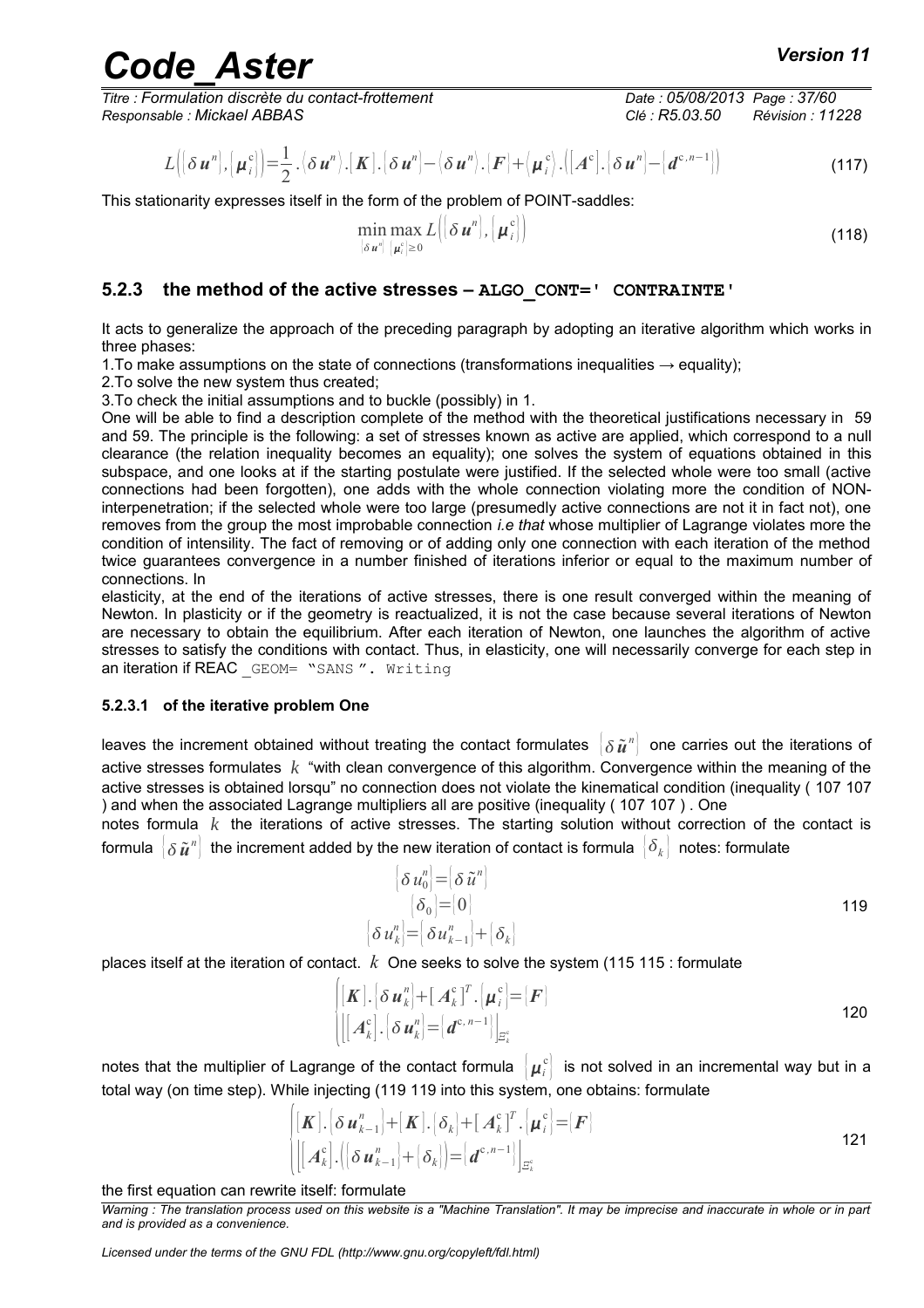*Titre : Formulation discrète du contact-frottement Date : 05/08/2013 Page : 37/60 Responsable : Mickael ABBAS Clé : R5.03.50 Révision : 11228*

$$
L([\delta u^n], [u_i^c]) = \frac{1}{2} \cdot \langle \delta u^n \rangle . [\boldsymbol{K}]. [\delta u^n] - \langle \delta u^n \rangle . [\boldsymbol{F}] + \langle \mu_i^c \rangle . [[A^c]. [\delta u^n] - [d^{c,n-1}]] \qquad (117)
$$

This stationarity expresses itself in the form of the problem of POINT-saddles:

$$
\min_{\left[\delta\boldsymbol{u}^n\right]}\max_{\left[\boldsymbol{\mu}_i^c\right]\geq 0} L\left(\left[\delta\boldsymbol{u}^n\right],\left[\boldsymbol{\mu}_i^c\right]\right) \tag{118}
$$

#### <span id="page-36-0"></span>**5.2.3 the method of the active stresses – ALGO\_CONT=' CONTRAINTE'**

It acts to generalize the approach of the preceding paragraph by adopting an iterative algorithm which works in three phases:

1. To make assumptions on the state of connections (transformations inequalities  $\rightarrow$  equality);

2.To solve the new system thus created;

3.To check the initial assumptions and to buckle (possibly) in 1.

One will be able to find a description complete of the method with the theoretical justifications necessary in [59](#page-58-3) and [59.](#page-58-2) The principle is the following: a set of stresses known as active are applied, which correspond to a null clearance (the relation inequality becomes an equality); one solves the system of equations obtained in this subspace, and one looks at if the starting postulate were justified. If the selected whole were too small (active connections had been forgotten), one adds with the whole connection violating more the condition of NONinterpenetration; if the selected whole were too large (presumedly active connections are not it in fact not), one removes from the group the most improbable connection *i.e that* whose multiplier of Lagrange violates more the condition of intensility. The fact of removing or of adding only one connection with each iteration of the method twice guarantees convergence in a number finished of iterations inferior or equal to the maximum number of connections. In

elasticity, at the end of the iterations of active stresses, there is one result converged within the meaning of Newton. In plasticity or if the geometry is reactualized, it is not the case because several iterations of Newton are necessary to obtain the equilibrium. After each iteration of Newton, one launches the algorithm of active stresses to satisfy the conditions with contact. Thus, in elasticity, one will necessarily converge for each step in an iteration if REAC GEOM= "SANS". Writing

#### <span id="page-36-2"></span>**5.2.3.1 of the iterative problem One**

leaves the increment obtained without treating the contact formulates  $\|\delta\tilde{\pmb{u}}^n\|$  one carries out the iterations of active stresses formulates *k* "with clean convergence of this algorithm. Convergence within the meaning of the active stresses is obtained lorsqu" no connection does not violate the kinematical condition (inequality ( 107 [107](#page-34-4) ) and when the associated Lagrange multipliers all are positive (inequality ( 107 [107](#page-34-4) ) . One

notes formula *k* the iterations of active stresses. The starting solution without correction of the contact is formula  $\,|\,\delta\,\tilde{\pmb{u}}^n|\,$  the increment added by the new iteration of contact is formula  $\,|\,\delta_k\,|$  notes: formulate

<span id="page-36-1"></span>
$$
\begin{aligned}\n\{\delta u_0^n\} &= [\delta \tilde{u}^n] \\
\{\delta_0\} &= [0] \\
\delta u_k^n\} &= [\delta u_{k-1}^n] + [\delta_k]\n\end{aligned}
$$
\n119

places itself at the iteration of contact. *k* One seeks to solve the system (115 [115](#page-35-3) : formulate

$$
\begin{cases}\n[\boldsymbol{K}]. \left\{\delta \boldsymbol{u}_{k}^{n}\right\} + \left[\boldsymbol{A}_{k}^{c}\right]^{T}. \left[\boldsymbol{\mu}_{i}^{c}\right] = \left[\boldsymbol{F}\right] \\
\left[\left[\boldsymbol{A}_{k}^{c}\right]. \left\{\delta \boldsymbol{u}_{k}^{n}\right\} = \left(\boldsymbol{d}^{c.n-1}\right)\right]_{\Xi_{k}^{c}}\n\end{cases}
$$
\n120

notes that the multiplier of Lagrange of the contact formula  $\, \big| \mu_i^{\rm c} \big| \,$  is not solved in an incremental way but in a total way (on time step). While injecting (119 [119](#page-36-1) into this system, one obtains: formulate

$$
\begin{aligned}\n\left\{\begin{bmatrix}\n\boldsymbol{K}\n\end{bmatrix}\n\cdot \left\{\delta \boldsymbol{u}_{k-1}^{n}\right\} + \left[\boldsymbol{K}\n\end{bmatrix}\n\cdot \left\{\delta_{k}\right\} + \left[\boldsymbol{A}_{k}^{c}\right]^{T}\n\cdot \left[\boldsymbol{\mu}_{i}^{c}\right] = \left[\boldsymbol{F}\right] \\
\left\{\n\left[\boldsymbol{A}_{k}^{c}\right]\n\cdot \left(\left\{\delta \boldsymbol{u}_{k-1}^{n}\right\} + \left\{\delta_{k}\right\}\right)\n\right] = \left[\boldsymbol{d}^{c,n-1}\right]\n\right\}_{\Xi_{k}^{c}}\n\end{aligned}
$$

the first equation can rewrite itself: formulate

*Warning : The translation process used on this website is a "Machine Translation". It may be imprecise and inaccurate in whole or in part and is provided as a convenience.*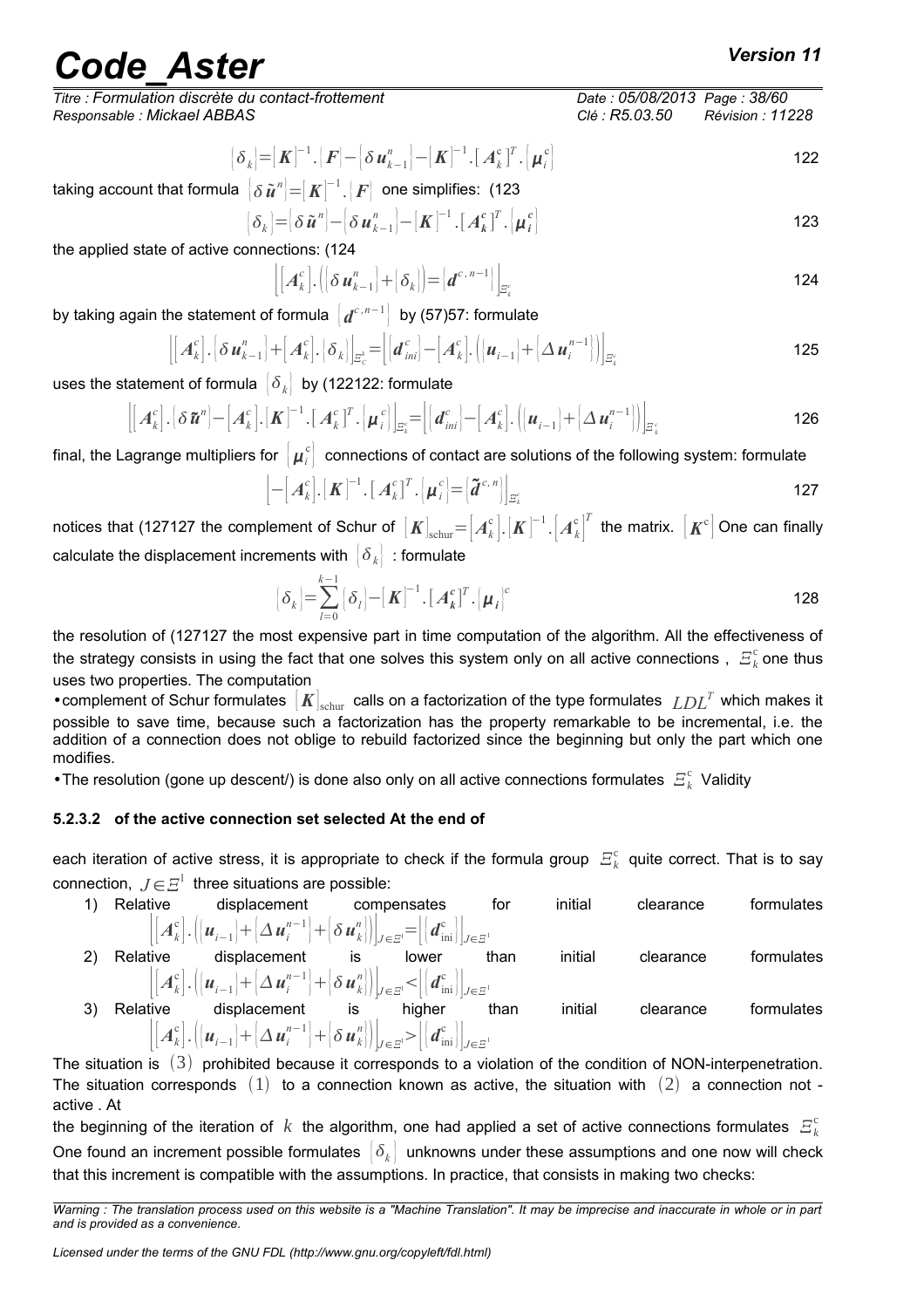*Titre : Formulation discrète du contact-frottement Date : 05/08/2013 Page : 38/60 Responsable : Mickael ABBAS Clé : R5.03.50 Révision : 11228*

$$
\left[\delta_k\right] = \left[\mathbf{K}\right]^{-1} \cdot \left[\mathbf{F}\right] - \left[\delta \mathbf{u}_{k-1}^n\right] - \left[\mathbf{K}\right]^{-1} \cdot \left[\mathbf{A}_k^c\right]^T \cdot \left[\mathbf{\mu}_i^c\right]
$$

taking account that formula  $\left[\delta\, \tilde{\pmb{u}}^n\right] =$   $\left[K\right]^{-1}.$   $\left[F\right]$  one simplifies: <code>(123</code>

$$
\left\{\delta_k\right\} = \left\{\delta \tilde{\boldsymbol{u}}^n\right\} - \left\{\delta \boldsymbol{u}_{k-1}^n\right\} - \left[\boldsymbol{K}\right]^{-1} \cdot \left[\boldsymbol{A}_k^c\right]^T \cdot \left[\boldsymbol{\mu}_i^c\right] \tag{123}
$$

the applied state of active connections: (124

<span id="page-37-1"></span>
$$
\left\lbrack\left\lbrack A_k^c\right\rbrack,\left\lbrack\left\lbrack \delta u_{k-1}^n\right\rbrack+\left\lbrack \delta_k\right\rbrack\right\rbrack=\left\lbrack d^{c,n-1}\right\rbrack\right\rbrack_{\mathcal{E}_k^c}
$$
 124

by taking again the statement of formula  $\left| d^{\varepsilon,n-1} \right|$  by (57[\)57:](#page-26-1) formulate

$$
\left\[\left[\boldsymbol{A}_{k}^{c}\right],\left[\boldsymbol{\delta}\boldsymbol{u}_{k-1}^{n}\right]+\left[\boldsymbol{A}_{k}^{c}\right],\left[\boldsymbol{\delta}_{k}\right]\right\]_{\mathcal{B}_{c}^{k}}=\left[\left[\boldsymbol{d}_{ini}^{c}\right]-\left[\boldsymbol{A}_{k}^{c}\right],\left(\left[\boldsymbol{u}_{i-1}\right]+\left[\boldsymbol{\Delta}\boldsymbol{u}_{i}^{n-1}\right]\right)\right]_{\mathcal{B}_{k}^{c}}
$$
\n
$$
\qquad \qquad \mathbf{125}
$$

uses the statement of formula  $\|\delta_k\|$  by (12[2122:](#page-37-1) formulate

$$
\left\[\left[\boldsymbol{A}_{k}^{c}\right],\left[\delta\boldsymbol{\tilde{u}}^{n}\right]-\left[\boldsymbol{A}_{k}^{c}\right],\left[\boldsymbol{K}\right]^{-1},\left[\boldsymbol{A}_{k}^{c}\right]^{T},\left[\boldsymbol{\mu}_{i}^{c}\right]\right\]_{\mathcal{Z}_{k}^{c}}=\left[\left\{\boldsymbol{d}_{ini}^{c}\right\}-\left[\boldsymbol{A}_{k}^{c}\right],\left(\left[\boldsymbol{u}_{i-1}\right]+\left[\Delta\boldsymbol{u}_{i}^{n-1}\right]\right)\right\]_{\mathcal{Z}_{k}^{c}}
$$
\n126

final, the Lagrange multipliers for  $\big\lvert\mu_i^c\big\rvert$  connections of contact are solutions of the following system: formulate

$$
\left[-\left[\boldsymbol{A}_{k}^{c}\right],\left[\boldsymbol{K}\right]^{-1},\left[\boldsymbol{A}_{k}^{c}\right]^{T},\left[\boldsymbol{\mu}_{i}^{c}\right]=\left[\boldsymbol{\tilde{d}}^{c,n}\right]\right]_{\Xi_{k}^{c}}
$$
\n127

notices that (12[7127](#page-37-0) the complement of Schur of  $\ [{\bm K}]_{\rm schur}\!\!=\!\!{\bigl[{\bm A}_k^{\rm c}\bigr]}.{\bigl[{\bm K}\bigr]}^{-1}.{\bigl[{\bm A}_k^{\rm c}\bigr]}$  $^{\mathcal{T}}$  the matrix.  $\left[\boldsymbol{K}^{\mathrm{c}}\right]$  One can finally calculate the displacement increments with  $|\delta_k|$ : formulate

<span id="page-37-0"></span>
$$
\left\{\delta_k\right\} = \sum_{l=0}^{k-1} \left[\delta_l\right] - \left[\boldsymbol{K}\right]^{-1} \cdot \left[\boldsymbol{A}_k^c\right]^T \cdot \left[\boldsymbol{\mu}_i\right]^c \tag{128}
$$

the resolution of (12[7127](#page-37-0) the most expensive part in time computation of the algorithm. All the effectiveness of the strategy consists in using the fact that one solves this system only on all active connections ,  $\,E_k^{\rm c}$  one thus uses two properties. The computation

• complement of Schur formulates  $[K]_{\text{schur}}$  calls on a factorization of the type formulates  $LDL^T$  which makes it possible to save time, because such a factorization has the property remarkable to be incremental, i.e. the addition of a connection does not oblige to rebuild factorized since the beginning but only the part which one modifies.

• The resolution (gone up descent/) is done also only on all active connections formulates  $E_k^c$  Validity

#### **5.2.3.2 of the active connection set selected At the end of**

each iteration of active stress, it is appropriate to check if the formula group  $|E^{\rm c}_k|$  quite correct. That is to say connection,  $J \in \varXi^1$  three situations are possible:

1) Relative displacement compensates for initial clearance formulates  $\left\lvert \left\lbrack A^{\mathsf{c}}_k \right\rbrack . \left\lvert \left\lbrack \bm{u}_{i-1} \right\rbrack + \left\lbrack \Delta\,\bm{u}_{i}^{n-1} \right\rbrack \right\rvert + \left\lvert \delta\,\bm{u}_{k}^{n} \right\rvert \right\rvert \right\rvert_{J\in\Xi^1} = \left\lvert \left\lvert \bm{d}_{\text{ini}}^{\mathsf{c}} \right\rvert \right\rvert_{J\in\Xi^1}$ 2) Relative displacement is lower than initial clearance formulates  $\left\lvert \left\lbrack A^{\mathsf{c}}_k \right\rbrack . \left\lvert \left\lbrack \bm{u}_{i-1} \right\rbrack + \left\lbrack \Delta\ \bm{u}^{n-1}_i \right\rbrack + \left\lbrack \delta\ \bm{u}^{n}_k \right\rbrack \right\rvert \right\rvert_{J \in \Xi^1} < \left\lvert \left\lbrack \bm{d}^{\mathsf{c}}_{\text{ini}} \right\rbrack \right\rvert_{J \in \Xi^1}$ 3) Relative displacement is higher than initial clearance formulates  $\left\lvert \left\lbrack A^{\mathsf{c}}_k \right\rbrack . \left\lvert \left\lbrack \bm{u}_{i-1} \right\rbrack + \left\lbrack \Delta\ \bm{u}^{n-1}_i \right\rbrack + \left\lbrack \delta\ \bm{u}^{n}_k \right\rbrack \right\rvert \right\rvert_{J \in \Xi^1} > \left\lvert \left\lbrack \bm{d}^{\mathsf{c}}_{\text{ini}} \right\rbrack \right\rvert_{J \in \Xi^1}$ 

The situation is  $(3)$  prohibited because it corresponds to a violation of the condition of NON-interpenetration. The situation corresponds  $(1)$  to a connection known as active, the situation with  $(2)$  a connection not active . At

the beginning of the iteration of  $|k|$  the algorithm, one had applied a set of active connections formulates  $|E^c_k\rangle$ One found an increment possible formulates  $\delta_k$  unknowns under these assumptions and one now will check that this increment is compatible with the assumptions. In practice, that consists in making two checks:

*Warning : The translation process used on this website is a "Machine Translation". It may be imprecise and inaccurate in whole or in part and is provided as a convenience.*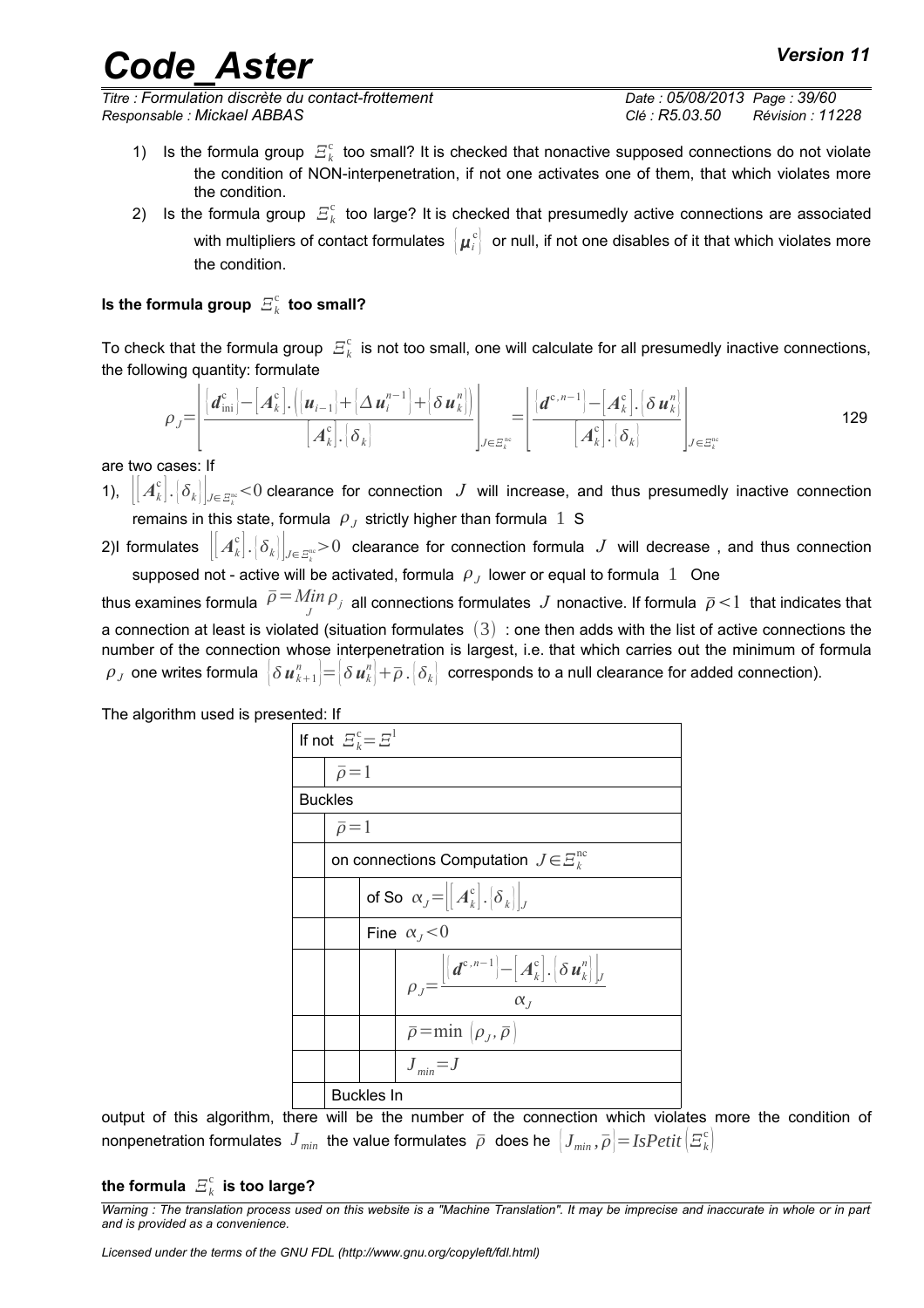*Titre : Formulation discrète du contact-frottement Date : 05/08/2013 Page : 39/60 Responsable : Mickael ABBAS Clé : R5.03.50 Révision : 11228*

- 1) Is the formula group  $E_k^c$  too small? It is checked that nonactive supposed connections do not violate the condition of NON-interpenetration, if not one activates one of them, that which violates more the condition.
- 2) Is the formula group  $|E^c_k|$  too large? It is checked that presumedly active connections are associated with multipliers of contact formulates  $\, \big| \, \mu_i^\circ \big| \,$  or null, if not one disables of it that which violates more the condition.

### Is the formula group  $\left|E_k^{\text{c}}\right|$  too small?

To check that the formula group  $|E^\text{c}_k|$  is not too small, one will calculate for all presumedly inactive connections, the following quantity: formulate

$$
\rho_J = \left[ \frac{\left| \left\{ d_{\rm ini}^{\rm c} \right\} - \left[ A_{k}^{\rm c} \right] \cdot \left| \left( \boldsymbol{u}_{i-1} \right) + \left[ \Delta \boldsymbol{u}_{i}^{n-1} \right] + \left[ \delta \boldsymbol{u}_{k}^{n} \right] \right|}{\left[ A_{k}^{\rm c} \right] \cdot \left[ \delta_{k} \right]} \right]_{J \in \Xi_{k}^{\rm nc}} = \left[ \frac{\left| \left\{ d^{\rm c, n-1} \right\} - \left[ A_{k}^{\rm c} \right] \cdot \left[ \delta \boldsymbol{u}_{k}^{n} \right] \right|}{\left[ A_{k}^{\rm c} \right] \cdot \left[ \delta_{k} \right]} \right]_{J \in \Xi_{k}^{\rm nc}} \tag{129}
$$

are two cases: If

1),  $\left\|A_k^c\right|$ . $\left[\delta_k\right]\right]_{J\in\mathbb{Z}_k^{nc}}$  clearance for connection  $J$  will increase, and thus presumedly inactive connection remains in this state, formula  $\rho_{J}$  strictly higher than formula 1 S

2)I formulates  $\big\|A_k^c\big\|.\big\delta_k\big\|_{J\in E_k^{nc}}{>}0\;$  clearance for connection formula  $|J|$  will decrease , and thus connection supposed not - active will be activated, formula  $\rho_J$  lower or equal to formula  $\ket{1}$  One

thus examines formula  $\bar\rho$   $=$   $Min\,\rho_j$  all connections formulates  $J$  nonactive. If formula  $\,\bar\rho$   $<$   $1\,$  that indicates that a connection at least is violated (situation formulates  $(3)$ : one then adds with the list of active connections the number of the connection whose interpenetration is largest, i.e. that which carries out the minimum of formula  $\rho_J$  one writes formula  $\left|\delta\,\pmb{u}^n_{k+1}\right| = \left|\delta\,\pmb{u}^n_k\right| + \overline{\rho}$  .  $\left|\delta_k\right|$  corresponds to a null clearance for added connection).

The algorithm used is presented: If

| If not $E_k^c = E^1$ |                       |                   |                                                                                                                    |
|----------------------|-----------------------|-------------------|--------------------------------------------------------------------------------------------------------------------|
|                      | $\bar{\rho} = 1$      |                   |                                                                                                                    |
|                      | <b>Buckles</b>        |                   |                                                                                                                    |
|                      | $\overline{\rho} = 1$ |                   |                                                                                                                    |
|                      |                       |                   | on connections Computation $J \in \mathbb{E}^{\text{nc}}_k$                                                        |
|                      |                       |                   | of So $\alpha_{J} =   A_{k}^{c}  . \delta_{k}  _{J}$                                                               |
|                      |                       |                   | Fine $\alpha_{I} < 0$                                                                                              |
|                      |                       |                   | $\rho_J = \frac{\left  \left(d^{c,n-1}\right) - \left[A_k^c\right].\left(\delta u_k^n\right] \right]_J}{\alpha_J}$ |
|                      |                       |                   | $\bar{\rho}$ =min $(\rho_J, \bar{\rho})$                                                                           |
|                      |                       |                   | $J_{min} = J$                                                                                                      |
|                      |                       | <b>Buckles In</b> |                                                                                                                    |

output of this algorithm, there will be the number of the connection which violates more the condition of nonpenetration formulates  $\,J_{\,min}\,$  the value formulates  $\,\bar{\rho}\,$  does he  $\, \bigl|J_{\,min}\, , \overline{\rho}\,\bigl| = IsPetit\bigl( \overline{E}_k^{\,c}\bigr)$ 

the formula  $\vert \varXi_k^{\mathrm{c}} \vert$  is too large?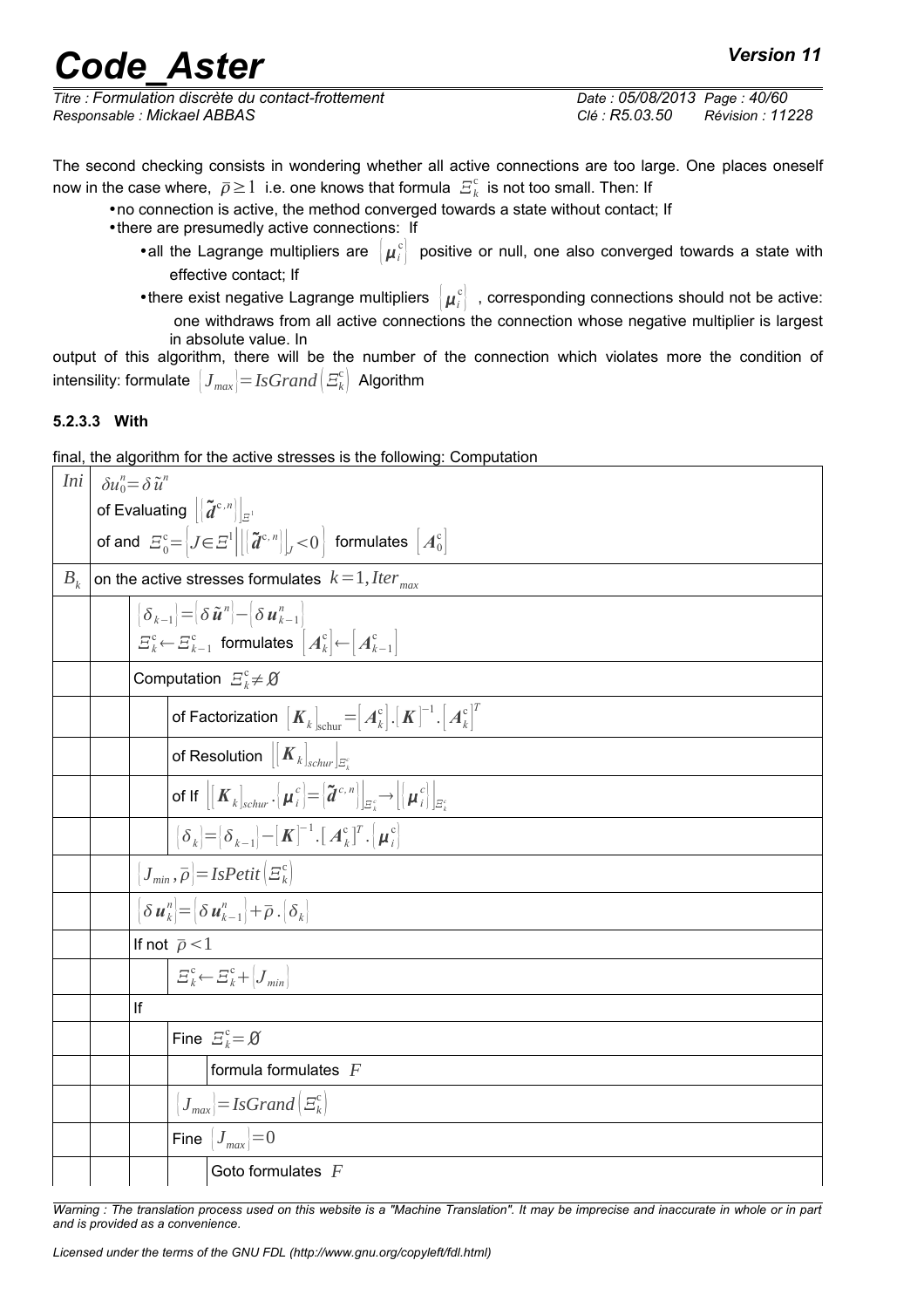*Titre : Formulation discrète du contact-frottement Date : 05/08/2013 Page : 40/60 Responsable : Mickael ABBAS Clé : R5.03.50 Révision : 11228*

The second checking consists in wondering whether all active connections are too large. One places oneself now in the case where,  $\vert \bar \rho \geq 1 \vert$  i.e. one knows that formula  $\vert E^{\mathrm{c}}_k \vert$  is not too small. Then: If

•no connection is active, the method converged towards a state without contact; If

•there are presumedly active connections: If

- •all the Lagrange multipliers are  $| \mu_i^c |$  positive or null, one also converged towards a state with effective contact; If
- •there exist negative Lagrange multipliers  $| \mu_i^c |$ , corresponding connections should not be active: one withdraws from all active connections the connection whose negative multiplier is largest in absolute value. In

output of this algorithm, there will be the number of the connection which violates more the condition of intensility: formulate  $\left\vert J_{max}\right\vert =IsGrand\bigl( \it{\Xi}_{k}^{c}\bigr)$  Algorithm

#### **5.2.3.3 With**

final, the algorithm for the active stresses is the following: Computation

| Ini     | $\delta u_0^n = \delta \tilde{u}^n$                                                                                                                                        |                                                                                                                                                                                                                                                    |  |  |  |
|---------|----------------------------------------------------------------------------------------------------------------------------------------------------------------------------|----------------------------------------------------------------------------------------------------------------------------------------------------------------------------------------------------------------------------------------------------|--|--|--|
|         | of Evaluating $  \tilde{d}^{\mathrm{c},n}  _{\pi^1}$                                                                                                                       |                                                                                                                                                                                                                                                    |  |  |  |
|         |                                                                                                                                                                            | of and $E_0^c =  J \in E^1  [\tilde{d}^{c,n}] _J < 0$ formulates $ A_0^c $                                                                                                                                                                         |  |  |  |
| $B_{k}$ |                                                                                                                                                                            | on the active stresses formulates $k=1$ , Iter $_{max}$                                                                                                                                                                                            |  |  |  |
|         |                                                                                                                                                                            | $\left[\delta_{k-1}\right] = \left[\delta \tilde{u}^n\right] - \left[\delta u_{k-1}^n\right]$<br>$E_k^c \leftarrow E_{k-1}^c$ formulates $ A_k^c  \leftarrow  A_{k-1}^c $                                                                          |  |  |  |
|         |                                                                                                                                                                            | Computation $E_k^c \neq \emptyset$                                                                                                                                                                                                                 |  |  |  |
|         |                                                                                                                                                                            | of Factorization $\begin{bmatrix} \boldsymbol{K}_k \end{bmatrix}_{\rm{cdn}} = \begin{bmatrix} \boldsymbol{A}_k^{\rm{c}} \end{bmatrix} \begin{bmatrix} \boldsymbol{K} \end{bmatrix}^{-1} \begin{bmatrix} \boldsymbol{A}_k^{\rm{c}} \end{bmatrix}^T$ |  |  |  |
|         |                                                                                                                                                                            | of Resolution $\left\  \boldsymbol{K}_k \right\vert_{schur} \vert_{E^c}$                                                                                                                                                                           |  |  |  |
|         |                                                                                                                                                                            | of If $\left\ K_{k}\right _{schur}$ , $\left \mu_{i}^{c}\right  = \left \tilde{d}^{c,n}\right _{\mathbb{H}^{c}} \rightarrow \left \left \mu_{i}^{c}\right \right _{\mathbb{H}^{c}}$                                                                |  |  |  |
|         | $\left\{\delta_k\right\} = \left\{\delta_{k-1}\right\} - \left[\boldsymbol{K}\right]^{-1} \cdot \left[\boldsymbol{A}_k^c\right]^T \cdot \left[\boldsymbol{\mu}_i^c\right]$ |                                                                                                                                                                                                                                                    |  |  |  |
|         | $\left\{ \left. J_{min},\overline{\rho}\right\} \right\} =I$ s $P$ etit $\left( \Xi_{k}^{c}\right)$                                                                        |                                                                                                                                                                                                                                                    |  |  |  |
|         | $\left[\delta u_k^n\right] = \left[\delta u_{k-1}^n\right] + \overline{\rho}$ . $\left[\delta_k\right]$                                                                    |                                                                                                                                                                                                                                                    |  |  |  |
|         |                                                                                                                                                                            | If not $\bar{\rho}$ < 1                                                                                                                                                                                                                            |  |  |  |
|         |                                                                                                                                                                            | $E_{k}^{\mathrm{c}} \leftarrow E_{k}^{\mathrm{c}} +  J_{min} $                                                                                                                                                                                     |  |  |  |
|         | If                                                                                                                                                                         |                                                                                                                                                                                                                                                    |  |  |  |
|         |                                                                                                                                                                            | Fine $E_k^c = \emptyset$                                                                                                                                                                                                                           |  |  |  |
|         |                                                                                                                                                                            | formula formulates $F$                                                                                                                                                                                                                             |  |  |  |
|         |                                                                                                                                                                            |                                                                                                                                                                                                                                                    |  |  |  |
|         |                                                                                                                                                                            | Fine $ J_{max} =0$                                                                                                                                                                                                                                 |  |  |  |
|         |                                                                                                                                                                            | Goto formulates $F$                                                                                                                                                                                                                                |  |  |  |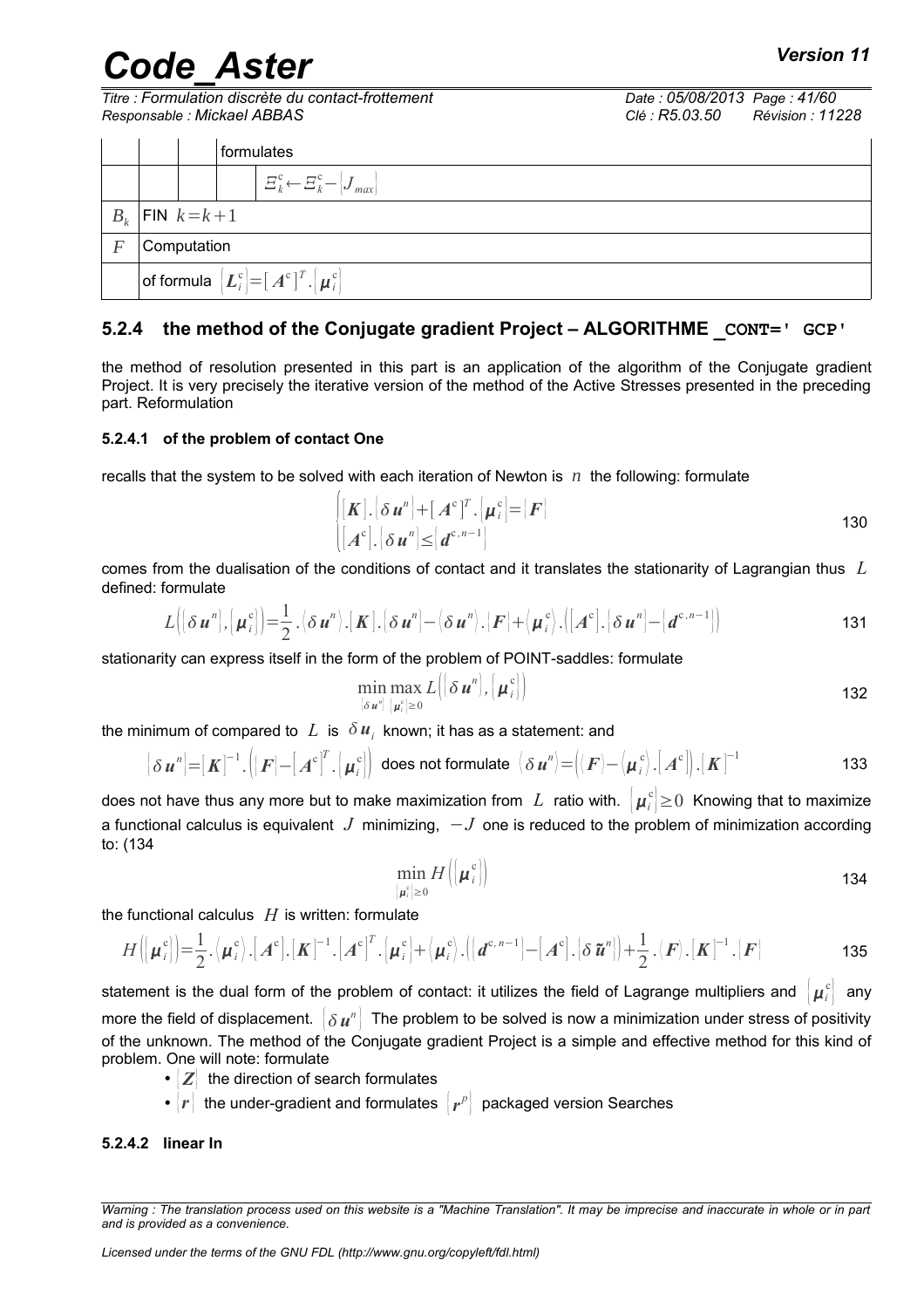*Titre : Formulation discrète du contact-frottement Date : 05/08/2013 Page : 41/60 Responsable : Mickael ABBAS Clé : R5.03.50 Révision : 11228*

|          |                   | formulates                                                                                                                                  |  |
|----------|-------------------|---------------------------------------------------------------------------------------------------------------------------------------------|--|
|          |                   | $E_k^c \leftarrow E_k^c - \left J_{max}\right $                                                                                             |  |
|          | $B_k$ FIN $k=k+1$ |                                                                                                                                             |  |
| $\bm{F}$ | Computation       |                                                                                                                                             |  |
|          |                   | of formula $\left[\boldsymbol{L}_{i}^{\mathrm{c}}\right]{=}[ \boldsymbol{A}^{\mathrm{c}}]^T.\left \boldsymbol{\mu}_{i}^{\mathrm{c}}\right $ |  |

#### <span id="page-40-0"></span>**5.2.4** the method of the Conjugate gradient Project – ALGORITHME CONT=' GCP'

the method of resolution presented in this part is an application of the algorithm of the Conjugate gradient Project. It is very precisely the iterative version of the method of the Active Stresses presented in the preceding part. Reformulation

#### **5.2.4.1 of the problem of contact One**

recalls that the system to be solved with each iteration of Newton is *n* the following: formulate

$$
\begin{cases}\n[K] \cdot [\delta \boldsymbol{u}^n] + [A^c]^T \cdot [\boldsymbol{\mu}_i^c] = [F] \\
[A^c] \cdot [\delta \boldsymbol{u}^n] \leq [d^{c,n-1}]\n\end{cases}
$$
\n130

comes from the dualisation of the conditions of contact and it translates the stationarity of Lagrangian thus *L* defined: formulate

$$
L([\delta u^n], [u_i^c]) = \frac{1}{2} \cdot \langle \delta u^n \rangle . [\boldsymbol{K}]. [\delta u^n] - \langle \delta u^n \rangle . [\boldsymbol{F}] + \langle \mu_i^c \rangle . [[A^c]. [\delta u^n] - [d^{c,n-1}]] \qquad (131)
$$

stationarity can express itself in the form of the problem of POINT-saddles: formulate

$$
\min_{\left|\delta u^{n}\right|}\max_{\left|\mu_{i}^{c}\right|\geq0}L\left(\left|\delta u^{n}\right|,\left|\mu_{i}^{c}\right|\right)
$$

the minimum of compared to L is  $\delta u_i$  known; it has as a statement: and

$$
\left[\delta \mathbf{u}^{n}\right] = \left[\mathbf{K}\right]^{-1} \cdot \left(\left[\mathbf{F}\right] - \left[\mathbf{A}^{c}\right]^{T} \cdot \left[\mathbf{\mu}_{i}^{c}\right]\right) \text{ does not formulate } \left\langle \delta \mathbf{u}^{n}\right\rangle = \left(\left\langle \mathbf{F}\right\rangle - \left\langle \mathbf{\mu}_{i}^{c}\right\rangle \cdot \left[\mathbf{A}^{c}\right]\right) \cdot \left[\mathbf{K}\right]^{-1}
$$

does not have thus any more but to make maximization from  $|L|$  ratio with.  $\left|\bm{\mu}_i^{\text{c}}\right|\!\geq\!0\;$  Knowing that to maximize a functional calculus is equivalent *J* minimizing, −*J* one is reduced to the problem of minimization according to: (134

$$
\min_{|\mu_i^c| \ge 0} H(|\mu_i^c|)
$$
 134

the functional calculus *H* is written: formulate

$$
H([\mu_i^c]) = \frac{1}{2} \cdot \langle \mu_i^c \rangle .[\mathbf{A}^c] .[\mathbf{K}]^{-1} .[\mathbf{A}^c]^T .[\mu_i^c] + \langle \mu_i^c \rangle .([\mathbf{d}^{c, n-1}] - [\mathbf{A}^c] .[\delta \ \tilde{\mathbf{u}}^n]) + \frac{1}{2} .\langle \mathbf{F} \rangle .[\mathbf{K}]^{-1} .[\mathbf{F}]
$$
 135

statement is the dual form of the problem of contact: it utilizes the field of Lagrange multipliers and  $\;\big|\;\mu^{\mathrm{c}}_i\;\:$ any more the field of displacement.  $\,|\,\delta\,u^n|\,$  The problem to be solved is now a minimization under stress of positivity of the unknown. The method of the Conjugate gradient Project is a simple and effective method for this kind of problem. One will note: formulate

- $\cdot$   $\mathbb{Z}$  the direction of search formulates
- $[r]$  the under-gradient and formulates  $|r^p|$  packaged version Searches

#### **5.2.4.2 linear In**

*Warning : The translation process used on this website is a "Machine Translation". It may be imprecise and inaccurate in whole or in part and is provided as a convenience.*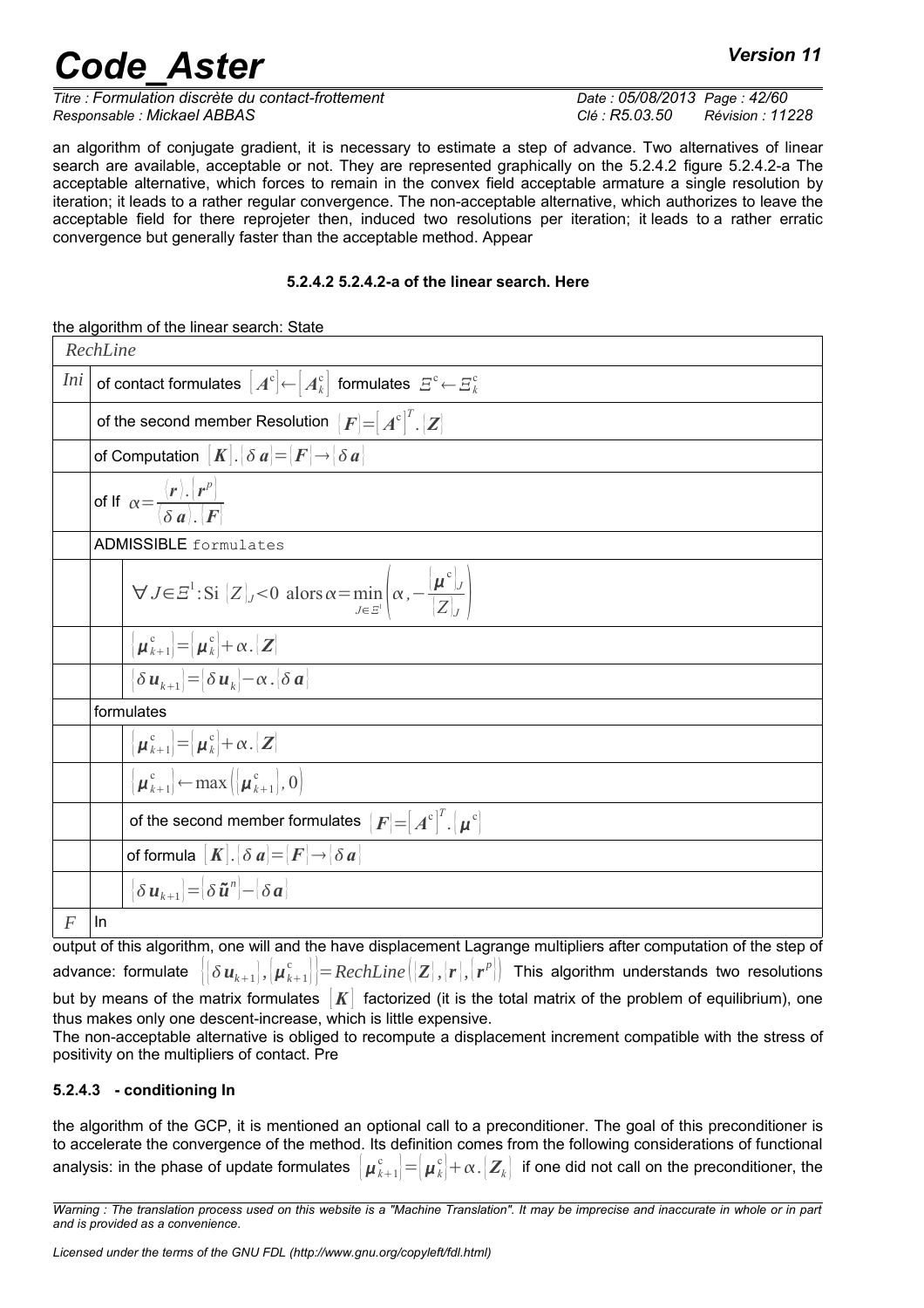*Titre : Formulation discrète du contact-frottement Date : 05/08/2013 Page : 42/60 Responsable : Mickael ABBAS Clé : R5.03.50 Révision : 11228*

an algorithm of conjugate gradient, it is necessary to estimate a step of advance. Two alternatives of linear search are available, acceptable or not. They are represented graphically on the 5.2.4.2 figure [5.2.4.2-a](#page-41-0) The acceptable alternative, which forces to remain in the convex field acceptable armature a single resolution by iteration; it leads to a rather regular convergence. The non-acceptable alternative, which authorizes to leave the acceptable field for there reprojeter then, induced two resolutions per iteration; it leads to a rather erratic convergence but generally faster than the acceptable method. Appear

#### <span id="page-41-0"></span>**5.2.4.2 5.2.4.2-a of the linear search. Here**

the algorithm of the linear search: State

|                  | RechLine                                                                                                                                                  |                                                                                                                                             |  |
|------------------|-----------------------------------------------------------------------------------------------------------------------------------------------------------|---------------------------------------------------------------------------------------------------------------------------------------------|--|
|                  | <i>Ini</i>   of contact formulates $[A^c] \leftarrow [A^c_k]$ formulates $E^c \leftarrow E^c_k$                                                           |                                                                                                                                             |  |
|                  |                                                                                                                                                           | of the second member Resolution $\left[\boldsymbol{F} \!=\!\left[\boldsymbol{A}^{\mathrm{c}}\right]^{T}.\left \boldsymbol{Z}\right \right]$ |  |
|                  |                                                                                                                                                           | of Computation $[K]$ . $[\delta a]=[F]\rightarrow[\delta a]$                                                                                |  |
|                  | of If $\alpha = \frac{\langle \mathbf{r} \rangle \cdot \langle \mathbf{r}^p \rangle}{\langle \delta \mathbf{a} \rangle \cdot \langle \mathbf{F} \rangle}$ |                                                                                                                                             |  |
|                  |                                                                                                                                                           | <b>ADMISSIBLE</b> formulates                                                                                                                |  |
|                  |                                                                                                                                                           | $\forall J \in \Xi^1 : \text{Si } [Z]_J < 0 \text{ alors } \alpha = \min_{J \in \Xi^1} \left( \alpha, -\frac{ \mu^c _J}{[Z]_J} \right)$     |  |
|                  |                                                                                                                                                           | $\left[\mu_{k+1}^{c}\right]=\left[\mu_{k}^{c}\right]+\alpha.\left[\mathbf{Z}\right]$                                                        |  |
|                  |                                                                                                                                                           | $\left \delta u_{k+1}\right  = \left \delta u_k\right  - \alpha \cdot \left \delta a\right $                                                |  |
|                  |                                                                                                                                                           | formulates                                                                                                                                  |  |
|                  |                                                                                                                                                           | $\left\{\mu_{k+1}^{\rm c}\right\} = \left\{\mu_k^{\rm c}\right\} + \alpha$ . $\left\{Z\right\}$                                             |  |
|                  |                                                                                                                                                           | $\left[\mu_{k+1}^{c}\right]\leftarrow \max\left(\left[\mu_{k+1}^{c}\right],0\right)$                                                        |  |
|                  |                                                                                                                                                           | of the second member formulates $\left  F \right  = \left  A^c \right ^T \left  \mu^c \right $                                              |  |
|                  |                                                                                                                                                           | of formula $[\boldsymbol{K}],[\delta\textbf{ a}]{=}[{\boldsymbol{F}}]{\rightarrow}[\delta\textbf{ a}]$                                      |  |
|                  |                                                                                                                                                           | $\delta u_{k+1} = \delta \tilde{u}^{n} - \delta a$                                                                                          |  |
| $\boldsymbol{F}$ | In                                                                                                                                                        |                                                                                                                                             |  |

output of this algorithm, one will and the have displacement Lagrange multipliers after computation of the step of advance: formulate  $\, \big| \{\delta \, \pmb{u}_{k+1}\big|, \big| \pmb{\mu}_{k+1}^{\mathsf{c}}\big| \big| \! =\! RechLine\big([{\pmb{Z}}], [r], \big| \pmb{r}^p\big| \big) \,$  This algorithm understands two resolutions but by means of the matrix formulates  $|K|$  factorized (it is the total matrix of the problem of equilibrium), one thus makes only one descent-increase, which is little expensive.

The non-acceptable alternative is obliged to recompute a displacement increment compatible with the stress of positivity on the multipliers of contact. Pre

#### **5.2.4.3 - conditioning In**

the algorithm of the GCP, it is mentioned an optional call to a preconditioner. The goal of this preconditioner is to accelerate the convergence of the method. Its definition comes from the following considerations of functional analysis: in the phase of update formulates  $\big\lvert\mu^{\,\rm c}_{k+1}\big\rvert=\big\lvert\mu^{\,\rm c}_k\big\rvert+\alpha$  .  $[Z_k]$  if one did not call on the preconditioner, the

*Warning : The translation process used on this website is a "Machine Translation". It may be imprecise and inaccurate in whole or in part and is provided as a convenience.*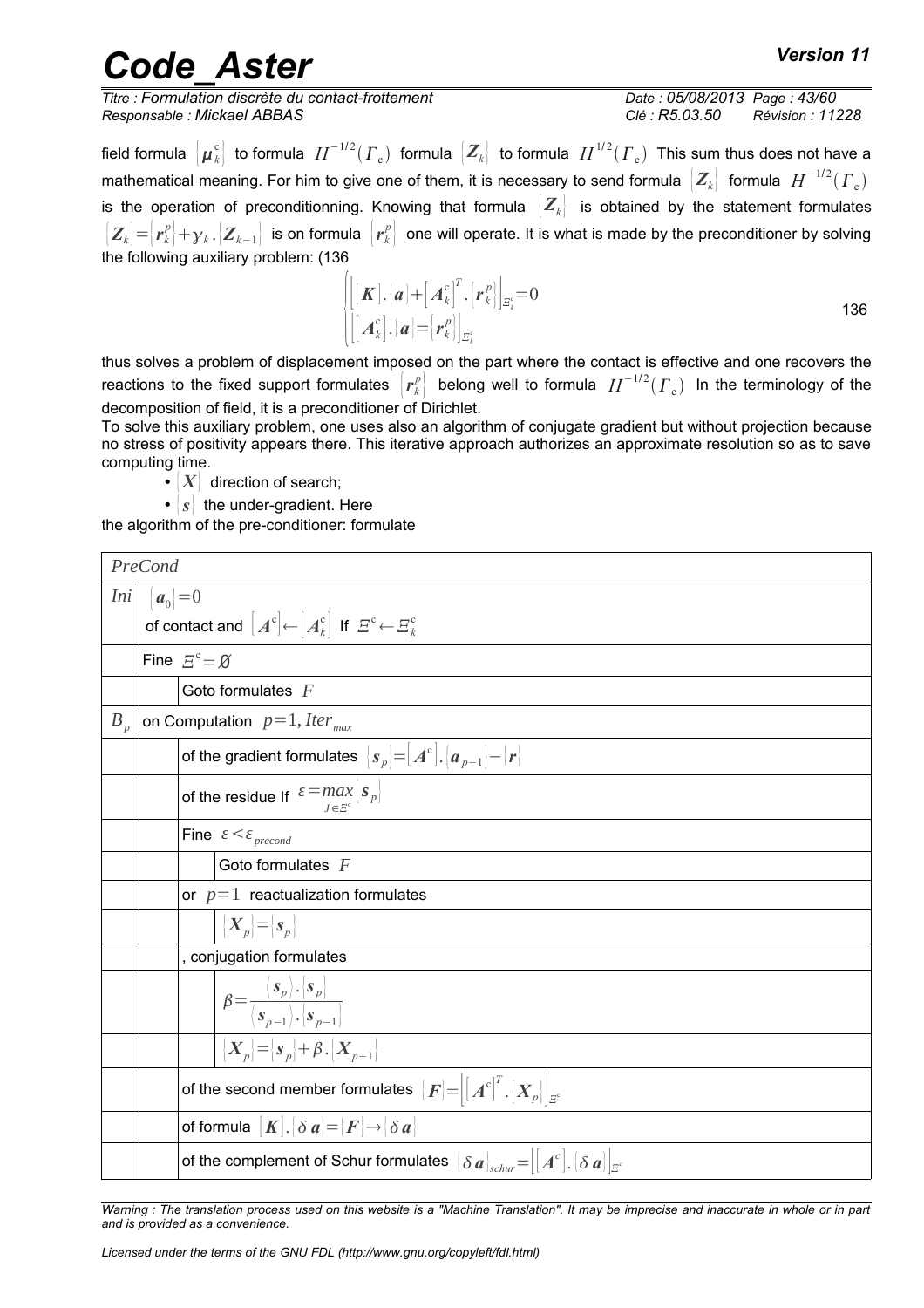*Titre : Formulation discrète du contact-frottement Date : 05/08/2013 Page : 43/60 Responsable : Mickael ABBAS Clé : R5.03.50 Révision : 11228*

field formula  $\big|\bm{\mu}_k^{\rm c}\big|$  to formula  $H^{-1/2}(\varGamma_{\rm c})$  formula  $\big|\bm{Z}_k\big|$  to formula  $\,H^{1/2}(\varGamma_{\rm c})\,$  This sum thus does not have a mathematical meaning. For him to give one of them, it is necessary to send formula  $\,\left[\bm Z_k\right]\,$  formula  $\,H^{-1/2}(\,\Gamma_{\rm c})\,$ is the operation of preconditionning. Knowing that formula  $|Z_k|$  is obtained by the statement formulates  $\bm{Z}_k\!\!=\!\!\left[r^p_k\!\right]\!+\!\gamma_k$  . $\left[\bm{Z}_{k-1}\right]$  is on formula  $\left[r^p_k\right]$  one will operate. It is what is made by the preconditioner by solving the following auxiliary problem: (136

$$
\begin{aligned}\n\left\| \left[ \boldsymbol{K} \right] . \left[ \boldsymbol{a} \right] + \left[ \boldsymbol{A}_{k}^{\mathrm{c}} \right]^{T} \left[ \boldsymbol{r}_{k}^{p} \right] \right\|_{\mathcal{E}_{k}^{\mathrm{c}}} = 0 \\
\left\| \left[ \boldsymbol{A}_{k}^{\mathrm{c}} \right] . \left[ \boldsymbol{a} \right] = \left[ \boldsymbol{r}_{k}^{p} \right] \right\|_{\mathcal{E}_{k}^{\mathrm{c}}} \n\end{aligned}
$$

thus solves a problem of displacement imposed on the part where the contact is effective and one recovers the reactions to the fixed support formulates  $\left|r_k^p\right|$  belong well to formula  $\,H^{-1/2}(\varGamma_{\rm c})\,$  In the terminology of the decomposition of field, it is a preconditioner of Dirichlet.

To solve this auxiliary problem, one uses also an algorithm of conjugate gradient but without projection because no stress of positivity appears there. This iterative approach authorizes an approximate resolution so as to save computing time.

- $|X|$  direction of search;
- $\cdot$   $\{s\}$  the under-gradient. Here

the algorithm of the pre-conditioner: formulate

|       | PreCond   |                                                                                                                                                                       |  |
|-------|-----------|-----------------------------------------------------------------------------------------------------------------------------------------------------------------------|--|
| Ini   | $ a_0 =0$ |                                                                                                                                                                       |  |
|       |           | of contact and $[A^c] \leftarrow [A_k^c]$ If $E^c \leftarrow E_k^c$                                                                                                   |  |
|       |           | Fine $E^c = \emptyset$                                                                                                                                                |  |
|       |           | Goto formulates $F$                                                                                                                                                   |  |
| $B_p$ |           | on Computation $p=1$ , Iter <sub>max</sub>                                                                                                                            |  |
|       |           | of the gradient formulates $ s_p  = [A^c]$ . $ a_{p-1}  -  r $                                                                                                        |  |
|       |           | of the residue If $\varepsilon = \max_{J \in E^c}  s_p $                                                                                                              |  |
|       |           | Fine $\varepsilon < \varepsilon$ <sub>precond</sub>                                                                                                                   |  |
|       |           | Goto formulates $F$                                                                                                                                                   |  |
|       |           | or $p=1$ reactualization formulates                                                                                                                                   |  |
|       |           | $\left  \boldsymbol{X}_p \right  = \left  \boldsymbol{s}_p \right $                                                                                                   |  |
|       |           | , conjugation formulates                                                                                                                                              |  |
|       |           | $\beta = \frac{\langle s_p \rangle \cdot \langle s_p \rangle}{\langle s_{n-1} \rangle \cdot \langle s_{n-1} \rangle}$                                                 |  |
|       |           | $[X_p =  S_p  + \beta$ . $[X_{p-1}]$                                                                                                                                  |  |
|       |           | of the second member formulates $\left. \left[ \bm{F} \right] = \right  \left[ \bm{A}^{\text{c}} \right]^{T} \left. \left[ \bm{X}_{p} \right] \right _{E^{\text{c}}}$ |  |
|       |           | of formula $[K]$ . $\delta a = [F] \rightarrow [\delta a]$                                                                                                            |  |
|       |           | of the complement of Schur formulates $[\delta a]_{\text{schur}} =  [A^c]$ . $[\delta a] _{\text{gr}}$                                                                |  |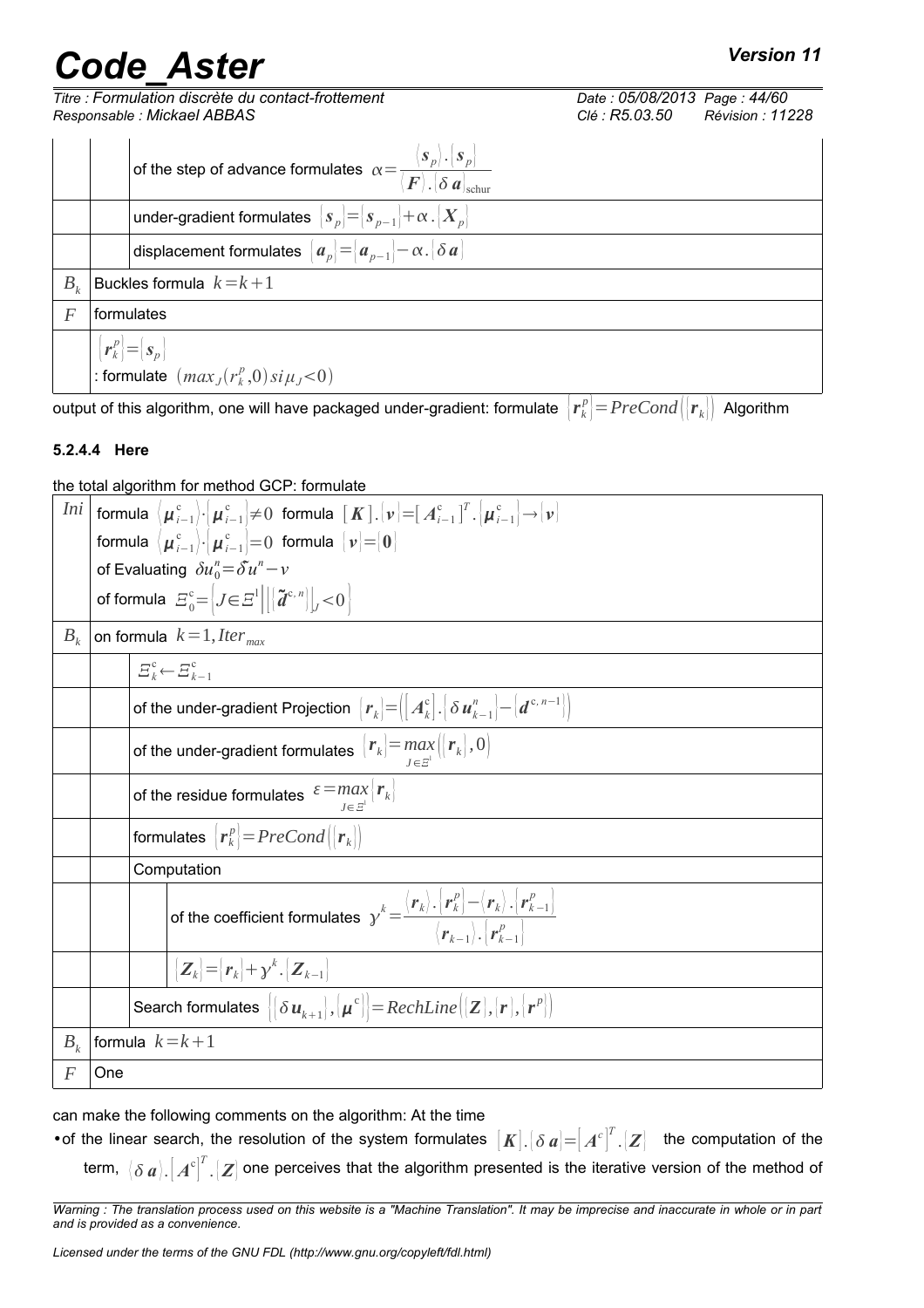*Titre : Formulation discrète du contact-frottement Date : 05/08/2013 Page : 44/60 Responsable : Mickael ABBAS Clé : R5.03.50 Révision : 11228*

|           |                             | of the step of advance formulates $\alpha{=} \frac{\langle {\bm{s}}_p \rangle . \langle {\bm{s}}_p \rangle}{\langle {\bm{F}} \rangle . \langle \delta \bm{a} \rangle_\text{schur}}$ |  |
|-----------|-----------------------------|-------------------------------------------------------------------------------------------------------------------------------------------------------------------------------------|--|
|           |                             | under-gradient formulates $ s_{p}  =  s_{p-1}  + \alpha$ . $ X_{p} $                                                                                                                |  |
|           |                             | displacement formulates $ a_{p}  =  a_{p-1}  - \alpha$ . $ \delta a $                                                                                                               |  |
| $B_{\nu}$ | Buckles formula $k = k + 1$ |                                                                                                                                                                                     |  |
| F         |                             | formulates                                                                                                                                                                          |  |
|           |                             | $\left \mathbf{r}_{k}^{p}\right  = \left \mathbf{s}_{p}\right $<br>: formulate $(max_J(r_k^p, 0)si\mu_1<0)$                                                                         |  |

output of this algorithm, one will have packaged under-gradient: formulate  $\big\vert {\bm r}_k^p\big\vert\!=\!PreCond[\big\vert {\bm r}_k]\big\vert$  Algorithm

#### **5.2.4.4 Here**

the total algorithm for method GCP: formulate

|                  |                     | <i>Ini</i>   formula $\langle \mu_{i-1}^c \rangle \cdot [\mu_{i-1}^c] \neq 0$ formula $[K]$ . $[\nu] = [A_{i-1}^c]^T$ . $[\mu_{i-1}^c] \rightarrow [\nu]$                                                                                                                          |  |  |  |
|------------------|---------------------|------------------------------------------------------------------------------------------------------------------------------------------------------------------------------------------------------------------------------------------------------------------------------------|--|--|--|
|                  |                     | formula $\langle \mu_{i-1}^c \rangle \cdot  \mu_{i-1}^c  = 0$ formula $ \nu  =  0 $                                                                                                                                                                                                |  |  |  |
|                  |                     | of Evaluating $\delta u_0^n = \delta u^n - v$                                                                                                                                                                                                                                      |  |  |  |
|                  |                     | of formula $E_0^c =  J \in E^1  \left  \left  \tilde{d}^{c,\,n} \right  \right _J < 0$                                                                                                                                                                                             |  |  |  |
| $B_{k}$          |                     | on formula $k=1$ , <i>Iter</i> <sub>max</sub>                                                                                                                                                                                                                                      |  |  |  |
|                  |                     | $E_{k}^{\text{c}} \leftarrow E_{k-1}^{\text{c}}$                                                                                                                                                                                                                                   |  |  |  |
|                  |                     | of the under-gradient Projection $ r_k=  A_k^c $ . $ \delta u_{k-1}^n - d^{c,n-1} \rangle$                                                                                                                                                                                         |  |  |  |
|                  |                     | of the under-gradient formulates $\left \mathbf{r}_{k}\right =\max_{J\in\mathbb{S}^{1}}\left(\left \mathbf{r}_{k}\right ,0\right)$                                                                                                                                                 |  |  |  |
|                  |                     | of the residue formulates $\varepsilon = \max_{I \in \mathbb{R}^l}  r_k $                                                                                                                                                                                                          |  |  |  |
|                  |                     | formulates $ r_k^p  = PreCond( r_k )$                                                                                                                                                                                                                                              |  |  |  |
|                  |                     | Computation                                                                                                                                                                                                                                                                        |  |  |  |
|                  |                     | of the coefficient formulates $\gamma^k = \frac{\langle \mathbf{r}_k \rangle \cdot \langle \mathbf{r}_k^{\nu} \rangle - \langle \mathbf{r}_k \rangle \cdot \langle \mathbf{r}_{k-1}^{\nu} \rangle}{\langle \mathbf{r}_{k-1} \rangle \cdot \langle \mathbf{r}_{k-1}^{\nu} \rangle}$ |  |  |  |
|                  |                     | $ \mathbf{Z}_k  =  r_k  + \gamma^k \cdot  \mathbf{Z}_{k-1} $                                                                                                                                                                                                                       |  |  |  |
|                  |                     | Search formulates $\left\{\left\lceil \delta u_{k+1}\right\rceil,\left\lceil \mu^{\mathrm{c}}\right\rceil\right\} = RechLine\big(\!\left[\mathbf{Z}\right]\!,\left\lceil r\right\rceil,\left\lceil r^{\mathrm{p}}\right\rceil\!\right)$                                            |  |  |  |
| $B_{k}$          | formula $k = k + 1$ |                                                                                                                                                                                                                                                                                    |  |  |  |
| $\boldsymbol{F}$ | One                 |                                                                                                                                                                                                                                                                                    |  |  |  |

can make the following comments on the algorithm: At the time • of the linear search, the resolution of the system formulates  $[K]$ .  $[\delta a] = [A^c]^T$  $T$ . $|Z|$  the computation of the term,  $\langle \delta \, \pmb{a} \rangle$ . $\big[ \pmb{A}^{\mathsf{c}} \big]^{\prime}$  $T$ . $|Z|$  one perceives that the algorithm presented is the iterative version of the method of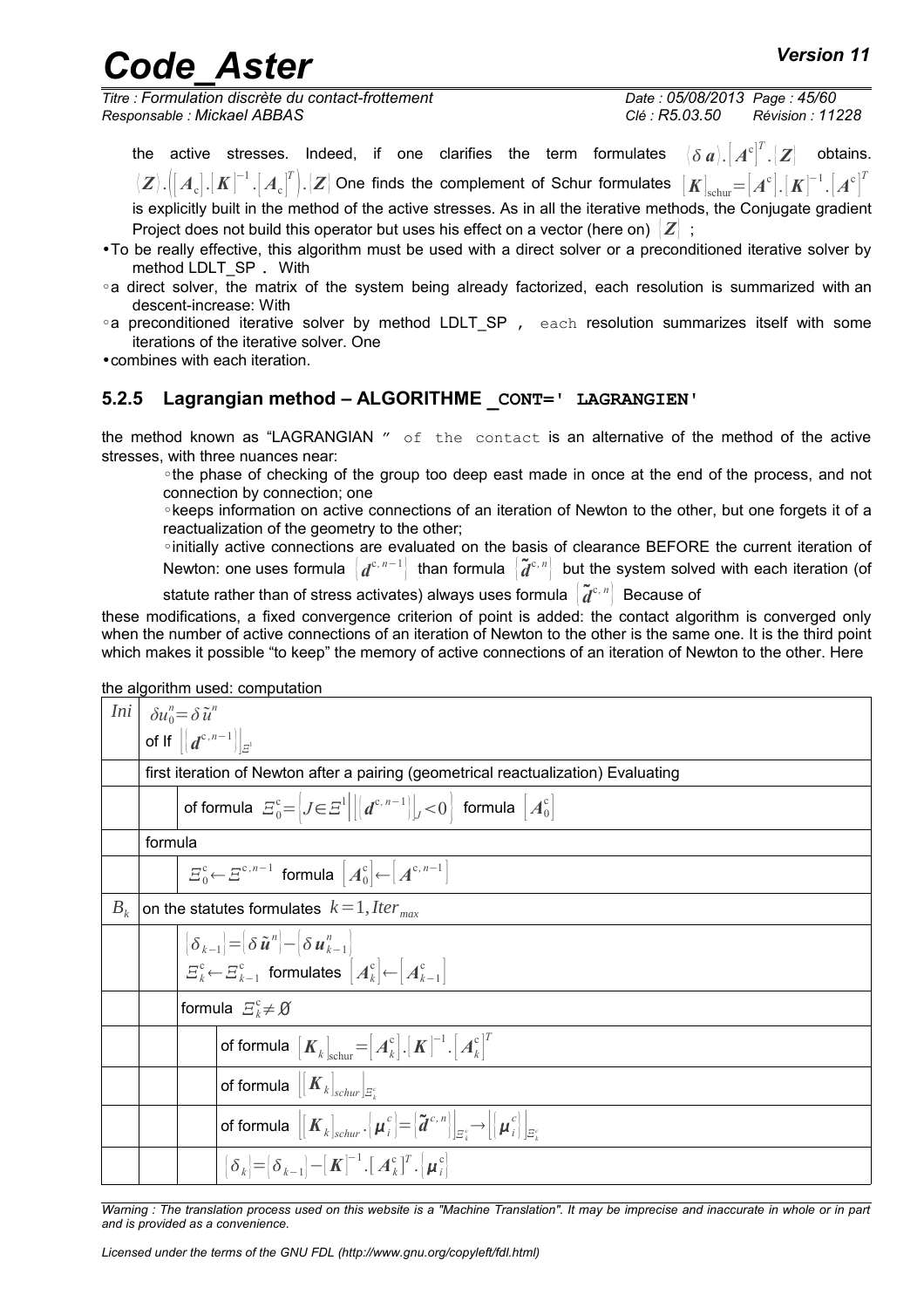*Titre : Formulation discrète du contact-frottement Date : 05/08/2013 Page : 45/60 Responsable : Mickael ABBAS Clé : R5.03.50 Révision : 11228*

the active stresses. Indeed, if one clarifies the term formulates c ]  $\mathbf{Z}^T$ . $\left[ \boldsymbol{Z} \right]$  obtains.  $\langle \bm Z \rangle . \big[ \big[ \bm A_\mathrm{c} \big] . \big[ \bm K \big]^{-1} . \big[ \bm A_\mathrm{c} \big]^T \big). \big[\bm Z \big]$  One finds the complement of Schur formulates  $\, \big[ \bm K \big]_\mathrm{schur} \! = \! \big[ \bm A^\mathrm{c} \big] . \big[ \bm K \big]^{-1} . \big[ \bm A^\mathrm{c} \big]^T$ *T*

is explicitly built in the method of the active stresses. As in all the iterative methods, the Conjugate gradient Project does not build this operator but uses his effect on a vector (here on)  $|Z|$ ;

- •To be really effective, this algorithm must be used with a direct solver or a preconditioned iterative solver by method LDLT\_SP . With
- ◦a direct solver, the matrix of the system being already factorized, each resolution is summarized with an descent-increase: With
- ◦a preconditioned iterative solver by method LDLT\_SP , each resolution summarizes itself with some iterations of the iterative solver. One

•combines with each iteration.

#### <span id="page-44-0"></span>**5.2.5 Lagrangian method – ALGORITHME \_CONT=' LAGRANGIEN'**

the method known as "LAGRANGIAN " of the contact is an alternative of the method of the active stresses, with three nuances near:

◦the phase of checking of the group too deep east made in once at the end of the process, and not connection by connection; one

◦keeps information on active connections of an iteration of Newton to the other, but one forgets it of a reactualization of the geometry to the other;

◦initially active connections are evaluated on the basis of clearance BEFORE the current iteration of Newton: one uses formula  $\left[d^{c,\,n-1}\right]$  than formula  $\left[\bm{\tilde{d}}^{c,\,n}\right]$  but the system solved with each iteration (of statute rather than of stress activates) always uses formula  $\left\lceil \boldsymbol{\widetilde{d}}^{\text{c},\textit{n}}\right\rceil$  Because of

these modifications, a fixed convergence criterion of point is added: the contact algorithm is converged only when the number of active connections of an iteration of Newton to the other is the same one. It is the third point which makes it possible "to keep" the memory of active connections of an iteration of Newton to the other. Here

*Ini*  $\delta u_0^n = \delta \tilde{u}^n$ of If  $\,\left\|\textit{\textbf{d}}^{\mathsf{c},n-1}\right\|_{\Xi^1}$ first iteration of Newton after a pairing (geometrical reactualization) Evaluating of formula  $\left. E_{\ 0}^{c} \!\!=\!\! \left|J \!\!\in\! E^{1} \right| \!\left| \left[ \textit{\textbf{d}}^{c,\textit{n}-1} \right] \right|_{J} \!\!<\! 0 \left| \right. \right|$  formula  $\left. \left| \textit{\textbf{A}}_{0}^{c} \right| \right.$ c  $\overline{ }$ formula  $E_0^{\mathsf{c}}$   $\leftarrow$   $E^{\mathsf{c},n-1}$  formula  $\left| A_0^{\mathsf{c}} \right|$   $\leftarrow$   $\left| A^{\mathsf{c},\,n-1} \right|$  $\mathbb{I}$  $B_k$  on the statutes formulates  $k=1$ , *Iter*<sub>max</sub>  $\left\{ \delta_{k-1} \right\} = \left\{ \delta \tilde{u}^n \right\} - \left\{ \delta u_{k-1}^n \right\}$  $E^{\rm c}_k$ ← $E^{\rm c}_{k-1}$  formulates  $\left| A^{\rm c}_k \right|$ ← $\left| A^{\rm c}_{k-1} \right|$  $\mathbb{I}$ formula  $E_k^c \neq \emptyset$ of formula  $\left[\bm{K}_{k}\right]_{\rm schur}\!\!=\!\!\left[A_{k}^{\rm c}\right]\!\!. \left[\bm{K}\right]^{-\!1}\!\!. \left[\bm{A}_{k}^{\rm c}\right]^{ \!\!\!1}$ *T* of formula  $\left|\left| \boldsymbol{K}_k \right|_{\!\! \scriptscriptstyle \boldsymbol{\mathit{schur}}} \right|_{\!\!\! \boldsymbol{\mathit{\Xi}}^c_k}$ of formula  $\left[\left[\bm{K}_k\right]_{\textit{schur}}.\left\{\bm{\mu}_i^c\right]\!=\!\left[\bm{\tilde{d}}^{c,\,n}\right]\right|_{\Xi^c_k}\!\!\!\rightarrow\!\left\{\!\left[\bm{\mu}_i^c\right]\!\right|_{\Xi^c_k}$  $\left[\delta_k\right]=\left[\delta_{k-1}\right]-\left[\textbf{\textit{K}}\right]^{-1}.\left[\textbf{\textit{A}}_k^{\text{c}}\right]^T.\left[\textbf{\textit{\textbf{\mu}}}^{\text{c}}_i\right]$ }

the algorithm used: computation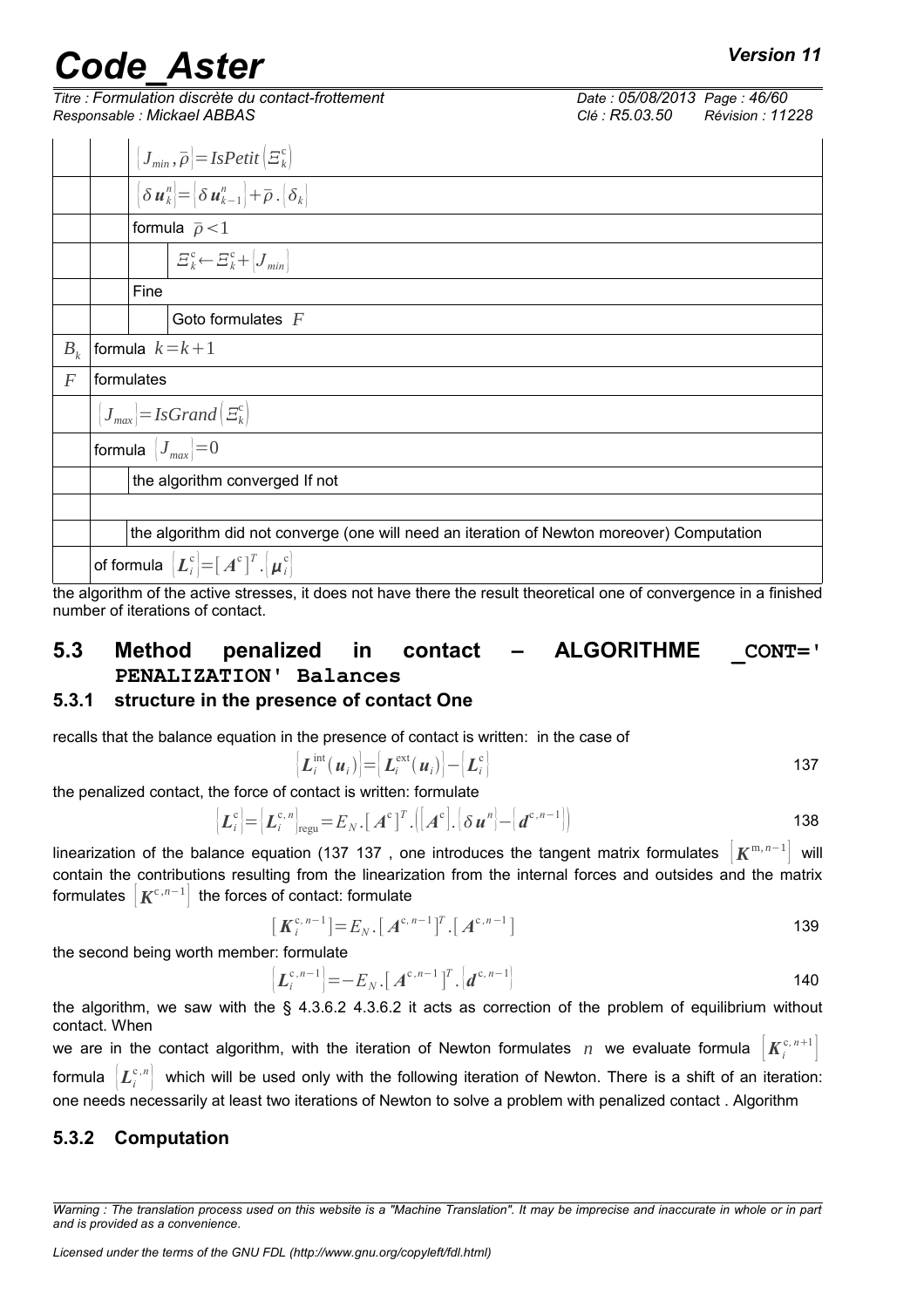*Titre : Formulation discrète du contact-frottement Date : 05/08/2013 Page : 46/60*

| <b>Version</b> |  |
|----------------|--|

|                | Responsable : Mickael ABBAS                                                                |      |                                                                                                                        |  | Clé : R5.03.50 Révision : 11228 |  |
|----------------|--------------------------------------------------------------------------------------------|------|------------------------------------------------------------------------------------------------------------------------|--|---------------------------------|--|
|                |                                                                                            |      | $\left\{J_{min}, \overline{\rho}\right\} = IsPetit\left(\overline{E}_{k}^{c}\right)$                                   |  |                                 |  |
|                |                                                                                            |      | $\left\{\delta u_k^n\right\} = \left\{\delta u_{k-1}^n\right\} + \overline{\rho} \right.\left.\left\{\delta_k\right\}$ |  |                                 |  |
|                |                                                                                            |      | formula $\bar{p}$ < 1                                                                                                  |  |                                 |  |
|                |                                                                                            |      | $E_k^c \leftarrow E_k^c +  J_{min} $                                                                                   |  |                                 |  |
|                |                                                                                            | Fine |                                                                                                                        |  |                                 |  |
|                |                                                                                            |      | Goto formulates $F$                                                                                                    |  |                                 |  |
| $B_{k}$        | formula $k = k + 1$                                                                        |      |                                                                                                                        |  |                                 |  |
| $\overline{F}$ | formulates                                                                                 |      |                                                                                                                        |  |                                 |  |
|                | $ J_{\textit{max}} $ = IsGrand $ \,\varXi^{\mathrm{c}}_k $                                 |      |                                                                                                                        |  |                                 |  |
|                | formula $\left\{ J_{max} \right\} = 0$                                                     |      |                                                                                                                        |  |                                 |  |
|                |                                                                                            |      | the algorithm converged If not                                                                                         |  |                                 |  |
|                |                                                                                            |      |                                                                                                                        |  |                                 |  |
|                | the algorithm did not converge (one will need an iteration of Newton moreover) Computation |      |                                                                                                                        |  |                                 |  |
|                | of formula $\left  L_i^{\rm c} \right  = [A^{\rm c}]^T. \left  \mu_i^{\rm c} \right $      |      |                                                                                                                        |  |                                 |  |

the algorithm of the active stresses, it does not have there the result theoretical one of convergence in a finished number of iterations of contact.

### <span id="page-45-2"></span>**5.3 Method penalized in contact – ALGORITHME \_CONT=' PENALIZATION' Balances**

#### <span id="page-45-1"></span>**5.3.1 structure in the presence of contact One**

recalls that the balance equation in the presence of contact is written: in the case of

<span id="page-45-3"></span>
$$
\left[\boldsymbol{L}_i^{\text{int}}(\boldsymbol{u}_i)\right] = \left[\boldsymbol{L}_i^{\text{ext}}(\boldsymbol{u}_i)\right] - \left[\boldsymbol{L}_i^{\text{c}}\right]
$$

the penalized contact, the force of contact is written: formulate

$$
\left[\boldsymbol{L}_{i}^{\mathrm{c}}\right] = \left[\boldsymbol{L}_{i}^{\mathrm{c},n}\right]_{\mathrm{regu}} = E_{N}.\left[\boldsymbol{A}^{\mathrm{c}}\right]^{T}.\left(\left[\boldsymbol{A}^{\mathrm{c}}\right].\left\{\delta\boldsymbol{u}^{n}\right\} - \left(\boldsymbol{d}^{\mathrm{c},n-1}\right)\right]
$$

linearization of the balance equation (137 [137](#page-45-3) , one introduces the tangent matrix formulates [ *K* m*, n*−1 ] will contain the contributions resulting from the linearization from the internal forces and outsides and the matrix formulates  $\left[ \boldsymbol{K}^{\text{c},n-1} \right]$  the forces of contact: formulate

$$
\left[\boldsymbol{K}_{i}^{\mathrm{c},n-1}\right] = E_{N}.\left[\boldsymbol{A}^{\mathrm{c},n-1}\right]^{T}.\left[\boldsymbol{A}^{\mathrm{c},n-1}\right]
$$

the second being worth member: formulate

$$
\left[\boldsymbol{L}_{i}^{\mathrm{c},n-1}\right] = -\boldsymbol{E}_{N}.\left[\boldsymbol{A}^{\mathrm{c},n-1}\right]^{T}.\left[\boldsymbol{d}^{\mathrm{c},n-1}\right]
$$

the algorithm, we saw with the § 4.3.6.2 [4.3.6.2](#page-33-0) it acts as correction of the problem of equilibrium without contact. When

we are in the contact algorithm, with the iteration of Newton formulates  $n$  we evaluate formula c,  $n+1$ formula  $\left|L_i^{c,n}\right|$  which will be used only with the following iteration of Newton. There is a shift of an iteration: one needs necessarily at least two iterations of Newton to solve a problem with penalized contact . Algorithm

#### <span id="page-45-0"></span>**5.3.2 Computation**

*Warning : The translation process used on this website is a "Machine Translation". It may be imprecise and inaccurate in whole or in part and is provided as a convenience.*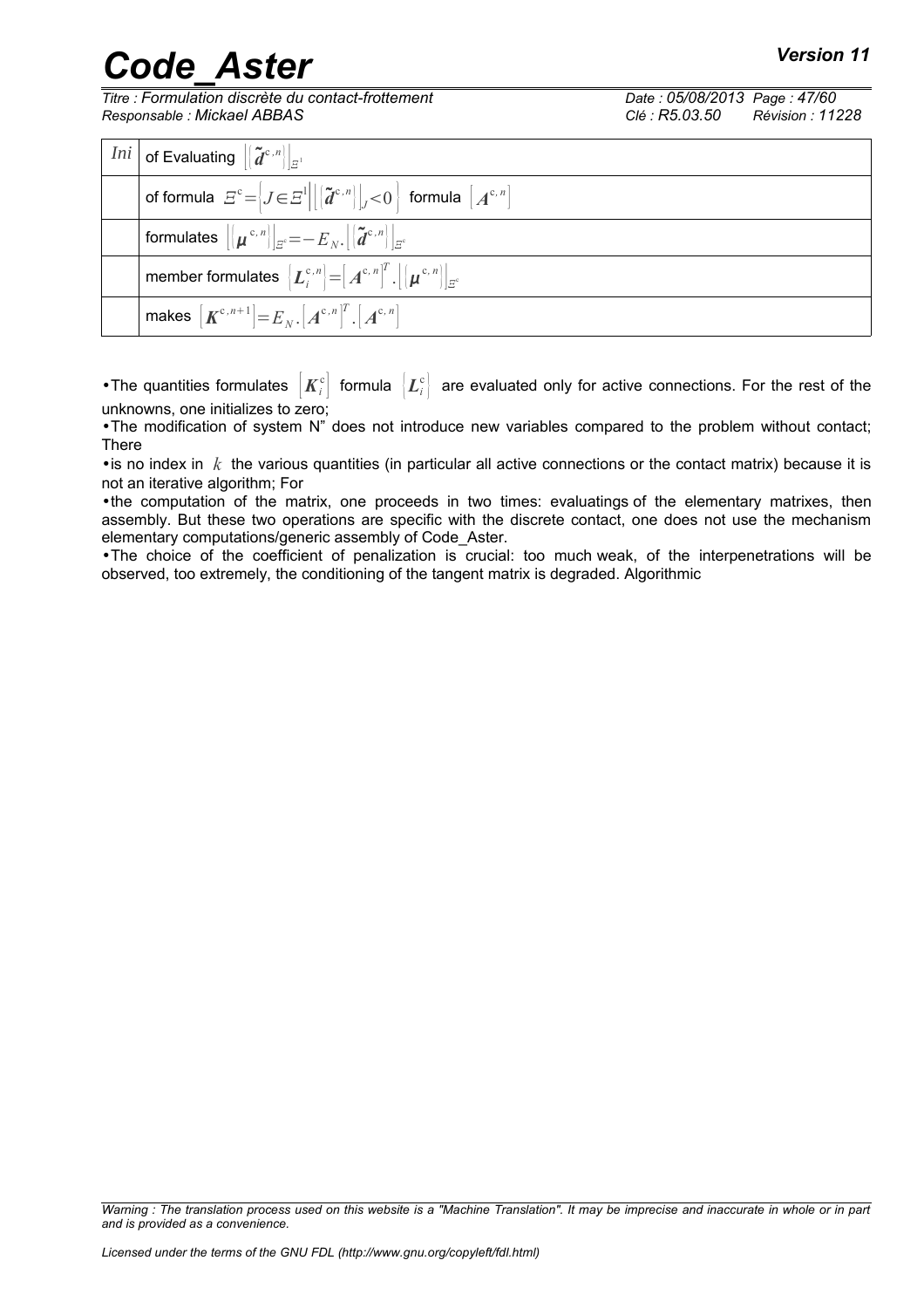*Titre : Formulation discrète du contact-frottement Date : 05/08/2013 Page : 47/60 Responsable : Mickael ABBAS Clé : R5.03.50 Révision : 11228*

| <i>Ini</i>   of Evaluating $  \tilde{d}^{c,n}  _{\mathbb{R}^1}$                                                                                                                                                                                                                                                                |
|--------------------------------------------------------------------------------------------------------------------------------------------------------------------------------------------------------------------------------------------------------------------------------------------------------------------------------|
| $\Big \:$ of formula $\left  \varXi^{\operatorname{c}}\right  = \hspace{-1mm} \Big  J \!\in\! \varXi^1 \hspace{-1mm} \Big  \hspace{-1mm} \Big  \hspace{-1mm} \big \big[\widetilde{\boldsymbol{d}}^{\operatorname{c},n}\big]\Big _J \!<\! 0 \hspace{-1mm} \Big  \hspace{-1mm} \Big $ formula $\big[A^{\operatorname{c},n}\big]$ |
| formulates $  \boldsymbol{\mu}^{c,n}  _{\mathbb{R}^{c}} = -E_N$ . $  \boldsymbol{\tilde{d}}^{c,n}  _{\mathbb{R}^{c}}$                                                                                                                                                                                                          |
| $\textsf{I}^\top$ member formulates $\big\lVert \bm{L}_i^{\textsf{c},\,n} \big\lVert = \big\lvert \bm{{A}}^{\textsf{c},\,n} \big\rvert^T$ . $\big\lvert \big\lvert \bm{{\mu}}^{\textsf{c},\,n} \big\rvert \big\rvert_{\pi^{\textsf{c}}}$                                                                                       |
| makes $[K^{c,n+1}] = E_N$ , $[A^{c,n}]^T$ , $[A^{c,n}]$                                                                                                                                                                                                                                                                        |

•The quantities formulates  $|K_i^c|$  formula  $|L_i^c|$  are evaluated only for active connections. For the rest of the unknowns, one initializes to zero;

•The modification of system N" does not introduce new variables compared to the problem without contact; **There** 

•is no index in *k* the various quantities (in particular all active connections or the contact matrix) because it is not an iterative algorithm; For

•the computation of the matrix, one proceeds in two times: evaluatings of the elementary matrixes, then assembly. But these two operations are specific with the discrete contact, one does not use the mechanism elementary computations/generic assembly of Code\_Aster.

•The choice of the coefficient of penalization is crucial: too much weak, of the interpenetrations will be observed, too extremely, the conditioning of the tangent matrix is degraded. Algorithmic

*Warning : The translation process used on this website is a "Machine Translation". It may be imprecise and inaccurate in whole or in part and is provided as a convenience.*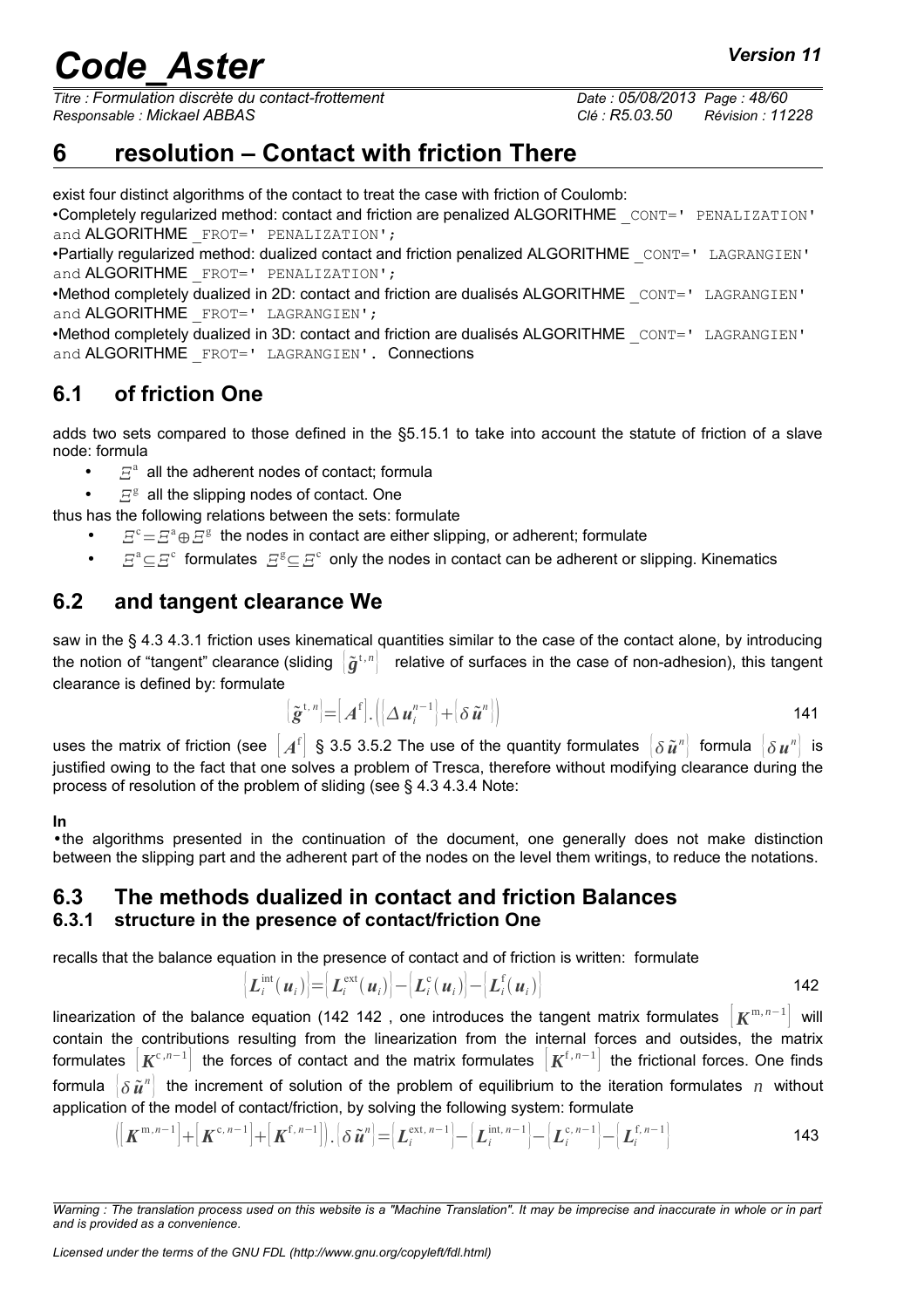*Titre : Formulation discrète du contact-frottement Date : 05/08/2013 Page : 48/60 Responsable : Mickael ABBAS Clé : R5.03.50 Révision : 11228*

### <span id="page-47-4"></span>**6 resolution – Contact with friction There**

exist four distinct algorithms of the contact to treat the case with friction of Coulomb:

•Completely regularized method: contact and friction are penalized ALGORITHME \_CONT=' PENALIZATION' and ALGORITHME FROT=' PENALIZATION';

•Partially regularized method: dualized contact and friction penalized ALGORITHME \_CONT=' LAGRANGIEN' and ALGORITHME FROT=' PENALIZATION';

•Method completely dualized in 2D: contact and friction are dualisés ALGORITHME \_CONT=' LAGRANGIEN' and ALGORITHME FROT=' LAGRANGIEN';

•Method completely dualized in 3D: contact and friction are dualisés ALGORITHME \_CONT=' LAGRANGIEN' and ALGORITHME FROT=' LAGRANGIEN'. Connections

### <span id="page-47-3"></span>**6.1 of friction One**

adds two sets compared to those defined in the §5.[15.1](#page-34-2) to take into account the statute of friction of a slave node: formula

- $\bullet$   $\qquad \qquad E^{\text{a}}$  all the adherent nodes of contact; formula
- $\bullet$   $\qquad \qquad E^{\rm g}$  all the slipping nodes of contact. One

thus has the following relations between the sets: formulate

- $E^c = E^a \oplus E^g$  the nodes in contact are either slipping, or adherent; formulate
	- $E^a \subseteq E^c$  formulates  $E^g \subseteq E^c$  only the nodes in contact can be adherent or slipping. Kinematics

### <span id="page-47-2"></span>**6.2 and tangent clearance We**

saw in the § 4.3 [4.3.1](#page-25-0) friction uses kinematical quantities similar to the case of the contact alone, by introducing the notion of "tangent" clearance (sliding  $\left|\tilde{\bm{g}}^{\text{t},n}\right|$  relative of surfaces in the case of non-adhesion), this tangent clearance is defined by: formulate

$$
\left[\tilde{\mathbf{g}}^{t,n}\right] = [A^f] \cdot \left( \left[ \Delta \mathbf{u}_i^{n-1}\right] + \left[\delta \tilde{\mathbf{u}}^n\right] \right)
$$

uses the matrix of friction (see  $\bigl[ A^f \bigr]$  § 3.5 [3.5.2](#page-20-0) The use of the quantity formulates  $\, \bigl| \delta\,\tilde u^n \bigr| \,$  formula  $\, \bigl| \delta\, u^n \bigr| \,$  is justified owing to the fact that one solves a problem of Tresca, therefore without modifying clearance during the process of resolution of the problem of sliding (see § 4.3 [4.3.4](#page-29-1) Note:

#### **In**

•the algorithms presented in the continuation of the document, one generally does not make distinction between the slipping part and the adherent part of the nodes on the level them writings, to reduce the notations.

#### <span id="page-47-1"></span><span id="page-47-0"></span>**6.3 The methods dualized in contact and friction Balances 6.3.1 structure in the presence of contact/friction One**

recalls that the balance equation in the presence of contact and of friction is written: formulate

<span id="page-47-5"></span>
$$
\left[\boldsymbol{L}_i^{\text{int}}(\boldsymbol{u}_i)\right] = \left[\boldsymbol{L}_i^{\text{ext}}(\boldsymbol{u}_i)\right] - \left[\boldsymbol{L}_i^{\text{c}}(\boldsymbol{u}_i)\right] - \left[\boldsymbol{L}_i^{\text{f}}(\boldsymbol{u}_i)\right] \tag{142}
$$

linearization of the balance equation (142 [142](#page-47-5) , one introduces the tangent matrix formulates [ *K* m*, n*−1 ] will contain the contributions resulting from the linearization from the internal forces and outsides, the matrix formulates  $\left\lvert K^{c,n-1} \right\rvert$  the forces of contact and the matrix formulates  $\left\lvert K^{f,n-1} \right\rvert$  the frictional forces. One finds formula  $\|\delta\,\tilde{\pmb{u}}^n\|$  the increment of solution of the problem of equilibrium to the iteration formulates  $\,n\,$  without application of the model of contact/friction, by solving the following system: formulate

$$
\left(\left[\boldsymbol{K}^{m,n-1}\right]+\left[\boldsymbol{K}^{c,n-1}\right]+\left[\boldsymbol{K}^{f,n-1}\right]\right).\left\{\delta\tilde{\boldsymbol{u}}^{n}\right\}=\left[\boldsymbol{L}_{i}^{\text{ext},n-1}\right]-\left[\boldsymbol{L}_{i}^{\text{int},n-1}\right]-\left[\boldsymbol{L}_{i}^{c,n-1}\right]\left[\boldsymbol{L}_{i}^{f,n-1}\right]
$$

*Warning : The translation process used on this website is a "Machine Translation". It may be imprecise and inaccurate in whole or in part and is provided as a convenience.*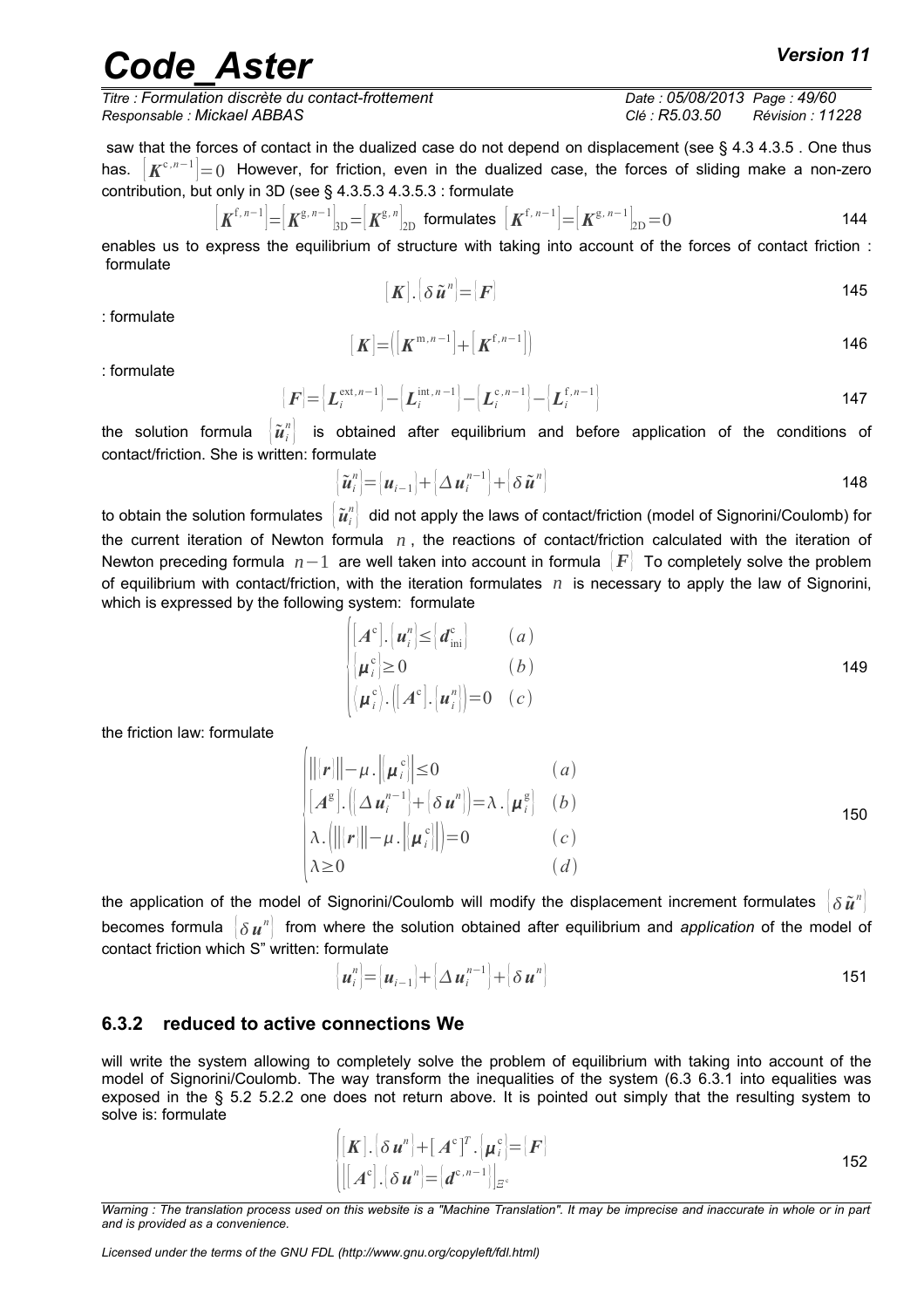*Titre : Formulation discrète du contact-frottement Date : 05/08/2013 Page : 49/60 Responsable : Mickael ABBAS Clé : R5.03.50 Révision : 11228*

saw that the forces of contact in the dualized case do not depend on displacement (see § 4.3 [4.3.5](#page-29-0) . One thus has.  $\left\vert \bm{K}^{c,n-1} \right\vert =0$  However, for friction, even in the dualized case, the forces of sliding make a non-zero contribution, but only in 3D (see § 4.3.5.3 [4.3.5.3](#page-30-2) : formulate

$$
\left[\mathbf{K}^{f,n-1}\right] = \left[\mathbf{K}^{g,n-1}\right]_{3D} = \left[\mathbf{K}^{g,n}\right]_{2D} \text{ formulas } \left[\mathbf{K}^{f,n-1}\right] = \left[\mathbf{K}^{g,n-1}\right]_{2D} = 0 \tag{144}
$$

enables us to express the equilibrium of structure with taking into account of the forces of contact friction : formulate

$$
[\boldsymbol{K}].[\delta\tilde{\boldsymbol{u}}^n] = [\boldsymbol{F}]
$$

: formulate

$$
[\boldsymbol{K}] = ([\boldsymbol{K}^{m,n-1}] + [\boldsymbol{K}^{f,n-1}])
$$

: formulate

$$
\left[\boldsymbol{F}\right] = \left[\boldsymbol{L}_{i}^{\text{ext},n-1}\right] - \left[\boldsymbol{L}_{i}^{\text{int},n-1}\right] - \left[\boldsymbol{L}_{i}^{\text{c},n-1}\right] - \left[\boldsymbol{L}_{i}^{\text{f},n-1}\right]
$$

the solution formula {*u <sup>i</sup>*  $\tilde{\boldsymbol{u}}_i^n$ is obtained after equilibrium and before application of the conditions of contact/friction. She is written: formulate

$$
\left[\tilde{\boldsymbol{u}}_{i}^{n}\right] = \left[\boldsymbol{u}_{i-1}\right] + \left[\Delta \boldsymbol{u}_{i}^{n-1}\right] + \left[\delta \tilde{\boldsymbol{u}}^{n}\right]
$$

to obtain the solution formulates  $\, \big|\, \tilde{\pmb{u}}_i^n\big| \,$  did not apply the laws of contact/friction (model of Signorini/Coulomb) for the current iteration of Newton formula *n* , the reactions of contact/friction calculated with the iteration of Newton preceding formula *n*−1 are well taken into account in formula {*F*} To completely solve the problem of equilibrium with contact/friction, with the iteration formulates *n* is necessary to apply the law of Signorini, which is expressed by the following system: formulate

<span id="page-48-3"></span><span id="page-48-1"></span>
$$
\begin{cases}\n[A^c], [u_i^n] \leq [d_{\text{ini}}^c] & (a) \\
\mu_i^c] \geq 0 & (b) \\
\langle \mu_i^c \rangle . [[A^c], [u_i^n]] = 0 & (c)\n\end{cases}
$$
\n149

the friction law: formulate

$$
\begin{aligned}\n\left|\left|\left| [r] \right| - \mu \right| \left| \mu_i^c \right|\right| &\leq 0 & (a) \\
\left[ A^g \right], \left\{ \left[ \Delta u_i^{n-1} \right] + \left[ \delta u^n \right] \right\} &= \lambda \cdot \left[ \mu_i^g \right] & (b) \\
\lambda \cdot \left| \left| \left| [r] \right| - \mu \right| \left| \mu_i^c \right| \right| &= 0 & (c) \\
\lambda \geq 0 & (d)\n\end{aligned}
$$

the application of the model of Signorini/Coulomb will modify the displacement increment formulates  $|\delta\tilde{\pmb{u}}^n|$ becomes formula  $\|\delta u^n\|$  from where the solution obtained after equilibrium and *application* of the model of contact friction which S" written: formulate

$$
\left\{ \boldsymbol{u}_{i}^{n}\right\} = \left\{ \boldsymbol{u}_{i-1}\right\} + \left\{ \Delta \boldsymbol{u}_{i}^{n-1}\right\} + \left\{ \delta \boldsymbol{u}^{n}\right\}
$$

#### <span id="page-48-0"></span>**6.3.2 reduced to active connections We**

will write the system allowing to completely solve the problem of equilibrium with taking into account of the model of Signorini/Coulomb. The way transform the inequalities of the system (6.3 [6.3.1](#page-48-1) into equalities was exposed in the § 5.2 [5.2.2](#page-35-0) one does not return above. It is pointed out simply that the resulting system to solve is: formulate

$$
\begin{cases}\n[K], [\delta \boldsymbol{u}^n] + [\boldsymbol{A}^c]^T . [\boldsymbol{\mu}_i^c] = [\boldsymbol{F}] \\
[[\boldsymbol{A}^c], [\delta \boldsymbol{u}^n] = [\boldsymbol{d}^{c.n-1}]]_{\boldsymbol{\Xi}^c}\n\end{cases}
$$
 152

*Licensed under the terms of the GNU FDL (http://www.gnu.org/copyleft/fdl.html)*

<span id="page-48-2"></span>

*Code\_Aster Version 11*

*Warning : The translation process used on this website is a "Machine Translation". It may be imprecise and inaccurate in whole or in part and is provided as a convenience.*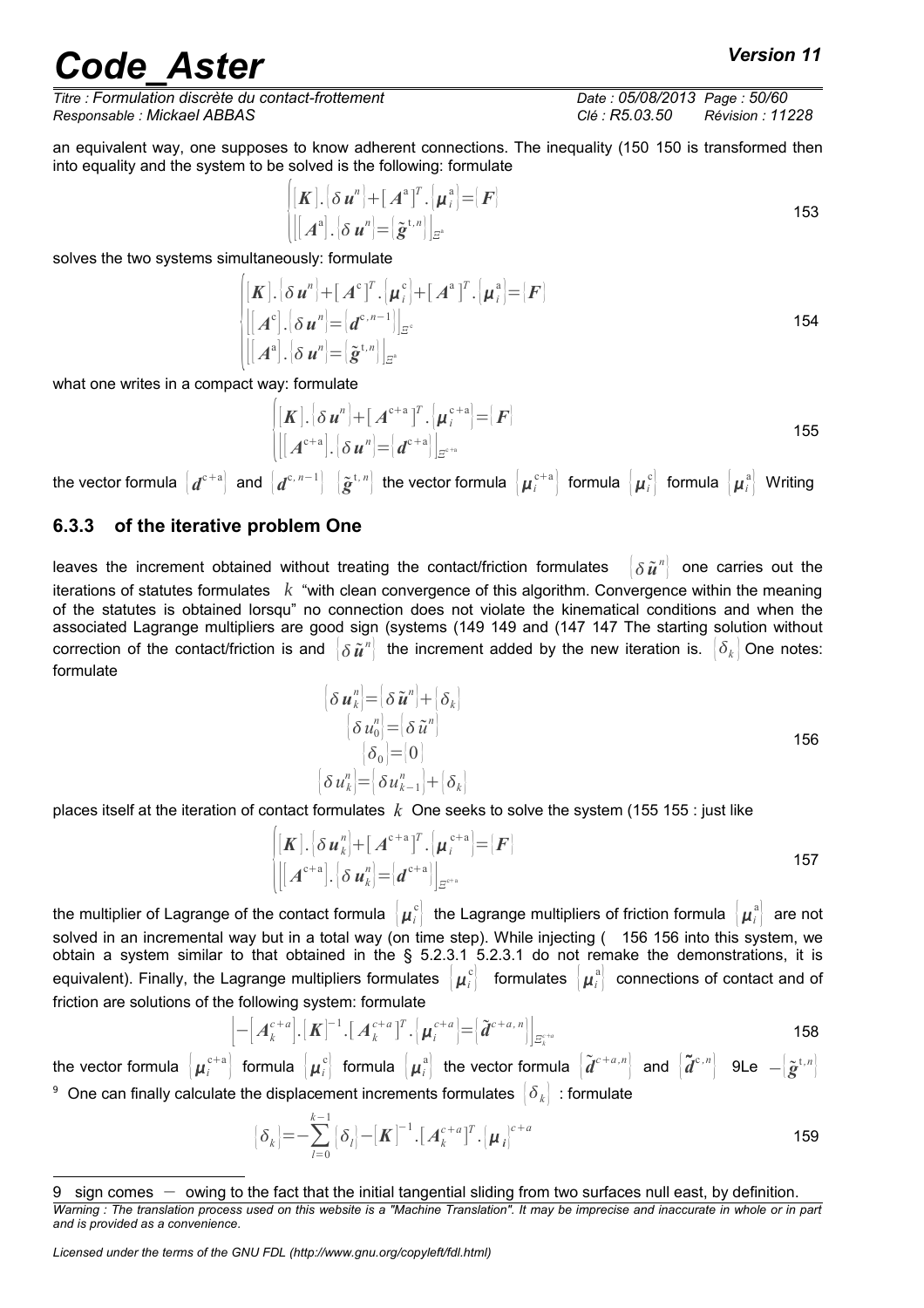*Titre : Formulation discrète du contact-frottement Date : 05/08/2013 Page : 50/60 Responsable : Mickael ABBAS Clé : R5.03.50 Révision : 11228*

an equivalent way, one supposes to know adherent connections. The inequality (150 [150](#page-48-3) is transformed then into equality and the system to be solved is the following: formulate

$$
\begin{cases}\n[K], [\delta \mathbf{u}^n] + [A^a]^T . [\mathbf{u}^a] = [F] \\
[[A^a], [\delta \mathbf{u}^n] = [\tilde{\mathbf{g}}^{t,n}]\n\end{cases}
$$
\n153

solves the two systems simultaneously: formulate

$$
\begin{aligned}\n\left\| \left[ \boldsymbol{K} \right] \cdot \left[ \delta \boldsymbol{u}^n \right] + \left[ \boldsymbol{A}^c \right]^T \cdot \left[ \boldsymbol{\mu}_i^c \right] + \left[ \boldsymbol{A}^a \right]^T \cdot \left[ \boldsymbol{\mu}_i^a \right] = \left[ \boldsymbol{F} \right] \\
\left\| \left[ \boldsymbol{A}^c \right] \cdot \left[ \delta \boldsymbol{u}^n \right] = \left[ \boldsymbol{d}^{c, n-1} \right] \right\|_{\mathcal{B}^c} \\
\left\| \left[ \boldsymbol{A}^a \right] \cdot \left[ \delta \boldsymbol{u}^n \right] = \left[ \tilde{\boldsymbol{g}}^{t, n} \right] \right\|_{\mathcal{B}^a}\n\end{aligned}
$$

what one writes in a compact way: formulate

$$
\begin{cases}\n[K], [\delta \boldsymbol{u}^n] + [\boldsymbol{A}^{c+a}]^T . [\boldsymbol{\mu}_i^{c+a}] = [\boldsymbol{F}] \\
[[\boldsymbol{A}^{c+a}], [\delta \boldsymbol{u}^n] = [\boldsymbol{d}^{c+a}]_{\boldsymbol{\Xi}^{c+a}}\n\end{cases}
$$
 155

the vector formula  $\left[d^{c+a}\right]$  and  $\left[d^{c,\,n-1}\right]$   $\left[\tilde{\bm{g}}^{t,\,n}\right]$  the vector formula  $\left|\mu_i^{c+a}\right|$  formula  $\left|\mu_i^c\right|$  formula  $\left|\mu_i^a\right|$  Writing

#### <span id="page-49-0"></span>**6.3.3 of the iterative problem One**

leaves the increment obtained without treating the contact/friction formulates *n* } one carries out the iterations of statutes formulates *k* "with clean convergence of this algorithm. Convergence within the meaning of the statutes is obtained lorsqu" no connection does not violate the kinematical conditions and when the associated Lagrange multipliers are good sign (systems (149 [149](#page-48-1) and (147 [147](#page-48-2) The starting solution without correction of the contact/friction is and  $\ket{\delta\tilde\mu^n}$  the increment added by the new iteration is.  $\ket{\delta_k}$  One notes: formulate

<span id="page-49-1"></span>
$$
\begin{aligned}\n\{\delta \mathbf{u}_k^n\} &= [\delta \tilde{\mathbf{u}}^n] + [\delta_k] \\
\{\delta u_0^n\} &= [\delta \tilde{\mathbf{u}}^n] \\
\delta_0 &= [0] \\
\{\delta u_k^n\} &= [\delta u_{k-1}^n] + [\delta_k]\n\end{aligned}
$$
\n156

places itself at the iteration of contact formulates *k* One seeks to solve the system (155 [155](#page-49-2) : just like

$$
\begin{cases}\n[\boldsymbol{K}].\left\{\delta \boldsymbol{u}_{k}^{n}\right\} + \left[\boldsymbol{A}^{\mathrm{c+a}}\right]^{T}.\left[\boldsymbol{\mu}_{i}^{\mathrm{c+a}}\right] = [\boldsymbol{F}] \\
\left[\left[\boldsymbol{A}^{\mathrm{c+a}}\right].\left\{\delta \boldsymbol{u}_{k}^{n}\right\}\right] = \left[\boldsymbol{d}^{\mathrm{c+a}}\right]\right]_{\boldsymbol{E}^{\mathrm{c+a}}}\n\end{cases}
$$

the multiplier of Lagrange of the contact formula  $\, \big|\, \mu_i^{\,\rm c}\big| \,$  the Lagrange multipliers of friction formula  $\, \big|\, \mu_i^{\rm a}\big| \,$  are not solved in an incremental way but in a total way (on time step). While injecting ( 156 [156](#page-49-1) into this system, we obtain a system similar to that obtained in the  $\S$  [5.2.3.1](#page-36-2) 5.2.3.1 do not remake the demonstrations, it is equivalent). Finally, the Lagrange multipliers formulates  $\, \big| \mu_i^\circ| \,$  formulates  $\, \big| \mu_i^{\rm a} \big| \,$  connections of contact and of friction are solutions of the following system: formulate

$$
\left[-\left[\boldsymbol{A}_{k}^{c+a}\right],\left[\boldsymbol{K}\right]^{-1}\right]\left[\boldsymbol{A}_{k}^{c+a}\right]^{T}\left[\boldsymbol{\mu}_{i}^{c+a}\right]=\left[\tilde{\boldsymbol{d}}^{c+a,n}\right]_{\Xi_{k}^{c+a}}
$$
\n
$$
\tag{158}
$$

the vector formula  $\left\{\bm{\mu}_i^{\text{c+a}}\right\}$  formula  $\left\{\bm{\mu}_i^{\text{c}}\right\}$  formula  $\left\{\bm{\mu}_i^{\text{a}}\right\}$  the vector formula  $\left\{\widetilde{\bm{d}}^{c+a,n}\right\}$  and  $\left\{\widetilde{\bm{d}}^{c,n}\right\}$  9Le  $-\left\{\widetilde{\bm{g}}^{t,n}\right\}$ } <sup>[9](#page-49-3)</sup> One can finally calculate the displacement increments formulates  $|\delta_k|$ : formulate

$$
\left\{\delta_k\right\} = -\sum_{l=0}^{k-1} \left[\delta_l\right] - \left[\boldsymbol{K}\right]^{-1} \cdot \left[\boldsymbol{A}_k^{c+a}\right]^T \cdot \left[\boldsymbol{\mu}_l\right]^{c+a}
$$

*Licensed under the terms of the GNU FDL (http://www.gnu.org/copyleft/fdl.html)*

<span id="page-49-2"></span>

<span id="page-49-3"></span>sign comes – owing to the fact that the initial tangential sliding from two surfaces null east, by definition. *Warning : The translation process used on this website is a "Machine Translation". It may be imprecise and inaccurate in whole or in part and is provided as a convenience.*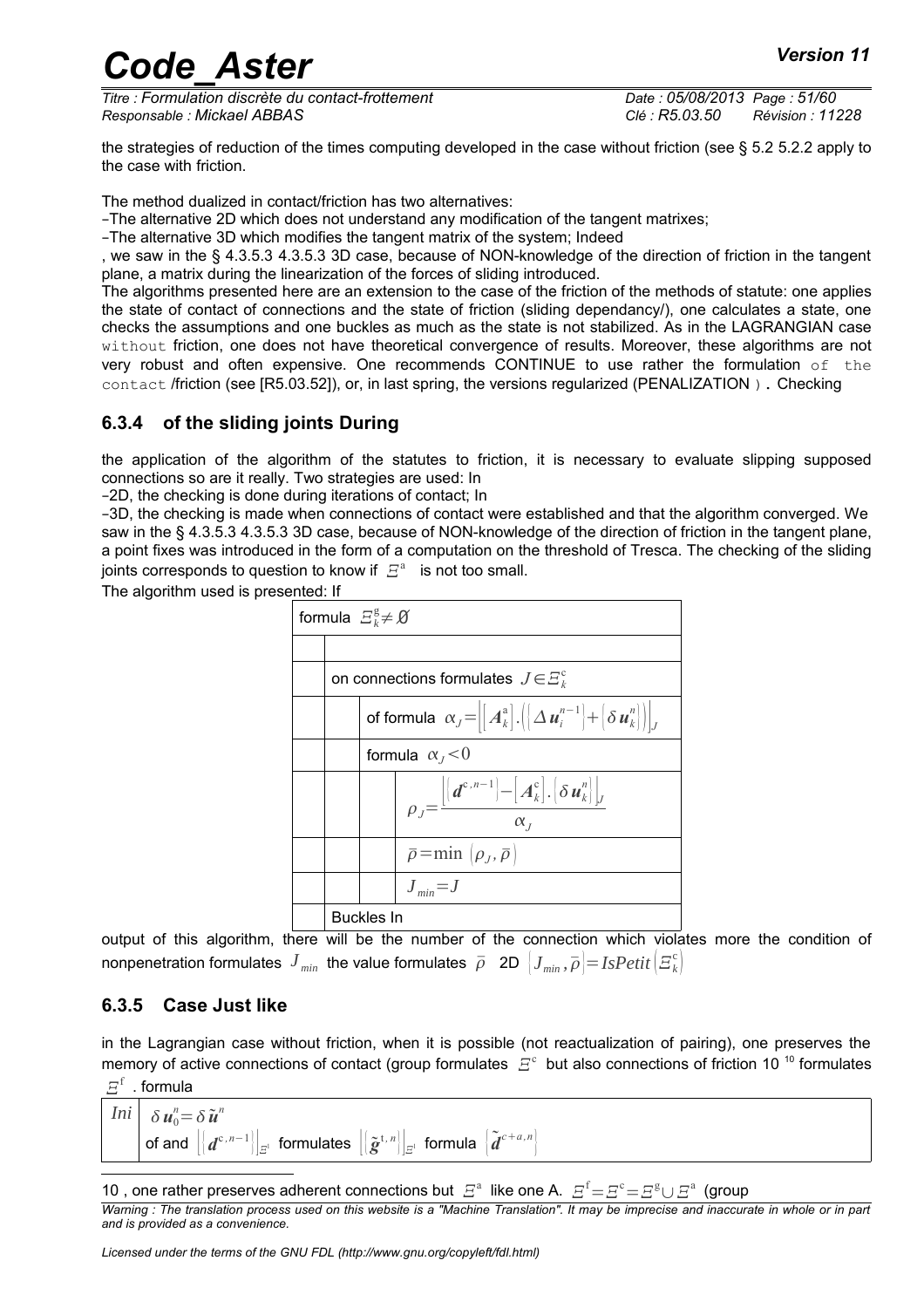*Titre : Formulation discrète du contact-frottement Date : 05/08/2013 Page : 51/60 Responsable : Mickael ABBAS Clé : R5.03.50 Révision : 11228*

the strategies of reduction of the times computing developed in the case without friction (see § 5.2 [5.2.2](#page-35-0) apply to the case with friction.

The method dualized in contact/friction has two alternatives:

–The alternative 2D which does not understand any modification of the tangent matrixes;

–The alternative 3D which modifies the tangent matrix of the system; Indeed

, we saw in the § 4.3.5.3 [4.3.5.3](#page-30-2) 3D case, because of NON-knowledge of the direction of friction in the tangent plane, a matrix during the linearization of the forces of sliding introduced.

The algorithms presented here are an extension to the case of the friction of the methods of statute: one applies the state of contact of connections and the state of friction (sliding dependancy/), one calculates a state, one checks the assumptions and one buckles as much as the state is not stabilized. As in the LAGRANGIAN case without friction, one does not have theoretical convergence of results. Moreover, these algorithms are not very robust and often expensive. One recommends CONTINUE to use rather the formulation of the contact /friction (see [R5.03.52]), or, in last spring, the versions regularized (PENALIZATION ). Checking

#### <span id="page-50-1"></span>**6.3.4 of the sliding joints During**

the application of the algorithm of the statutes to friction, it is necessary to evaluate slipping supposed connections so are it really. Two strategies are used: In

–2D, the checking is done during iterations of contact; In

–3D, the checking is made when connections of contact were established and that the algorithm converged. We saw in the § 4.3.5.3 [4.3.5.3](#page-30-2) 3D case, because of NON-knowledge of the direction of friction in the tangent plane, a point fixes was introduced in the form of a computation on the threshold of Tresca. The checking of the sliding joints corresponds to question to know if  $|E^{\rm a}|$  is not too small.

The algorithm used is presented: If



output of this algorithm, there will be the number of the connection which violates more the condition of nonpenetration formulates  $\,J_{\,min}\,$  the value formulates  $\,\,\bar{\rho}\,\,\,$  2D  $\,\left[ J_{\,min}\, , \overline{\rho}\right]\! =\! IsPetit\left( {\it\Xi}^{\rm c}_{\it k}\right)$ 

#### <span id="page-50-0"></span>**6.3.5 Case Just like**

in the Lagrangian case without friction, when it is possible (not reactualization of pairing), one preserves the memory of active connections of contact (group formulates  $|E^c|$  but also connections of friction [10](#page-50-2) <sup>10</sup> formulates  $E^{\mathrm{f}}$  . formula

*Ini*  $\delta u_0^n = \delta \tilde{u}^n$ of and  $\left[\left.{d}^{c_-,n-1}\right]\right|_{\varXi^1}$  formulates  $\left[\left.\vphantom{\tilde{L}^{(c)}}\tilde{g}^{t_-,n}\right]\right|_{\varXi^1}$  formula  $\left[\tilde{d}^{c+a,n}\right]$ 

<span id="page-50-2"></span>10, one rather preserves adherent connections but  $E^a$  like one A.  $E^f = E^c = E^g \cup E^a$  (group

*Warning : The translation process used on this website is a "Machine Translation". It may be imprecise and inaccurate in whole or in part and is provided as a convenience.*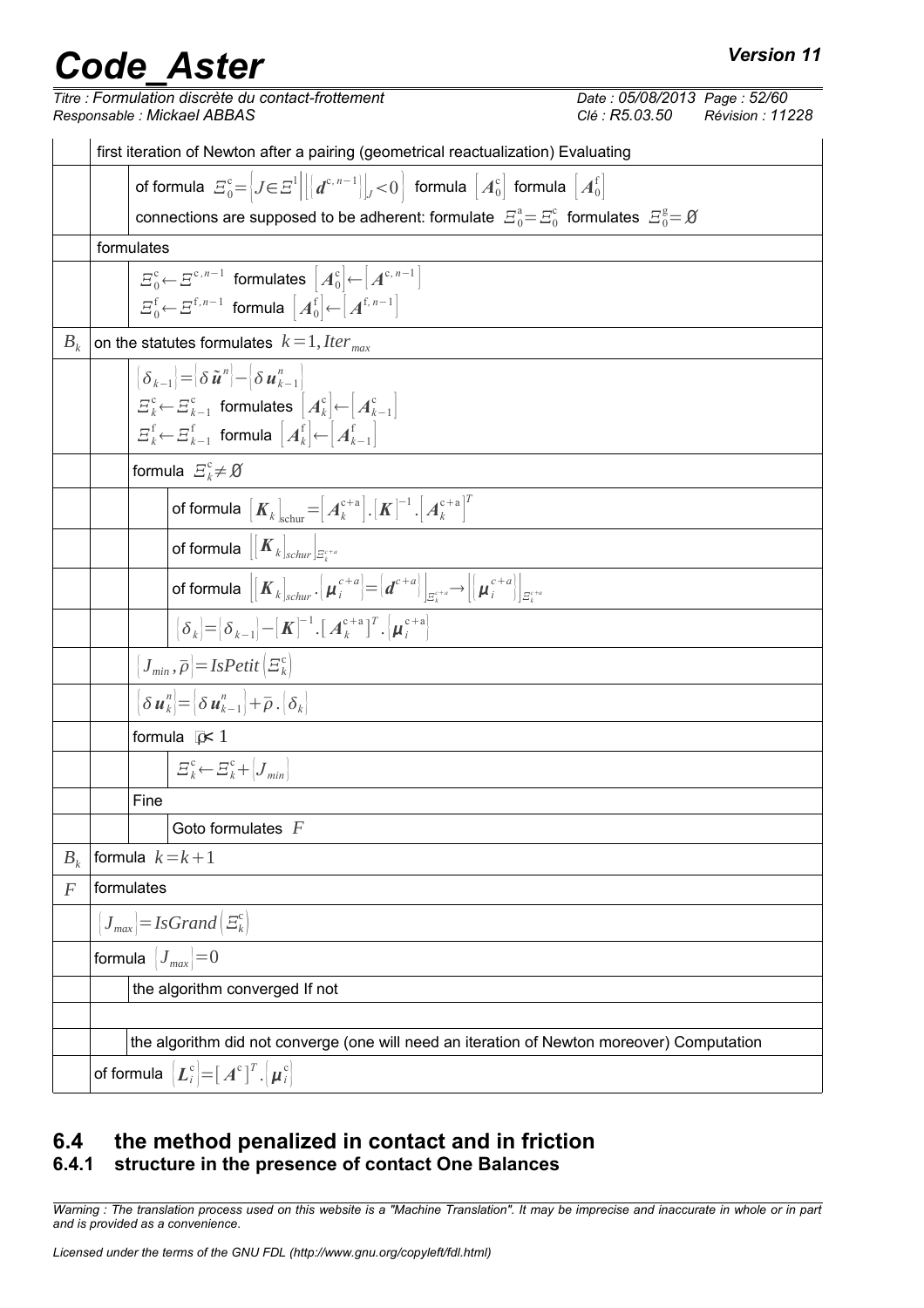|                             | Titre : Formulation discrète du contact-frottement<br>Date: 05/08/2013 Page: 52/60<br>Clé : R5.03.50<br>Responsable : Mickael ABBAS<br>Révision : 11228                                                                                  |  |  |  |  |
|-----------------------------|------------------------------------------------------------------------------------------------------------------------------------------------------------------------------------------------------------------------------------------|--|--|--|--|
|                             | first iteration of Newton after a pairing (geometrical reactualization) Evaluating                                                                                                                                                       |  |  |  |  |
|                             | of formula $E_0^c =  J \in E^1  [d^{c, n-1}] _J < 0$ formula $[A_0^c]$ formula $[A_0^f]$                                                                                                                                                 |  |  |  |  |
|                             | connections are supposed to be adherent: formulate $E_0^a = E_0^c$ formulates $E_0^g = \emptyset$                                                                                                                                        |  |  |  |  |
|                             | formulates                                                                                                                                                                                                                               |  |  |  |  |
|                             | $E_0^c \leftarrow E^{c, n-1}$ formulates $ A_0^c  \leftarrow  A^{c, n-1} $<br>$E_0^f \leftarrow E^{f, n-1}$ formula $\left[ A_0^f \right] \leftarrow \left[ A^{f, n-1} \right]$                                                          |  |  |  |  |
| $B_{k}$                     | on the statutes formulates $k=1$ , Iter $_{max}$                                                                                                                                                                                         |  |  |  |  |
|                             | $\left \delta_{k-1}\right  = \left \delta \tilde{u}^{n}\right  - \left \delta u_{k-1}^{n}\right $                                                                                                                                        |  |  |  |  |
|                             | $E_{k}^{\text{c}} \leftarrow E_{k-1}^{\text{c}}$ formulates $ A_{k}^{\text{c}}  \leftarrow  A_{k-1}^{\text{c}} $<br>$E_{k}^{\text{f}} \leftarrow E_{k-1}^{\text{f}}$ formula $ A_{k}^{\text{f}}  \leftarrow  A_{k-1}^{\text{f}} $        |  |  |  |  |
|                             | formula $E_k^c \neq \emptyset$                                                                                                                                                                                                           |  |  |  |  |
|                             | of formula $\left[\boldsymbol{K}_k\right]_{\text{schur}} = \left[\boldsymbol{A}_k^{\text{c+a}}\right] \cdot \left[\boldsymbol{K}\right]^{-1} \cdot \left[\boldsymbol{A}_k^{\text{c+a}}\right]^T$                                         |  |  |  |  |
|                             | of formula $\left\  \boldsymbol{K}_k \right\ _{schur}$ $\left _{E^{c+a}} \right $                                                                                                                                                        |  |  |  |  |
|                             | of formula $\left\  \boldsymbol K_k \right\vert_{\text{schur}} . \left  \boldsymbol \mu_i^{c+a} \right  = \left  \boldsymbol d^{c+a} \right  \left _{E_i^{c+a}} \to \left  \left\{ \boldsymbol \mu_i^{c+a} \right\} \right _{E_i^{c+a}}$ |  |  |  |  |
|                             | $\{\delta_k\} = \{\delta_{k-1}\}-\left[\mathbf{K}\right]^{-1}.\left[\mathbf{A}_k^{\text{c+a}}\right]^T.\left[\mathbf{\mu}_i^{\text{c+a}}\right]$                                                                                         |  |  |  |  |
|                             | $[J_{min}, \overline{\rho}] = IsPetit \left(\Xi_k^c\right)$                                                                                                                                                                              |  |  |  |  |
|                             | $\delta u_k^n = \delta u_{k-1}^n + \overline{\rho} \cdot \delta_k$                                                                                                                                                                       |  |  |  |  |
|                             | formula $\mathbb{R}$ 1                                                                                                                                                                                                                   |  |  |  |  |
|                             | $E_{k}^{\rm c}$ $\leftarrow$ $E_{k}^{\rm c}$ + $J_{min}$                                                                                                                                                                                 |  |  |  |  |
|                             | Fine                                                                                                                                                                                                                                     |  |  |  |  |
|                             | Goto formulates $F$<br>formula $k = k + 1$                                                                                                                                                                                               |  |  |  |  |
| $B_{k}$<br>$\boldsymbol{F}$ | formulates                                                                                                                                                                                                                               |  |  |  |  |
|                             | $ J_{max} $ = IsGrand $ \Xi_k^c $                                                                                                                                                                                                        |  |  |  |  |
|                             |                                                                                                                                                                                                                                          |  |  |  |  |
|                             | formula $ J_{max} =0$<br>the algorithm converged If not                                                                                                                                                                                  |  |  |  |  |
|                             |                                                                                                                                                                                                                                          |  |  |  |  |
|                             | the algorithm did not converge (one will need an iteration of Newton moreover) Computation                                                                                                                                               |  |  |  |  |
|                             | of formula $\left \boldsymbol L_i^{\mathrm{c}}\right {=}\right[\boldsymbol A^{\mathrm{c}}\right]^T.\left \boldsymbol\mu_i^{\mathrm{c}}\right $                                                                                           |  |  |  |  |

### <span id="page-51-1"></span><span id="page-51-0"></span>**6.4 the method penalized in contact and in friction 6.4.1 structure in the presence of contact One Balances**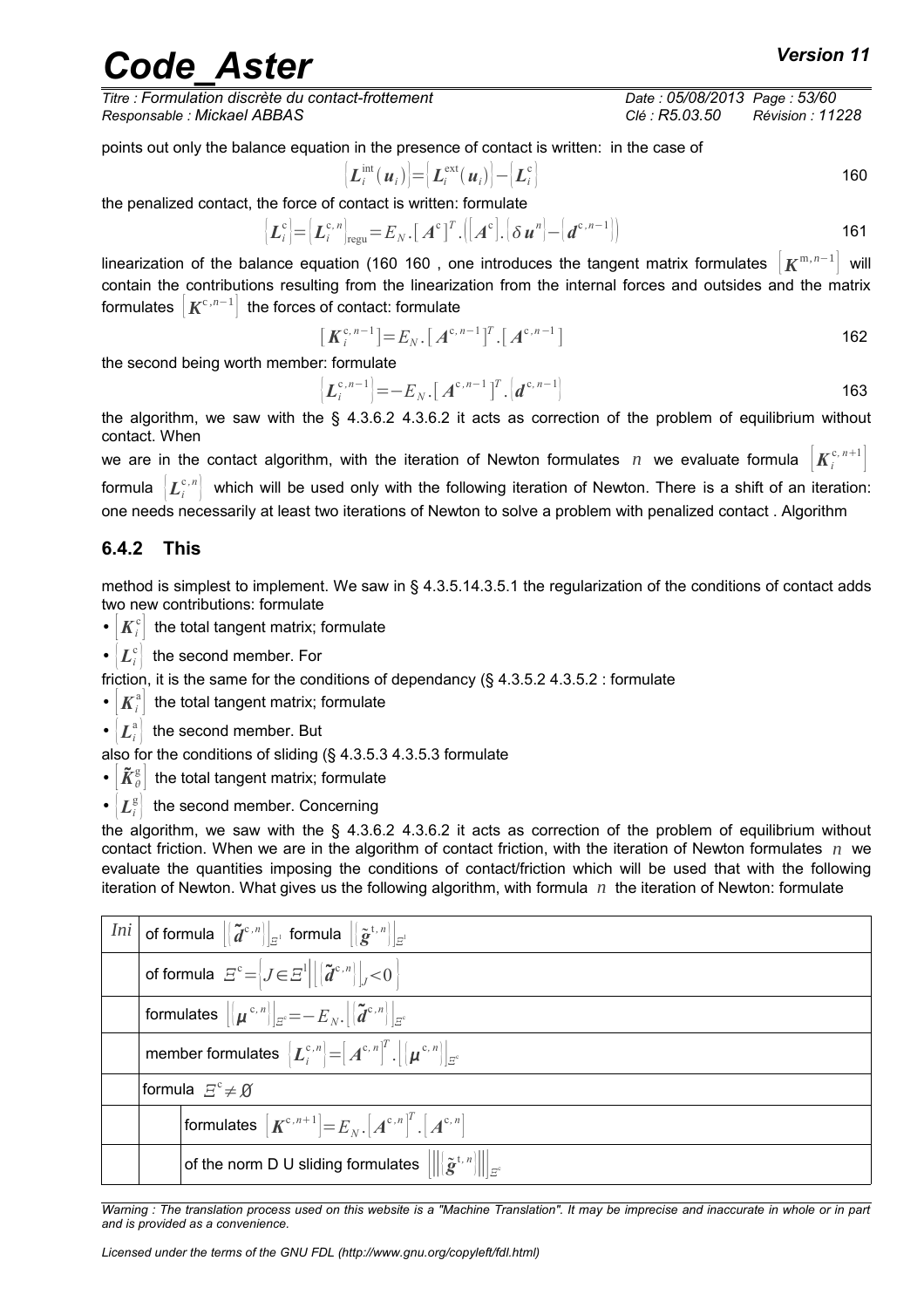*Titre : Formulation discrète du contact-frottement Date : 05/08/2013 Page : 53/60 Responsable : Mickael ABBAS Clé : R5.03.50 Révision : 11228*

<span id="page-52-1"></span>

points out only the balance equation in the presence of contact is written: in the case of

$$
\left[\mathbf{L}_i^{\text{int}}(\mathbf{u}_i)\right] = \left[\mathbf{L}_i^{\text{ext}}(\mathbf{u}_i)\right] - \left[\mathbf{L}_i^{\text{c}}\right]
$$

the penalized contact, the force of contact is written: formulate

$$
\left[\boldsymbol{L}_{i}^{\mathrm{c}}\right] = \left[\boldsymbol{L}_{i}^{\mathrm{c},n}\right]_{\mathrm{regu}} = E_{N}.\left[\boldsymbol{A}^{\mathrm{c}}\right]^{T}.\left(\left[\boldsymbol{A}^{\mathrm{c}}\right].\left\{\delta\boldsymbol{u}^{n}\right\} - \left(\boldsymbol{d}^{\mathrm{c},n-1}\right)\right]
$$

linearization of the balance equation (160 [160](#page-52-1) , one introduces the tangent matrix formulates [ *K* m*, n*−1 ] will contain the contributions resulting from the linearization from the internal forces and outsides and the matrix formulates  $\left| \boldsymbol{K}^{\text{c},n-1} \right|$  the forces of contact: formulate

$$
[\boldsymbol{K}_{i}^{\mathrm{c},n-1}]\!=\!E_{N}.\big[\boldsymbol{A}^{\mathrm{c},n-1}\big]^{T}.\big[\boldsymbol{A}^{\mathrm{c},n-1}\big]
$$

the second being worth member: formulate

$$
\left[\bm{L}_{i}^{\mathrm{c},n-1}\right] = -E_{N}.\left[\bm{A}^{\mathrm{c},n-1}\right]^{T}.\left[\bm{d}^{\mathrm{c},n-1}\right]
$$

the algorithm, we saw with the § 4.3.6.2 [4.3.6.2](#page-33-0) it acts as correction of the problem of equilibrium without contact. When

we are in the contact algorithm, with the iteration of Newton formulates  $n$  we evaluate formula  $c, n+1$  $\mathbb{I}$ 

formula  $\left|L_i^{c,n}\right|$  which will be used only with the following iteration of Newton. There is a shift of an iteration: one needs necessarily at least two iterations of Newton to solve a problem with penalized contact . Algorithm

#### <span id="page-52-0"></span>**6.4.2 This**

method is simplest to implement. We saw in § 4.3.5.[14.3.5.1](#page-29-3) the regularization of the conditions of contact adds two new contributions: formulate

- $\mathbf{K}_i^c$ the total tangent matrix; formulate
- $\cdot$   $\left| L_i^c \right|$  the second member. For
- friction, it is the same for the conditions of dependancy  $(§ 4.3.5.2 4.3.5.2 : formulate)$  $(§ 4.3.5.2 4.3.5.2 : formulate)$  $(§ 4.3.5.2 4.3.5.2 : formulate)$
- $\mathbf{K}_i^{\text{a}}$ the total tangent matrix; formulate
- $\cdot$   $\left| L_i^{\mathrm{a}} \right|$  the second member. But

also for the conditions of sliding (§ 4.3.5.3 [4.3.5.3](#page-30-2) formulate

 $\cdot$   $\hat{K}^{\mathrm{g}}_{\theta}$  $\frac{g}{\theta}$  the total tangent matrix; formulate

 $\bullet$   $\left| L_i^{\rm g} \right|$ the second member. Concerning

the algorithm, we saw with the  $\S$  [4.3.6.2](#page-33-0) 4.3.6.2 it acts as correction of the problem of equilibrium without contact friction. When we are in the algorithm of contact friction, with the iteration of Newton formulates *n* we evaluate the quantities imposing the conditions of contact/friction which will be used that with the following iteration of Newton. What gives us the following algorithm, with formula *n* the iteration of Newton: formulate

| $\ Ini\ $ of formula $\left\ \left[\boldsymbol{\tilde{d}}^{c,n}\right]\right\ _{\mathbb{H}^1}$ formula $\left\ \left[\boldsymbol{\tilde{g}}^{t,n}\right]\right\ _{\mathbb{H}^1}$ |  |  |
|----------------------------------------------------------------------------------------------------------------------------------------------------------------------------------|--|--|
| of formula $E^c =  J \in E^1    \tilde{d}^{c,n}  _J < 0$                                                                                                                         |  |  |
| , formulates $  \boldsymbol{\mu}^{\text{c},\textit{n}}  _{\text{g}^{\text{c}}} \!\!=\!\! -E_{N}.\big  \boldsymbol{\tilde{d}}^{\text{c},\textit{n}}\big  _{\text{g}^{\text{c}}}$  |  |  |
| member formulates $\left[\bm{L}_{i}^{\text{c},n}\right]=\left[\bm{A}^{\text{c},n}\right]^T.\left \left[\bm{\mu}^{\text{c},n}\right]\right _{\mathbb{R}^{\text{c}}}$              |  |  |
| formula $E^c \neq \emptyset$                                                                                                                                                     |  |  |
| formulates $[K^{c,n+1}] = E_{N}$ , $[A^{c,n}]^{T}$ , $[A^{c,n}]$                                                                                                                 |  |  |
| of the norm D U sliding formulates $\left\  \left\  \tilde{\boldsymbol{g}}^{t,\,n} \right\  \right\ _{E^c}$                                                                      |  |  |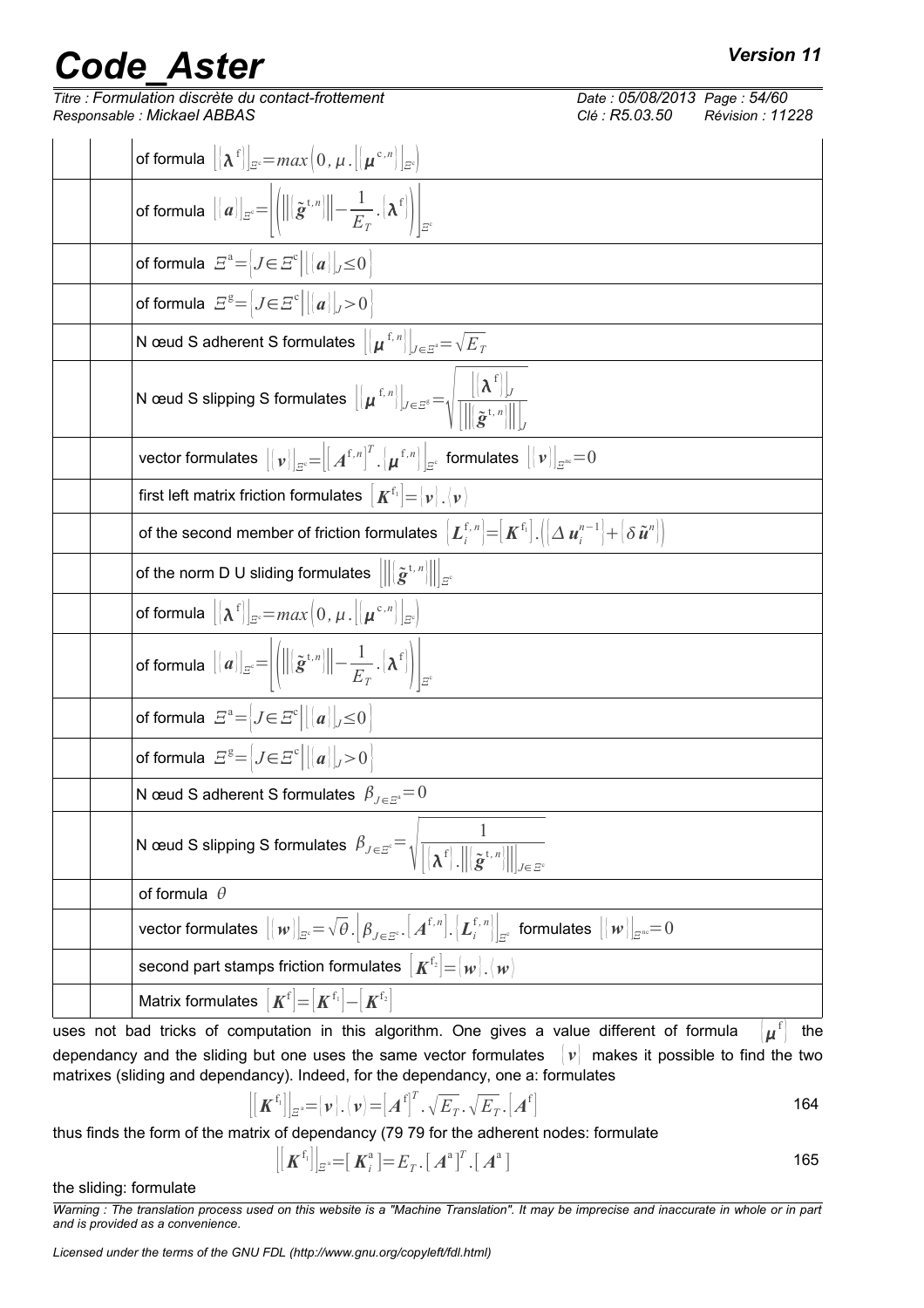*Titre : Formulation discrète du contact-frottement Date : 05/08/2013 Page : 54/60 Responsable : Mickael ABBAS Clé : R5.03.50 Révision : 11228* of formula  $\,\left\|\boldsymbol{\lambda}^\text{f}\right\|_{\Xi^\text{c}}\!\!=\!max\!\left(0,\mu\ldotp\!\left\|\boldsymbol{\mu}^{\text{c},n}\right\|\!\left_{\Xi^\text{c}}\!\right)$ of formula  $\left\| \left[ \textbf{\textit{a}} \right] \right\|_{\mathcal{E}^c} = \left| \left( \left\| \left[ \tilde{\textbf{g}}^{\text{t},n} \right] \right\| - \frac{1}{E} \right) \right|$ *ET*  $\left| \left[ \boldsymbol{\lambda}^{\text{f}} \right] \right|_{\mathbb{E}}$ c of formula  $|E^{\rm a}\text{=}|J\!\in\! E^{\rm c}\big| \big| [{\textit{\textbf{a}}}]_J\!\!\le\!0\big| \big|$ of formula  $\left. E^{\rm g}\text{=}\right| \text{J}\text{\in }\! E^{\rm c}\big| \big| [a]_J^{\rm } \text{>} 0\big| \text{.}$ N œud S adherent S formulates  $\, \big\| \boldsymbol{\mu}^{\, \mathrm{f}, \, n} \big\|_{\scriptscriptstyle J \in \Xi^a} \! = \! \sqrt{E_{\, T}}$ N œud S slipping S formulates  $\left|\left| \boldsymbol{\mu}^{\text{f},\textit{n}}\right|\right|_{J\in E^{\text{s}}}$   $=$  $\Vert \Vert g$  $[[\boldsymbol{\lambda}^\mathrm{\,f}]]_j$  $\left[\left\|\left[\tilde{\bm{g}}^{\text{t},\,n}\right]\right\|\right]$  *J*  ${\sf vector}$  formulates  $\,[[\,\boldsymbol{\nu}]\,]_{\boldsymbol{\varXi}^{\mathrm{c}}} {=} [\lfloor \boldsymbol{\varLambda}^{\mathrm{f},n} \rfloor]$  $\left. \frac{T}{\mu}\left[ \mu^{\mathrm{f},n}\right] \right|_{\Xi^{\mathrm{e}}}$  formulates  $\left\vert \left[ \nu\right] \right\vert _{\Xi^{\mathrm{ne}}}=0$ first left matrix friction formulates  $\left[\mathbf{f}_{1}\right]=\left\{\boldsymbol{\nu}\right\}$  .  $\left\langle \boldsymbol{\nu}\right\rangle$ of the second member of friction formulates  $\left[\bm{L}_i^{\mathrm{f},\,n}\!\right]\!=\!\left[\bm{K}^{\mathrm{f}_1}\!\right]\!\!. \left(\left[\Delta\,\bm{u}_i^{n-1}\!\right]\!\!+\!\left[\delta\,\bm{\tilde{u}}^n\!\right]\!\right]$ of the norm D U sliding formulates  $\left\| \left\| \tilde{\boldsymbol{g}}^{\text{t,\textit{n}}}\right\| \right\|_{\mathcal{Z}^{\text{c}}}$ of formula  $\,\left\|\boldsymbol{\lambda}^\text{f}\right\|_{\Xi^\text{c}}\!=\!max\!\left(0,\mu\ldotp\!\left\|\boldsymbol{\mu}^{\text{c},n}\right\|\!\left_{\Xi^\text{c}}\right)$ of formula  $\left\| \left[ \textbf{\textit{a}} \right] \right\|_{\mathcal{E}^c} = \left| \left( \left\| \left[ \tilde{\textbf{g}}^{\text{t},n} \right] \right\| - \frac{1}{E} \right) \right|$ *ET*  $\left| \left[ \boldsymbol{\lambda}^{\text{f}} \right] \right|_{\Xi}$ c of formula  $|E^{\rm a}\text{=}|J\text{ }\in E^{\rm c}\big| \big| [a] |_{J}\text{ }\leq\text{ }0\big| \big|$ of formula  $\left. E^{\rm g}\text{=}\right| \text{J}\text{\in }\! E^{\rm c}\big| \big| [a]_J^{\rm } \text{>} 0\big| \text{.}$ N œud S adherent S formulates  $\ \beta_{\scriptscriptstyle J\in\mathbb{E}^{\mathrm{a}}}\!\!=\!0$ N œud S slipping S formulates  $\beta_{\rm J\in\mathbb{E}^c}^{}\mathbb{=}$  $\mathcal{V}$ | $\mathcal{X}$ 1  $\left\Vert \left[ \boldsymbol{\lambda}^{\mathrm{f}}\right] .\right\Vert \left\vert \tilde{\boldsymbol{g}}^{\mathrm{t},\,n}\right\Vert \right\Vert _{J\in\varXi}$ of formula  $\theta$  ${\bf vector \:\: formulates\:\:} \big[\! \big[ \boldsymbol{\mathcal{w}} \big]\! \big]_{\!\!\varXi^c} \!=\!\sqrt{\theta}\,.\! \Big[\! \big[ \boldsymbol{\beta}_{J\in\varXi^c}.\big\vert \boldsymbol{\mathcal{A}}^{f,n}\big]\!.\! \Big[\! \big[ \boldsymbol{L}^{f,\,n}_i\big]\! \Big]_{\!\!\varXi^c} \:\: \text{formulates}\:\: \big[(\boldsymbol{\mathcal{w}})\big]_{\!\!\varXi^{nc}} \!=\! 0$ second part stamps friction formulates  $\,\left|\boldsymbol{K}^{\mathrm{f}_2}\right|\!=\!\left|\boldsymbol{w}\right|\right|\left\langle \boldsymbol{\mathit{w}}\right\rangle$ Matrix formulates  $\left | \boldsymbol{K}^{\mathrm{f}} \right |=\left | \boldsymbol{K}^{\mathrm{f}_1} \right |-\left | \boldsymbol{K}^{\mathrm{f}_2} \right |$  $\mathbb{I}$ 

uses not bad tricks of computation in this algorithm. One gives a value different of formula  $\mathbf{u}^{\text{f}}$ the dependancy and the sliding but one uses the same vector formulates  $\|v\|$  makes it possible to find the two matrixes (sliding and dependancy). Indeed, for the dependancy, one a: formulates

$$
\left\lbrack\left\lbrack \boldsymbol{K}^{\mathrm{f}_{\mathrm{i}}}\right\rbrack\right\rbrack_{\mathcal{Z}^{\mathrm{a}}}=\left\lbrack \boldsymbol{\nu}\right\rbrack.\left\langle \boldsymbol{\nu}\right\rangle=\left\lbrack \boldsymbol{A}^{\mathrm{f}}\right\rbrack^{T}.\sqrt{E_{T}}.\sqrt{E_{T}}.\left\lbrack \boldsymbol{A}^{\mathrm{f}}\right\rbrack
$$
\n164

thus finds the form of the matrix of dependancy (79 [79](#page-30-4) for the adherent nodes: formulate

$$
\left\| \boldsymbol{K}^{\mathrm{f}_{i}} \right\|_{E^{a}} = \left[ \boldsymbol{K}_{i}^{\mathrm{a}} \right] = E_{T} \cdot \left[ \boldsymbol{A}^{\mathrm{a}} \right]^{T} \cdot \left[ \boldsymbol{A}^{\mathrm{a}} \right]
$$

the sliding: formulate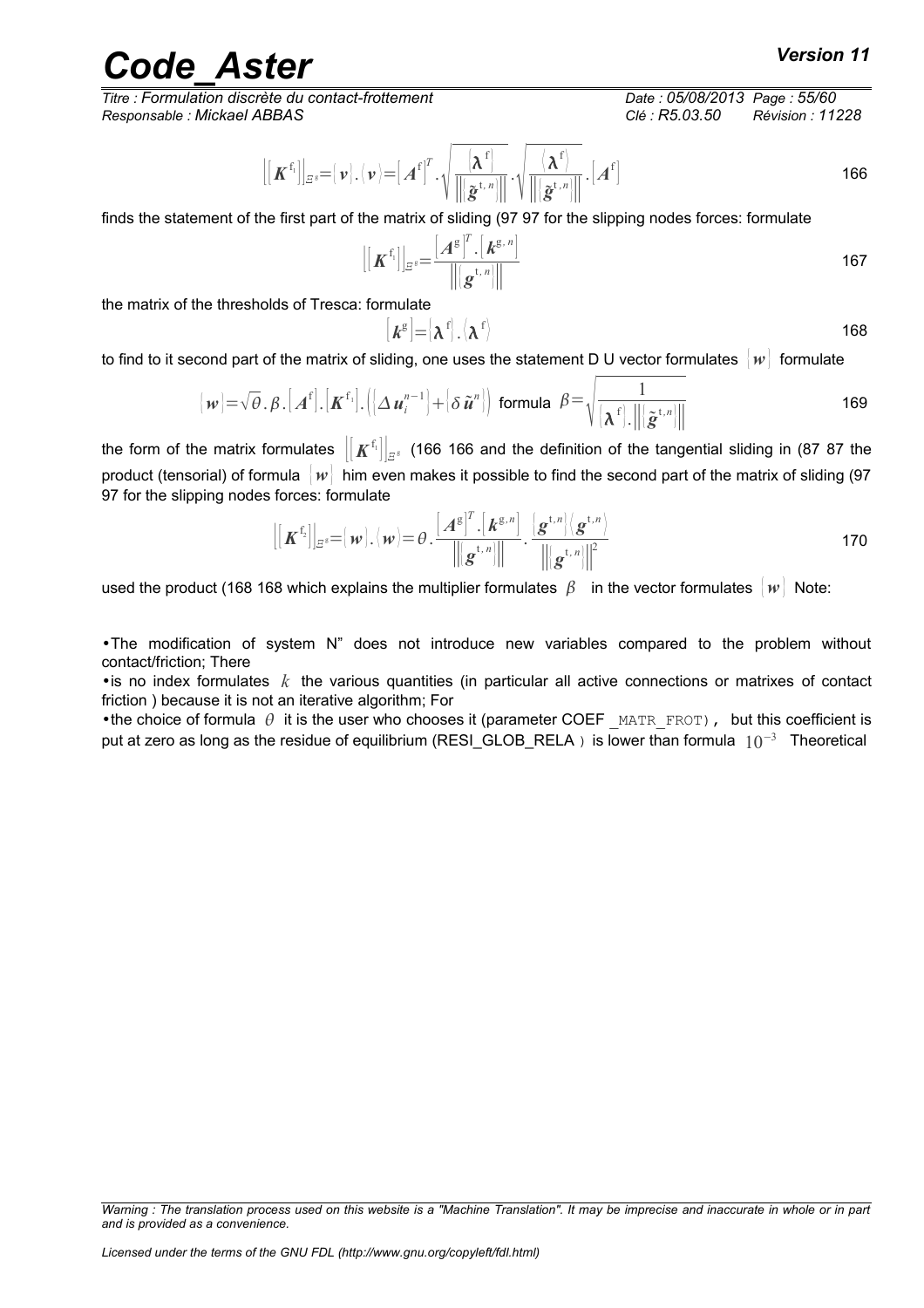*Titre : Formulation discrète du contact-frottement Date : 05/08/2013 Page : 55/60 Responsable : Mickael ABBAS Clé : R5.03.50 Révision : 11228*

<span id="page-54-1"></span><span id="page-54-0"></span>

$$
\left\lbrack\left\lbrack \boldsymbol{K}^{f_{i}}\right\rbrack\right\rbrack_{\mathcal{Z}^{s}}=\left\lbrack \boldsymbol{\nu}\right\rbrack.\left\langle \boldsymbol{\nu}\right\rangle=\left\lbrack \boldsymbol{\mathcal{A}}^{f}\right\rbrack^{T}.\sqrt{\frac{\left\lvert\boldsymbol{\lambda}^{f}\right\rvert}{\left\lVert\left\lbrack \boldsymbol{\tilde{g}}^{t,n}\right\rbrack\right\rVert}}.\left\lbrack \boldsymbol{\mathcal{A}}^{f}\right\rbrack \cdot \left\lbrack \boldsymbol{\mathcal{A}}^{f}\right\rbrack
$$
166

finds the statement of the first part of the matrix of sliding (97 [97](#page-32-1) for the slipping nodes forces: formulate

$$
\left\| \boldsymbol{K}^{\mathrm{f}_{\mathrm{i}} } \right\|_{\mathcal{Z}^{\mathrm{g}}} = \frac{\left[ \boldsymbol{A}^{\mathrm{g}} \right]^T \cdot \left[ \boldsymbol{k}^{\mathrm{g},n} \right]}{\left\| \left[ \boldsymbol{g}^{\mathrm{t},n} \right] \right\|}
$$

the matrix of the thresholds of Tresca: formulate

$$
[\mathbf{k}^{\mathrm{g}}]=[\mathbf{\lambda}^{\mathrm{f}}].\langle\mathbf{\lambda}^{\mathrm{f}}\rangle
$$
 168

to find to it second part of the matrix of sliding, one uses the statement D U vector formulates  $|w|$  formulate

$$
\{\boldsymbol{w}\} = \sqrt{\theta} \cdot \beta \cdot [\boldsymbol{A}^{\mathrm{f}}] \cdot [\boldsymbol{K}^{\mathrm{f}_1}] \cdot ([\Delta \boldsymbol{u}_i^{n-1}] + [\delta \boldsymbol{\tilde{u}}^n]) \text{ formula } \beta = \sqrt{\frac{1}{[\boldsymbol{\lambda}^{\mathrm{f}}] \cdot ||[\boldsymbol{\tilde{g}}^{\mathrm{t},n}]||}}
$$

the form of the matrix formulates  $\, \big\| \bm K^{\rm f_i} \big\|_{\Xi^{\rm g}} \,$  (166 [166](#page-54-1) and the definition of the tangential sliding in (87 [87](#page-31-3) the product (tensorial) of formula  $|w|$  him even makes it possible to find the second part of the matrix of sliding (97 [97](#page-32-1) for the slipping nodes forces: formulate

$$
\left\lbrack\left\lbrack \mathbf{K}^{\mathrm{f}_2}\right\rbrack\right\rbrack_{\mathcal{Z}^{\mathrm{g}}}=\left\lbrack \mathbf{w}\right\rbrack.\left\lbrack \mathbf{w}\right\rbrack=\theta.\frac{\left\lbrack A^{\mathrm{g}}\right\rbrack^T.\left\lbrack \mathbf{k}^{\mathrm{g},n}\right\rbrack}{\left\lVert \left\lbrack \mathbf{g}^{\mathrm{t},n}\right\rbrack\right\rVert^2}.\frac{\left\lbrack \mathbf{g}^{\mathrm{t},n}\right\rbrack\left\lbrack \mathbf{g}^{\mathrm{t},n}\right\rbrack}{\left\lvert\left\lbrack \mathbf{g}^{\mathrm{t},n}\right\rbrack\right\rvert^2}
$$
170

used the product (168 [168](#page-54-0) which explains the multiplier formulates  $\beta$  in the vector formulates  $\|\psi\|$  Note:

•The modification of system N" does not introduce new variables compared to the problem without contact/friction; There

•is no index formulates *k* the various quantities (in particular all active connections or matrixes of contact friction ) because it is not an iterative algorithm; For

•the choice of formula  $\theta$  it is the user who chooses it (parameter COEF MATR\_FROT), but this coefficient is put at zero as long as the residue of equilibrium (RESI GLOB RELA) is lower than formula  $10^{-3}$  Theoretical

*Warning : The translation process used on this website is a "Machine Translation". It may be imprecise and inaccurate in whole or in part and is provided as a convenience.*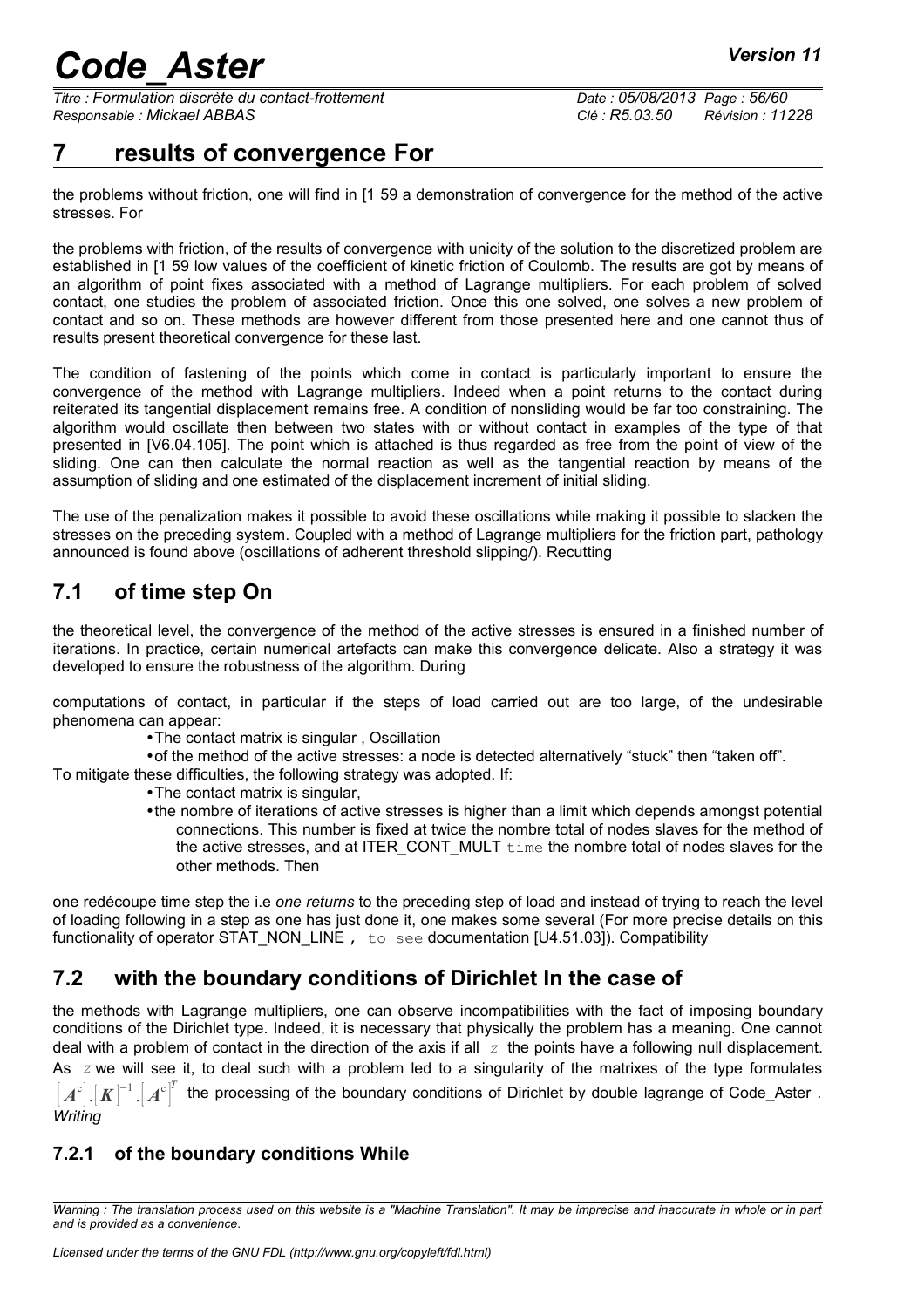*Titre : Formulation discrète du contact-frottement Date : 05/08/2013 Page : 56/60 Responsable : Mickael ABBAS Clé : R5.03.50 Révision : 11228*

### <span id="page-55-3"></span>**7 results of convergence For**

the problems without friction, one will find in [1 [59](#page-58-3) a demonstration of convergence for the method of the active stresses. For

the problems with friction, of the results of convergence with unicity of the solution to the discretized problem are established in [1 [59](#page-58-3) low values of the coefficient of kinetic friction of Coulomb. The results are got by means of an algorithm of point fixes associated with a method of Lagrange multipliers. For each problem of solved contact, one studies the problem of associated friction. Once this one solved, one solves a new problem of contact and so on. These methods are however different from those presented here and one cannot thus of results present theoretical convergence for these last.

The condition of fastening of the points which come in contact is particularly important to ensure the convergence of the method with Lagrange multipliers. Indeed when a point returns to the contact during reiterated its tangential displacement remains free. A condition of nonsliding would be far too constraining. The algorithm would oscillate then between two states with or without contact in examples of the type of that presented in [V6.04.105]. The point which is attached is thus regarded as free from the point of view of the sliding. One can then calculate the normal reaction as well as the tangential reaction by means of the assumption of sliding and one estimated of the displacement increment of initial sliding.

The use of the penalization makes it possible to avoid these oscillations while making it possible to slacken the stresses on the preceding system. Coupled with a method of Lagrange multipliers for the friction part, pathology announced is found above (oscillations of adherent threshold slipping/). Recutting

### <span id="page-55-2"></span>**7.1 of time step On**

the theoretical level, the convergence of the method of the active stresses is ensured in a finished number of iterations. In practice, certain numerical artefacts can make this convergence delicate. Also a strategy it was developed to ensure the robustness of the algorithm. During

computations of contact, in particular if the steps of load carried out are too large, of the undesirable phenomena can appear:

- •The contact matrix is singular , Oscillation
- •of the method of the active stresses: a node is detected alternatively "stuck" then "taken off".

To mitigate these difficulties, the following strategy was adopted. If:

- •The contact matrix is singular,
- •the nombre of iterations of active stresses is higher than a limit which depends amongst potential connections. This number is fixed at twice the nombre total of nodes slaves for the method of the active stresses, and at ITER\_CONT\_MULT time the nombre total of nodes slaves for the other methods. Then

one redécoupe time step the i.e *one returns* to the preceding step of load and instead of trying to reach the level of loading following in a step as one has just done it, one makes some several (For more precise details on this functionality of operator STAT\_NON\_LINE , to see documentation  $[U4.51.03]$ ). Compatibility

### <span id="page-55-1"></span>**7.2 with the boundary conditions of Dirichlet In the case of**

the methods with Lagrange multipliers, one can observe incompatibilities with the fact of imposing boundary conditions of the Dirichlet type. Indeed, it is necessary that physically the problem has a meaning. One cannot deal with a problem of contact in the direction of the axis if all *z* the points have a following null displacement. As *z* we will see it, to deal such with a problem led to a singularity of the matrixes of the type formulates  $\left[ \, A^{\mathsf{c}} \right]$ . $\left[ \, \boldsymbol{K} \, \right]^{-1}$  . $\left[ \, A^{\mathsf{c}} \, \right]^{T}$ *T* the processing of the boundary conditions of Dirichlet by double lagrange of Code\_Aster *. Writing*

#### <span id="page-55-0"></span>**7.2.1 of the boundary conditions While**

*Warning : The translation process used on this website is a "Machine Translation". It may be imprecise and inaccurate in whole or in part and is provided as a convenience.*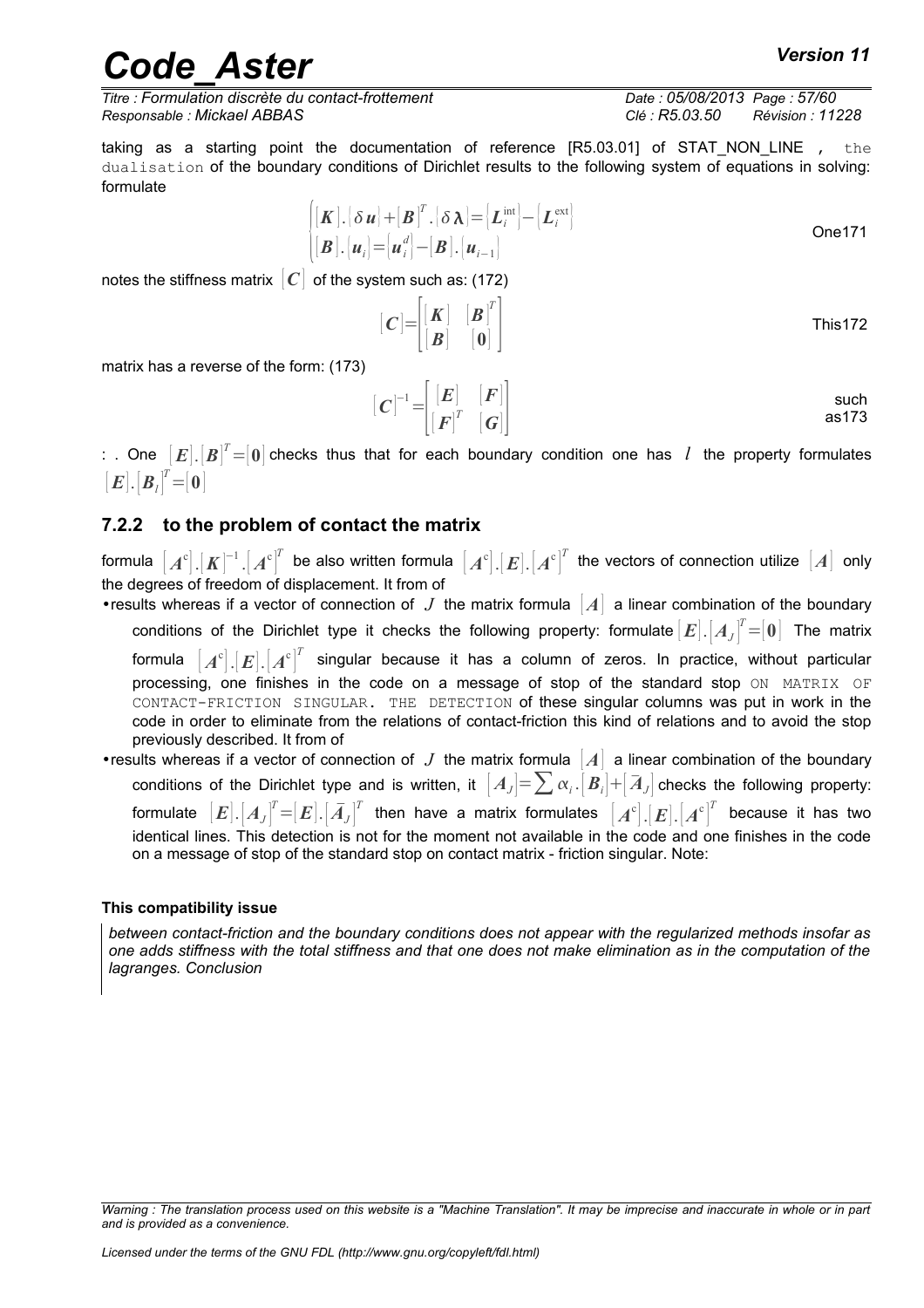*Titre : Formulation discrète du contact-frottement Date : 05/08/2013 Page : 57/60 Responsable : Mickael ABBAS Clé : R5.03.50 Révision : 11228*

taking as a starting point the documentation of reference  $[R5.03.01]$  of STAT NON LINE , the dualisation of the boundary conditions of Dirichlet results to the following system of equations in solving: formulate

$$
\begin{cases}\n[\boldsymbol{K}].[\delta \boldsymbol{u}] + [\boldsymbol{B}]^T.[\delta \boldsymbol{\lambda}] = [\boldsymbol{L}_i^{\text{int}}] - [\boldsymbol{L}_i^{\text{ext}}] \\
[\boldsymbol{B}].[\boldsymbol{u}_i] = [\boldsymbol{u}_i^d] - [\boldsymbol{B}].[\boldsymbol{u}_{i-1}]\n\end{cases}
$$
\nOne171

notes the stiffness matrix  $|C|$  of the system such as: (172)

$$
[\boldsymbol{C}] = \begin{bmatrix} [\boldsymbol{K}] & [\boldsymbol{B}]^T \\ [\boldsymbol{B}] & [\boldsymbol{0}] \end{bmatrix}
$$
 This172

matrix has a reverse of the form: (173)

$$
[\boldsymbol{C}]^{-1} = \begin{bmatrix} [\boldsymbol{E}] & [\boldsymbol{F}] \\ [\boldsymbol{F}]^T & [\boldsymbol{G}] \end{bmatrix}
$$
 such as 173

: . One  $[E]$   $[B]^T = [0]$  checks thus that for each boundary condition one has *l* the property formulates  $\left[\boldsymbol{E}\right].\left[\boldsymbol{B}_l\right]^T=\right[\boldsymbol{0}\right]$ 

#### <span id="page-56-0"></span>**7.2.2 to the problem of contact the matrix**

formula  $\left[ \,A^{\rm c} \right]$ . $\left[ \,K \,\right]^{-1}$ . $\left[ \,A^{\rm c} \right]^{n}$  $^T$  be also written formula  $\left[A^{\rm c}\right]$   $\left[E\right]$   $\left[A^{\rm c}\right]^{T}$  $T$  the vectors of connection utilize  $[A]$  only the degrees of freedom of displacement. It from of

•results whereas if a vector of connection of  $J$  the matrix formula  $|A|$  a linear combination of the boundary conditions of the Dirichlet type it checks the following property: formulate $\left[ E\right]$ . $\left[ A_{J}\right] ^{T}\!\!=\!\!\left[ 0\right]$  The matrix formula  $\left[ \begin{smallmatrix} A^{\rm c} \end{smallmatrix} \right]$ . $\left[ \begin{smallmatrix} E \end{smallmatrix} \right]$ . $\left[ \begin{smallmatrix} A^{\rm c} \end{smallmatrix} \right]$ *T* singular because it has a column of zeros. In practice, without particular processing, one finishes in the code on a message of stop of the standard stop ON MATRIX OF CONTACT-FRICTION SINGULAR. THE DETECTION of these singular columns was put in work in the code in order to eliminate from the relations of contact-friction this kind of relations and to avoid the stop previously described. It from of

• results whereas if a vector of connection of  $J$  the matrix formula  $|A|$  a linear combination of the boundary conditions of the Dirichlet type and is written, it  $\big[A_J]=\sum \alpha_i$  .  $\big[B_i\big]+\big[\bar{A}_J\big]$  checks the following property: formulate  $[[E],[A_J]^T\!\!=\!\![E].\bigl[\bar{A_J}\bigr]^T$  then have a matrix formulates  $[[A^c],[E].\bigl[A^c\bigr]^T$ *T* because it has two identical lines. This detection is not for the moment not available in the code and one finishes in the code on a message of stop of the standard stop on contact matrix - friction singular. Note:

#### **This compatibility issue**

*between contact-friction and the boundary conditions does not appear with the regularized methods insofar as one adds stiffness with the total stiffness and that one does not make elimination as in the computation of the lagranges. Conclusion*

*Warning : The translation process used on this website is a "Machine Translation". It may be imprecise and inaccurate in whole or in part and is provided as a convenience.*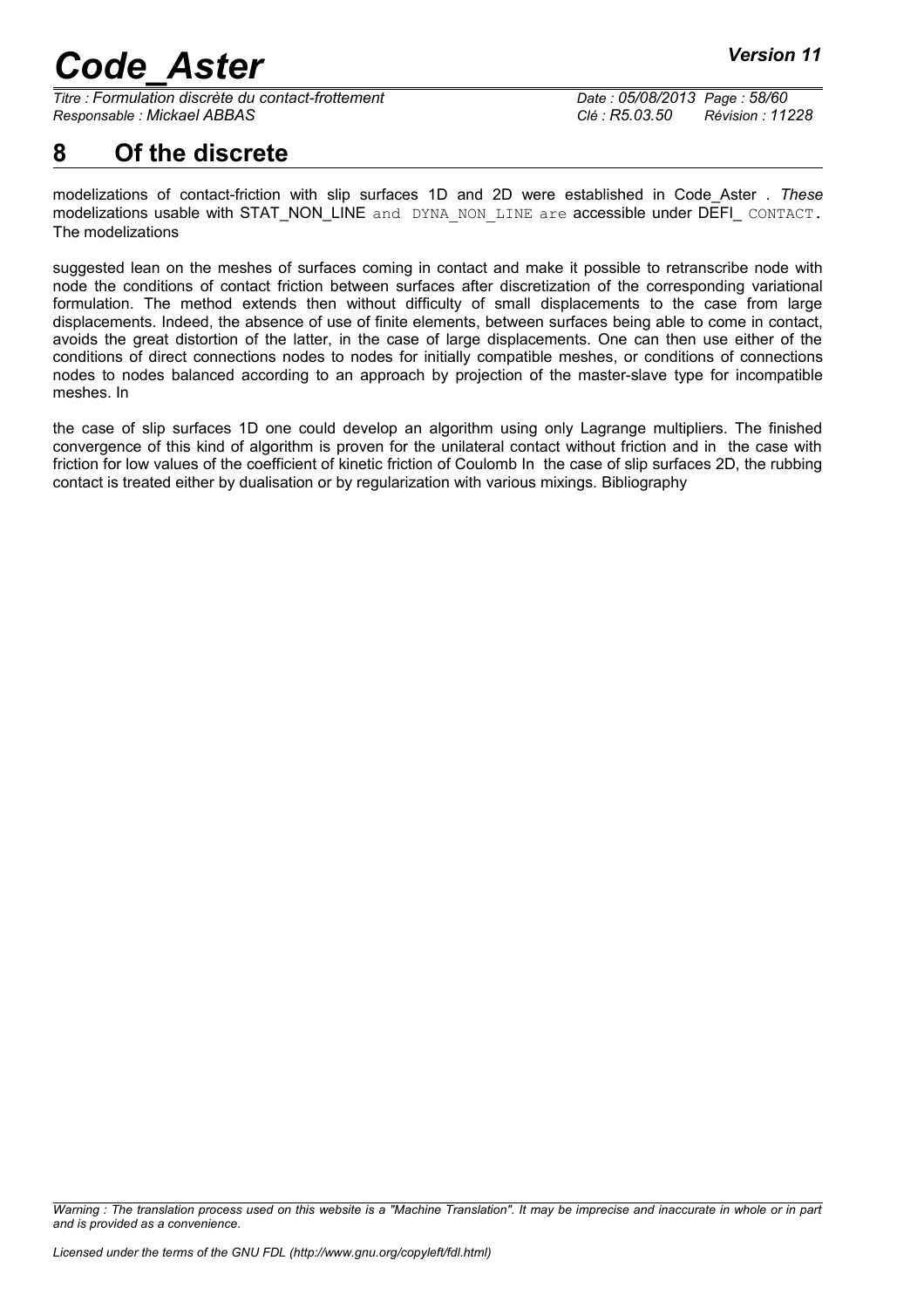*Titre : Formulation discrète du contact-frottement Date : 05/08/2013 Page : 58/60 Responsable : Mickael ABBAS Clé : R5.03.50 Révision : 11228*

### <span id="page-57-0"></span>**8 Of the discrete**

modelizations of contact-friction with slip surfaces 1D and 2D were established in Code\_Aster *. These* modelizations usable with STAT\_NON\_LINE and DYNA\_NON\_LINE are accessible under DEFI\_ CONTACT. The modelizations

suggested lean on the meshes of surfaces coming in contact and make it possible to retranscribe node with node the conditions of contact friction between surfaces after discretization of the corresponding variational formulation. The method extends then without difficulty of small displacements to the case from large displacements. Indeed, the absence of use of finite elements, between surfaces being able to come in contact, avoids the great distortion of the latter, in the case of large displacements. One can then use either of the conditions of direct connections nodes to nodes for initially compatible meshes, or conditions of connections nodes to nodes balanced according to an approach by projection of the master-slave type for incompatible meshes. In

the case of slip surfaces 1D one could develop an algorithm using only Lagrange multipliers. The finished convergence of this kind of algorithm is proven for the unilateral contact without friction and in the case with friction for low values of the coefficient of kinetic friction of Coulomb In the case of slip surfaces 2D, the rubbing contact is treated either by dualisation or by regularization with various mixings. Bibliography

*Warning : The translation process used on this website is a "Machine Translation". It may be imprecise and inaccurate in whole or in part and is provided as a convenience.*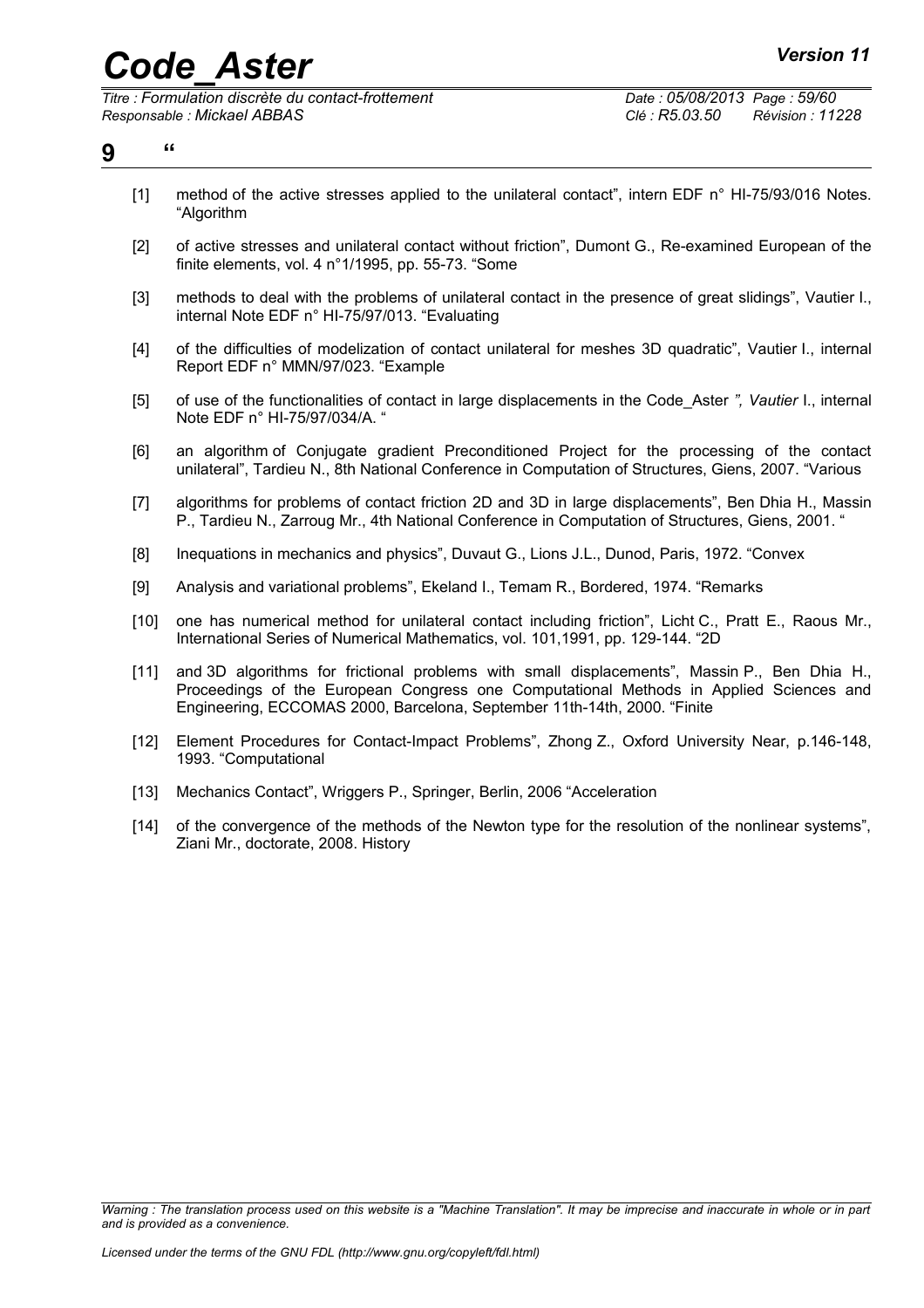<span id="page-58-3"></span><span id="page-58-2"></span><span id="page-58-1"></span><span id="page-58-0"></span>

|   |        | n <del>c</del> sponsabic . michaci ADDAO<br>00.00.00.00<br>15503001.11220                                                                                                                                                                                          |
|---|--------|--------------------------------------------------------------------------------------------------------------------------------------------------------------------------------------------------------------------------------------------------------------------|
| 9 | "      |                                                                                                                                                                                                                                                                    |
|   | $[1]$  | method of the active stresses applied to the unilateral contact", intern EDF n° HI-75/93/016 Notes.<br>"Algorithm                                                                                                                                                  |
|   | $[2]$  | of active stresses and unilateral contact without friction", Dumont G., Re-examined European of the<br>finite elements, vol. 4 n°1/1995, pp. 55-73. "Some                                                                                                          |
|   | $[3]$  | methods to deal with the problems of unilateral contact in the presence of great slidings", Vautier I.,<br>internal Note EDF n° HI-75/97/013. "Evaluating                                                                                                          |
|   | $[4]$  | of the difficulties of modelization of contact unilateral for meshes 3D quadratic", Vautier I., internal<br>Report EDF n° MMN/97/023. "Example                                                                                                                     |
|   | $[5]$  | of use of the functionalities of contact in large displacements in the Code_Aster ", Vautier I., internal<br>Note EDF n° HI-75/97/034/A. "                                                                                                                         |
|   | [6]    | an algorithm of Conjugate gradient Preconditioned Project for the processing of the contact<br>unilateral", Tardieu N., 8th National Conference in Computation of Structures, Giens, 2007. "Various                                                                |
|   | $[7]$  | algorithms for problems of contact friction 2D and 3D in large displacements", Ben Dhia H., Massin<br>P., Tardieu N., Zarroug Mr., 4th National Conference in Computation of Structures, Giens, 2001. "                                                            |
|   | [8]    | Inequations in mechanics and physics", Duvaut G., Lions J.L., Dunod, Paris, 1972. "Convex                                                                                                                                                                          |
|   | [9]    | Analysis and variational problems", Ekeland I., Temam R., Bordered, 1974. "Remarks                                                                                                                                                                                 |
|   | $[10]$ | one has numerical method for unilateral contact including friction", Licht C., Pratt E., Raous Mr.,<br>International Series of Numerical Mathematics, vol. 101,1991, pp. 129-144. "2D                                                                              |
|   | $[11]$ | and 3D algorithms for frictional problems with small displacements", Massin P., Ben Dhia H.,<br>Proceedings of the European Congress one Computational Methods in Applied Sciences and<br>Engineering, ECCOMAS 2000, Barcelona, September 11th-14th, 2000. "Finite |
|   | $[12]$ | Element Procedures for Contact-Impact Problems", Zhong Z., Oxford University Near, p.146-148,<br>1993. "Computational                                                                                                                                              |
|   | $[13]$ | Mechanics Contact", Wriggers P., Springer, Berlin, 2006 "Acceleration                                                                                                                                                                                              |
|   | $[14]$ | of the convergence of the methods of the Newton type for the resolution of the nonlinear systems",<br>Ziani Mr., doctorate, 2008. History                                                                                                                          |
|   |        |                                                                                                                                                                                                                                                                    |
|   |        |                                                                                                                                                                                                                                                                    |

<span id="page-58-5"></span><span id="page-58-4"></span>*Warning : The translation process used on this website is a "Machine Translation". It may be imprecise and inaccurate in whole or in part and is provided as a convenience.*